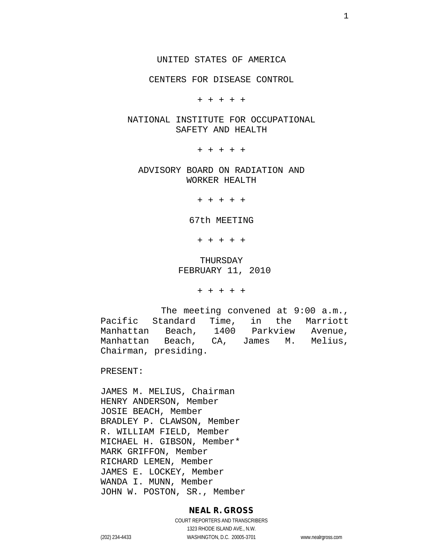CENTERS FOR DISEASE CONTROL

+ + + + +

#### NATIONAL INSTITUTE FOR OCCUPATIONAL SAFETY AND HEALTH

+ + + + +

ADVISORY BOARD ON RADIATION AND WORKER HEALTH

+ + + + +

#### 67th MEETING

+ + + + +

#### THURSDAY FEBRUARY 11, 2010

+ + + + +

The meeting convened at 9:00 a.m.,<br>Pacific Standard Time, in the Marriott Pacific Standard Time, in the Marriott<br>Manhattan Beach, 1400 Parkview Avenue, Manhattan Beach, 1400 Parkview Avenue, Beach, CA, James M. Melius, Chairman, presiding.

PRESENT:

JAMES M. MELIUS, Chairman HENRY ANDERSON, Member JOSIE BEACH, Member BRADLEY P. CLAWSON, Member R. WILLIAM FIELD, Member MICHAEL H. GIBSON, Member\* MARK GRIFFON, Member RICHARD LEMEN, Member JAMES E. LOCKEY, Member WANDA I. MUNN, Member JOHN W. POSTON, SR., Member

#### **NEAL R. GROSS**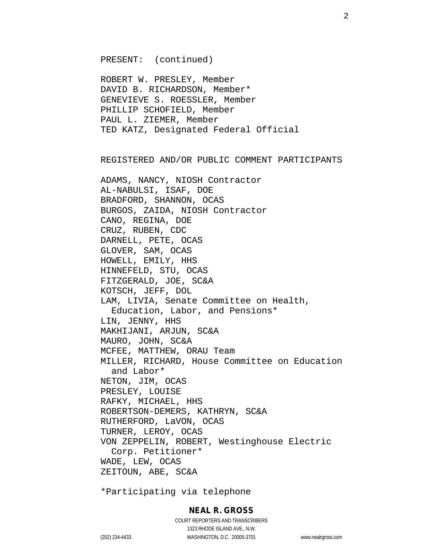PRESENT: (continued)

ROBERT W. PRESLEY, Member DAVID B. RICHARDSON, Member\* GENEVIEVE S. ROESSLER, Member PHILLIP SCHOFIELD, Member PAUL L. ZIEMER, Member TED KATZ, Designated Federal Official

REGISTERED AND/OR PUBLIC COMMENT PARTICIPANTS

ADAMS, NANCY, NIOSH Contractor AL-NABULSI, ISAF, DOE BRADFORD, SHANNON, OCAS BURGOS, ZAIDA, NIOSH Contractor CANO, REGINA, DOE CRUZ, RUBEN, CDC DARNELL, PETE, OCAS GLOVER, SAM, OCAS HOWELL, EMILY, HHS HINNEFELD, STU, OCAS FITZGERALD, JOE, SC&A KOTSCH, JEFF, DOL LAM, LIVIA, Senate Committee on Health, Education, Labor, and Pensions\* LIN, JENNY, HHS MAKHIJANI, ARJUN, SC&A MAURO, JOHN, SC&A MCFEE, MATTHEW, ORAU Team MILLER, RICHARD, House Committee on Education and Labor\* NETON, JIM, OCAS PRESLEY, LOUISE RAFKY, MICHAEL, HHS ROBERTSON-DEMERS, KATHRYN, SC&A RUTHERFORD, LaVON, OCAS TURNER, LEROY, OCAS VON ZEPPELIN, ROBERT, Westinghouse Electric Corp. Petitioner\* WADE, LEW, OCAS ZEITOUN, ABE, SC&A

\*Participating via telephone

#### **NEAL R. GROSS**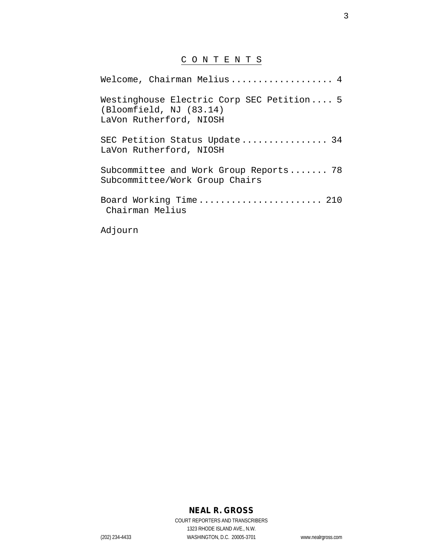# C O N T E N T S

| Welcome, Chairman Melius 4                                                                      |
|-------------------------------------------------------------------------------------------------|
| Westinghouse Electric Corp SEC Petition 5<br>(Bloomfield, NJ (83.14)<br>LaVon Rutherford, NIOSH |
| SEC Petition Status Update 34<br>LaVon Rutherford, NIOSH                                        |
| Subcommittee and Work Group Reports 78<br>Subcommittee/Work Group Chairs                        |
| Board Working Time 210<br>Chairman Melius                                                       |
| $7 - 7 - 2 - 2 - 2 - 2 - 2$                                                                     |

Adjourn

## **NEAL R. GROSS**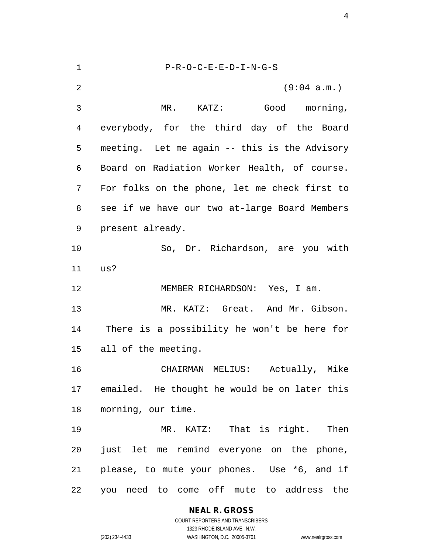P-R-O-C-E-E-D-I-N-G-S (9:04 a.m.) MR. KATZ: Good morning, everybody, for the third day of the Board meeting. Let me again -- this is the Advisory Board on Radiation Worker Health, of course. For folks on the phone, let me check first to see if we have our two at-large Board Members present already. So, Dr. Richardson, are you with us? MEMBER RICHARDSON: Yes, I am. MR. KATZ: Great. And Mr. Gibson. There is a possibility he won't be here for all of the meeting. CHAIRMAN MELIUS: Actually, Mike emailed. He thought he would be on later this morning, our time. MR. KATZ: That is right. Then just let me remind everyone on the phone, please, to mute your phones. Use \*6, and if you need to come off mute to address the

> **NEAL R. GROSS** COURT REPORTERS AND TRANSCRIBERS 1323 RHODE ISLAND AVE., N.W.

(202) 234-4433 WASHINGTON, D.C. 20005-3701 www.nealrgross.com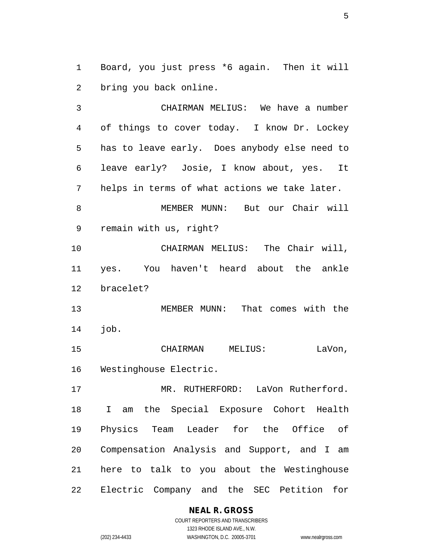Board, you just press \*6 again. Then it will bring you back online.

 CHAIRMAN MELIUS: We have a number of things to cover today. I know Dr. Lockey has to leave early. Does anybody else need to leave early? Josie, I know about, yes. It helps in terms of what actions we take later. MEMBER MUNN: But our Chair will remain with us, right? CHAIRMAN MELIUS: The Chair will, yes. You haven't heard about the ankle bracelet? MEMBER MUNN: That comes with the job. CHAIRMAN MELIUS: LaVon, Westinghouse Electric. MR. RUTHERFORD: LaVon Rutherford. I am the Special Exposure Cohort Health Physics Team Leader for the Office of Compensation Analysis and Support, and I am here to talk to you about the Westinghouse

Electric Company and the SEC Petition for

#### **NEAL R. GROSS**

COURT REPORTERS AND TRANSCRIBERS 1323 RHODE ISLAND AVE., N.W. (202) 234-4433 WASHINGTON, D.C. 20005-3701 www.nealrgross.com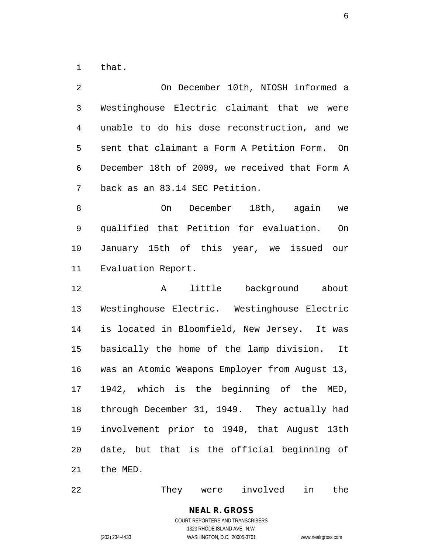that.

 On December 10th, NIOSH informed a Westinghouse Electric claimant that we were unable to do his dose reconstruction, and we sent that claimant a Form A Petition Form. On December 18th of 2009, we received that Form A back as an 83.14 SEC Petition. On December 18th, again we qualified that Petition for evaluation. On January 15th of this year, we issued our Evaluation Report. A little background about Westinghouse Electric. Westinghouse Electric is located in Bloomfield, New Jersey. It was basically the home of the lamp division. It was an Atomic Weapons Employer from August 13, 1942, which is the beginning of the MED, through December 31, 1949. They actually had involvement prior to 1940, that August 13th date, but that is the official beginning of the MED.

They were involved in the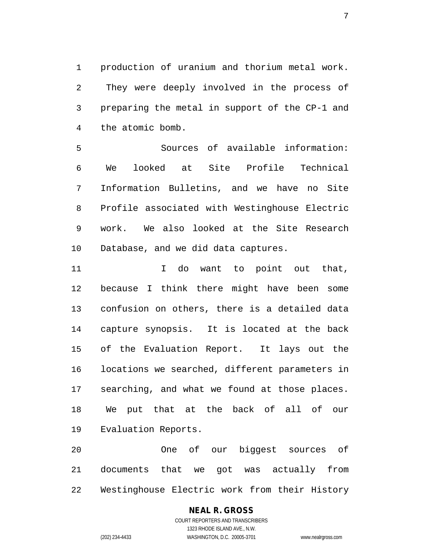production of uranium and thorium metal work. They were deeply involved in the process of preparing the metal in support of the CP-1 and the atomic bomb.

 Sources of available information: We looked at Site Profile Technical Information Bulletins, and we have no Site Profile associated with Westinghouse Electric work. We also looked at the Site Research Database, and we did data captures.

11 11 I do want to point out that, because I think there might have been some confusion on others, there is a detailed data capture synopsis. It is located at the back of the Evaluation Report. It lays out the locations we searched, different parameters in searching, and what we found at those places. We put that at the back of all of our Evaluation Reports.

 One of our biggest sources of documents that we got was actually from Westinghouse Electric work from their History

#### **NEAL R. GROSS** COURT REPORTERS AND TRANSCRIBERS 1323 RHODE ISLAND AVE., N.W.

(202) 234-4433 WASHINGTON, D.C. 20005-3701 www.nealrgross.com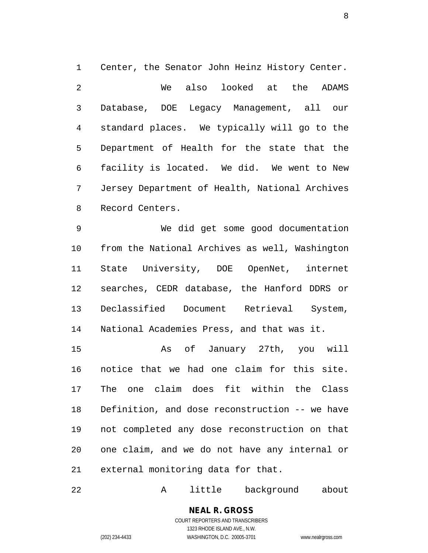Center, the Senator John Heinz History Center. 2 We also looked at the ADAMS Database, DOE Legacy Management, all our standard places. We typically will go to the Department of Health for the state that the facility is located. We did. We went to New Jersey Department of Health, National Archives Record Centers.

 We did get some good documentation from the National Archives as well, Washington State University, DOE OpenNet, internet searches, CEDR database, the Hanford DDRS or Declassified Document Retrieval System, National Academies Press, and that was it.

 As of January 27th, you will notice that we had one claim for this site. The one claim does fit within the Class Definition, and dose reconstruction -- we have not completed any dose reconstruction on that one claim, and we do not have any internal or external monitoring data for that.

A little background about

#### **NEAL R. GROSS** COURT REPORTERS AND TRANSCRIBERS 1323 RHODE ISLAND AVE., N.W.

(202) 234-4433 WASHINGTON, D.C. 20005-3701 www.nealrgross.com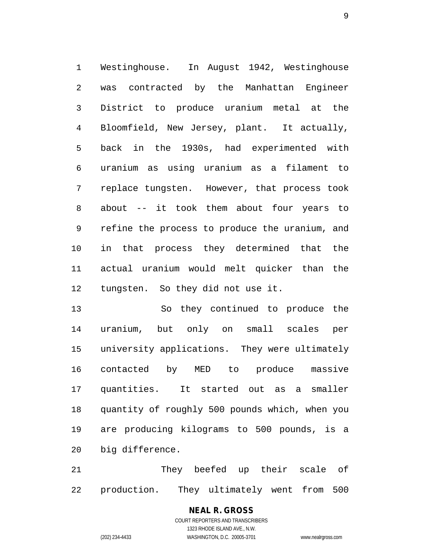Westinghouse. In August 1942, Westinghouse was contracted by the Manhattan Engineer District to produce uranium metal at the Bloomfield, New Jersey, plant. It actually, back in the 1930s, had experimented with uranium as using uranium as a filament to replace tungsten. However, that process took about -- it took them about four years to refine the process to produce the uranium, and in that process they determined that the actual uranium would melt quicker than the tungsten. So they did not use it.

 So they continued to produce the uranium, but only on small scales per university applications. They were ultimately contacted by MED to produce massive quantities. It started out as a smaller quantity of roughly 500 pounds which, when you are producing kilograms to 500 pounds, is a big difference.

 They beefed up their scale of production. They ultimately went from 500

> **NEAL R. GROSS** COURT REPORTERS AND TRANSCRIBERS 1323 RHODE ISLAND AVE., N.W. (202) 234-4433 WASHINGTON, D.C. 20005-3701 www.nealrgross.com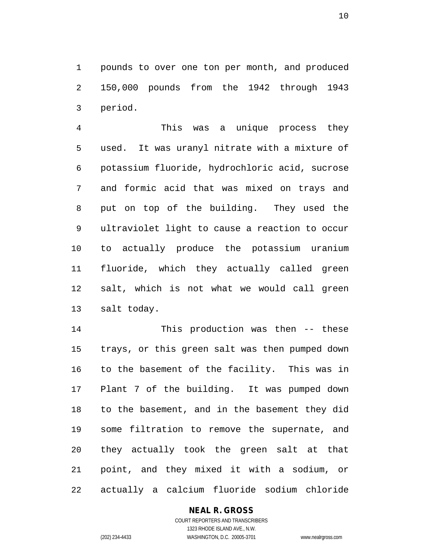pounds to over one ton per month, and produced 150,000 pounds from the 1942 through 1943 period.

 This was a unique process they used. It was uranyl nitrate with a mixture of potassium fluoride, hydrochloric acid, sucrose and formic acid that was mixed on trays and put on top of the building. They used the ultraviolet light to cause a reaction to occur to actually produce the potassium uranium fluoride, which they actually called green salt, which is not what we would call green salt today.

 This production was then -- these trays, or this green salt was then pumped down to the basement of the facility. This was in Plant 7 of the building. It was pumped down to the basement, and in the basement they did some filtration to remove the supernate, and they actually took the green salt at that point, and they mixed it with a sodium, or actually a calcium fluoride sodium chloride

#### **NEAL R. GROSS**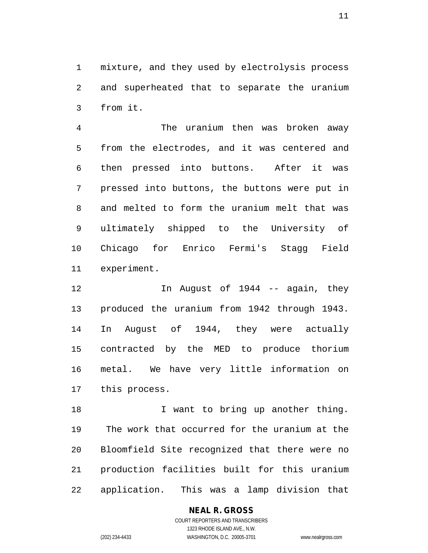mixture, and they used by electrolysis process and superheated that to separate the uranium from it.

 The uranium then was broken away from the electrodes, and it was centered and then pressed into buttons. After it was pressed into buttons, the buttons were put in and melted to form the uranium melt that was ultimately shipped to the University of Chicago for Enrico Fermi's Stagg Field experiment.

 In August of 1944 -- again, they produced the uranium from 1942 through 1943. In August of 1944, they were actually contracted by the MED to produce thorium metal. We have very little information on this process.

18 I want to bring up another thing. The work that occurred for the uranium at the Bloomfield Site recognized that there were no production facilities built for this uranium application. This was a lamp division that

#### **NEAL R. GROSS**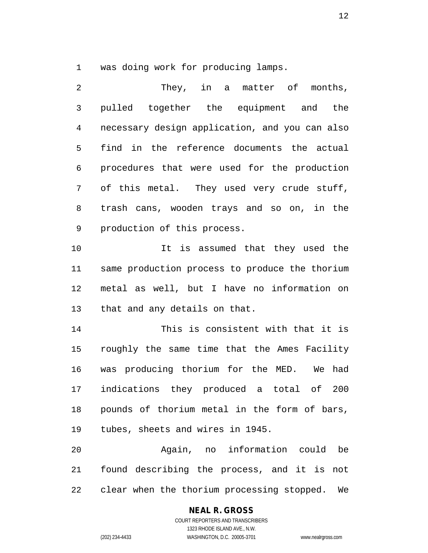was doing work for producing lamps.

 They, in a matter of months, pulled together the equipment and the necessary design application, and you can also find in the reference documents the actual procedures that were used for the production of this metal. They used very crude stuff, trash cans, wooden trays and so on, in the production of this process.

 It is assumed that they used the same production process to produce the thorium metal as well, but I have no information on that and any details on that.

 This is consistent with that it is roughly the same time that the Ames Facility was producing thorium for the MED. We had indications they produced a total of 200 pounds of thorium metal in the form of bars, tubes, sheets and wires in 1945.

 Again, no information could be found describing the process, and it is not clear when the thorium processing stopped. We

#### **NEAL R. GROSS**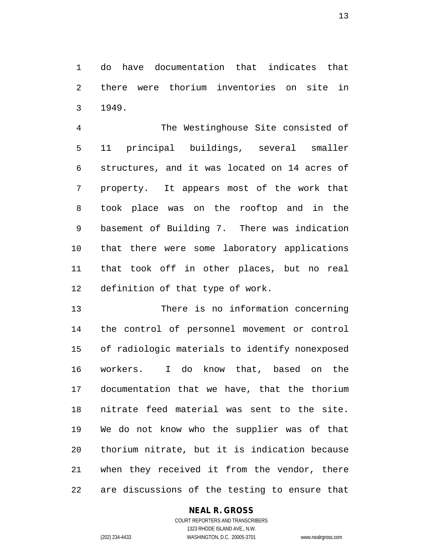do have documentation that indicates that there were thorium inventories on site in 1949.

 The Westinghouse Site consisted of 11 principal buildings, several smaller structures, and it was located on 14 acres of property. It appears most of the work that took place was on the rooftop and in the basement of Building 7. There was indication that there were some laboratory applications that took off in other places, but no real definition of that type of work.

 There is no information concerning the control of personnel movement or control of radiologic materials to identify nonexposed workers. I do know that, based on the documentation that we have, that the thorium nitrate feed material was sent to the site. We do not know who the supplier was of that thorium nitrate, but it is indication because when they received it from the vendor, there are discussions of the testing to ensure that

#### **NEAL R. GROSS**

COURT REPORTERS AND TRANSCRIBERS 1323 RHODE ISLAND AVE., N.W. (202) 234-4433 WASHINGTON, D.C. 20005-3701 www.nealrgross.com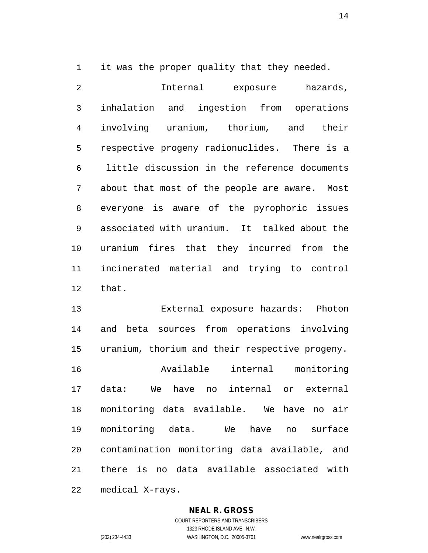it was the proper quality that they needed.

 Internal exposure hazards, inhalation and ingestion from operations involving uranium, thorium, and their respective progeny radionuclides. There is a little discussion in the reference documents about that most of the people are aware. Most everyone is aware of the pyrophoric issues associated with uranium. It talked about the uranium fires that they incurred from the incinerated material and trying to control that.

 External exposure hazards: Photon and beta sources from operations involving uranium, thorium and their respective progeny. Available internal monitoring data: We have no internal or external monitoring data available. We have no air monitoring data. We have no surface contamination monitoring data available, and there is no data available associated with medical X-rays.

#### **NEAL R. GROSS**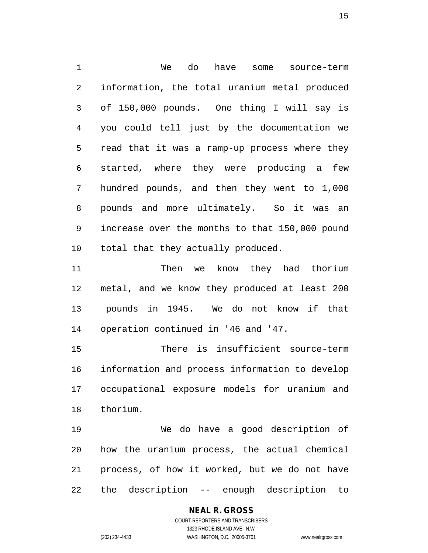We do have some source-term information, the total uranium metal produced of 150,000 pounds. One thing I will say is you could tell just by the documentation we read that it was a ramp-up process where they started, where they were producing a few hundred pounds, and then they went to 1,000 pounds and more ultimately. So it was an increase over the months to that 150,000 pound total that they actually produced.

 Then we know they had thorium metal, and we know they produced at least 200 pounds in 1945. We do not know if that operation continued in '46 and '47.

 There is insufficient source-term information and process information to develop occupational exposure models for uranium and thorium.

 We do have a good description of how the uranium process, the actual chemical process, of how it worked, but we do not have the description -- enough description to

# **NEAL R. GROSS**

COURT REPORTERS AND TRANSCRIBERS 1323 RHODE ISLAND AVE., N.W. (202) 234-4433 WASHINGTON, D.C. 20005-3701 www.nealrgross.com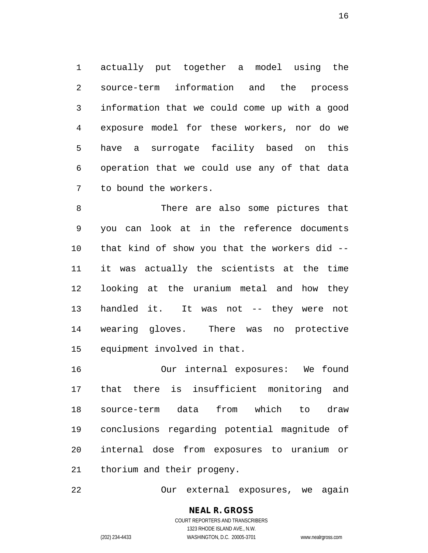actually put together a model using the source-term information and the process information that we could come up with a good exposure model for these workers, nor do we have a surrogate facility based on this operation that we could use any of that data to bound the workers.

 There are also some pictures that you can look at in the reference documents that kind of show you that the workers did -- it was actually the scientists at the time looking at the uranium metal and how they handled it. It was not -- they were not wearing gloves. There was no protective equipment involved in that.

 Our internal exposures: We found that there is insufficient monitoring and source-term data from which to draw conclusions regarding potential magnitude of internal dose from exposures to uranium or thorium and their progeny.

Our external exposures, we again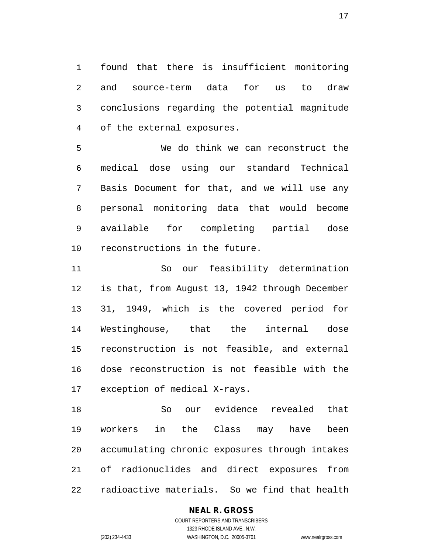found that there is insufficient monitoring and source-term data for us to draw conclusions regarding the potential magnitude of the external exposures.

 We do think we can reconstruct the medical dose using our standard Technical Basis Document for that, and we will use any personal monitoring data that would become available for completing partial dose reconstructions in the future.

 So our feasibility determination is that, from August 13, 1942 through December 31, 1949, which is the covered period for Westinghouse, that the internal dose reconstruction is not feasible, and external dose reconstruction is not feasible with the exception of medical X-rays.

 So our evidence revealed that workers in the Class may have been accumulating chronic exposures through intakes of radionuclides and direct exposures from radioactive materials. So we find that health

#### **NEAL R. GROSS**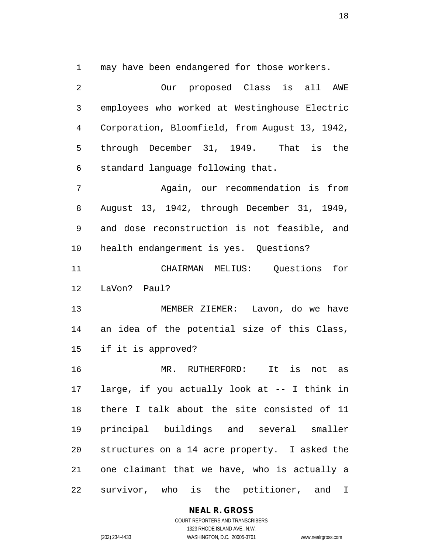may have been endangered for those workers.

 Our proposed Class is all AWE employees who worked at Westinghouse Electric Corporation, Bloomfield, from August 13, 1942, through December 31, 1949. That is the standard language following that. Again, our recommendation is from August 13, 1942, through December 31, 1949, and dose reconstruction is not feasible, and health endangerment is yes. Questions? CHAIRMAN MELIUS: Questions for LaVon? Paul? MEMBER ZIEMER: Lavon, do we have an idea of the potential size of this Class, if it is approved? MR. RUTHERFORD: It is not as large, if you actually look at -- I think in there I talk about the site consisted of 11 principal buildings and several smaller structures on a 14 acre property. I asked the one claimant that we have, who is actually a survivor, who is the petitioner, and I

**NEAL R. GROSS**

COURT REPORTERS AND TRANSCRIBERS 1323 RHODE ISLAND AVE., N.W. (202) 234-4433 WASHINGTON, D.C. 20005-3701 www.nealrgross.com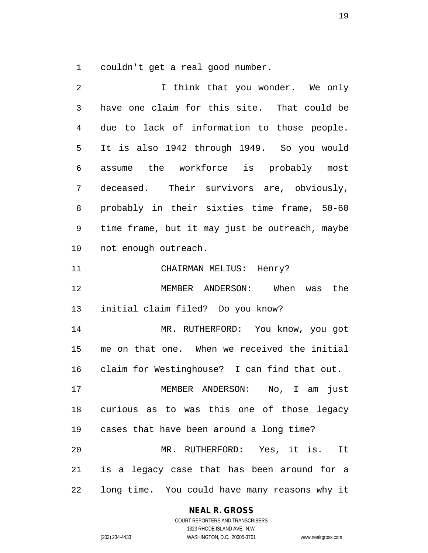couldn't get a real good number.

| 2  | I think that you wonder. We only               |
|----|------------------------------------------------|
| 3  | have one claim for this site. That could be    |
| 4  | due to lack of information to those people.    |
| 5  | It is also 1942 through 1949. So you would     |
| 6  | assume the workforce is probably most          |
| 7  | deceased. Their survivors are, obviously,      |
| 8  | probably in their sixties time frame, 50-60    |
| 9  | time frame, but it may just be outreach, maybe |
| 10 | not enough outreach.                           |
| 11 | CHAIRMAN MELIUS: Henry?                        |
| 12 | MEMBER ANDERSON: When was the                  |
| 13 | initial claim filed? Do you know?              |
| 14 | MR. RUTHERFORD: You know, you got              |
| 15 | me on that one. When we received the initial   |
| 16 | claim for Westinghouse? I can find that out.   |
| 17 | No, I am just<br>MEMBER ANDERSON:              |
|    | 18 curious as to was this one of those legacy  |
|    | 19 cases that have been around a long time?    |
| 20 | MR. RUTHERFORD: Yes, it is. It                 |
| 21 | is a legacy case that has been around for a    |
| 22 | long time. You could have many reasons why it  |

**NEAL R. GROSS**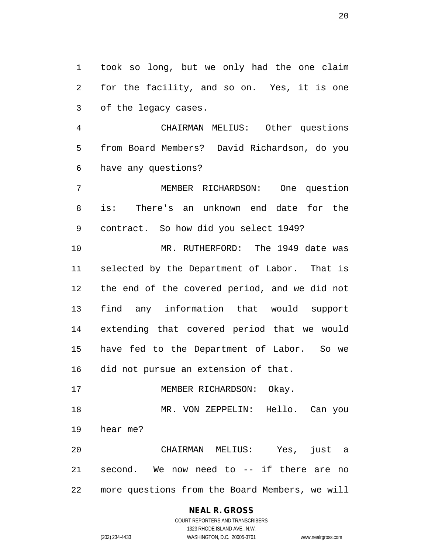took so long, but we only had the one claim for the facility, and so on. Yes, it is one of the legacy cases.

 CHAIRMAN MELIUS: Other questions from Board Members? David Richardson, do you have any questions?

 MEMBER RICHARDSON: One question is: There's an unknown end date for the contract. So how did you select 1949?

 MR. RUTHERFORD: The 1949 date was selected by the Department of Labor. That is the end of the covered period, and we did not find any information that would support extending that covered period that we would have fed to the Department of Labor. So we did not pursue an extension of that.

17 MEMBER RICHARDSON: Okay.

 MR. VON ZEPPELIN: Hello. Can you hear me?

 CHAIRMAN MELIUS: Yes, just a second. We now need to -- if there are no more questions from the Board Members, we will

### **NEAL R. GROSS**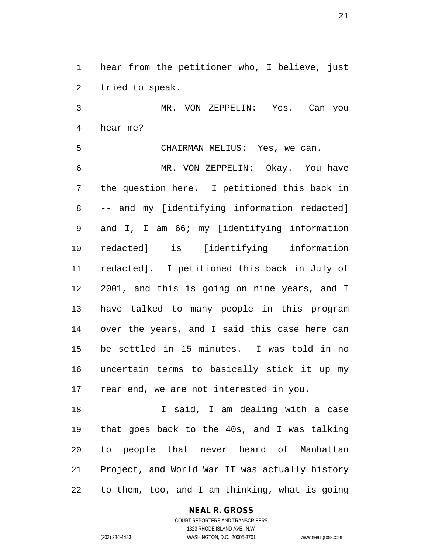hear from the petitioner who, I believe, just tried to speak.

 MR. VON ZEPPELIN: Yes. Can you hear me?

 CHAIRMAN MELIUS: Yes, we can. MR. VON ZEPPELIN: Okay. You have the question here. I petitioned this back in -- and my [identifying information redacted] and I, I am 66; my [identifying information redacted] is [identifying information redacted]. I petitioned this back in July of 2001, and this is going on nine years, and I have talked to many people in this program over the years, and I said this case here can be settled in 15 minutes. I was told in no uncertain terms to basically stick it up my rear end, we are not interested in you.

18 I said, I am dealing with a case that goes back to the 40s, and I was talking to people that never heard of Manhattan Project, and World War II was actually history to them, too, and I am thinking, what is going

#### **NEAL R. GROSS**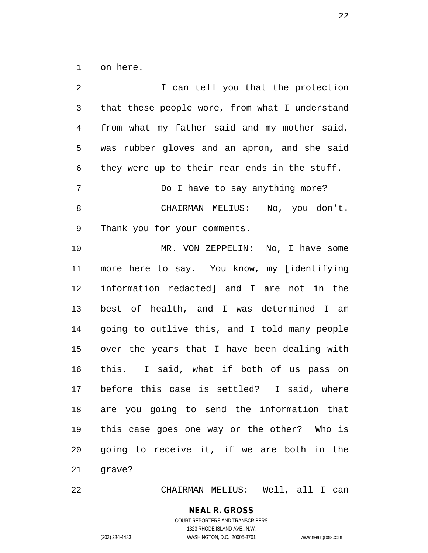on here.

| 2            | I can tell you that the protection             |
|--------------|------------------------------------------------|
| $\mathsf{3}$ | that these people wore, from what I understand |
| 4            | from what my father said and my mother said,   |
| 5            | was rubber gloves and an apron, and she said   |
| 6            | they were up to their rear ends in the stuff.  |
| 7            | Do I have to say anything more?                |
| $\,8\,$      | CHAIRMAN MELIUS: No, you don't.                |
| 9            | Thank you for your comments.                   |
| 10           | MR. VON ZEPPELIN: No, I have some              |
| 11           | more here to say. You know, my [identifying    |
| 12           | information redacted] and I are not in the     |
| 13           | best of health, and I was determined I am      |
| 14           | going to outlive this, and I told many people  |
| 15           | over the years that I have been dealing with   |
| 16           | this. I said, what if both of us pass on       |
| 17           | before this case is settled? I said, where     |
|              | 18 are you going to send the information that  |
| 19           | this case goes one way or the other? Who is    |
| 20           | going to receive it, if we are both in the     |
|              |                                                |

CHAIRMAN MELIUS: Well, all I can

**NEAL R. GROSS**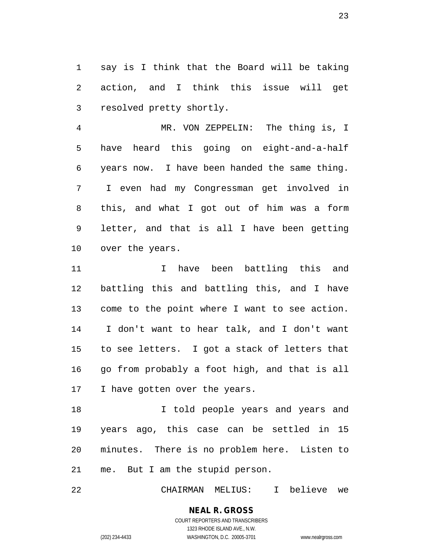say is I think that the Board will be taking action, and I think this issue will get resolved pretty shortly.

 MR. VON ZEPPELIN: The thing is, I have heard this going on eight-and-a-half years now. I have been handed the same thing. I even had my Congressman get involved in this, and what I got out of him was a form letter, and that is all I have been getting over the years.

 I have been battling this and battling this and battling this, and I have come to the point where I want to see action. I don't want to hear talk, and I don't want to see letters. I got a stack of letters that go from probably a foot high, and that is all 17 I have gotten over the years.

**I** told people years and years and years ago, this case can be settled in 15 minutes. There is no problem here. Listen to me. But I am the stupid person.

CHAIRMAN MELIUS: I believe we

# **NEAL R. GROSS**

COURT REPORTERS AND TRANSCRIBERS 1323 RHODE ISLAND AVE., N.W. (202) 234-4433 WASHINGTON, D.C. 20005-3701 www.nealrgross.com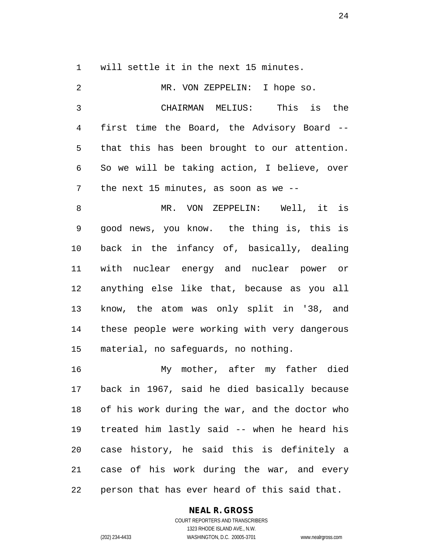will settle it in the next 15 minutes.

| 2  | MR. VON ZEPPELIN: I hope so.                   |
|----|------------------------------------------------|
| 3  | CHAIRMAN MELIUS: This is the                   |
| 4  | first time the Board, the Advisory Board --    |
| 5  | that this has been brought to our attention.   |
| 6  | So we will be taking action, I believe, over   |
| 7  | the next 15 minutes, as soon as we $-$ -       |
| 8  | MR. VON ZEPPELIN: Well, it is                  |
| 9  | good news, you know. the thing is, this is     |
| 10 | back in the infancy of, basically, dealing     |
| 11 | with nuclear energy and nuclear power or       |
| 12 | anything else like that, because as you all    |
| 13 | know, the atom was only split in '38, and      |
| 14 | these people were working with very dangerous  |
| 15 | material, no safeguards, no nothing.           |
| 16 | My mother, after my father died                |
| 17 | back in 1967, said he died basically because   |
| 18 | of his work during the war, and the doctor who |
| 19 | treated him lastly said -- when he heard his   |
| 20 | case history, he said this is definitely a     |
| 21 | case of his work during the war, and every     |

person that has ever heard of this said that.

#### **NEAL R. GROSS**

COURT REPORTERS AND TRANSCRIBERS 1323 RHODE ISLAND AVE., N.W. (202) 234-4433 WASHINGTON, D.C. 20005-3701 www.nealrgross.com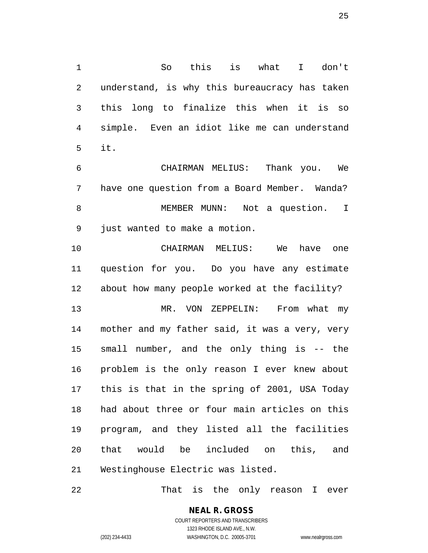So this is what I don't understand, is why this bureaucracy has taken this long to finalize this when it is so simple. Even an idiot like me can understand it.

 CHAIRMAN MELIUS: Thank you. We have one question from a Board Member. Wanda? MEMBER MUNN: Not a question. I just wanted to make a motion.

 CHAIRMAN MELIUS: We have one question for you. Do you have any estimate about how many people worked at the facility?

 MR. VON ZEPPELIN: From what my mother and my father said, it was a very, very small number, and the only thing is -- the problem is the only reason I ever knew about this is that in the spring of 2001, USA Today had about three or four main articles on this program, and they listed all the facilities that would be included on this, and Westinghouse Electric was listed.

That is the only reason I ever

**NEAL R. GROSS** COURT REPORTERS AND TRANSCRIBERS 1323 RHODE ISLAND AVE., N.W.

(202) 234-4433 WASHINGTON, D.C. 20005-3701 www.nealrgross.com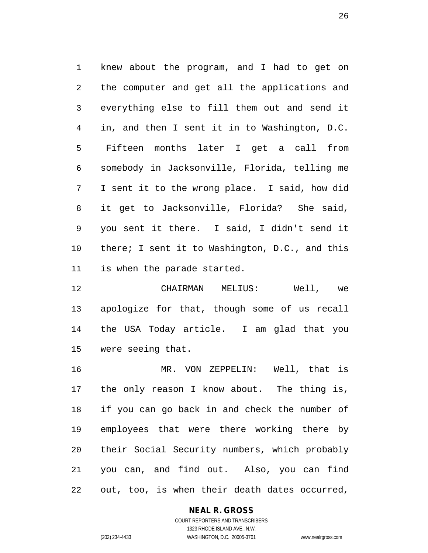knew about the program, and I had to get on the computer and get all the applications and everything else to fill them out and send it in, and then I sent it in to Washington, D.C. Fifteen months later I get a call from somebody in Jacksonville, Florida, telling me I sent it to the wrong place. I said, how did it get to Jacksonville, Florida? She said, you sent it there. I said, I didn't send it there; I sent it to Washington, D.C., and this is when the parade started.

 CHAIRMAN MELIUS: Well, we apologize for that, though some of us recall the USA Today article. I am glad that you were seeing that.

 MR. VON ZEPPELIN: Well, that is the only reason I know about. The thing is, if you can go back in and check the number of employees that were there working there by their Social Security numbers, which probably you can, and find out. Also, you can find out, too, is when their death dates occurred,

#### **NEAL R. GROSS** COURT REPORTERS AND TRANSCRIBERS

1323 RHODE ISLAND AVE., N.W. (202) 234-4433 WASHINGTON, D.C. 20005-3701 www.nealrgross.com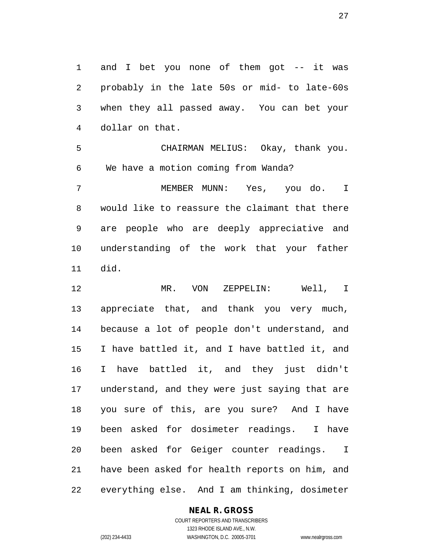and I bet you none of them got -- it was probably in the late 50s or mid- to late-60s when they all passed away. You can bet your dollar on that.

 CHAIRMAN MELIUS: Okay, thank you. We have a motion coming from Wanda?

 MEMBER MUNN: Yes, you do. I would like to reassure the claimant that there are people who are deeply appreciative and understanding of the work that your father did.

 MR. VON ZEPPELIN: Well, I appreciate that, and thank you very much, because a lot of people don't understand, and I have battled it, and I have battled it, and I have battled it, and they just didn't understand, and they were just saying that are you sure of this, are you sure? And I have been asked for dosimeter readings. I have been asked for Geiger counter readings. I have been asked for health reports on him, and everything else. And I am thinking, dosimeter

#### **NEAL R. GROSS**

COURT REPORTERS AND TRANSCRIBERS 1323 RHODE ISLAND AVE., N.W. (202) 234-4433 WASHINGTON, D.C. 20005-3701 www.nealrgross.com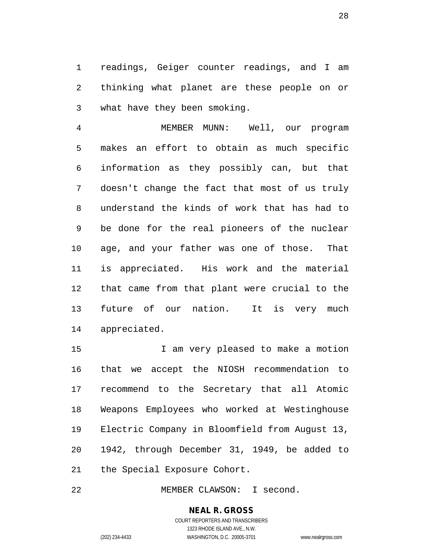readings, Geiger counter readings, and I am thinking what planet are these people on or what have they been smoking.

 MEMBER MUNN: Well, our program makes an effort to obtain as much specific information as they possibly can, but that doesn't change the fact that most of us truly understand the kinds of work that has had to be done for the real pioneers of the nuclear age, and your father was one of those. That is appreciated. His work and the material that came from that plant were crucial to the future of our nation. It is very much appreciated.

 I am very pleased to make a motion that we accept the NIOSH recommendation to recommend to the Secretary that all Atomic Weapons Employees who worked at Westinghouse Electric Company in Bloomfield from August 13, 1942, through December 31, 1949, be added to the Special Exposure Cohort.

MEMBER CLAWSON: I second.

### **NEAL R. GROSS**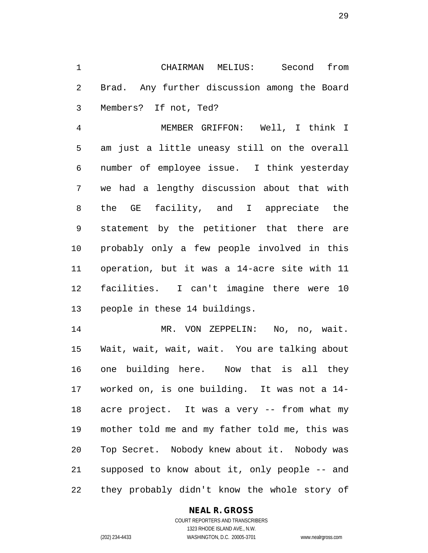CHAIRMAN MELIUS: Second from Brad. Any further discussion among the Board Members? If not, Ted?

 MEMBER GRIFFON: Well, I think I am just a little uneasy still on the overall number of employee issue. I think yesterday we had a lengthy discussion about that with the GE facility, and I appreciate the statement by the petitioner that there are probably only a few people involved in this operation, but it was a 14-acre site with 11 facilities. I can't imagine there were 10 people in these 14 buildings.

 MR. VON ZEPPELIN: No, no, wait. Wait, wait, wait, wait. You are talking about one building here. Now that is all they worked on, is one building. It was not a 14- acre project. It was a very -- from what my mother told me and my father told me, this was Top Secret. Nobody knew about it. Nobody was supposed to know about it, only people -- and they probably didn't know the whole story of

#### **NEAL R. GROSS**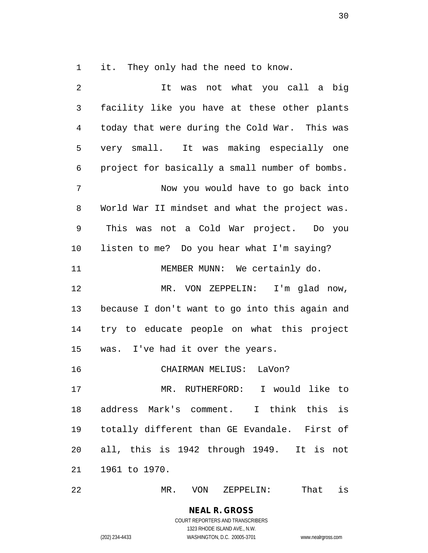it. They only had the need to know.

| 2              | was not what you call a big<br>It              |
|----------------|------------------------------------------------|
| $\mathfrak{Z}$ | facility like you have at these other plants   |
| 4              | today that were during the Cold War. This was  |
| 5              | very small. It was making especially one       |
| 6              | project for basically a small number of bombs. |
| 7              | Now you would have to go back into             |
| 8              | World War II mindset and what the project was. |
| 9              | This<br>was not a Cold War project. Do you     |
| 10             | listen to me? Do you hear what I'm saying?     |
| 11             | MEMBER MUNN: We certainly do.                  |
| 12             | MR. VON ZEPPELIN: I'm glad now,                |
| 13             | because I don't want to go into this again and |
| 14             | try to educate people on what this project     |
| 15             | was. I've had it over the years.               |
| 16             | CHAIRMAN MELIUS: LaVon?                        |
| 17             | MR. RUTHERFORD: I would like to                |
| 18             | address Mark's comment. I think this is        |
| 19             | totally different than GE Evandale. First of   |
| 20             | all, this is 1942 through 1949. It is not      |
| 21             | 1961 to 1970.                                  |
|                |                                                |

MR. VON ZEPPELIN: That is

## **NEAL R. GROSS**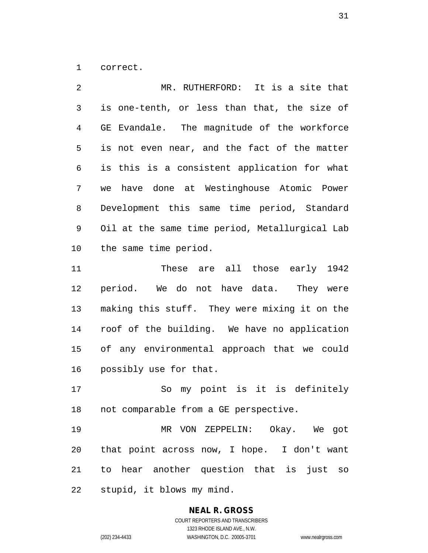correct.

 MR. RUTHERFORD: It is a site that is one-tenth, or less than that, the size of GE Evandale. The magnitude of the workforce is not even near, and the fact of the matter is this is a consistent application for what we have done at Westinghouse Atomic Power Development this same time period, Standard Oil at the same time period, Metallurgical Lab the same time period.

 These are all those early 1942 period. We do not have data. They were making this stuff. They were mixing it on the roof of the building. We have no application of any environmental approach that we could possibly use for that.

 So my point is it is definitely not comparable from a GE perspective.

 MR VON ZEPPELIN: Okay. We got that point across now, I hope. I don't want to hear another question that is just so stupid, it blows my mind.

#### **NEAL R. GROSS**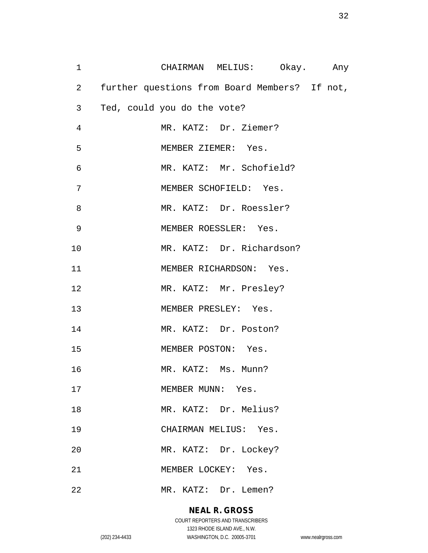| $\mathbf 1$            | CHAIRMAN MELIUS: Okay. Any                    |  |
|------------------------|-----------------------------------------------|--|
| $2 \quad \blacksquare$ | further questions from Board Members? If not, |  |
| 3 <sup>7</sup>         | Ted, could you do the vote?                   |  |
| $\overline{4}$         | MR. KATZ: Dr. Ziemer?                         |  |
| 5                      | MEMBER ZIEMER: Yes.                           |  |
| 6                      | MR. KATZ: Mr. Schofield?                      |  |
| 7                      | MEMBER SCHOFIELD: Yes.                        |  |
| 8                      | MR. KATZ: Dr. Roessler?                       |  |
| 9                      | MEMBER ROESSLER: Yes.                         |  |
| 10                     | MR. KATZ: Dr. Richardson?                     |  |
| 11                     | MEMBER RICHARDSON: Yes.                       |  |
| 12                     | MR. KATZ: Mr. Presley?                        |  |
| 13                     | MEMBER PRESLEY: Yes.                          |  |
| 14                     | MR. KATZ: Dr. Poston?                         |  |
| 15                     | MEMBER POSTON: Yes.                           |  |
| 16                     | MR. KATZ: Ms. Munn?                           |  |
| 17                     | MEMBER MUNN: Yes.                             |  |
| 18                     | MR. KATZ: Dr. Melius?                         |  |
| 19                     | CHAIRMAN MELIUS: Yes.                         |  |
| 20                     | MR. KATZ: Dr. Lockey?                         |  |
| 21                     | MEMBER LOCKEY: Yes.                           |  |
| 22                     | MR. KATZ: Dr. Lemen?                          |  |

## **NEAL R. GROSS**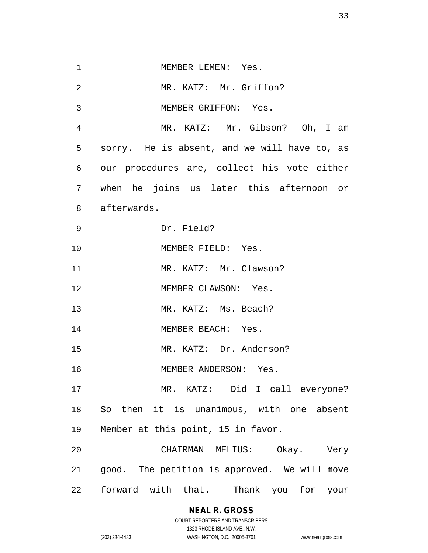1 MEMBER LEMEN: Yes. 2 MR. KATZ: Mr. Griffon? MEMBER GRIFFON: Yes. MR. KATZ: Mr. Gibson? Oh, I am sorry. He is absent, and we will have to, as our procedures are, collect his vote either when he joins us later this afternoon or afterwards. Dr. Field? 10 MEMBER FIELD: Yes. 11 MR. KATZ: Mr. Clawson? 12 MEMBER CLAWSON: Yes. MR. KATZ: Ms. Beach? 14 MEMBER BEACH: Yes. MR. KATZ: Dr. Anderson? MEMBER ANDERSON: Yes. MR. KATZ: Did I call everyone? So then it is unanimous, with one absent Member at this point, 15 in favor. CHAIRMAN MELIUS: Okay. Very good. The petition is approved. We will move

forward with that. Thank you for your

#### **NEAL R. GROSS**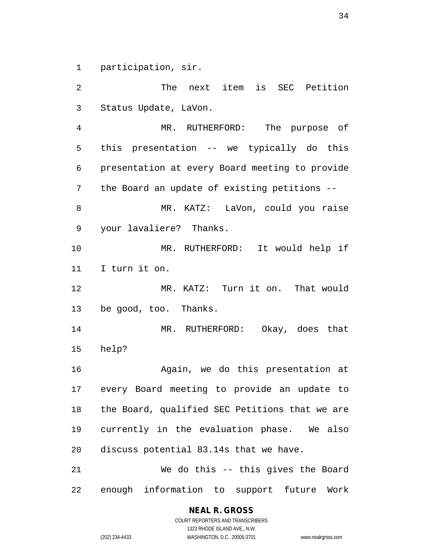participation, sir.

 The next item is SEC Petition Status Update, LaVon. MR. RUTHERFORD: The purpose of this presentation -- we typically do this presentation at every Board meeting to provide the Board an update of existing petitions -- MR. KATZ: LaVon, could you raise your lavaliere? Thanks. MR. RUTHERFORD: It would help if I turn it on. MR. KATZ: Turn it on. That would be good, too. Thanks. MR. RUTHERFORD: Okay, does that help? Again, we do this presentation at every Board meeting to provide an update to the Board, qualified SEC Petitions that we are currently in the evaluation phase. We also discuss potential 83.14s that we have. We do this -- this gives the Board enough information to support future Work

**NEAL R. GROSS**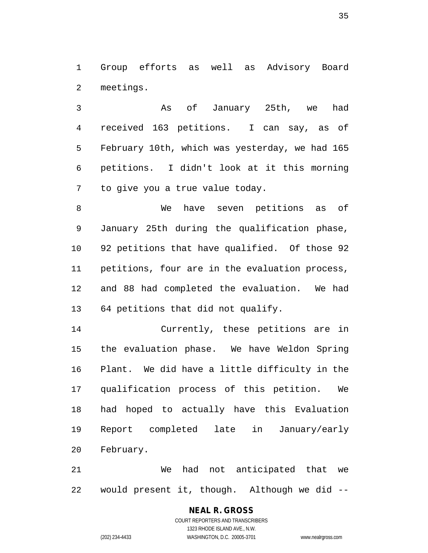Group efforts as well as Advisory Board meetings.

 As of January 25th, we had received 163 petitions. I can say, as of February 10th, which was yesterday, we had 165 petitions. I didn't look at it this morning to give you a true value today.

 We have seven petitions as of January 25th during the qualification phase, 92 petitions that have qualified. Of those 92 petitions, four are in the evaluation process, and 88 had completed the evaluation. We had 64 petitions that did not qualify.

 Currently, these petitions are in the evaluation phase. We have Weldon Spring Plant. We did have a little difficulty in the qualification process of this petition. We had hoped to actually have this Evaluation Report completed late in January/early February.

 We had not anticipated that we would present it, though. Although we did --

> **NEAL R. GROSS** COURT REPORTERS AND TRANSCRIBERS 1323 RHODE ISLAND AVE., N.W. (202) 234-4433 WASHINGTON, D.C. 20005-3701 www.nealrgross.com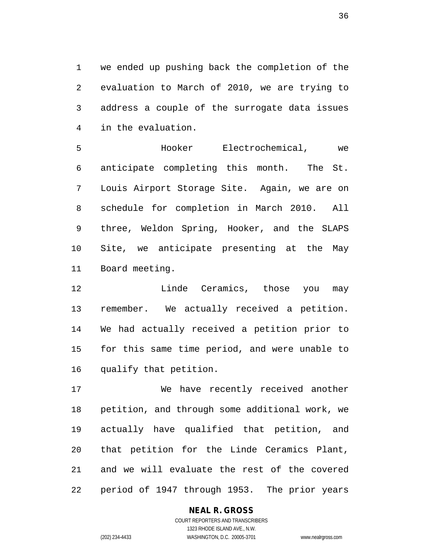we ended up pushing back the completion of the evaluation to March of 2010, we are trying to address a couple of the surrogate data issues in the evaluation.

 Hooker Electrochemical, we anticipate completing this month. The St. Louis Airport Storage Site. Again, we are on schedule for completion in March 2010. All three, Weldon Spring, Hooker, and the SLAPS Site, we anticipate presenting at the May Board meeting.

**Linde Ceramics, those you may**  remember. We actually received a petition. We had actually received a petition prior to for this same time period, and were unable to qualify that petition.

 We have recently received another petition, and through some additional work, we actually have qualified that petition, and that petition for the Linde Ceramics Plant, and we will evaluate the rest of the covered period of 1947 through 1953. The prior years

#### **NEAL R. GROSS**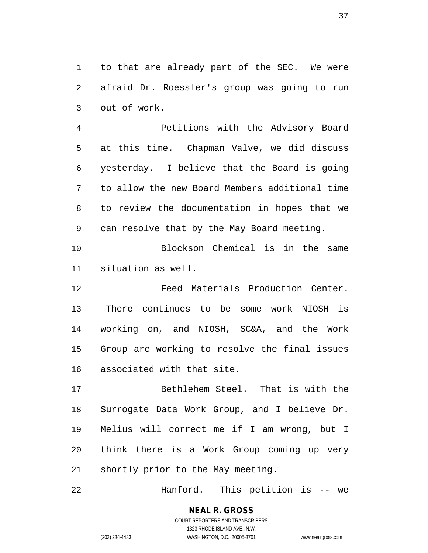to that are already part of the SEC. We were afraid Dr. Roessler's group was going to run out of work.

 Petitions with the Advisory Board at this time. Chapman Valve, we did discuss yesterday. I believe that the Board is going to allow the new Board Members additional time to review the documentation in hopes that we can resolve that by the May Board meeting.

 Blockson Chemical is in the same situation as well.

 Feed Materials Production Center. There continues to be some work NIOSH is working on, and NIOSH, SC&A, and the Work Group are working to resolve the final issues associated with that site.

 Bethlehem Steel. That is with the Surrogate Data Work Group, and I believe Dr. Melius will correct me if I am wrong, but I think there is a Work Group coming up very shortly prior to the May meeting.

Hanford. This petition is -- we

# **NEAL R. GROSS**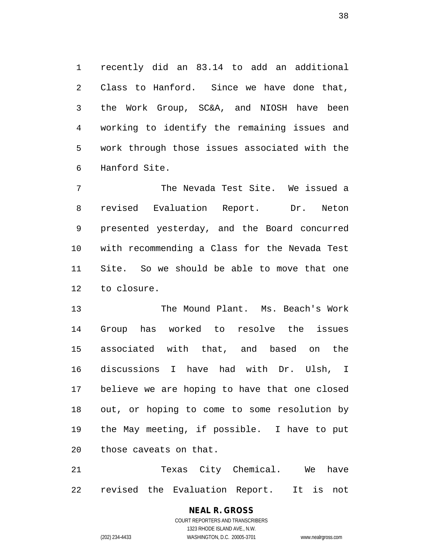recently did an 83.14 to add an additional Class to Hanford. Since we have done that, the Work Group, SC&A, and NIOSH have been working to identify the remaining issues and work through those issues associated with the Hanford Site.

 The Nevada Test Site. We issued a revised Evaluation Report. Dr. Neton presented yesterday, and the Board concurred with recommending a Class for the Nevada Test Site. So we should be able to move that one to closure.

 The Mound Plant. Ms. Beach's Work Group has worked to resolve the issues associated with that, and based on the discussions I have had with Dr. Ulsh, I believe we are hoping to have that one closed out, or hoping to come to some resolution by the May meeting, if possible. I have to put those caveats on that.

 Texas City Chemical. We have revised the Evaluation Report. It is not

#### **NEAL R. GROSS** COURT REPORTERS AND TRANSCRIBERS 1323 RHODE ISLAND AVE., N.W.

(202) 234-4433 WASHINGTON, D.C. 20005-3701 www.nealrgross.com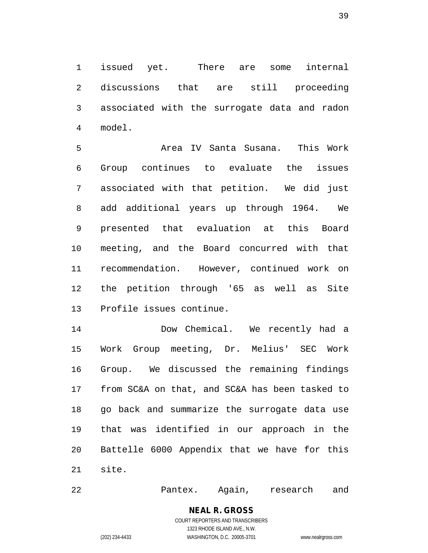issued yet. There are some internal discussions that are still proceeding associated with the surrogate data and radon model.

 Area IV Santa Susana. This Work Group continues to evaluate the issues associated with that petition. We did just add additional years up through 1964. We presented that evaluation at this Board meeting, and the Board concurred with that recommendation. However, continued work on the petition through '65 as well as Site Profile issues continue.

 Dow Chemical. We recently had a Work Group meeting, Dr. Melius' SEC Work Group. We discussed the remaining findings from SC&A on that, and SC&A has been tasked to go back and summarize the surrogate data use that was identified in our approach in the Battelle 6000 Appendix that we have for this site.

Pantex. Again, research and

# **NEAL R. GROSS**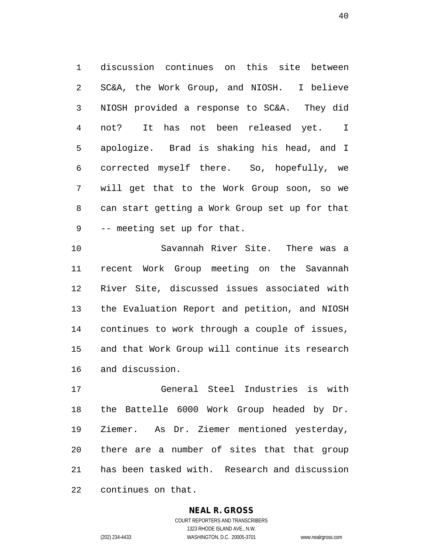discussion continues on this site between SC&A, the Work Group, and NIOSH. I believe NIOSH provided a response to SC&A. They did not? It has not been released yet. I apologize. Brad is shaking his head, and I corrected myself there. So, hopefully, we will get that to the Work Group soon, so we can start getting a Work Group set up for that -- meeting set up for that.

 Savannah River Site. There was a recent Work Group meeting on the Savannah River Site, discussed issues associated with the Evaluation Report and petition, and NIOSH continues to work through a couple of issues, and that Work Group will continue its research and discussion.

 General Steel Industries is with the Battelle 6000 Work Group headed by Dr. Ziemer. As Dr. Ziemer mentioned yesterday, there are a number of sites that that group has been tasked with. Research and discussion continues on that.

## **NEAL R. GROSS**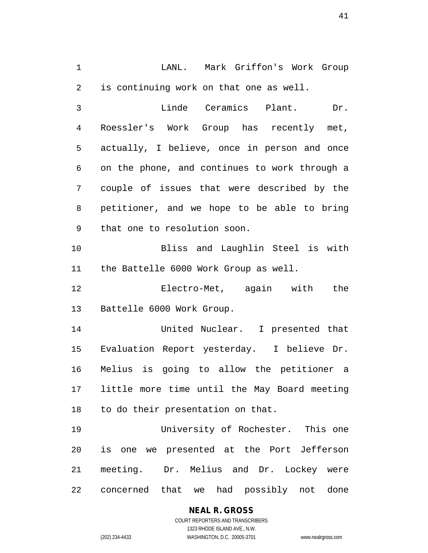LANL. Mark Griffon's Work Group is continuing work on that one as well.

 Linde Ceramics Plant. Dr. Roessler's Work Group has recently met, actually, I believe, once in person and once on the phone, and continues to work through a couple of issues that were described by the petitioner, and we hope to be able to bring that one to resolution soon.

 Bliss and Laughlin Steel is with the Battelle 6000 Work Group as well.

 Electro-Met, again with the Battelle 6000 Work Group.

 United Nuclear. I presented that Evaluation Report yesterday. I believe Dr. Melius is going to allow the petitioner a little more time until the May Board meeting to do their presentation on that.

 University of Rochester. This one is one we presented at the Port Jefferson meeting. Dr. Melius and Dr. Lockey were concerned that we had possibly not done

# **NEAL R. GROSS**

COURT REPORTERS AND TRANSCRIBERS 1323 RHODE ISLAND AVE., N.W. (202) 234-4433 WASHINGTON, D.C. 20005-3701 www.nealrgross.com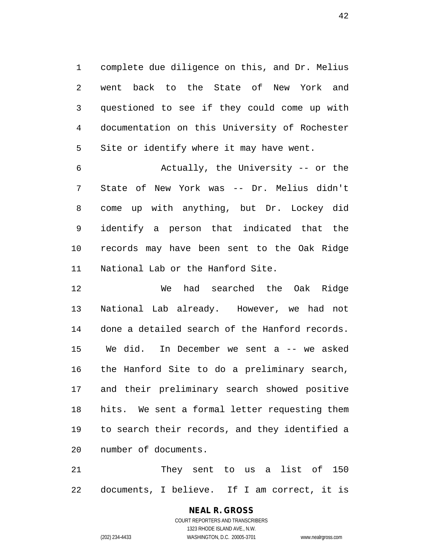complete due diligence on this, and Dr. Melius went back to the State of New York and questioned to see if they could come up with documentation on this University of Rochester Site or identify where it may have went.

 Actually, the University -- or the State of New York was -- Dr. Melius didn't come up with anything, but Dr. Lockey did identify a person that indicated that the records may have been sent to the Oak Ridge National Lab or the Hanford Site.

 We had searched the Oak Ridge National Lab already. However, we had not done a detailed search of the Hanford records. We did. In December we sent a -- we asked the Hanford Site to do a preliminary search, and their preliminary search showed positive hits. We sent a formal letter requesting them to search their records, and they identified a number of documents.

 They sent to us a list of 150 documents, I believe. If I am correct, it is

# **NEAL R. GROSS**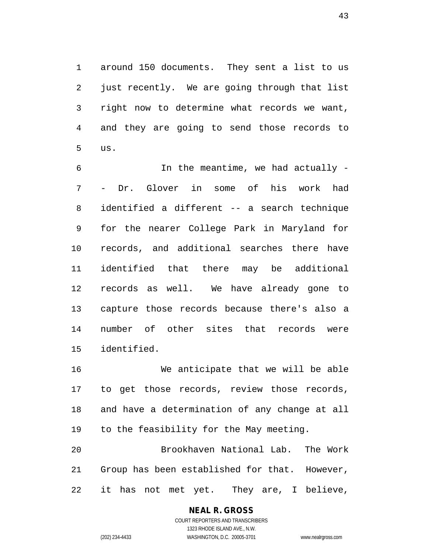around 150 documents. They sent a list to us just recently. We are going through that list right now to determine what records we want, and they are going to send those records to us.

 In the meantime, we had actually - - Dr. Glover in some of his work had identified a different -- a search technique for the nearer College Park in Maryland for records, and additional searches there have identified that there may be additional records as well. We have already gone to capture those records because there's also a number of other sites that records were identified.

 We anticipate that we will be able to get those records, review those records, and have a determination of any change at all to the feasibility for the May meeting.

 Brookhaven National Lab. The Work Group has been established for that. However, it has not met yet. They are, I believe,

> **NEAL R. GROSS** COURT REPORTERS AND TRANSCRIBERS 1323 RHODE ISLAND AVE., N.W.

(202) 234-4433 WASHINGTON, D.C. 20005-3701 www.nealrgross.com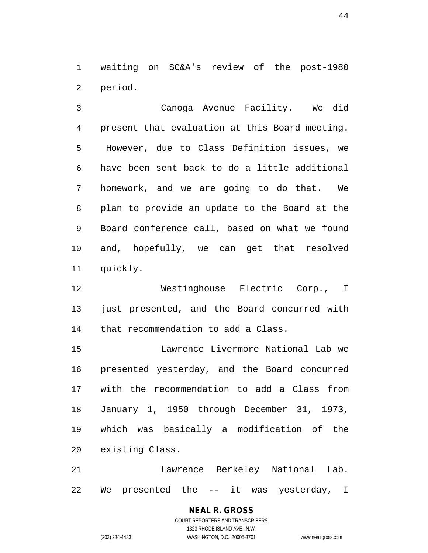waiting on SC&A's review of the post-1980 period.

 Canoga Avenue Facility. We did present that evaluation at this Board meeting. However, due to Class Definition issues, we have been sent back to do a little additional homework, and we are going to do that. We plan to provide an update to the Board at the Board conference call, based on what we found and, hopefully, we can get that resolved quickly.

 Westinghouse Electric Corp., I just presented, and the Board concurred with that recommendation to add a Class.

 Lawrence Livermore National Lab we presented yesterday, and the Board concurred with the recommendation to add a Class from January 1, 1950 through December 31, 1973, which was basically a modification of the existing Class.

 Lawrence Berkeley National Lab. We presented the -- it was yesterday, I

> **NEAL R. GROSS** COURT REPORTERS AND TRANSCRIBERS 1323 RHODE ISLAND AVE., N.W. (202) 234-4433 WASHINGTON, D.C. 20005-3701 www.nealrgross.com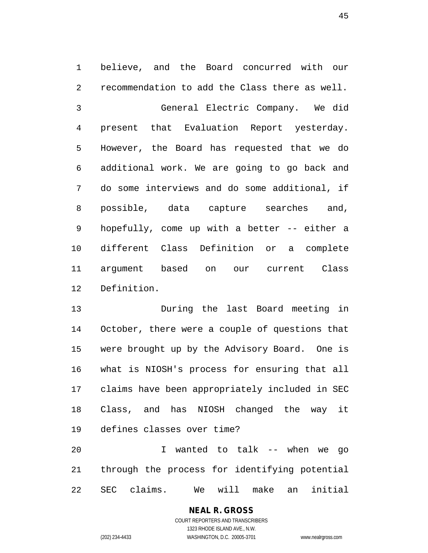believe, and the Board concurred with our recommendation to add the Class there as well. General Electric Company. We did present that Evaluation Report yesterday. However, the Board has requested that we do additional work. We are going to go back and do some interviews and do some additional, if possible, data capture searches and, hopefully, come up with a better -- either a different Class Definition or a complete argument based on our current Class Definition.

 During the last Board meeting in October, there were a couple of questions that were brought up by the Advisory Board. One is what is NIOSH's process for ensuring that all claims have been appropriately included in SEC Class, and has NIOSH changed the way it defines classes over time?

 I wanted to talk -- when we go through the process for identifying potential SEC claims. We will make an initial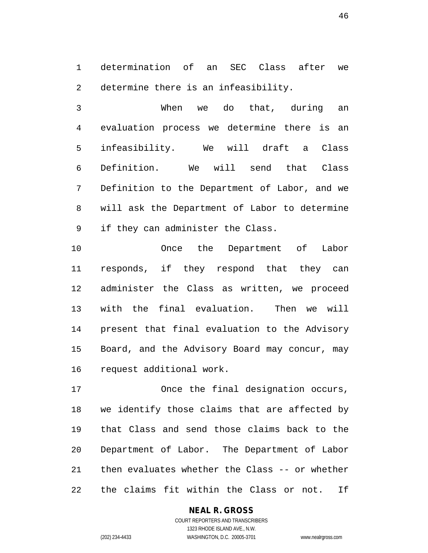determination of an SEC Class after we determine there is an infeasibility.

 When we do that, during an evaluation process we determine there is an infeasibility. We will draft a Class Definition. We will send that Class Definition to the Department of Labor, and we will ask the Department of Labor to determine if they can administer the Class.

 Once the Department of Labor responds, if they respond that they can administer the Class as written, we proceed with the final evaluation. Then we will present that final evaluation to the Advisory Board, and the Advisory Board may concur, may request additional work.

 Once the final designation occurs, we identify those claims that are affected by that Class and send those claims back to the Department of Labor. The Department of Labor then evaluates whether the Class -- or whether the claims fit within the Class or not. If

> **NEAL R. GROSS** COURT REPORTERS AND TRANSCRIBERS

1323 RHODE ISLAND AVE., N.W. (202) 234-4433 WASHINGTON, D.C. 20005-3701 www.nealrgross.com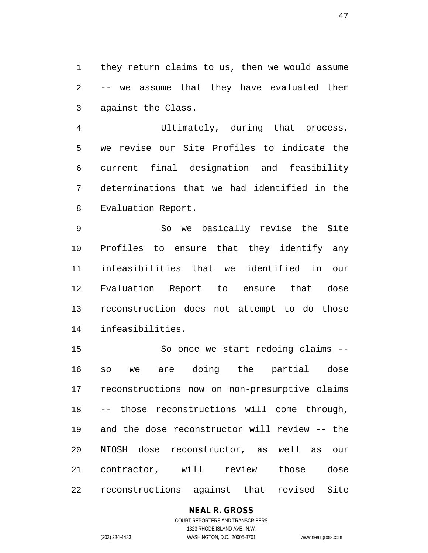they return claims to us, then we would assume -- we assume that they have evaluated them against the Class.

 Ultimately, during that process, we revise our Site Profiles to indicate the current final designation and feasibility determinations that we had identified in the Evaluation Report.

 So we basically revise the Site Profiles to ensure that they identify any infeasibilities that we identified in our Evaluation Report to ensure that dose reconstruction does not attempt to do those infeasibilities.

 So once we start redoing claims -- so we are doing the partial dose reconstructions now on non-presumptive claims -- those reconstructions will come through, and the dose reconstructor will review -- the NIOSH dose reconstructor, as well as our contractor, will review those dose reconstructions against that revised Site

## **NEAL R. GROSS**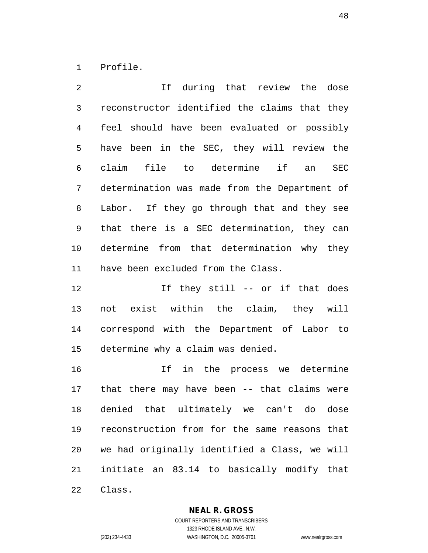Profile.

 If during that review the dose reconstructor identified the claims that they feel should have been evaluated or possibly have been in the SEC, they will review the claim file to determine if an SEC determination was made from the Department of Labor. If they go through that and they see that there is a SEC determination, they can determine from that determination why they have been excluded from the Class.

12 12 If they still -- or if that does not exist within the claim, they will correspond with the Department of Labor to determine why a claim was denied.

 If in the process we determine that there may have been -- that claims were denied that ultimately we can't do dose reconstruction from for the same reasons that we had originally identified a Class, we will initiate an 83.14 to basically modify that Class.

**NEAL R. GROSS**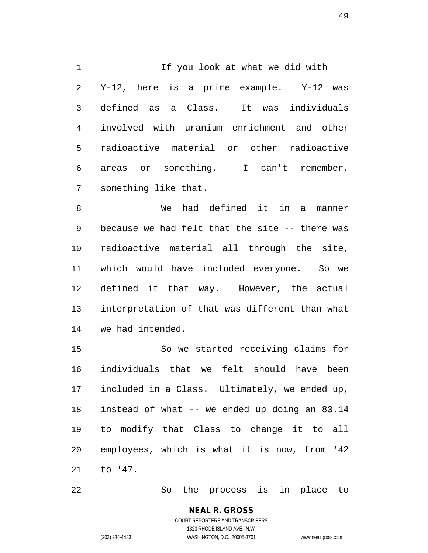1 If you look at what we did with Y-12, here is a prime example. Y-12 was defined as a Class. It was individuals involved with uranium enrichment and other radioactive material or other radioactive areas or something. I can't remember, something like that.

 We had defined it in a manner because we had felt that the site -- there was radioactive material all through the site, which would have included everyone. So we defined it that way. However, the actual interpretation of that was different than what we had intended.

 So we started receiving claims for individuals that we felt should have been included in a Class. Ultimately, we ended up, instead of what -- we ended up doing an 83.14 to modify that Class to change it to all employees, which is what it is now, from '42 to '47.

So the process is in place to

**NEAL R. GROSS** COURT REPORTERS AND TRANSCRIBERS

1323 RHODE ISLAND AVE., N.W.

(202) 234-4433 WASHINGTON, D.C. 20005-3701 www.nealrgross.com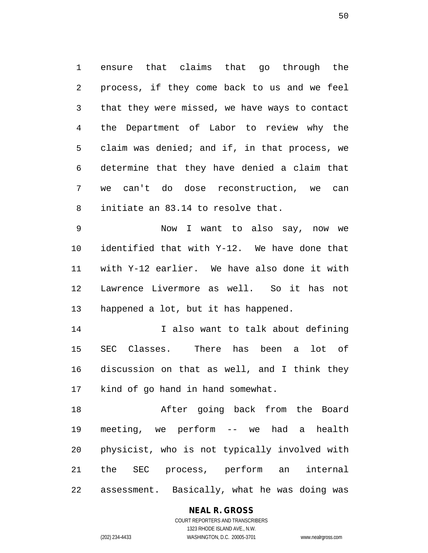ensure that claims that go through the process, if they come back to us and we feel that they were missed, we have ways to contact the Department of Labor to review why the claim was denied; and if, in that process, we determine that they have denied a claim that we can't do dose reconstruction, we can initiate an 83.14 to resolve that.

 Now I want to also say, now we identified that with Y-12. We have done that with Y-12 earlier. We have also done it with Lawrence Livermore as well. So it has not happened a lot, but it has happened.

 I also want to talk about defining SEC Classes. There has been a lot of discussion on that as well, and I think they kind of go hand in hand somewhat.

 After going back from the Board meeting, we perform -- we had a health physicist, who is not typically involved with the SEC process, perform an internal assessment. Basically, what he was doing was

#### **NEAL R. GROSS**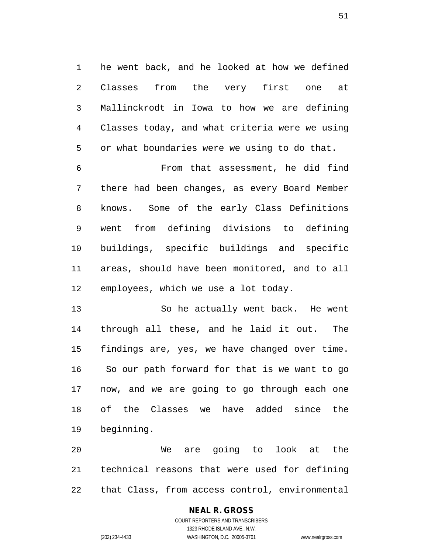he went back, and he looked at how we defined Classes from the very first one at Mallinckrodt in Iowa to how we are defining Classes today, and what criteria were we using or what boundaries were we using to do that.

 From that assessment, he did find there had been changes, as every Board Member knows. Some of the early Class Definitions went from defining divisions to defining buildings, specific buildings and specific areas, should have been monitored, and to all employees, which we use a lot today.

 So he actually went back. He went through all these, and he laid it out. The findings are, yes, we have changed over time. So our path forward for that is we want to go now, and we are going to go through each one of the Classes we have added since the beginning.

 We are going to look at the technical reasons that were used for defining that Class, from access control, environmental

## **NEAL R. GROSS**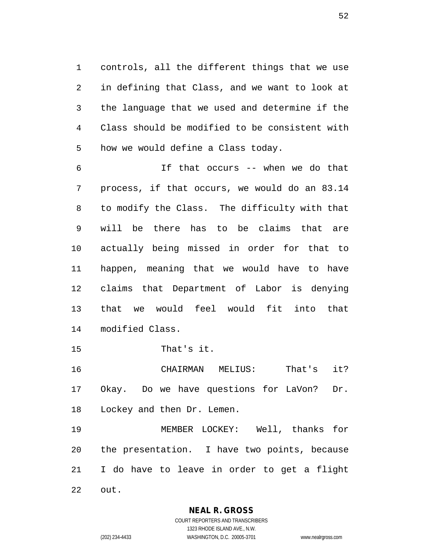controls, all the different things that we use in defining that Class, and we want to look at the language that we used and determine if the Class should be modified to be consistent with how we would define a Class today.

 If that occurs -- when we do that process, if that occurs, we would do an 83.14 to modify the Class. The difficulty with that will be there has to be claims that are actually being missed in order for that to happen, meaning that we would have to have claims that Department of Labor is denying that we would feel would fit into that modified Class.

That's it.

 CHAIRMAN MELIUS: That's it? Okay. Do we have questions for LaVon? Dr. Lockey and then Dr. Lemen.

 MEMBER LOCKEY: Well, thanks for the presentation. I have two points, because I do have to leave in order to get a flight out.

**NEAL R. GROSS**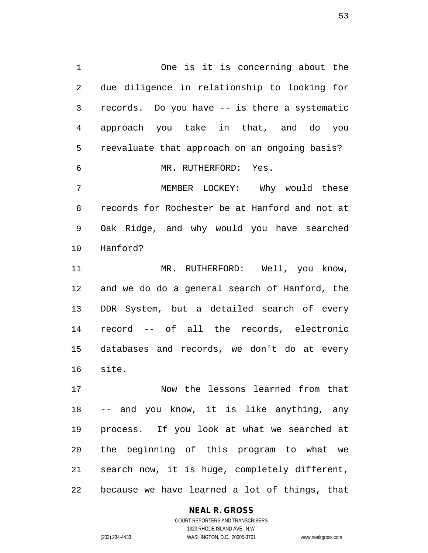One is it is concerning about the due diligence in relationship to looking for records. Do you have -- is there a systematic approach you take in that, and do you reevaluate that approach on an ongoing basis? MR. RUTHERFORD: Yes. MEMBER LOCKEY: Why would these records for Rochester be at Hanford and not at

 Oak Ridge, and why would you have searched Hanford?

 MR. RUTHERFORD: Well, you know, and we do do a general search of Hanford, the DDR System, but a detailed search of every record -- of all the records, electronic databases and records, we don't do at every site.

 Now the lessons learned from that -- and you know, it is like anything, any process. If you look at what we searched at the beginning of this program to what we search now, it is huge, completely different, because we have learned a lot of things, that

**NEAL R. GROSS**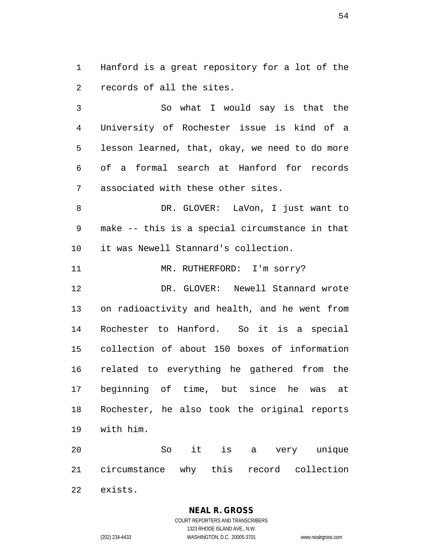Hanford is a great repository for a lot of the records of all the sites.

 So what I would say is that the University of Rochester issue is kind of a lesson learned, that, okay, we need to do more of a formal search at Hanford for records associated with these other sites.

 DR. GLOVER: LaVon, I just want to make -- this is a special circumstance in that it was Newell Stannard's collection.

11 MR. RUTHERFORD: I'm sorry?

 DR. GLOVER: Newell Stannard wrote on radioactivity and health, and he went from Rochester to Hanford. So it is a special collection of about 150 boxes of information related to everything he gathered from the beginning of time, but since he was at Rochester, he also took the original reports with him.

 So it is a very unique circumstance why this record collection exists.

**NEAL R. GROSS**

COURT REPORTERS AND TRANSCRIBERS 1323 RHODE ISLAND AVE., N.W. (202) 234-4433 WASHINGTON, D.C. 20005-3701 www.nealrgross.com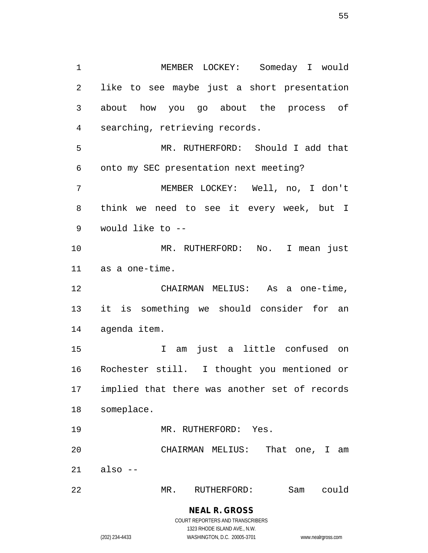MEMBER LOCKEY: Someday I would like to see maybe just a short presentation about how you go about the process of searching, retrieving records. MR. RUTHERFORD: Should I add that onto my SEC presentation next meeting? MEMBER LOCKEY: Well, no, I don't think we need to see it every week, but I would like to -- MR. RUTHERFORD: No. I mean just as a one-time. CHAIRMAN MELIUS: As a one-time, it is something we should consider for an agenda item. I am just a little confused on Rochester still. I thought you mentioned or implied that there was another set of records someplace. MR. RUTHERFORD: Yes. CHAIRMAN MELIUS: That one, I am also  $-$ 

MR. RUTHERFORD: Sam could

**NEAL R. GROSS** COURT REPORTERS AND TRANSCRIBERS

1323 RHODE ISLAND AVE., N.W.

(202) 234-4433 WASHINGTON, D.C. 20005-3701 www.nealrgross.com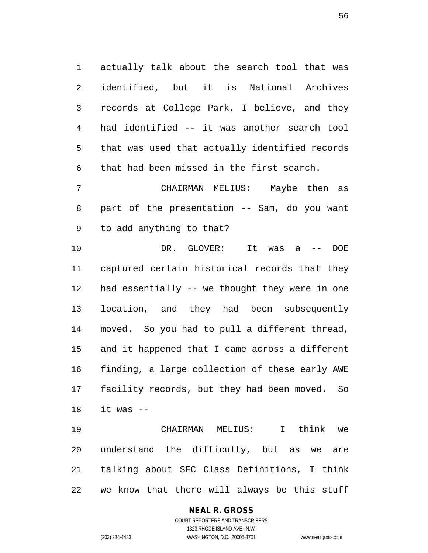actually talk about the search tool that was identified, but it is National Archives records at College Park, I believe, and they had identified -- it was another search tool that was used that actually identified records that had been missed in the first search.

 CHAIRMAN MELIUS: Maybe then as part of the presentation -- Sam, do you want to add anything to that?

 DR. GLOVER: It was a -- DOE captured certain historical records that they had essentially -- we thought they were in one location, and they had been subsequently moved. So you had to pull a different thread, and it happened that I came across a different finding, a large collection of these early AWE facility records, but they had been moved. So it was --

 CHAIRMAN MELIUS: I think we understand the difficulty, but as we are talking about SEC Class Definitions, I think we know that there will always be this stuff

#### **NEAL R. GROSS** COURT REPORTERS AND TRANSCRIBERS 1323 RHODE ISLAND AVE., N.W.

(202) 234-4433 WASHINGTON, D.C. 20005-3701 www.nealrgross.com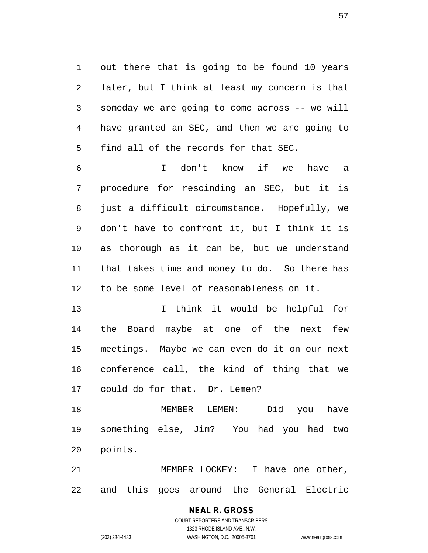out there that is going to be found 10 years later, but I think at least my concern is that someday we are going to come across -- we will have granted an SEC, and then we are going to find all of the records for that SEC.

 I don't know if we have a procedure for rescinding an SEC, but it is just a difficult circumstance. Hopefully, we don't have to confront it, but I think it is as thorough as it can be, but we understand that takes time and money to do. So there has to be some level of reasonableness on it.

 I think it would be helpful for the Board maybe at one of the next few meetings. Maybe we can even do it on our next conference call, the kind of thing that we could do for that. Dr. Lemen?

 MEMBER LEMEN: Did you have something else, Jim? You had you had two points.

 MEMBER LOCKEY: I have one other, and this goes around the General Electric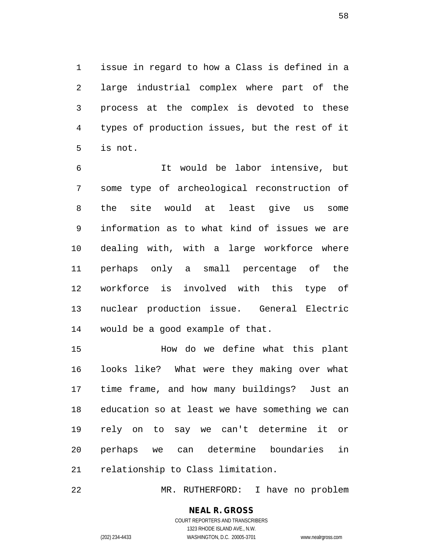issue in regard to how a Class is defined in a large industrial complex where part of the process at the complex is devoted to these types of production issues, but the rest of it is not.

 It would be labor intensive, but some type of archeological reconstruction of the site would at least give us some information as to what kind of issues we are dealing with, with a large workforce where perhaps only a small percentage of the workforce is involved with this type of nuclear production issue. General Electric would be a good example of that.

 How do we define what this plant looks like? What were they making over what time frame, and how many buildings? Just an education so at least we have something we can rely on to say we can't determine it or perhaps we can determine boundaries in relationship to Class limitation.

MR. RUTHERFORD: I have no problem

# **NEAL R. GROSS**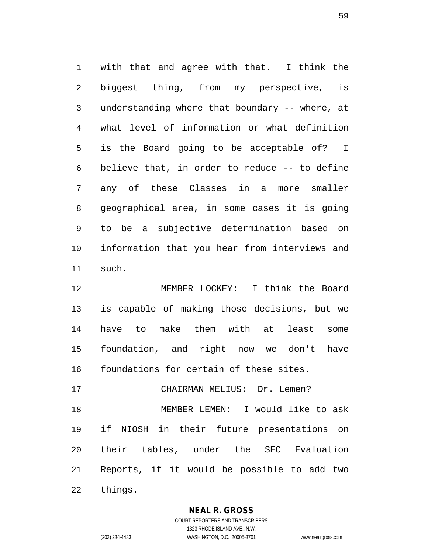with that and agree with that. I think the biggest thing, from my perspective, is understanding where that boundary -- where, at what level of information or what definition is the Board going to be acceptable of? I believe that, in order to reduce -- to define any of these Classes in a more smaller geographical area, in some cases it is going to be a subjective determination based on information that you hear from interviews and such.

 MEMBER LOCKEY: I think the Board is capable of making those decisions, but we have to make them with at least some foundation, and right now we don't have foundations for certain of these sites.

 MEMBER LEMEN: I would like to ask if NIOSH in their future presentations on their tables, under the SEC Evaluation Reports, if it would be possible to add two things.

17 CHAIRMAN MELIUS: Dr. Lemen?

**NEAL R. GROSS**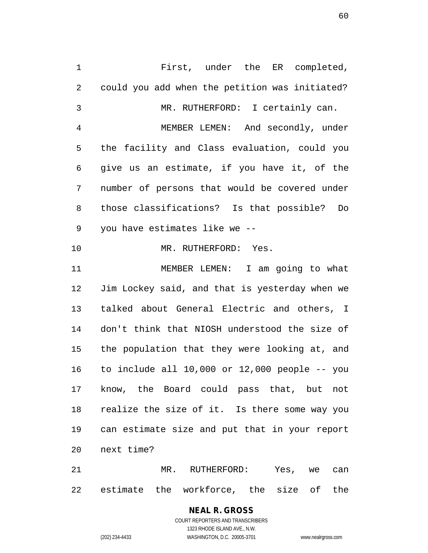First, under the ER completed, could you add when the petition was initiated? MR. RUTHERFORD: I certainly can. MEMBER LEMEN: And secondly, under the facility and Class evaluation, could you give us an estimate, if you have it, of the number of persons that would be covered under those classifications? Is that possible? Do you have estimates like we -- 10 MR. RUTHERFORD: Yes. MEMBER LEMEN: I am going to what Jim Lockey said, and that is yesterday when we talked about General Electric and others, I don't think that NIOSH understood the size of the population that they were looking at, and to include all 10,000 or 12,000 people -- you know, the Board could pass that, but not realize the size of it. Is there some way you can estimate size and put that in your report next time?

 MR. RUTHERFORD: Yes, we can estimate the workforce, the size of the

#### **NEAL R. GROSS** COURT REPORTERS AND TRANSCRIBERS 1323 RHODE ISLAND AVE., N.W.

(202) 234-4433 WASHINGTON, D.C. 20005-3701 www.nealrgross.com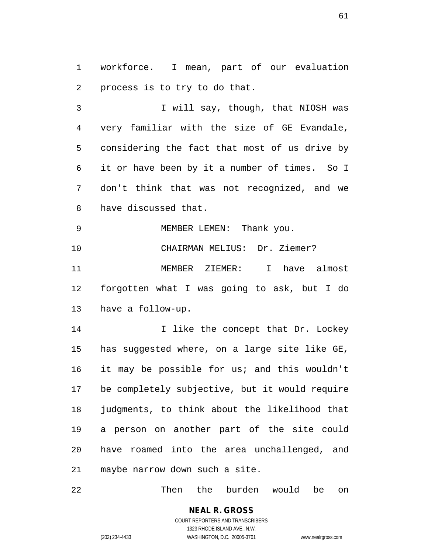workforce. I mean, part of our evaluation process is to try to do that.

3 I will say, though, that NIOSH was very familiar with the size of GE Evandale, considering the fact that most of us drive by it or have been by it a number of times. So I don't think that was not recognized, and we have discussed that.

9 MEMBER LEMEN: Thank you. CHAIRMAN MELIUS: Dr. Ziemer? MEMBER ZIEMER: I have almost forgotten what I was going to ask, but I do have a follow-up.

**I like the concept that Dr. Lockey**  has suggested where, on a large site like GE, it may be possible for us; and this wouldn't be completely subjective, but it would require judgments, to think about the likelihood that a person on another part of the site could have roamed into the area unchallenged, and maybe narrow down such a site.

Then the burden would be on

**NEAL R. GROSS** COURT REPORTERS AND TRANSCRIBERS

1323 RHODE ISLAND AVE., N.W.

(202) 234-4433 WASHINGTON, D.C. 20005-3701 www.nealrgross.com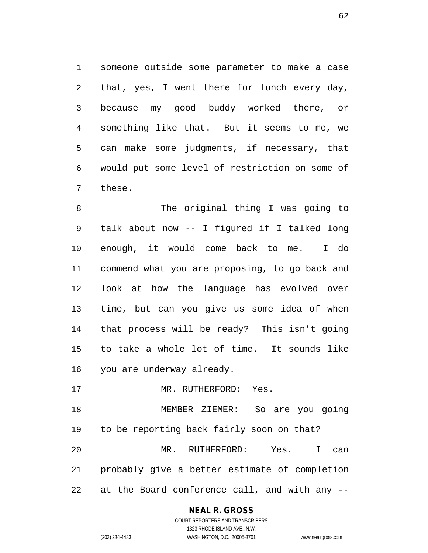someone outside some parameter to make a case that, yes, I went there for lunch every day, because my good buddy worked there, or something like that. But it seems to me, we can make some judgments, if necessary, that would put some level of restriction on some of these.

 The original thing I was going to talk about now -- I figured if I talked long enough, it would come back to me. I do commend what you are proposing, to go back and look at how the language has evolved over time, but can you give us some idea of when that process will be ready? This isn't going to take a whole lot of time. It sounds like you are underway already.

17 MR. RUTHERFORD: Yes.

 MEMBER ZIEMER: So are you going to be reporting back fairly soon on that? MR. RUTHERFORD: Yes. I can probably give a better estimate of completion at the Board conference call, and with any --

#### **NEAL R. GROSS** COURT REPORTERS AND TRANSCRIBERS

1323 RHODE ISLAND AVE., N.W.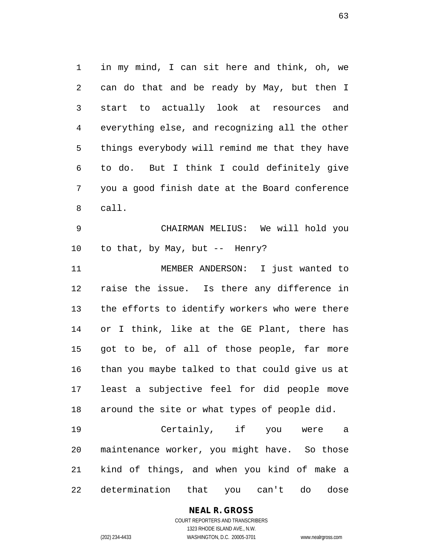in my mind, I can sit here and think, oh, we can do that and be ready by May, but then I start to actually look at resources and everything else, and recognizing all the other things everybody will remind me that they have to do. But I think I could definitely give you a good finish date at the Board conference call.

 CHAIRMAN MELIUS: We will hold you to that, by May, but -- Henry?

 MEMBER ANDERSON: I just wanted to raise the issue. Is there any difference in the efforts to identify workers who were there or I think, like at the GE Plant, there has got to be, of all of those people, far more than you maybe talked to that could give us at least a subjective feel for did people move around the site or what types of people did.

 Certainly, if you were a maintenance worker, you might have. So those kind of things, and when you kind of make a determination that you can't do dose

## **NEAL R. GROSS**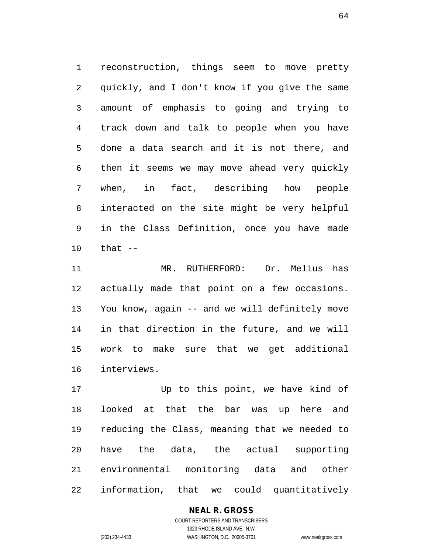reconstruction, things seem to move pretty quickly, and I don't know if you give the same amount of emphasis to going and trying to track down and talk to people when you have done a data search and it is not there, and then it seems we may move ahead very quickly when, in fact, describing how people interacted on the site might be very helpful in the Class Definition, once you have made that --

 MR. RUTHERFORD: Dr. Melius has actually made that point on a few occasions. You know, again -- and we will definitely move in that direction in the future, and we will work to make sure that we get additional interviews.

 Up to this point, we have kind of looked at that the bar was up here and reducing the Class, meaning that we needed to have the data, the actual supporting environmental monitoring data and other information, that we could quantitatively

> COURT REPORTERS AND TRANSCRIBERS 1323 RHODE ISLAND AVE., N.W. (202) 234-4433 WASHINGTON, D.C. 20005-3701 www.nealrgross.com

**NEAL R. GROSS**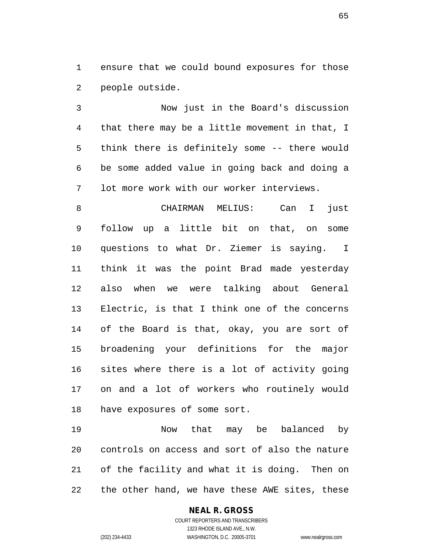ensure that we could bound exposures for those people outside.

 Now just in the Board's discussion that there may be a little movement in that, I think there is definitely some -- there would be some added value in going back and doing a lot more work with our worker interviews.

 CHAIRMAN MELIUS: Can I just follow up a little bit on that, on some questions to what Dr. Ziemer is saying. I think it was the point Brad made yesterday also when we were talking about General Electric, is that I think one of the concerns of the Board is that, okay, you are sort of broadening your definitions for the major sites where there is a lot of activity going on and a lot of workers who routinely would have exposures of some sort.

 Now that may be balanced by controls on access and sort of also the nature of the facility and what it is doing. Then on the other hand, we have these AWE sites, these

#### **NEAL R. GROSS**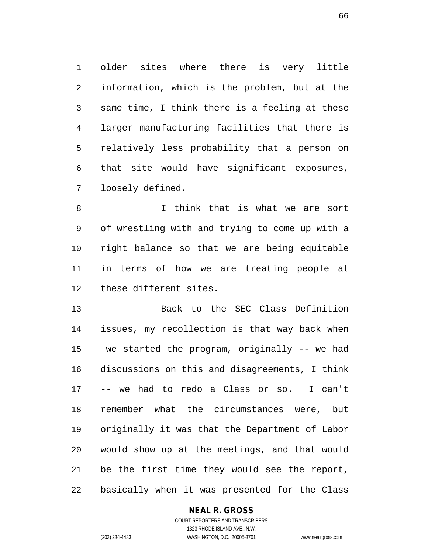older sites where there is very little information, which is the problem, but at the same time, I think there is a feeling at these larger manufacturing facilities that there is relatively less probability that a person on that site would have significant exposures, loosely defined.

 I think that is what we are sort of wrestling with and trying to come up with a right balance so that we are being equitable in terms of how we are treating people at these different sites.

 Back to the SEC Class Definition issues, my recollection is that way back when we started the program, originally -- we had discussions on this and disagreements, I think -- we had to redo a Class or so. I can't remember what the circumstances were, but originally it was that the Department of Labor would show up at the meetings, and that would be the first time they would see the report, basically when it was presented for the Class

#### **NEAL R. GROSS**

COURT REPORTERS AND TRANSCRIBERS 1323 RHODE ISLAND AVE., N.W. (202) 234-4433 WASHINGTON, D.C. 20005-3701 www.nealrgross.com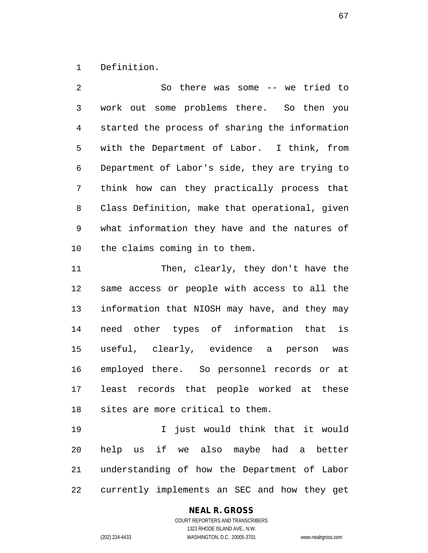Definition.

 So there was some -- we tried to work out some problems there. So then you started the process of sharing the information with the Department of Labor. I think, from Department of Labor's side, they are trying to think how can they practically process that Class Definition, make that operational, given what information they have and the natures of the claims coming in to them.

 Then, clearly, they don't have the same access or people with access to all the information that NIOSH may have, and they may need other types of information that is useful, clearly, evidence a person was employed there. So personnel records or at least records that people worked at these sites are more critical to them.

 I just would think that it would help us if we also maybe had a better understanding of how the Department of Labor currently implements an SEC and how they get

**NEAL R. GROSS**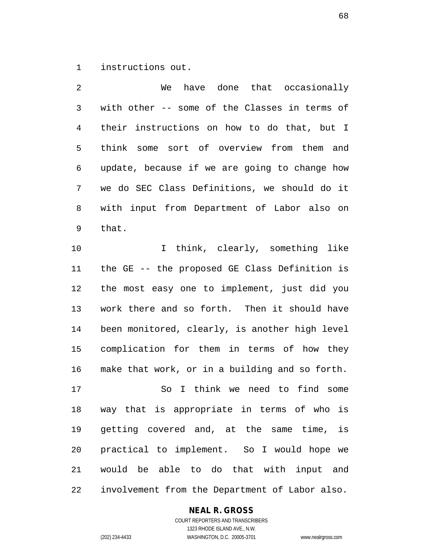instructions out.

 We have done that occasionally with other -- some of the Classes in terms of their instructions on how to do that, but I think some sort of overview from them and update, because if we are going to change how we do SEC Class Definitions, we should do it with input from Department of Labor also on that.

10 10 I think, clearly, something like the GE -- the proposed GE Class Definition is the most easy one to implement, just did you work there and so forth. Then it should have been monitored, clearly, is another high level complication for them in terms of how they make that work, or in a building and so forth.

 So I think we need to find some way that is appropriate in terms of who is getting covered and, at the same time, is practical to implement. So I would hope we would be able to do that with input and involvement from the Department of Labor also.

#### **NEAL R. GROSS**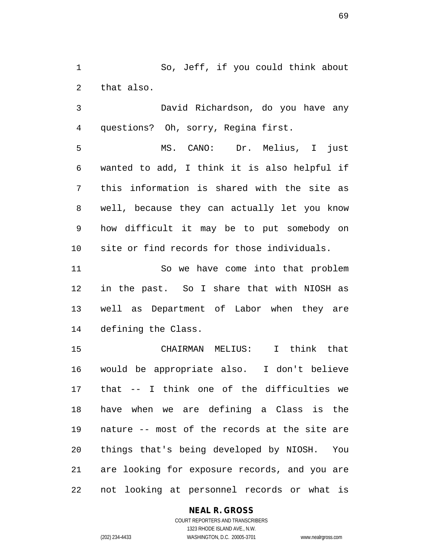So, Jeff, if you could think about that also.

 David Richardson, do you have any questions? Oh, sorry, Regina first.

 MS. CANO: Dr. Melius, I just wanted to add, I think it is also helpful if this information is shared with the site as well, because they can actually let you know how difficult it may be to put somebody on site or find records for those individuals.

 So we have come into that problem in the past. So I share that with NIOSH as well as Department of Labor when they are defining the Class.

 CHAIRMAN MELIUS: I think that would be appropriate also. I don't believe that -- I think one of the difficulties we have when we are defining a Class is the nature -- most of the records at the site are things that's being developed by NIOSH. You are looking for exposure records, and you are not looking at personnel records or what is

#### **NEAL R. GROSS**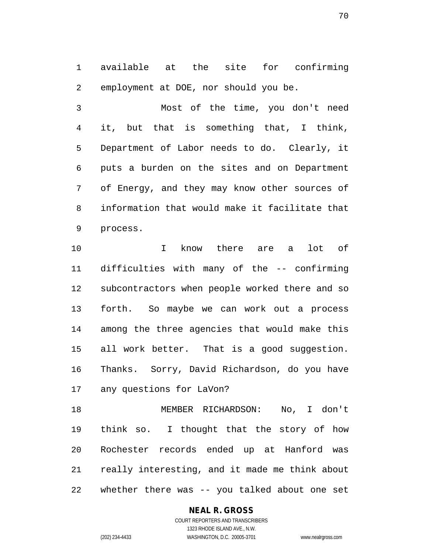available at the site for confirming employment at DOE, nor should you be.

 Most of the time, you don't need it, but that is something that, I think, Department of Labor needs to do. Clearly, it puts a burden on the sites and on Department of Energy, and they may know other sources of information that would make it facilitate that process.

 I know there are a lot of difficulties with many of the -- confirming subcontractors when people worked there and so forth. So maybe we can work out a process among the three agencies that would make this all work better. That is a good suggestion. Thanks. Sorry, David Richardson, do you have any questions for LaVon?

 MEMBER RICHARDSON: No, I don't think so. I thought that the story of how Rochester records ended up at Hanford was really interesting, and it made me think about whether there was -- you talked about one set

#### **NEAL R. GROSS**

COURT REPORTERS AND TRANSCRIBERS 1323 RHODE ISLAND AVE., N.W. (202) 234-4433 WASHINGTON, D.C. 20005-3701 www.nealrgross.com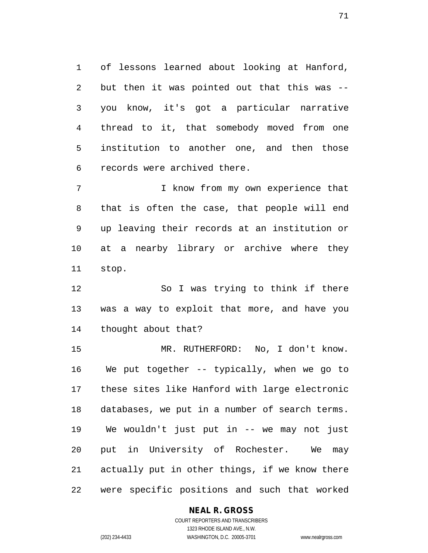of lessons learned about looking at Hanford, but then it was pointed out that this was -- you know, it's got a particular narrative thread to it, that somebody moved from one institution to another one, and then those records were archived there.

 I know from my own experience that that is often the case, that people will end up leaving their records at an institution or at a nearby library or archive where they stop.

 So I was trying to think if there was a way to exploit that more, and have you thought about that?

15 MR. RUTHERFORD: No, I don't know. We put together -- typically, when we go to these sites like Hanford with large electronic databases, we put in a number of search terms. We wouldn't just put in -- we may not just put in University of Rochester. We may actually put in other things, if we know there were specific positions and such that worked

#### **NEAL R. GROSS**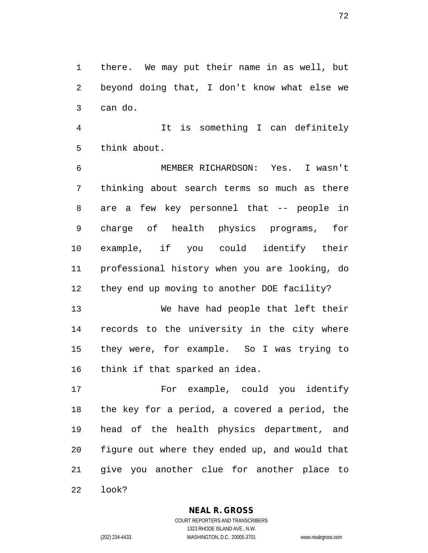there. We may put their name in as well, but beyond doing that, I don't know what else we can do.

 It is something I can definitely think about.

 MEMBER RICHARDSON: Yes. I wasn't thinking about search terms so much as there are a few key personnel that -- people in charge of health physics programs, for example, if you could identify their professional history when you are looking, do they end up moving to another DOE facility?

 We have had people that left their records to the university in the city where they were, for example. So I was trying to think if that sparked an idea.

 For example, could you identify the key for a period, a covered a period, the head of the health physics department, and figure out where they ended up, and would that give you another clue for another place to look?

#### **NEAL R. GROSS**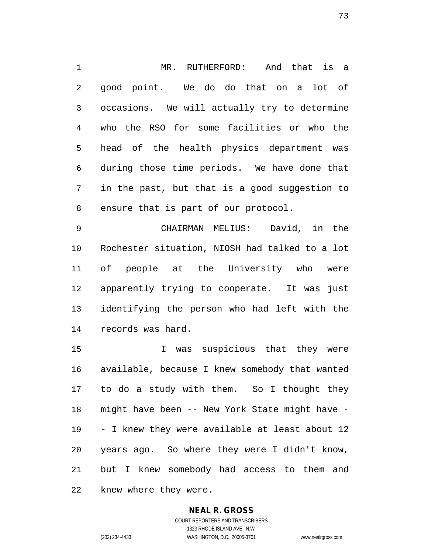MR. RUTHERFORD: And that is a good point. We do do that on a lot of occasions. We will actually try to determine who the RSO for some facilities or who the head of the health physics department was during those time periods. We have done that in the past, but that is a good suggestion to ensure that is part of our protocol.

 CHAIRMAN MELIUS: David, in the Rochester situation, NIOSH had talked to a lot of people at the University who were apparently trying to cooperate. It was just identifying the person who had left with the records was hard.

 I was suspicious that they were available, because I knew somebody that wanted to do a study with them. So I thought they might have been -- New York State might have - - I knew they were available at least about 12 years ago. So where they were I didn't know, but I knew somebody had access to them and knew where they were.

### **NEAL R. GROSS**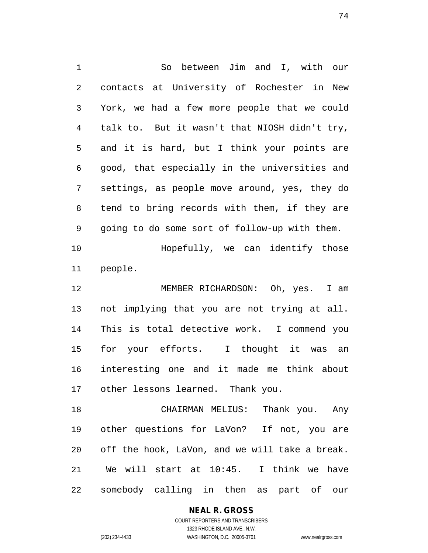So between Jim and I, with our contacts at University of Rochester in New York, we had a few more people that we could talk to. But it wasn't that NIOSH didn't try, and it is hard, but I think your points are good, that especially in the universities and settings, as people move around, yes, they do tend to bring records with them, if they are going to do some sort of follow-up with them. Hopefully, we can identify those people. 12 MEMBER RICHARDSON: Oh, yes. I am not implying that you are not trying at all. This is total detective work. I commend you for your efforts. I thought it was an interesting one and it made me think about other lessons learned. Thank you. CHAIRMAN MELIUS: Thank you. Any other questions for LaVon? If not, you are off the hook, LaVon, and we will take a break.

 We will start at 10:45. I think we have somebody calling in then as part of our

# **NEAL R. GROSS**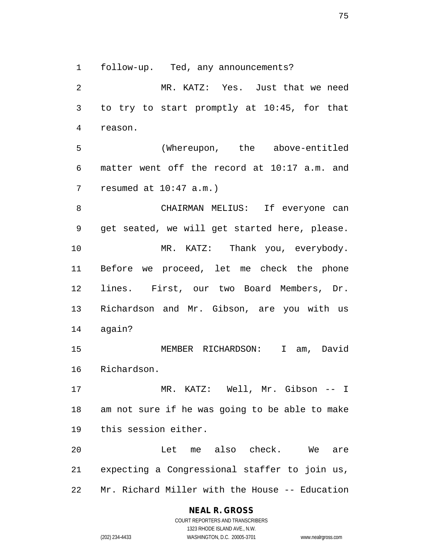follow-up. Ted, any announcements?

 MR. KATZ: Yes. Just that we need to try to start promptly at 10:45, for that reason.

 (Whereupon, the above-entitled matter went off the record at 10:17 a.m. and resumed at 10:47 a.m.)

 CHAIRMAN MELIUS: If everyone can get seated, we will get started here, please. 10 MR. KATZ: Thank you, everybody. Before we proceed, let me check the phone lines. First, our two Board Members, Dr. Richardson and Mr. Gibson, are you with us again?

 MEMBER RICHARDSON: I am, David Richardson.

 MR. KATZ: Well, Mr. Gibson -- I am not sure if he was going to be able to make this session either.

 Let me also check. We are expecting a Congressional staffer to join us, Mr. Richard Miller with the House -- Education

# **NEAL R. GROSS**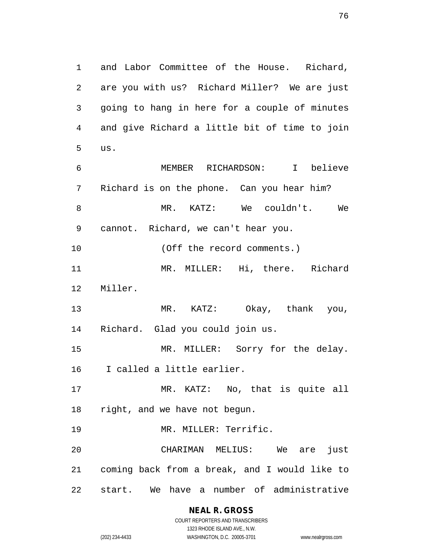and Labor Committee of the House. Richard, are you with us? Richard Miller? We are just going to hang in here for a couple of minutes and give Richard a little bit of time to join us. MEMBER RICHARDSON: I believe Richard is on the phone. Can you hear him? MR. KATZ: We couldn't. We cannot. Richard, we can't hear you. 10 (Off the record comments.) MR. MILLER: Hi, there. Richard Miller. MR. KATZ: Okay, thank you, Richard. Glad you could join us. 15 MR. MILLER: Sorry for the delay.

I called a little earlier.

 MR. KATZ: No, that is quite all right, and we have not begun.

MR. MILLER: Terrific.

 CHARIMAN MELIUS: We are just coming back from a break, and I would like to start. We have a number of administrative

1323 RHODE ISLAND AVE., N.W. (202) 234-4433 WASHINGTON, D.C. 20005-3701 www.nealrgross.com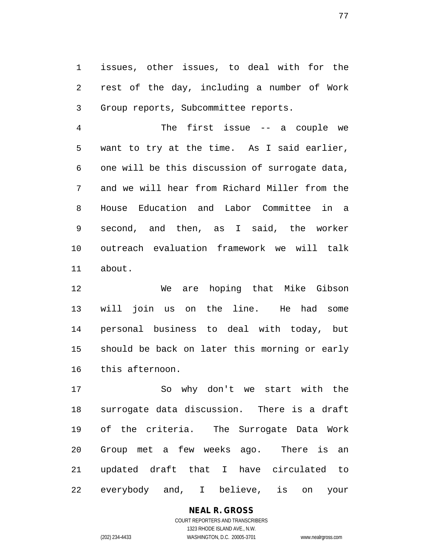issues, other issues, to deal with for the rest of the day, including a number of Work Group reports, Subcommittee reports.

 The first issue -- a couple we want to try at the time. As I said earlier, one will be this discussion of surrogate data, and we will hear from Richard Miller from the House Education and Labor Committee in a second, and then, as I said, the worker outreach evaluation framework we will talk about.

 We are hoping that Mike Gibson will join us on the line. He had some personal business to deal with today, but should be back on later this morning or early this afternoon.

 So why don't we start with the surrogate data discussion. There is a draft of the criteria. The Surrogate Data Work Group met a few weeks ago. There is an updated draft that I have circulated to everybody and, I believe, is on your

### **NEAL R. GROSS**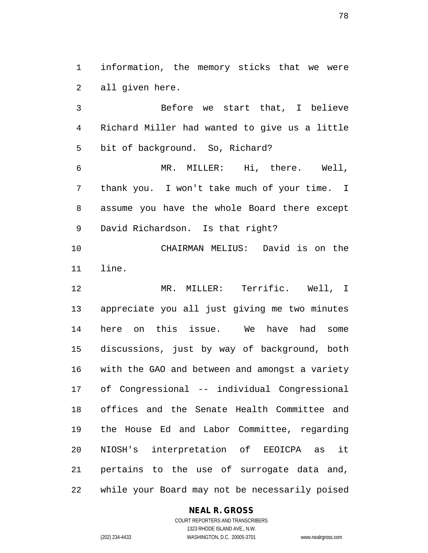information, the memory sticks that we were all given here.

 Before we start that, I believe Richard Miller had wanted to give us a little bit of background. So, Richard? MR. MILLER: Hi, there. Well, thank you. I won't take much of your time. I assume you have the whole Board there except David Richardson. Is that right? CHAIRMAN MELIUS: David is on the line. MR. MILLER: Terrific. Well, I appreciate you all just giving me two minutes here on this issue. We have had some discussions, just by way of background, both with the GAO and between and amongst a variety of Congressional -- individual Congressional offices and the Senate Health Committee and the House Ed and Labor Committee, regarding NIOSH's interpretation of EEOICPA as it pertains to the use of surrogate data and,

while your Board may not be necessarily poised

### **NEAL R. GROSS**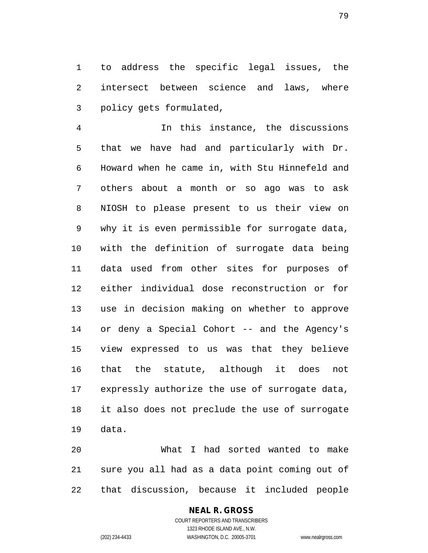to address the specific legal issues, the intersect between science and laws, where policy gets formulated,

 In this instance, the discussions that we have had and particularly with Dr. Howard when he came in, with Stu Hinnefeld and others about a month or so ago was to ask NIOSH to please present to us their view on why it is even permissible for surrogate data, with the definition of surrogate data being data used from other sites for purposes of either individual dose reconstruction or for use in decision making on whether to approve or deny a Special Cohort -- and the Agency's view expressed to us was that they believe that the statute, although it does not expressly authorize the use of surrogate data, it also does not preclude the use of surrogate data.

 What I had sorted wanted to make sure you all had as a data point coming out of that discussion, because it included people

# **NEAL R. GROSS**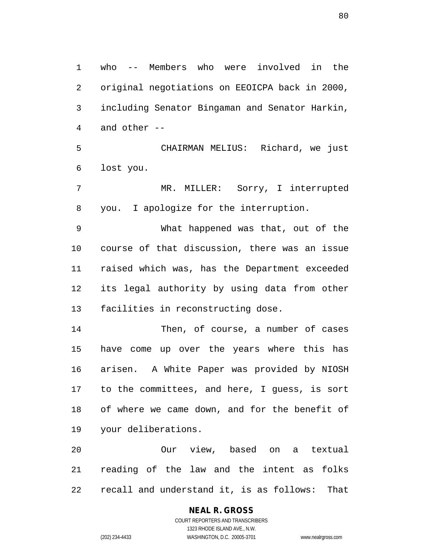who -- Members who were involved in the original negotiations on EEOICPA back in 2000, including Senator Bingaman and Senator Harkin, and other --

 CHAIRMAN MELIUS: Richard, we just lost you.

 MR. MILLER: Sorry, I interrupted you. I apologize for the interruption.

 What happened was that, out of the course of that discussion, there was an issue raised which was, has the Department exceeded its legal authority by using data from other facilities in reconstructing dose.

 Then, of course, a number of cases have come up over the years where this has arisen. A White Paper was provided by NIOSH to the committees, and here, I guess, is sort of where we came down, and for the benefit of your deliberations.

 Our view, based on a textual reading of the law and the intent as folks recall and understand it, is as follows: That

# **NEAL R. GROSS**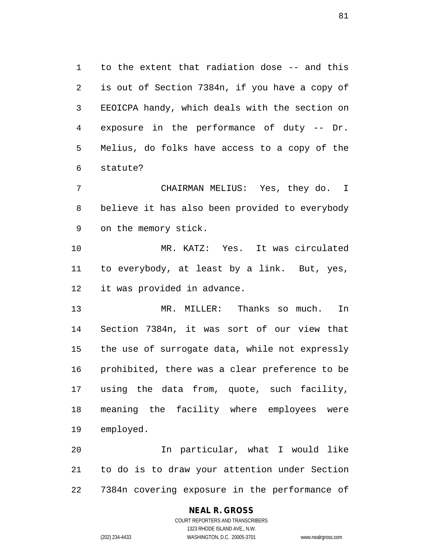to the extent that radiation dose -- and this is out of Section 7384n, if you have a copy of EEOICPA handy, which deals with the section on exposure in the performance of duty -- Dr. Melius, do folks have access to a copy of the statute?

 CHAIRMAN MELIUS: Yes, they do. I believe it has also been provided to everybody on the memory stick.

 MR. KATZ: Yes. It was circulated to everybody, at least by a link. But, yes, it was provided in advance.

 MR. MILLER: Thanks so much. In Section 7384n, it was sort of our view that the use of surrogate data, while not expressly prohibited, there was a clear preference to be using the data from, quote, such facility, meaning the facility where employees were employed.

 In particular, what I would like to do is to draw your attention under Section 7384n covering exposure in the performance of

### **NEAL R. GROSS**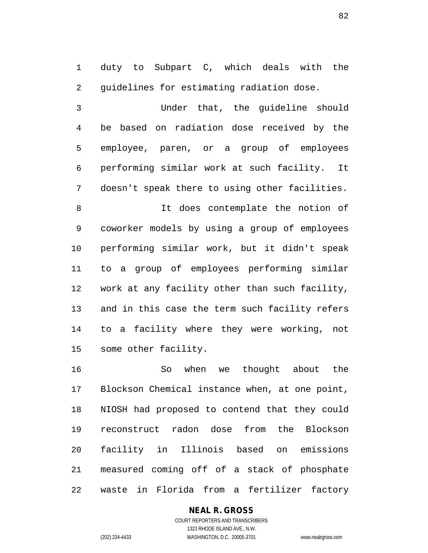duty to Subpart C, which deals with the guidelines for estimating radiation dose.

 Under that, the guideline should be based on radiation dose received by the employee, paren, or a group of employees performing similar work at such facility. It doesn't speak there to using other facilities.

 It does contemplate the notion of coworker models by using a group of employees performing similar work, but it didn't speak to a group of employees performing similar work at any facility other than such facility, and in this case the term such facility refers to a facility where they were working, not some other facility.

 So when we thought about the Blockson Chemical instance when, at one point, NIOSH had proposed to contend that they could reconstruct radon dose from the Blockson facility in Illinois based on emissions measured coming off of a stack of phosphate waste in Florida from a fertilizer factory

### **NEAL R. GROSS**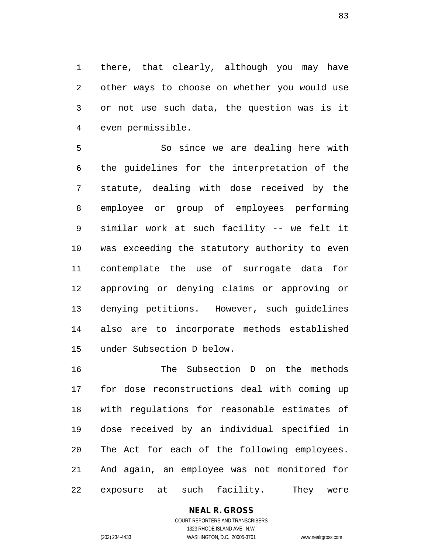there, that clearly, although you may have other ways to choose on whether you would use or not use such data, the question was is it even permissible.

 So since we are dealing here with the guidelines for the interpretation of the statute, dealing with dose received by the employee or group of employees performing similar work at such facility -- we felt it was exceeding the statutory authority to even contemplate the use of surrogate data for approving or denying claims or approving or denying petitions. However, such guidelines also are to incorporate methods established under Subsection D below.

 The Subsection D on the methods for dose reconstructions deal with coming up with regulations for reasonable estimates of dose received by an individual specified in The Act for each of the following employees. And again, an employee was not monitored for exposure at such facility. They were

# **NEAL R. GROSS**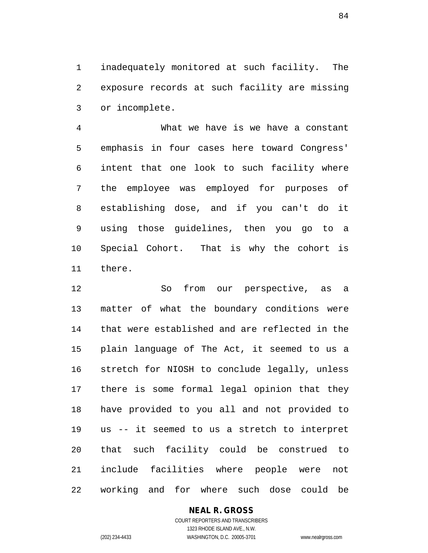inadequately monitored at such facility. The exposure records at such facility are missing or incomplete.

 What we have is we have a constant emphasis in four cases here toward Congress' intent that one look to such facility where the employee was employed for purposes of establishing dose, and if you can't do it using those guidelines, then you go to a Special Cohort. That is why the cohort is there.

 So from our perspective, as a matter of what the boundary conditions were that were established and are reflected in the plain language of The Act, it seemed to us a stretch for NIOSH to conclude legally, unless there is some formal legal opinion that they have provided to you all and not provided to us -- it seemed to us a stretch to interpret that such facility could be construed to include facilities where people were not working and for where such dose could be

### **NEAL R. GROSS**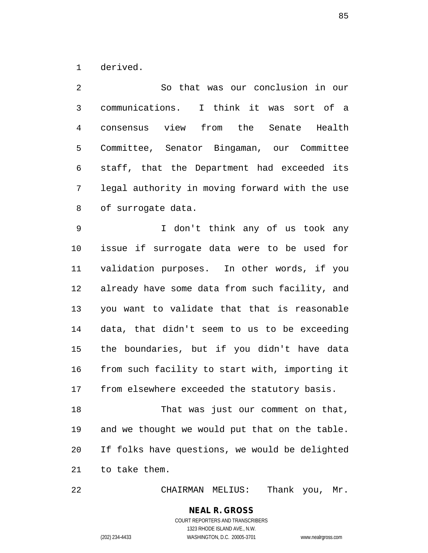derived.

 So that was our conclusion in our communications. I think it was sort of a consensus view from the Senate Health Committee, Senator Bingaman, our Committee staff, that the Department had exceeded its legal authority in moving forward with the use of surrogate data.

 I don't think any of us took any issue if surrogate data were to be used for validation purposes. In other words, if you already have some data from such facility, and you want to validate that that is reasonable data, that didn't seem to us to be exceeding the boundaries, but if you didn't have data from such facility to start with, importing it from elsewhere exceeded the statutory basis.

 That was just our comment on that, and we thought we would put that on the table. If folks have questions, we would be delighted to take them.

CHAIRMAN MELIUS: Thank you, Mr.

### **NEAL R. GROSS** COURT REPORTERS AND TRANSCRIBERS 1323 RHODE ISLAND AVE., N.W.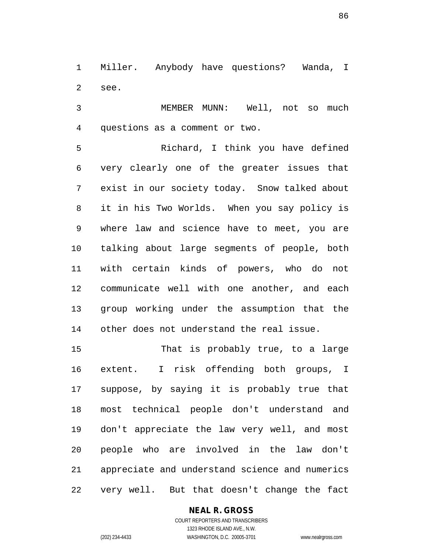Miller. Anybody have questions? Wanda, I see.

 MEMBER MUNN: Well, not so much questions as a comment or two.

 Richard, I think you have defined very clearly one of the greater issues that exist in our society today. Snow talked about it in his Two Worlds. When you say policy is where law and science have to meet, you are talking about large segments of people, both with certain kinds of powers, who do not communicate well with one another, and each group working under the assumption that the other does not understand the real issue.

 That is probably true, to a large extent. I risk offending both groups, I suppose, by saying it is probably true that most technical people don't understand and don't appreciate the law very well, and most people who are involved in the law don't appreciate and understand science and numerics very well. But that doesn't change the fact

### **NEAL R. GROSS**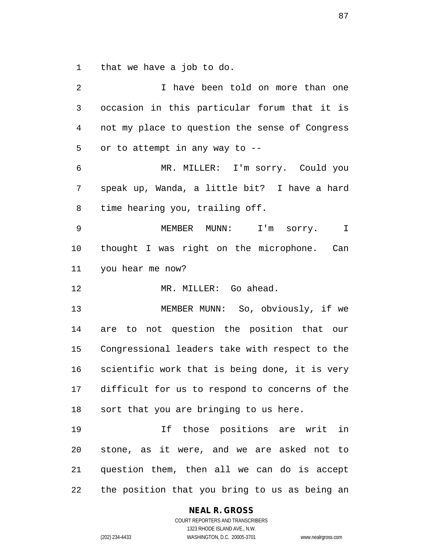that we have a job to do.

| 2  | I have been told on more than one              |
|----|------------------------------------------------|
| 3  | occasion in this particular forum that it is   |
| 4  | not my place to question the sense of Congress |
| 5  | or to attempt in any way to --                 |
| 6  | MR. MILLER: I'm sorry. Could you               |
| 7  | speak up, Wanda, a little bit? I have a hard   |
| 8  | time hearing you, trailing off.                |
| 9  | MEMBER MUNN: I'm sorry.<br>$\mathbb{I}$        |
| 10 | thought I was right on the microphone. Can     |
| 11 | you hear me now?                               |
| 12 | MR. MILLER: Go ahead.                          |
| 13 | MEMBER MUNN: So, obviously, if we              |
| 14 | are to not question the position that our      |
| 15 | Congressional leaders take with respect to the |
| 16 | scientific work that is being done, it is very |
| 17 | difficult for us to respond to concerns of the |
| 18 | sort that you are bringing to us here.         |
| 19 | If those positions are writ in                 |
| 20 | stone, as it were, and we are asked not to     |
| 21 | question them, then all we can do is accept    |
|    |                                                |

**NEAL R. GROSS**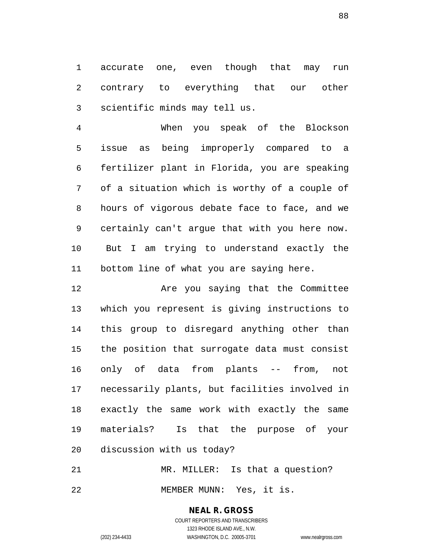accurate one, even though that may run contrary to everything that our other scientific minds may tell us.

 When you speak of the Blockson issue as being improperly compared to a fertilizer plant in Florida, you are speaking of a situation which is worthy of a couple of hours of vigorous debate face to face, and we certainly can't argue that with you here now. But I am trying to understand exactly the bottom line of what you are saying here.

12 Are you saying that the Committee which you represent is giving instructions to this group to disregard anything other than the position that surrogate data must consist only of data from plants -- from, not necessarily plants, but facilities involved in exactly the same work with exactly the same materials? Is that the purpose of your discussion with us today?

21 MR. MILLER: Is that a question? MEMBER MUNN: Yes, it is.

> **NEAL R. GROSS** COURT REPORTERS AND TRANSCRIBERS

> > 1323 RHODE ISLAND AVE., N.W.

(202) 234-4433 WASHINGTON, D.C. 20005-3701 www.nealrgross.com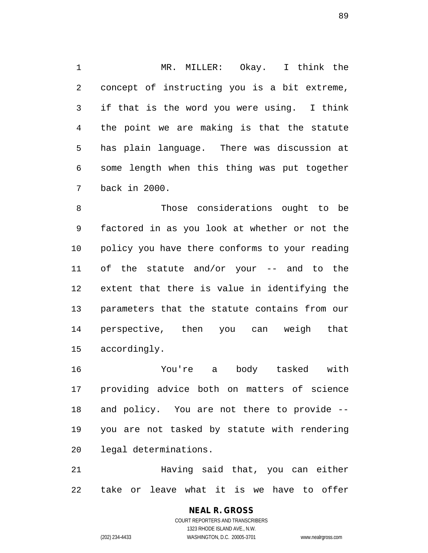MR. MILLER: Okay. I think the concept of instructing you is a bit extreme, if that is the word you were using. I think the point we are making is that the statute has plain language. There was discussion at some length when this thing was put together back in 2000.

 Those considerations ought to be factored in as you look at whether or not the policy you have there conforms to your reading of the statute and/or your -- and to the extent that there is value in identifying the parameters that the statute contains from our perspective, then you can weigh that accordingly.

 You're a body tasked with providing advice both on matters of science and policy. You are not there to provide -- you are not tasked by statute with rendering legal determinations.

 Having said that, you can either take or leave what it is we have to offer

> **NEAL R. GROSS** COURT REPORTERS AND TRANSCRIBERS 1323 RHODE ISLAND AVE., N.W. (202) 234-4433 WASHINGTON, D.C. 20005-3701 www.nealrgross.com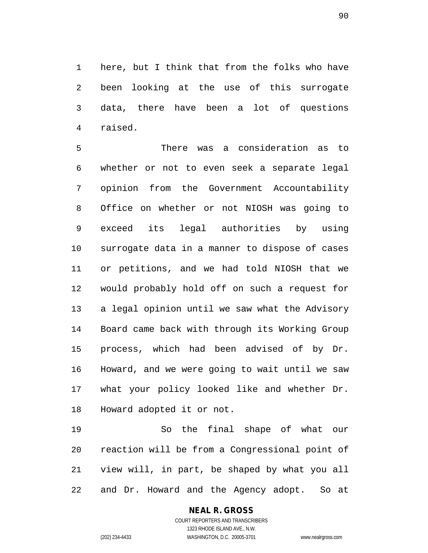here, but I think that from the folks who have been looking at the use of this surrogate data, there have been a lot of questions raised.

 There was a consideration as to whether or not to even seek a separate legal opinion from the Government Accountability Office on whether or not NIOSH was going to exceed its legal authorities by using surrogate data in a manner to dispose of cases or petitions, and we had told NIOSH that we would probably hold off on such a request for a legal opinion until we saw what the Advisory Board came back with through its Working Group process, which had been advised of by Dr. Howard, and we were going to wait until we saw what your policy looked like and whether Dr. Howard adopted it or not.

 So the final shape of what our reaction will be from a Congressional point of view will, in part, be shaped by what you all and Dr. Howard and the Agency adopt. So at

# **NEAL R. GROSS**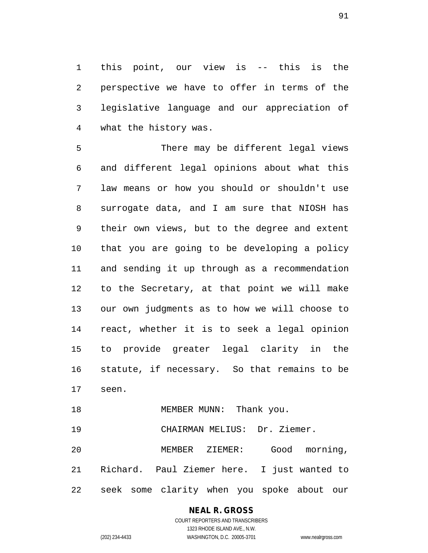this point, our view is -- this is the perspective we have to offer in terms of the legislative language and our appreciation of what the history was.

 There may be different legal views and different legal opinions about what this law means or how you should or shouldn't use surrogate data, and I am sure that NIOSH has their own views, but to the degree and extent that you are going to be developing a policy and sending it up through as a recommendation to the Secretary, at that point we will make our own judgments as to how we will choose to react, whether it is to seek a legal opinion to provide greater legal clarity in the statute, if necessary. So that remains to be seen.

18 MEMBER MUNN: Thank you.

CHAIRMAN MELIUS: Dr. Ziemer.

 MEMBER ZIEMER: Good morning, Richard. Paul Ziemer here. I just wanted to seek some clarity when you spoke about our

# **NEAL R. GROSS**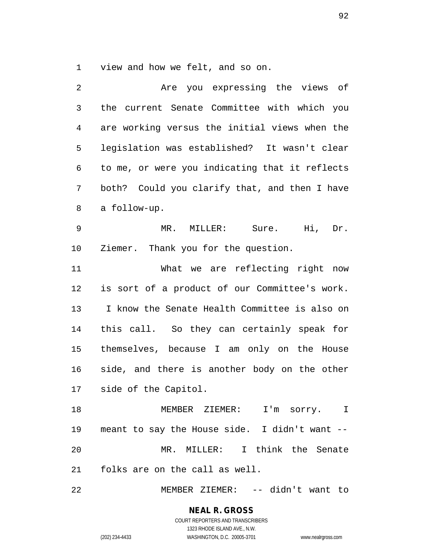view and how we felt, and so on.

 Are you expressing the views of the current Senate Committee with which you are working versus the initial views when the legislation was established? It wasn't clear to me, or were you indicating that it reflects both? Could you clarify that, and then I have a follow-up. MR. MILLER: Sure. Hi, Dr. Ziemer. Thank you for the question. What we are reflecting right now is sort of a product of our Committee's work. I know the Senate Health Committee is also on this call. So they can certainly speak for themselves, because I am only on the House side, and there is another body on the other side of the Capitol. MEMBER ZIEMER: I'm sorry. I meant to say the House side. I didn't want -- MR. MILLER: I think the Senate folks are on the call as well. MEMBER ZIEMER: -- didn't want to

> **NEAL R. GROSS** COURT REPORTERS AND TRANSCRIBERS 1323 RHODE ISLAND AVE., N.W. (202) 234-4433 WASHINGTON, D.C. 20005-3701 www.nealrgross.com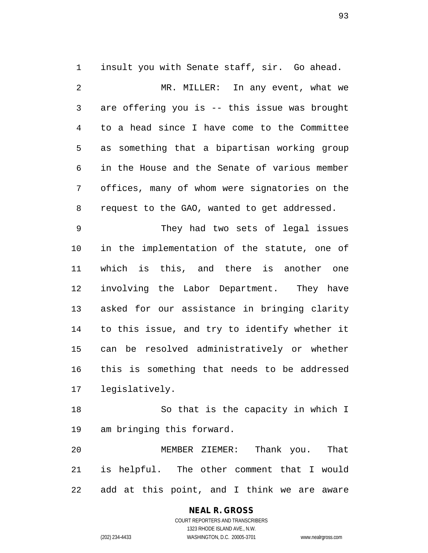insult you with Senate staff, sir. Go ahead. MR. MILLER: In any event, what we are offering you is -- this issue was brought to a head since I have come to the Committee as something that a bipartisan working group in the House and the Senate of various member offices, many of whom were signatories on the request to the GAO, wanted to get addressed. They had two sets of legal issues in the implementation of the statute, one of which is this, and there is another one

 involving the Labor Department. They have asked for our assistance in bringing clarity to this issue, and try to identify whether it can be resolved administratively or whether this is something that needs to be addressed legislatively.

 So that is the capacity in which I am bringing this forward.

 MEMBER ZIEMER: Thank you. That is helpful. The other comment that I would add at this point, and I think we are aware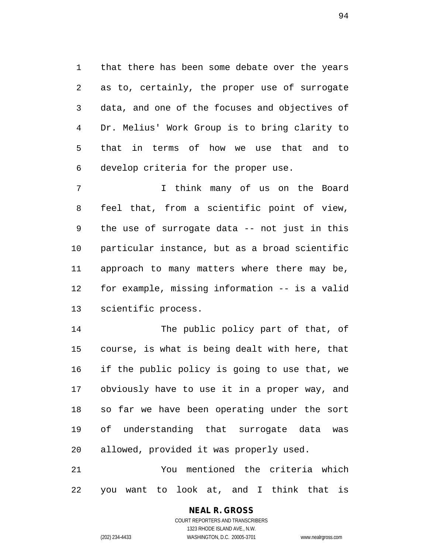that there has been some debate over the years as to, certainly, the proper use of surrogate data, and one of the focuses and objectives of Dr. Melius' Work Group is to bring clarity to that in terms of how we use that and to develop criteria for the proper use.

 I think many of us on the Board feel that, from a scientific point of view, the use of surrogate data -- not just in this particular instance, but as a broad scientific approach to many matters where there may be, for example, missing information -- is a valid scientific process.

 The public policy part of that, of course, is what is being dealt with here, that if the public policy is going to use that, we obviously have to use it in a proper way, and so far we have been operating under the sort of understanding that surrogate data was allowed, provided it was properly used.

 You mentioned the criteria which you want to look at, and I think that is

### **NEAL R. GROSS**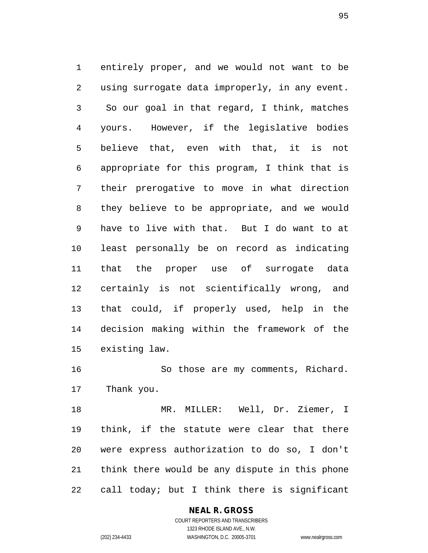entirely proper, and we would not want to be using surrogate data improperly, in any event. So our goal in that regard, I think, matches yours. However, if the legislative bodies believe that, even with that, it is not appropriate for this program, I think that is their prerogative to move in what direction they believe to be appropriate, and we would have to live with that. But I do want to at least personally be on record as indicating that the proper use of surrogate data certainly is not scientifically wrong, and that could, if properly used, help in the decision making within the framework of the existing law.

 So those are my comments, Richard. Thank you.

 MR. MILLER: Well, Dr. Ziemer, I think, if the statute were clear that there were express authorization to do so, I don't think there would be any dispute in this phone call today; but I think there is significant

### **NEAL R. GROSS**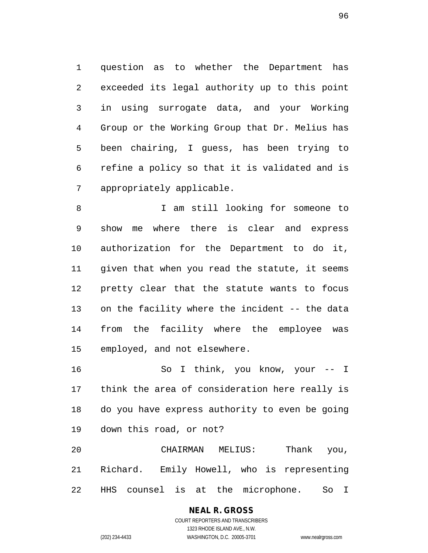question as to whether the Department has exceeded its legal authority up to this point in using surrogate data, and your Working Group or the Working Group that Dr. Melius has been chairing, I guess, has been trying to refine a policy so that it is validated and is appropriately applicable.

 I am still looking for someone to show me where there is clear and express authorization for the Department to do it, given that when you read the statute, it seems pretty clear that the statute wants to focus on the facility where the incident -- the data from the facility where the employee was employed, and not elsewhere.

 So I think, you know, your -- I think the area of consideration here really is do you have express authority to even be going down this road, or not?

 CHAIRMAN MELIUS: Thank you, Richard. Emily Howell, who is representing HHS counsel is at the microphone. So I

### **NEAL R. GROSS** COURT REPORTERS AND TRANSCRIBERS

1323 RHODE ISLAND AVE., N.W.

(202) 234-4433 WASHINGTON, D.C. 20005-3701 www.nealrgross.com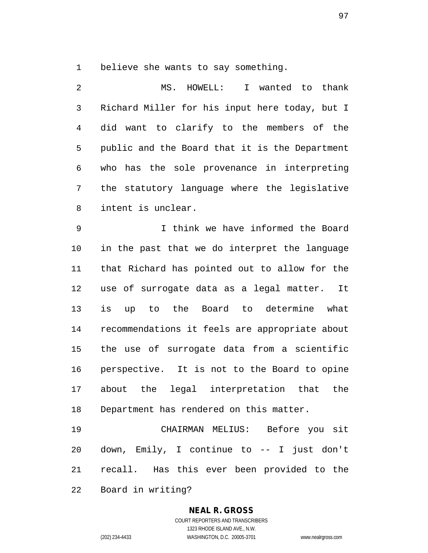believe she wants to say something.

 MS. HOWELL: I wanted to thank Richard Miller for his input here today, but I did want to clarify to the members of the public and the Board that it is the Department who has the sole provenance in interpreting the statutory language where the legislative intent is unclear.

 I think we have informed the Board in the past that we do interpret the language that Richard has pointed out to allow for the use of surrogate data as a legal matter. It is up to the Board to determine what recommendations it feels are appropriate about the use of surrogate data from a scientific perspective. It is not to the Board to opine about the legal interpretation that the Department has rendered on this matter.

 CHAIRMAN MELIUS: Before you sit down, Emily, I continue to -- I just don't recall. Has this ever been provided to the Board in writing?

### **NEAL R. GROSS** COURT REPORTERS AND TRANSCRIBERS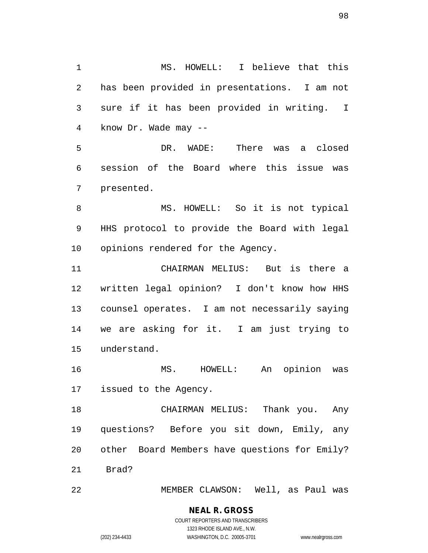MS. HOWELL: I believe that this has been provided in presentations. I am not sure if it has been provided in writing. I know Dr. Wade may -- DR. WADE: There was a closed session of the Board where this issue was presented. MS. HOWELL: So it is not typical HHS protocol to provide the Board with legal opinions rendered for the Agency. CHAIRMAN MELIUS: But is there a written legal opinion? I don't know how HHS counsel operates. I am not necessarily saying we are asking for it. I am just trying to understand. MS. HOWELL: An opinion was issued to the Agency. CHAIRMAN MELIUS: Thank you. Any questions? Before you sit down, Emily, any other Board Members have questions for Emily? Brad?

MEMBER CLAWSON: Well, as Paul was

(202) 234-4433 WASHINGTON, D.C. 20005-3701 www.nealrgross.com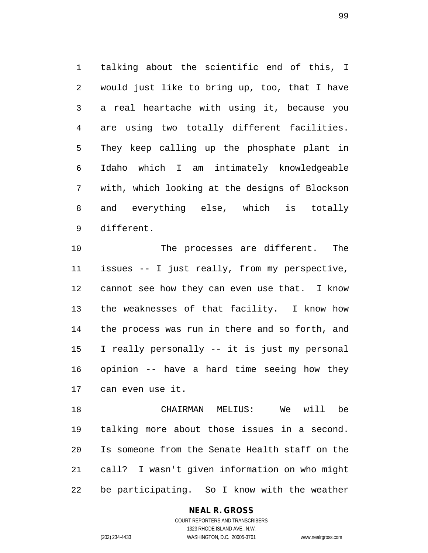talking about the scientific end of this, I would just like to bring up, too, that I have a real heartache with using it, because you are using two totally different facilities. They keep calling up the phosphate plant in Idaho which I am intimately knowledgeable with, which looking at the designs of Blockson and everything else, which is totally different.

 The processes are different. The issues -- I just really, from my perspective, cannot see how they can even use that. I know the weaknesses of that facility. I know how the process was run in there and so forth, and I really personally -- it is just my personal opinion -- have a hard time seeing how they can even use it.

 CHAIRMAN MELIUS: We will be talking more about those issues in a second. Is someone from the Senate Health staff on the call? I wasn't given information on who might be participating. So I know with the weather

### **NEAL R. GROSS**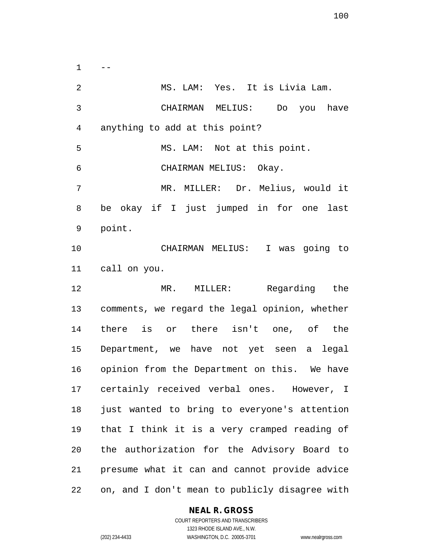$1 - -$  MS. LAM: Yes. It is Livia Lam. CHAIRMAN MELIUS: Do you have anything to add at this point? MS. LAM: Not at this point. CHAIRMAN MELIUS: Okay. MR. MILLER: Dr. Melius, would it be okay if I just jumped in for one last point. CHAIRMAN MELIUS: I was going to call on you. MR. MILLER: Regarding the comments, we regard the legal opinion, whether there is or there isn't one, of the Department, we have not yet seen a legal opinion from the Department on this. We have certainly received verbal ones. However, I just wanted to bring to everyone's attention that I think it is a very cramped reading of the authorization for the Advisory Board to presume what it can and cannot provide advice on, and I don't mean to publicly disagree with

### **NEAL R. GROSS**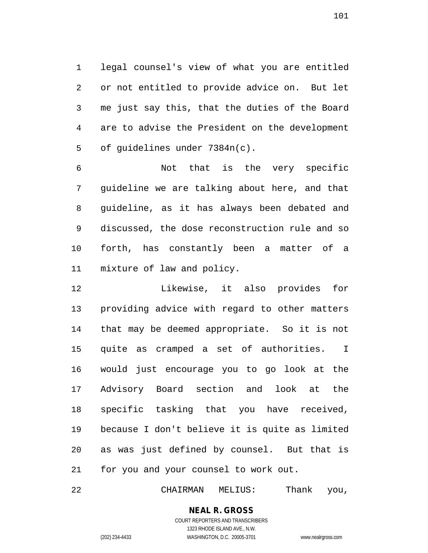legal counsel's view of what you are entitled or not entitled to provide advice on. But let me just say this, that the duties of the Board are to advise the President on the development of guidelines under 7384n(c).

 Not that is the very specific guideline we are talking about here, and that guideline, as it has always been debated and discussed, the dose reconstruction rule and so forth, has constantly been a matter of a mixture of law and policy.

 Likewise, it also provides for providing advice with regard to other matters that may be deemed appropriate. So it is not quite as cramped a set of authorities. I would just encourage you to go look at the Advisory Board section and look at the specific tasking that you have received, because I don't believe it is quite as limited as was just defined by counsel. But that is for you and your counsel to work out.

CHAIRMAN MELIUS: Thank you,

### **NEAL R. GROSS** COURT REPORTERS AND TRANSCRIBERS

1323 RHODE ISLAND AVE., N.W. (202) 234-4433 WASHINGTON, D.C. 20005-3701 www.nealrgross.com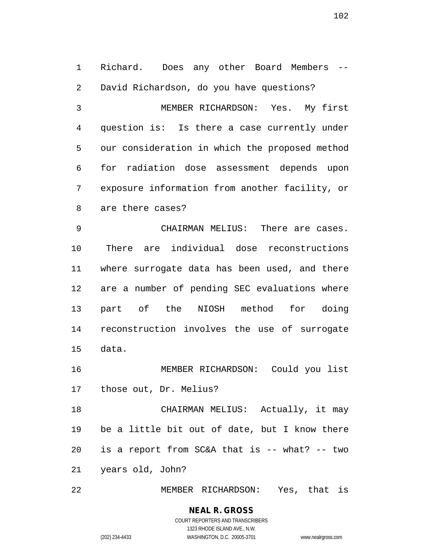Richard. Does any other Board Members -- David Richardson, do you have questions? MEMBER RICHARDSON: Yes. My first question is: Is there a case currently under our consideration in which the proposed method for radiation dose assessment depends upon exposure information from another facility, or are there cases? CHAIRMAN MELIUS: There are cases. There are individual dose reconstructions where surrogate data has been used, and there are a number of pending SEC evaluations where part of the NIOSH method for doing reconstruction involves the use of surrogate data. MEMBER RICHARDSON: Could you list those out, Dr. Melius? CHAIRMAN MELIUS: Actually, it may be a little bit out of date, but I know there is a report from SC&A that is -- what? -- two years old, John?

MEMBER RICHARDSON: Yes, that is

**NEAL R. GROSS** COURT REPORTERS AND TRANSCRIBERS 1323 RHODE ISLAND AVE., N.W. (202) 234-4433 WASHINGTON, D.C. 20005-3701 www.nealrgross.com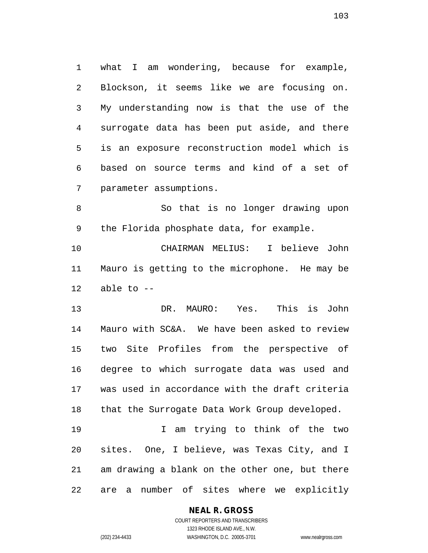what I am wondering, because for example, Blockson, it seems like we are focusing on. My understanding now is that the use of the surrogate data has been put aside, and there is an exposure reconstruction model which is based on source terms and kind of a set of parameter assumptions.

 So that is no longer drawing upon the Florida phosphate data, for example.

 CHAIRMAN MELIUS: I believe John Mauro is getting to the microphone. He may be able to  $-$ 

 DR. MAURO: Yes. This is John Mauro with SC&A. We have been asked to review two Site Profiles from the perspective of degree to which surrogate data was used and was used in accordance with the draft criteria that the Surrogate Data Work Group developed.

 I am trying to think of the two sites. One, I believe, was Texas City, and I am drawing a blank on the other one, but there are a number of sites where we explicitly

### **NEAL R. GROSS**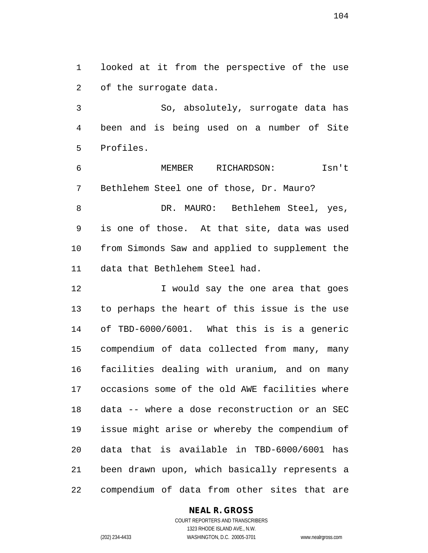looked at it from the perspective of the use of the surrogate data.

 So, absolutely, surrogate data has been and is being used on a number of Site Profiles.

 MEMBER RICHARDSON: Isn't Bethlehem Steel one of those, Dr. Mauro?

8 DR. MAURO: Bethlehem Steel, yes, is one of those. At that site, data was used from Simonds Saw and applied to supplement the data that Bethlehem Steel had.

**I** would say the one area that goes to perhaps the heart of this issue is the use of TBD-6000/6001. What this is is a generic compendium of data collected from many, many facilities dealing with uranium, and on many occasions some of the old AWE facilities where data -- where a dose reconstruction or an SEC issue might arise or whereby the compendium of data that is available in TBD-6000/6001 has been drawn upon, which basically represents a compendium of data from other sites that are

### **NEAL R. GROSS**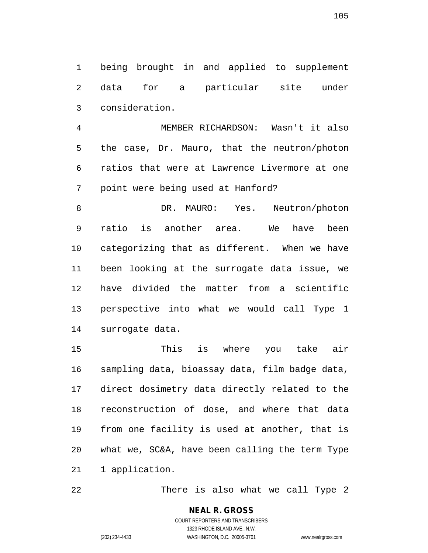being brought in and applied to supplement data for a particular site under consideration.

 MEMBER RICHARDSON: Wasn't it also the case, Dr. Mauro, that the neutron/photon ratios that were at Lawrence Livermore at one point were being used at Hanford?

8 DR. MAURO: Yes. Neutron/photon ratio is another area. We have been categorizing that as different. When we have been looking at the surrogate data issue, we have divided the matter from a scientific perspective into what we would call Type 1 surrogate data.

 This is where you take air sampling data, bioassay data, film badge data, direct dosimetry data directly related to the reconstruction of dose, and where that data from one facility is used at another, that is what we, SC&A, have been calling the term Type 1 application.

22 There is also what we call Type 2

COURT REPORTERS AND TRANSCRIBERS 1323 RHODE ISLAND AVE., N.W. (202) 234-4433 WASHINGTON, D.C. 20005-3701 www.nealrgross.com

**NEAL R. GROSS**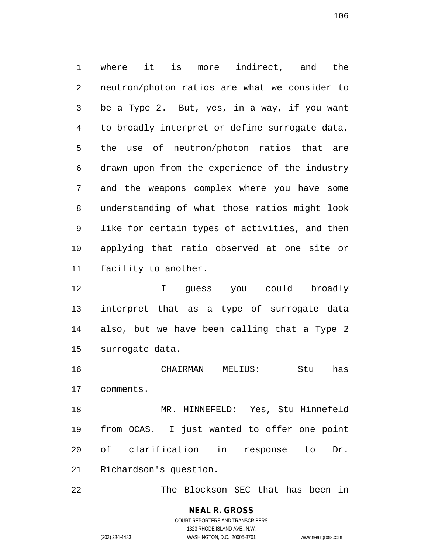where it is more indirect, and the neutron/photon ratios are what we consider to be a Type 2. But, yes, in a way, if you want to broadly interpret or define surrogate data, the use of neutron/photon ratios that are drawn upon from the experience of the industry and the weapons complex where you have some understanding of what those ratios might look like for certain types of activities, and then applying that ratio observed at one site or facility to another.

 I guess you could broadly interpret that as a type of surrogate data also, but we have been calling that a Type 2 surrogate data.

 CHAIRMAN MELIUS: Stu has comments.

 MR. HINNEFELD: Yes, Stu Hinnefeld from OCAS. I just wanted to offer one point of clarification in response to Dr. Richardson's question.

The Blockson SEC that has been in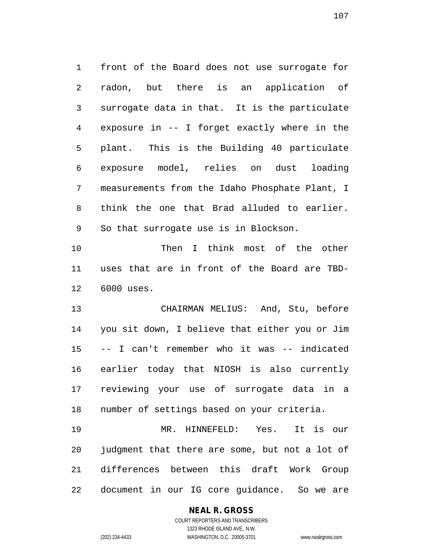front of the Board does not use surrogate for radon, but there is an application of surrogate data in that. It is the particulate exposure in -- I forget exactly where in the plant. This is the Building 40 particulate exposure model, relies on dust loading measurements from the Idaho Phosphate Plant, I think the one that Brad alluded to earlier. So that surrogate use is in Blockson.

 Then I think most of the other uses that are in front of the Board are TBD-6000 uses.

 CHAIRMAN MELIUS: And, Stu, before you sit down, I believe that either you or Jim -- I can't remember who it was -- indicated earlier today that NIOSH is also currently reviewing your use of surrogate data in a number of settings based on your criteria.

 MR. HINNEFELD: Yes. It is our judgment that there are some, but not a lot of differences between this draft Work Group document in our IG core guidance. So we are

### **NEAL R. GROSS**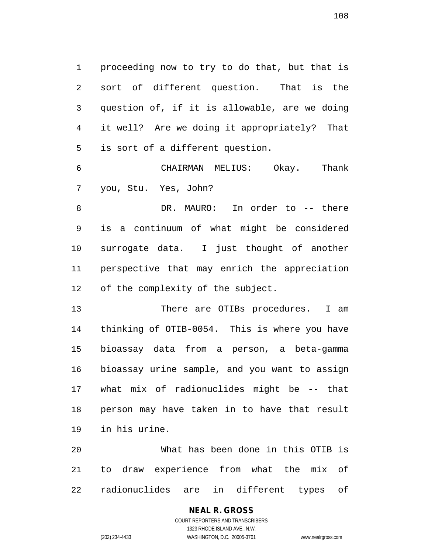proceeding now to try to do that, but that is sort of different question. That is the question of, if it is allowable, are we doing it well? Are we doing it appropriately? That is sort of a different question.

 CHAIRMAN MELIUS: Okay. Thank you, Stu. Yes, John?

 DR. MAURO: In order to -- there is a continuum of what might be considered surrogate data. I just thought of another perspective that may enrich the appreciation of the complexity of the subject.

13 There are OTIBs procedures. I am thinking of OTIB-0054. This is where you have bioassay data from a person, a beta-gamma bioassay urine sample, and you want to assign what mix of radionuclides might be -- that person may have taken in to have that result in his urine.

 What has been done in this OTIB is to draw experience from what the mix of radionuclides are in different types of

### **NEAL R. GROSS** COURT REPORTERS AND TRANSCRIBERS

1323 RHODE ISLAND AVE., N.W. (202) 234-4433 WASHINGTON, D.C. 20005-3701 www.nealrgross.com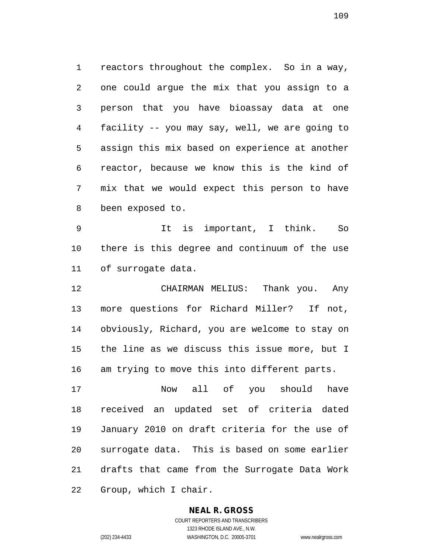reactors throughout the complex. So in a way, one could argue the mix that you assign to a person that you have bioassay data at one facility -- you may say, well, we are going to assign this mix based on experience at another reactor, because we know this is the kind of mix that we would expect this person to have been exposed to.

 It is important, I think. So there is this degree and continuum of the use of surrogate data.

 CHAIRMAN MELIUS: Thank you. Any more questions for Richard Miller? If not, obviously, Richard, you are welcome to stay on the line as we discuss this issue more, but I am trying to move this into different parts.

 Now all of you should have received an updated set of criteria dated January 2010 on draft criteria for the use of surrogate data. This is based on some earlier drafts that came from the Surrogate Data Work Group, which I chair.

#### **NEAL R. GROSS**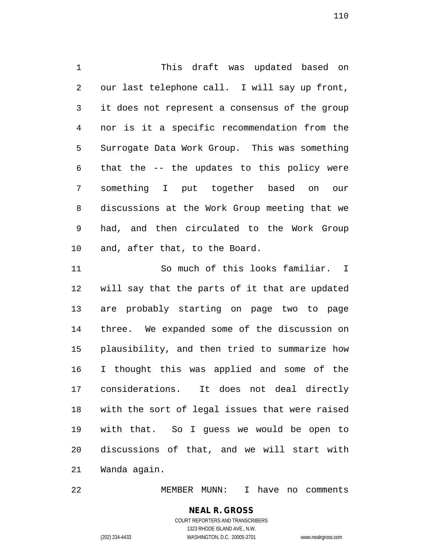This draft was updated based on our last telephone call. I will say up front, it does not represent a consensus of the group nor is it a specific recommendation from the Surrogate Data Work Group. This was something that the -- the updates to this policy were something I put together based on our discussions at the Work Group meeting that we had, and then circulated to the Work Group and, after that, to the Board.

 So much of this looks familiar. I will say that the parts of it that are updated are probably starting on page two to page three. We expanded some of the discussion on plausibility, and then tried to summarize how I thought this was applied and some of the considerations. It does not deal directly with the sort of legal issues that were raised with that. So I guess we would be open to discussions of that, and we will start with Wanda again.

MEMBER MUNN: I have no comments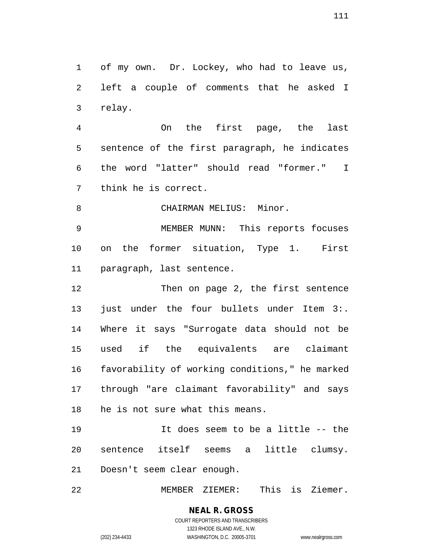of my own. Dr. Lockey, who had to leave us, left a couple of comments that he asked I relay.

 On the first page, the last sentence of the first paragraph, he indicates the word "latter" should read "former." I think he is correct.

8 CHAIRMAN MELIUS: Minor.

 MEMBER MUNN: This reports focuses on the former situation, Type 1. First paragraph, last sentence.

12 Then on page 2, the first sentence 13 just under the four bullets under Item 3:. Where it says "Surrogate data should not be used if the equivalents are claimant favorability of working conditions," he marked through "are claimant favorability" and says he is not sure what this means.

 It does seem to be a little -- the sentence itself seems a little clumsy. Doesn't seem clear enough.

MEMBER ZIEMER: This is Ziemer.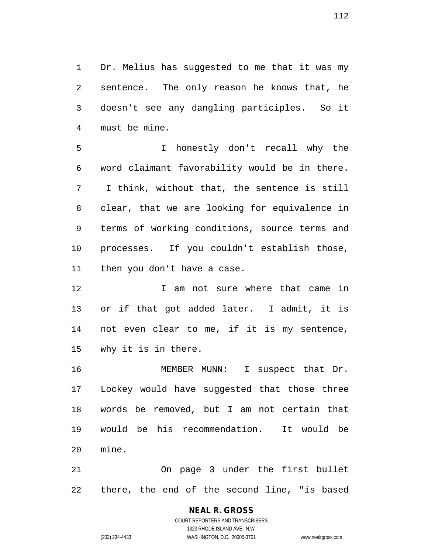Dr. Melius has suggested to me that it was my sentence. The only reason he knows that, he doesn't see any dangling participles. So it must be mine.

 I honestly don't recall why the word claimant favorability would be in there. I think, without that, the sentence is still clear, that we are looking for equivalence in terms of working conditions, source terms and processes. If you couldn't establish those, then you don't have a case.

12 12 I am not sure where that came in or if that got added later. I admit, it is not even clear to me, if it is my sentence, why it is in there.

 MEMBER MUNN: I suspect that Dr. Lockey would have suggested that those three words be removed, but I am not certain that would be his recommendation. It would be mine.

 On page 3 under the first bullet there, the end of the second line, "is based

#### **NEAL R. GROSS** COURT REPORTERS AND TRANSCRIBERS 1323 RHODE ISLAND AVE., N.W.

(202) 234-4433 WASHINGTON, D.C. 20005-3701 www.nealrgross.com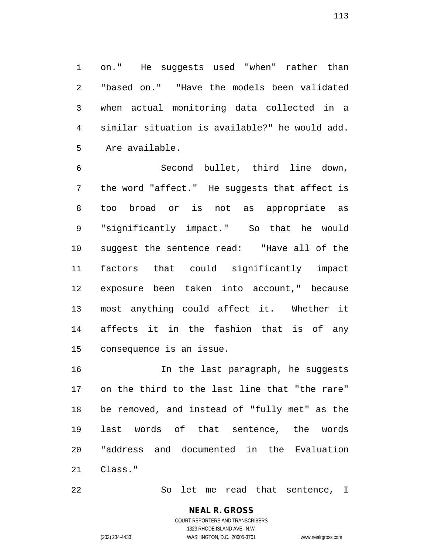on." He suggests used "when" rather than "based on." "Have the models been validated when actual monitoring data collected in a similar situation is available?" he would add. Are available.

 Second bullet, third line down, the word "affect." He suggests that affect is too broad or is not as appropriate as "significantly impact." So that he would suggest the sentence read: "Have all of the factors that could significantly impact exposure been taken into account," because most anything could affect it. Whether it affects it in the fashion that is of any consequence is an issue.

 In the last paragraph, he suggests on the third to the last line that "the rare" be removed, and instead of "fully met" as the last words of that sentence, the words "address and documented in the Evaluation Class."

So let me read that sentence, I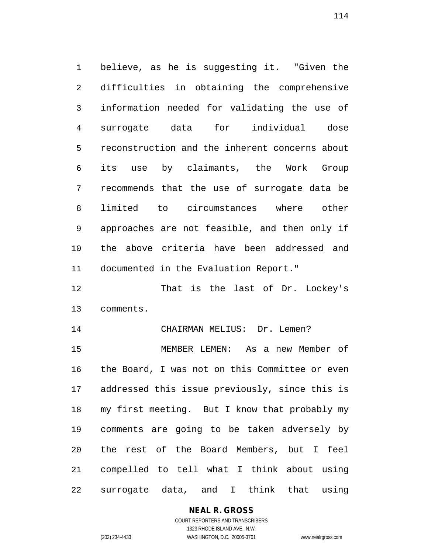believe, as he is suggesting it. "Given the difficulties in obtaining the comprehensive information needed for validating the use of surrogate data for individual dose reconstruction and the inherent concerns about its use by claimants, the Work Group recommends that the use of surrogate data be limited to circumstances where other approaches are not feasible, and then only if the above criteria have been addressed and documented in the Evaluation Report."

 That is the last of Dr. Lockey's comments.

14 CHAIRMAN MELIUS: Dr. Lemen?

 MEMBER LEMEN: As a new Member of the Board, I was not on this Committee or even addressed this issue previously, since this is my first meeting. But I know that probably my comments are going to be taken adversely by the rest of the Board Members, but I feel compelled to tell what I think about using surrogate data, and I think that using

# **NEAL R. GROSS**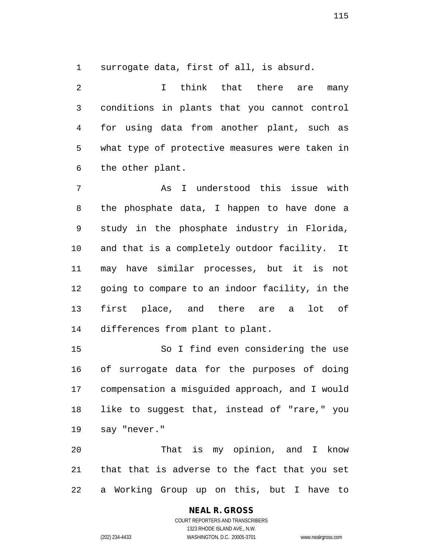surrogate data, first of all, is absurd.

2 1 I think that there are many conditions in plants that you cannot control for using data from another plant, such as what type of protective measures were taken in the other plant.

 As I understood this issue with the phosphate data, I happen to have done a study in the phosphate industry in Florida, and that is a completely outdoor facility. It may have similar processes, but it is not going to compare to an indoor facility, in the first place, and there are a lot of differences from plant to plant.

 So I find even considering the use of surrogate data for the purposes of doing compensation a misguided approach, and I would like to suggest that, instead of "rare," you say "never."

 That is my opinion, and I know that that is adverse to the fact that you set a Working Group up on this, but I have to

# **NEAL R. GROSS**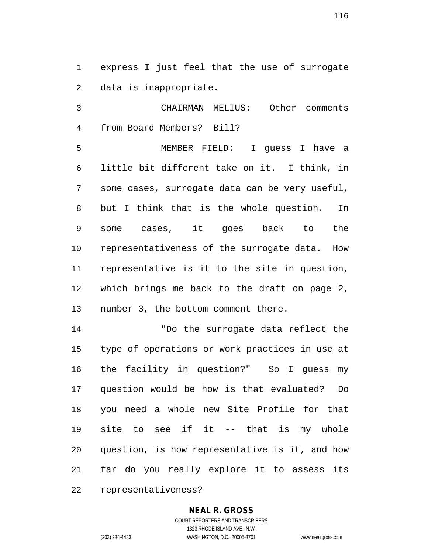express I just feel that the use of surrogate data is inappropriate.

 CHAIRMAN MELIUS: Other comments from Board Members? Bill?

 MEMBER FIELD: I guess I have a little bit different take on it. I think, in some cases, surrogate data can be very useful, but I think that is the whole question. In some cases, it goes back to the representativeness of the surrogate data. How representative is it to the site in question, which brings me back to the draft on page 2, number 3, the bottom comment there.

 "Do the surrogate data reflect the type of operations or work practices in use at the facility in question?" So I guess my question would be how is that evaluated? Do you need a whole new Site Profile for that site to see if it -- that is my whole question, is how representative is it, and how far do you really explore it to assess its representativeness?

#### **NEAL R. GROSS**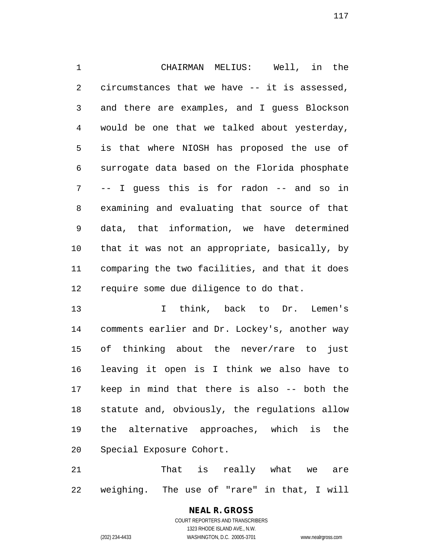CHAIRMAN MELIUS: Well, in the circumstances that we have -- it is assessed, and there are examples, and I guess Blockson would be one that we talked about yesterday, is that where NIOSH has proposed the use of surrogate data based on the Florida phosphate -- I guess this is for radon -- and so in examining and evaluating that source of that data, that information, we have determined that it was not an appropriate, basically, by comparing the two facilities, and that it does require some due diligence to do that.

 I think, back to Dr. Lemen's comments earlier and Dr. Lockey's, another way of thinking about the never/rare to just leaving it open is I think we also have to keep in mind that there is also -- both the statute and, obviously, the regulations allow the alternative approaches, which is the Special Exposure Cohort.

 That is really what we are weighing. The use of "rare" in that, I will

> **NEAL R. GROSS** COURT REPORTERS AND TRANSCRIBERS

> > 1323 RHODE ISLAND AVE., N.W.

(202) 234-4433 WASHINGTON, D.C. 20005-3701 www.nealrgross.com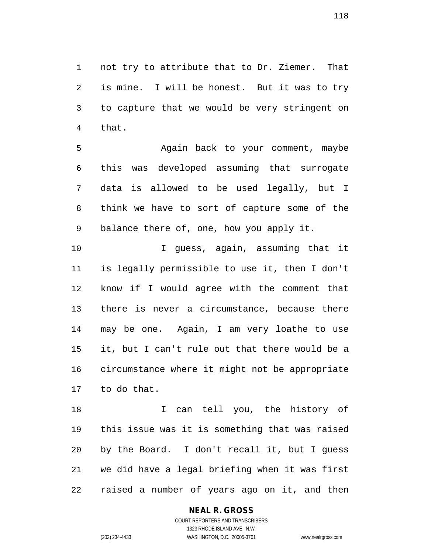not try to attribute that to Dr. Ziemer. That is mine. I will be honest. But it was to try to capture that we would be very stringent on that.

 Again back to your comment, maybe this was developed assuming that surrogate data is allowed to be used legally, but I think we have to sort of capture some of the balance there of, one, how you apply it.

 I guess, again, assuming that it is legally permissible to use it, then I don't know if I would agree with the comment that there is never a circumstance, because there may be one. Again, I am very loathe to use it, but I can't rule out that there would be a circumstance where it might not be appropriate to do that.

18 I can tell you, the history of this issue was it is something that was raised by the Board. I don't recall it, but I guess we did have a legal briefing when it was first raised a number of years ago on it, and then

#### **NEAL R. GROSS**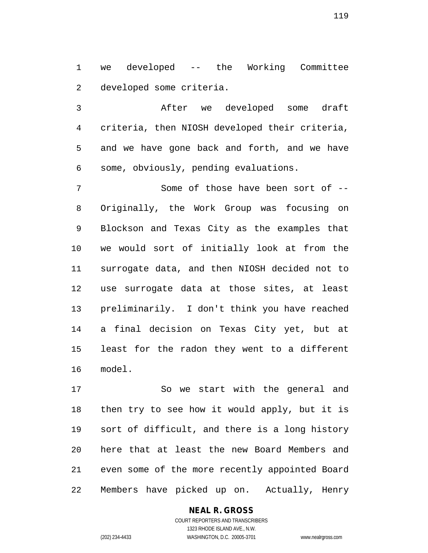we developed -- the Working Committee developed some criteria.

 After we developed some draft criteria, then NIOSH developed their criteria, and we have gone back and forth, and we have some, obviously, pending evaluations.

7 Some of those have been sort of -- Originally, the Work Group was focusing on Blockson and Texas City as the examples that we would sort of initially look at from the surrogate data, and then NIOSH decided not to use surrogate data at those sites, at least preliminarily. I don't think you have reached a final decision on Texas City yet, but at least for the radon they went to a different model.

 So we start with the general and then try to see how it would apply, but it is sort of difficult, and there is a long history here that at least the new Board Members and even some of the more recently appointed Board Members have picked up on. Actually, Henry

#### COURT REPORTERS AND TRANSCRIBERS 1323 RHODE ISLAND AVE., N.W. (202) 234-4433 WASHINGTON, D.C. 20005-3701 www.nealrgross.com

**NEAL R. GROSS**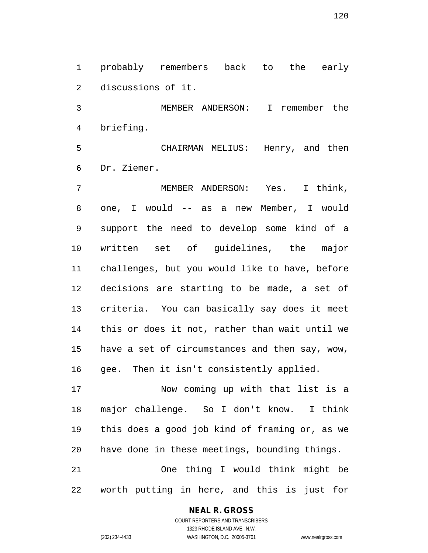probably remembers back to the early discussions of it.

 MEMBER ANDERSON: I remember the briefing.

 CHAIRMAN MELIUS: Henry, and then Dr. Ziemer.

 MEMBER ANDERSON: Yes. I think, one, I would -- as a new Member, I would support the need to develop some kind of a written set of guidelines, the major challenges, but you would like to have, before decisions are starting to be made, a set of criteria. You can basically say does it meet this or does it not, rather than wait until we have a set of circumstances and then say, wow, gee. Then it isn't consistently applied.

 Now coming up with that list is a major challenge. So I don't know. I think this does a good job kind of framing or, as we have done in these meetings, bounding things. One thing I would think might be worth putting in here, and this is just for

#### **NEAL R. GROSS**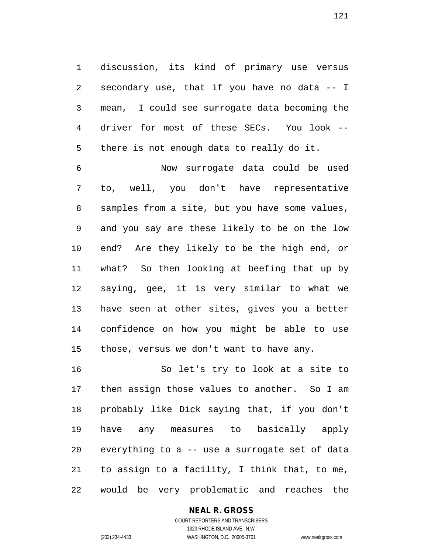discussion, its kind of primary use versus secondary use, that if you have no data -- I mean, I could see surrogate data becoming the driver for most of these SECs. You look -- there is not enough data to really do it.

 Now surrogate data could be used to, well, you don't have representative samples from a site, but you have some values, and you say are these likely to be on the low end? Are they likely to be the high end, or what? So then looking at beefing that up by saying, gee, it is very similar to what we have seen at other sites, gives you a better confidence on how you might be able to use those, versus we don't want to have any.

 So let's try to look at a site to then assign those values to another. So I am probably like Dick saying that, if you don't have any measures to basically apply everything to a -- use a surrogate set of data to assign to a facility, I think that, to me, would be very problematic and reaches the

#### **NEAL R. GROSS**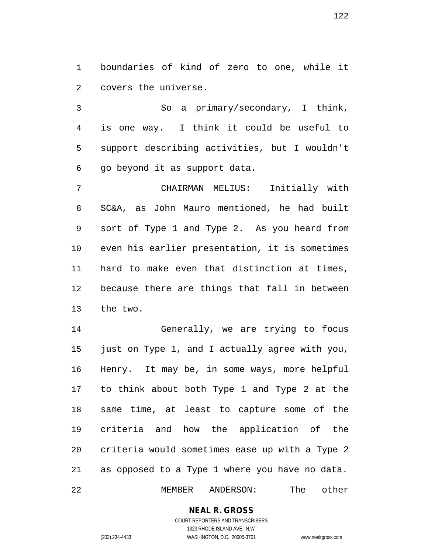boundaries of kind of zero to one, while it covers the universe.

 So a primary/secondary, I think, is one way. I think it could be useful to support describing activities, but I wouldn't go beyond it as support data.

 CHAIRMAN MELIUS: Initially with SC&A, as John Mauro mentioned, he had built sort of Type 1 and Type 2. As you heard from even his earlier presentation, it is sometimes hard to make even that distinction at times, because there are things that fall in between the two.

 Generally, we are trying to focus just on Type 1, and I actually agree with you, Henry. It may be, in some ways, more helpful to think about both Type 1 and Type 2 at the same time, at least to capture some of the criteria and how the application of the criteria would sometimes ease up with a Type 2 as opposed to a Type 1 where you have no data. MEMBER ANDERSON: The other

> **NEAL R. GROSS** COURT REPORTERS AND TRANSCRIBERS

1323 RHODE ISLAND AVE., N.W. (202) 234-4433 WASHINGTON, D.C. 20005-3701 www.nealrgross.com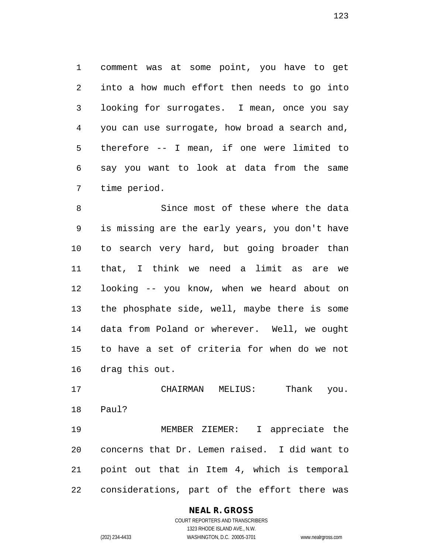comment was at some point, you have to get into a how much effort then needs to go into looking for surrogates. I mean, once you say you can use surrogate, how broad a search and, therefore -- I mean, if one were limited to say you want to look at data from the same time period.

 Since most of these where the data is missing are the early years, you don't have to search very hard, but going broader than that, I think we need a limit as are we looking -- you know, when we heard about on the phosphate side, well, maybe there is some data from Poland or wherever. Well, we ought to have a set of criteria for when do we not drag this out.

 CHAIRMAN MELIUS: Thank you. Paul?

 MEMBER ZIEMER: I appreciate the concerns that Dr. Lemen raised. I did want to point out that in Item 4, which is temporal considerations, part of the effort there was

# **NEAL R. GROSS**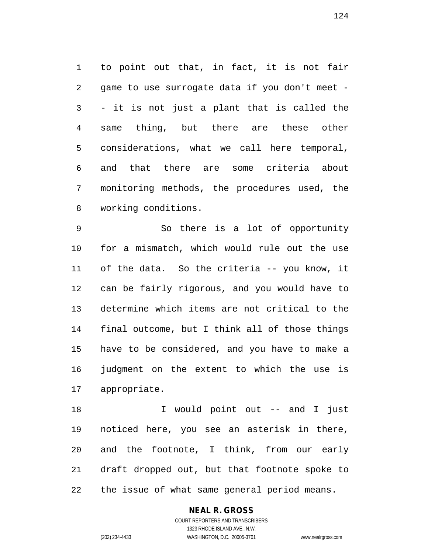to point out that, in fact, it is not fair game to use surrogate data if you don't meet - - it is not just a plant that is called the same thing, but there are these other considerations, what we call here temporal, and that there are some criteria about monitoring methods, the procedures used, the working conditions.

 So there is a lot of opportunity for a mismatch, which would rule out the use of the data. So the criteria -- you know, it can be fairly rigorous, and you would have to determine which items are not critical to the final outcome, but I think all of those things have to be considered, and you have to make a judgment on the extent to which the use is appropriate.

 I would point out -- and I just noticed here, you see an asterisk in there, and the footnote, I think, from our early draft dropped out, but that footnote spoke to the issue of what same general period means.

#### **NEAL R. GROSS** COURT REPORTERS AND TRANSCRIBERS

1323 RHODE ISLAND AVE., N.W. (202) 234-4433 WASHINGTON, D.C. 20005-3701 www.nealrgross.com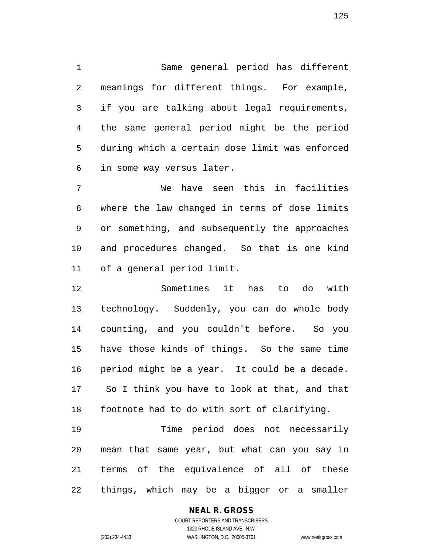Same general period has different meanings for different things. For example, if you are talking about legal requirements, the same general period might be the period during which a certain dose limit was enforced in some way versus later.

 We have seen this in facilities where the law changed in terms of dose limits or something, and subsequently the approaches and procedures changed. So that is one kind of a general period limit.

 Sometimes it has to do with technology. Suddenly, you can do whole body counting, and you couldn't before. So you have those kinds of things. So the same time period might be a year. It could be a decade. So I think you have to look at that, and that footnote had to do with sort of clarifying.

 Time period does not necessarily mean that same year, but what can you say in terms of the equivalence of all of these things, which may be a bigger or a smaller

#### **NEAL R. GROSS**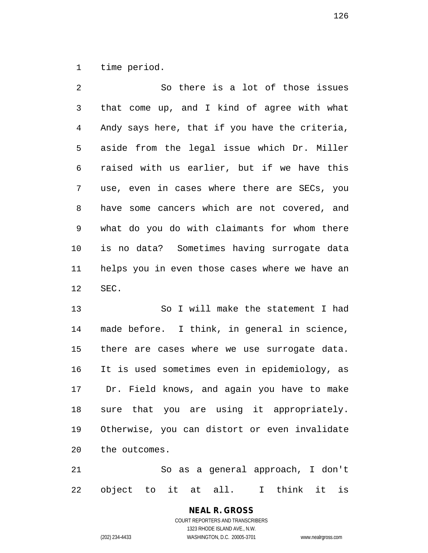time period.

| $\overline{2}$  | So there is a lot of those issues              |
|-----------------|------------------------------------------------|
| 3               | that come up, and I kind of agree with what    |
| $\overline{4}$  | Andy says here, that if you have the criteria, |
| 5               | aside from the legal issue which Dr. Miller    |
| 6               | raised with us earlier, but if we have this    |
| 7               | use, even in cases where there are SECs, you   |
| 8               | have some cancers which are not covered, and   |
| 9               | what do you do with claimants for whom there   |
| 10              | is no data? Sometimes having surrogate data    |
| 11              | helps you in even those cases where we have an |
| 12 <sup>°</sup> | SEC.                                           |

 So I will make the statement I had made before. I think, in general in science, there are cases where we use surrogate data. It is used sometimes even in epidemiology, as Dr. Field knows, and again you have to make sure that you are using it appropriately. Otherwise, you can distort or even invalidate the outcomes.

 So as a general approach, I don't object to it at all. I think it is

# **NEAL R. GROSS**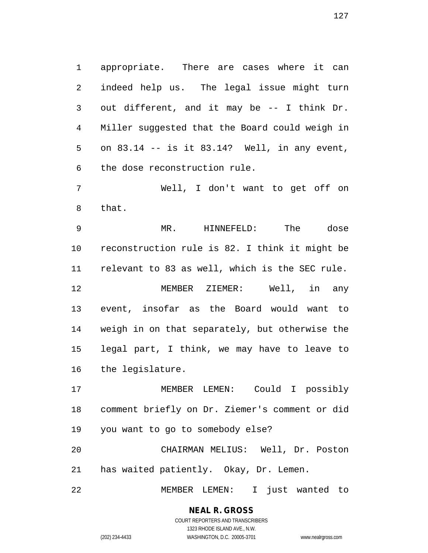appropriate. There are cases where it can indeed help us. The legal issue might turn out different, and it may be -- I think Dr. Miller suggested that the Board could weigh in on 83.14 -- is it 83.14? Well, in any event, the dose reconstruction rule.

 Well, I don't want to get off on that.

 MR. HINNEFELD: The dose reconstruction rule is 82. I think it might be relevant to 83 as well, which is the SEC rule. MEMBER ZIEMER: Well, in any event, insofar as the Board would want to weigh in on that separately, but otherwise the legal part, I think, we may have to leave to the legislature.

 MEMBER LEMEN: Could I possibly comment briefly on Dr. Ziemer's comment or did you want to go to somebody else?

 CHAIRMAN MELIUS: Well, Dr. Poston has waited patiently. Okay, Dr. Lemen.

MEMBER LEMEN: I just wanted to

# **NEAL R. GROSS**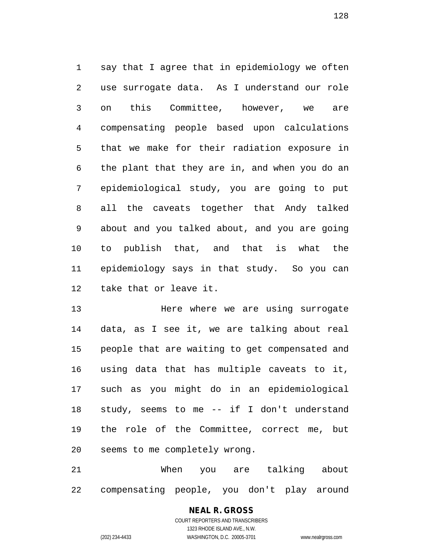say that I agree that in epidemiology we often use surrogate data. As I understand our role on this Committee, however, we are compensating people based upon calculations that we make for their radiation exposure in the plant that they are in, and when you do an epidemiological study, you are going to put all the caveats together that Andy talked about and you talked about, and you are going to publish that, and that is what the epidemiology says in that study. So you can take that or leave it.

 Here where we are using surrogate data, as I see it, we are talking about real people that are waiting to get compensated and using data that has multiple caveats to it, such as you might do in an epidemiological study, seems to me -- if I don't understand the role of the Committee, correct me, but seems to me completely wrong.

 When you are talking about compensating people, you don't play around

# **NEAL R. GROSS** COURT REPORTERS AND TRANSCRIBERS 1323 RHODE ISLAND AVE., N.W.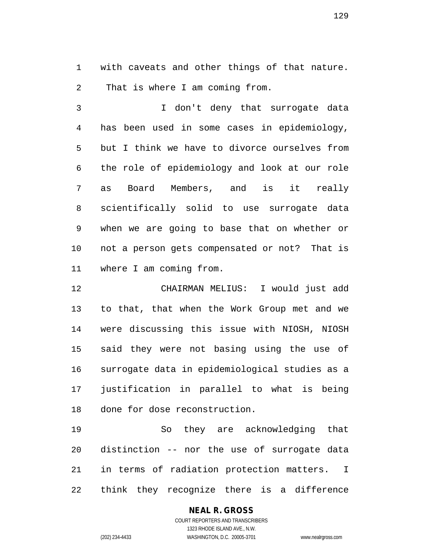with caveats and other things of that nature. That is where I am coming from.

 I don't deny that surrogate data has been used in some cases in epidemiology, but I think we have to divorce ourselves from the role of epidemiology and look at our role as Board Members, and is it really scientifically solid to use surrogate data when we are going to base that on whether or not a person gets compensated or not? That is where I am coming from.

 CHAIRMAN MELIUS: I would just add to that, that when the Work Group met and we were discussing this issue with NIOSH, NIOSH said they were not basing using the use of surrogate data in epidemiological studies as a justification in parallel to what is being done for dose reconstruction.

 So they are acknowledging that distinction -- nor the use of surrogate data in terms of radiation protection matters. I think they recognize there is a difference

#### **NEAL R. GROSS**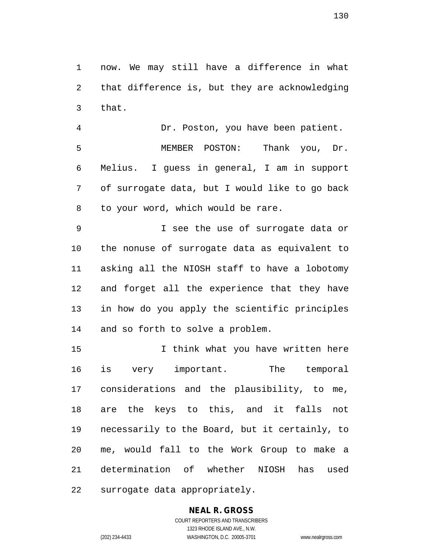now. We may still have a difference in what that difference is, but they are acknowledging that.

 Dr. Poston, you have been patient. MEMBER POSTON: Thank you, Dr. Melius. I guess in general, I am in support of surrogate data, but I would like to go back to your word, which would be rare.

 I see the use of surrogate data or the nonuse of surrogate data as equivalent to asking all the NIOSH staff to have a lobotomy and forget all the experience that they have in how do you apply the scientific principles and so forth to solve a problem.

 I think what you have written here is very important. The temporal considerations and the plausibility, to me, are the keys to this, and it falls not necessarily to the Board, but it certainly, to me, would fall to the Work Group to make a determination of whether NIOSH has used surrogate data appropriately.

# **NEAL R. GROSS**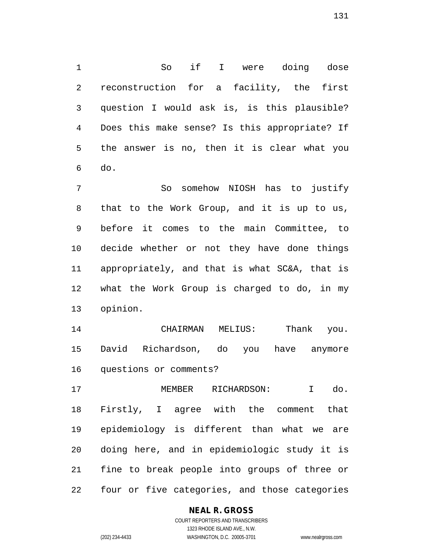So if I were doing dose reconstruction for a facility, the first question I would ask is, is this plausible? Does this make sense? Is this appropriate? If the answer is no, then it is clear what you do.

 So somehow NIOSH has to justify that to the Work Group, and it is up to us, before it comes to the main Committee, to decide whether or not they have done things appropriately, and that is what SC&A, that is what the Work Group is charged to do, in my opinion.

 CHAIRMAN MELIUS: Thank you. David Richardson, do you have anymore questions or comments?

 MEMBER RICHARDSON: I do. Firstly, I agree with the comment that epidemiology is different than what we are doing here, and in epidemiologic study it is fine to break people into groups of three or four or five categories, and those categories

#### **NEAL R. GROSS** COURT REPORTERS AND TRANSCRIBERS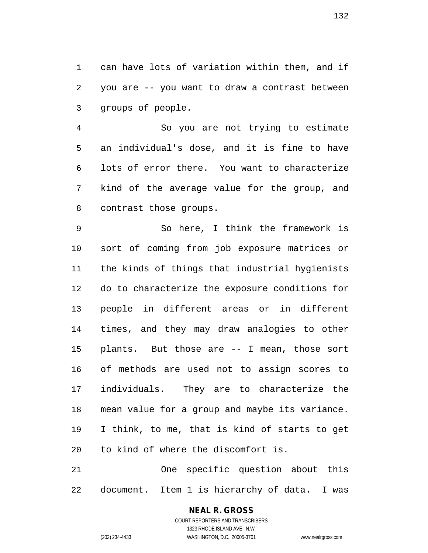can have lots of variation within them, and if you are -- you want to draw a contrast between groups of people.

 So you are not trying to estimate an individual's dose, and it is fine to have lots of error there. You want to characterize kind of the average value for the group, and contrast those groups.

 So here, I think the framework is sort of coming from job exposure matrices or the kinds of things that industrial hygienists do to characterize the exposure conditions for people in different areas or in different times, and they may draw analogies to other plants. But those are -- I mean, those sort of methods are used not to assign scores to individuals. They are to characterize the mean value for a group and maybe its variance. I think, to me, that is kind of starts to get to kind of where the discomfort is.

 One specific question about this document. Item 1 is hierarchy of data. I was

# **NEAL R. GROSS**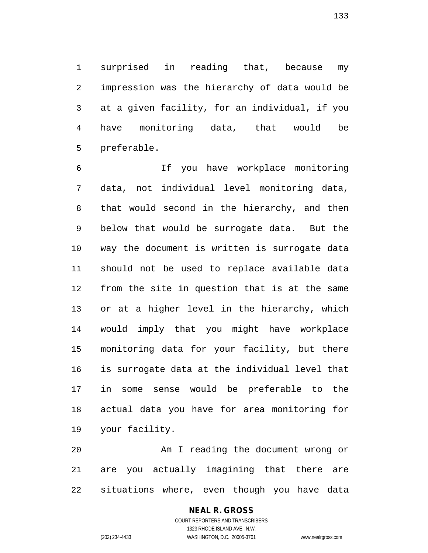surprised in reading that, because my impression was the hierarchy of data would be at a given facility, for an individual, if you have monitoring data, that would be preferable.

 If you have workplace monitoring data, not individual level monitoring data, that would second in the hierarchy, and then below that would be surrogate data. But the way the document is written is surrogate data should not be used to replace available data from the site in question that is at the same or at a higher level in the hierarchy, which would imply that you might have workplace monitoring data for your facility, but there is surrogate data at the individual level that in some sense would be preferable to the actual data you have for area monitoring for your facility.

 Am I reading the document wrong or are you actually imagining that there are situations where, even though you have data

### COURT REPORTERS AND TRANSCRIBERS 1323 RHODE ISLAND AVE., N.W. (202) 234-4433 WASHINGTON, D.C. 20005-3701 www.nealrgross.com

**NEAL R. GROSS**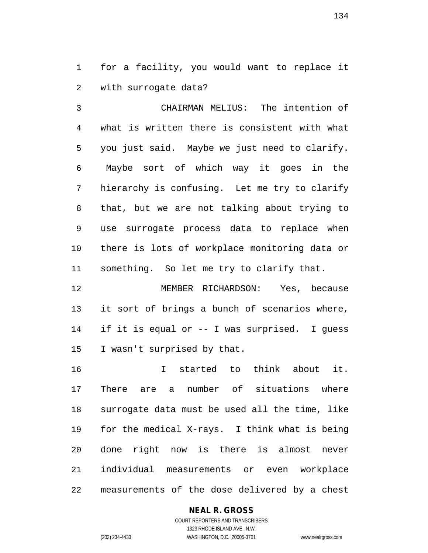for a facility, you would want to replace it with surrogate data?

 CHAIRMAN MELIUS: The intention of what is written there is consistent with what you just said. Maybe we just need to clarify. Maybe sort of which way it goes in the hierarchy is confusing. Let me try to clarify that, but we are not talking about trying to use surrogate process data to replace when there is lots of workplace monitoring data or something. So let me try to clarify that.

 MEMBER RICHARDSON: Yes, because it sort of brings a bunch of scenarios where, if it is equal or -- I was surprised. I guess I wasn't surprised by that.

 I started to think about it. There are a number of situations where surrogate data must be used all the time, like for the medical X-rays. I think what is being done right now is there is almost never individual measurements or even workplace measurements of the dose delivered by a chest

#### **NEAL R. GROSS**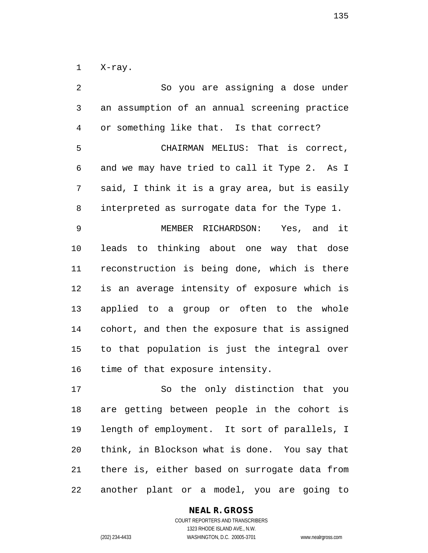X-ray.

 So you are assigning a dose under an assumption of an annual screening practice or something like that. Is that correct? CHAIRMAN MELIUS: That is correct, and we may have tried to call it Type 2. As I said, I think it is a gray area, but is easily interpreted as surrogate data for the Type 1. MEMBER RICHARDSON: Yes, and it leads to thinking about one way that dose reconstruction is being done, which is there is an average intensity of exposure which is applied to a group or often to the whole cohort, and then the exposure that is assigned to that population is just the integral over time of that exposure intensity. So the only distinction that you are getting between people in the cohort is length of employment. It sort of parallels, I think, in Blockson what is done. You say that

another plant or a model, you are going to

there is, either based on surrogate data from

#### **NEAL R. GROSS**

COURT REPORTERS AND TRANSCRIBERS 1323 RHODE ISLAND AVE., N.W. (202) 234-4433 WASHINGTON, D.C. 20005-3701 www.nealrgross.com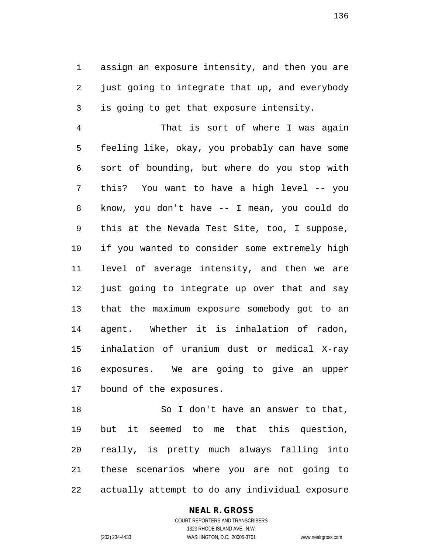assign an exposure intensity, and then you are just going to integrate that up, and everybody is going to get that exposure intensity.

 That is sort of where I was again feeling like, okay, you probably can have some sort of bounding, but where do you stop with this? You want to have a high level -- you know, you don't have -- I mean, you could do this at the Nevada Test Site, too, I suppose, if you wanted to consider some extremely high level of average intensity, and then we are 12 just going to integrate up over that and say that the maximum exposure somebody got to an agent. Whether it is inhalation of radon, inhalation of uranium dust or medical X-ray exposures. We are going to give an upper bound of the exposures.

 So I don't have an answer to that, but it seemed to me that this question, really, is pretty much always falling into these scenarios where you are not going to actually attempt to do any individual exposure

#### **NEAL R. GROSS**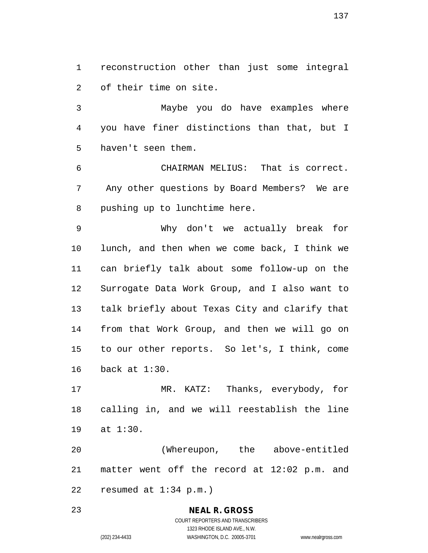reconstruction other than just some integral of their time on site.

 Maybe you do have examples where you have finer distinctions than that, but I haven't seen them.

 CHAIRMAN MELIUS: That is correct. Any other questions by Board Members? We are pushing up to lunchtime here.

 Why don't we actually break for lunch, and then when we come back, I think we can briefly talk about some follow-up on the Surrogate Data Work Group, and I also want to talk briefly about Texas City and clarify that from that Work Group, and then we will go on to our other reports. So let's, I think, come back at 1:30.

 MR. KATZ: Thanks, everybody, for calling in, and we will reestablish the line at 1:30.

 (Whereupon, the above-entitled matter went off the record at 12:02 p.m. and resumed at 1:34 p.m.)

> **NEAL R. GROSS** COURT REPORTERS AND TRANSCRIBERS 1323 RHODE ISLAND AVE., N.W. (202) 234-4433 WASHINGTON, D.C. 20005-3701 www.nealrgross.com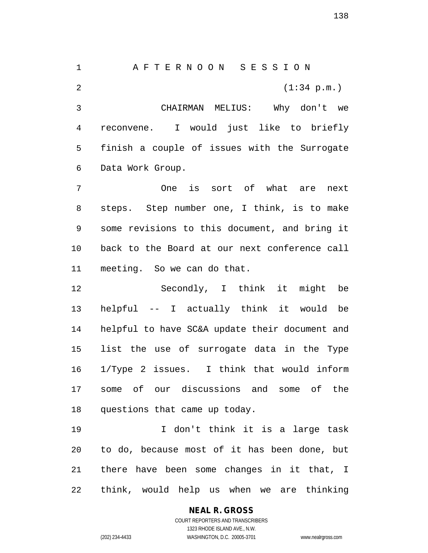A F T E R N O O N S E S S I O N 2 (1:34 p.m.) CHAIRMAN MELIUS: Why don't we reconvene. I would just like to briefly finish a couple of issues with the Surrogate Data Work Group. One is sort of what are next steps. Step number one, I think, is to make some revisions to this document, and bring it back to the Board at our next conference call meeting. So we can do that. Secondly, I think it might be helpful -- I actually think it would be helpful to have SC&A update their document and list the use of surrogate data in the Type 1/Type 2 issues. I think that would inform some of our discussions and some of the questions that came up today. I don't think it is a large task to do, because most of it has been done, but there have been some changes in it that, I

think, would help us when we are thinking

#### **NEAL R. GROSS**

COURT REPORTERS AND TRANSCRIBERS 1323 RHODE ISLAND AVE., N.W. (202) 234-4433 WASHINGTON, D.C. 20005-3701 www.nealrgross.com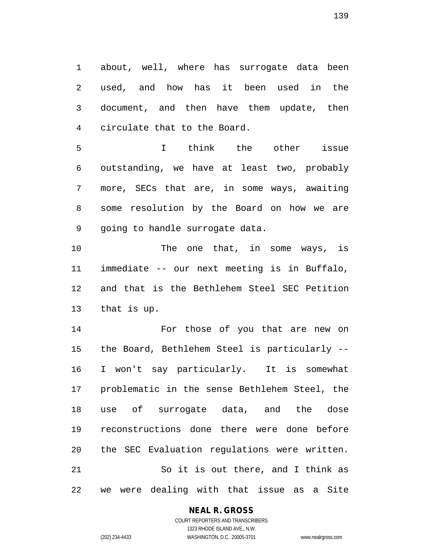about, well, where has surrogate data been used, and how has it been used in the document, and then have them update, then circulate that to the Board.

 I think the other issue outstanding, we have at least two, probably more, SECs that are, in some ways, awaiting some resolution by the Board on how we are going to handle surrogate data.

10 The one that, in some ways, is immediate -- our next meeting is in Buffalo, and that is the Bethlehem Steel SEC Petition that is up.

 For those of you that are new on the Board, Bethlehem Steel is particularly -- I won't say particularly. It is somewhat problematic in the sense Bethlehem Steel, the use of surrogate data, and the dose reconstructions done there were done before the SEC Evaluation regulations were written. So it is out there, and I think as we were dealing with that issue as a Site

#### **NEAL R. GROSS**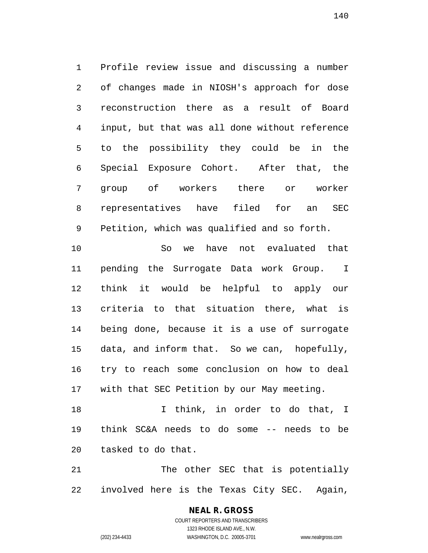Profile review issue and discussing a number of changes made in NIOSH's approach for dose reconstruction there as a result of Board input, but that was all done without reference to the possibility they could be in the Special Exposure Cohort. After that, the group of workers there or worker representatives have filed for an SEC Petition, which was qualified and so forth. So we have not evaluated that pending the Surrogate Data work Group. I think it would be helpful to apply our criteria to that situation there, what is being done, because it is a use of surrogate

 try to reach some conclusion on how to deal with that SEC Petition by our May meeting.

data, and inform that. So we can, hopefully,

18 18 I think, in order to do that, I think SC&A needs to do some -- needs to be tasked to do that.

 The other SEC that is potentially involved here is the Texas City SEC. Again,

#### **NEAL R. GROSS** COURT REPORTERS AND TRANSCRIBERS 1323 RHODE ISLAND AVE., N.W.

(202) 234-4433 WASHINGTON, D.C. 20005-3701 www.nealrgross.com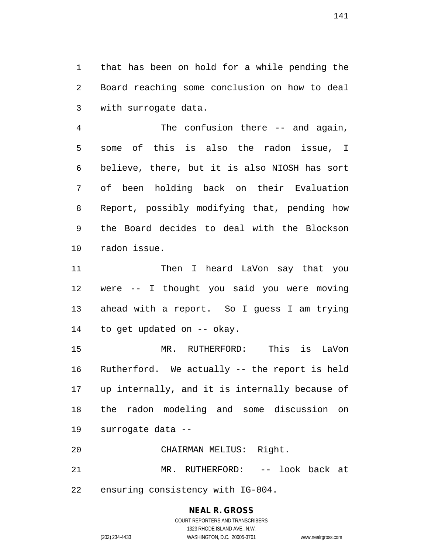that has been on hold for a while pending the Board reaching some conclusion on how to deal with surrogate data.

 The confusion there -- and again, some of this is also the radon issue, I believe, there, but it is also NIOSH has sort of been holding back on their Evaluation Report, possibly modifying that, pending how the Board decides to deal with the Blockson radon issue.

11 Then I heard LaVon say that you were -- I thought you said you were moving ahead with a report. So I guess I am trying to get updated on -- okay.

 MR. RUTHERFORD: This is LaVon Rutherford. We actually -- the report is held up internally, and it is internally because of the radon modeling and some discussion on surrogate data --

CHAIRMAN MELIUS: Right.

MR. RUTHERFORD: -- look back at

ensuring consistency with IG-004.

# **NEAL R. GROSS**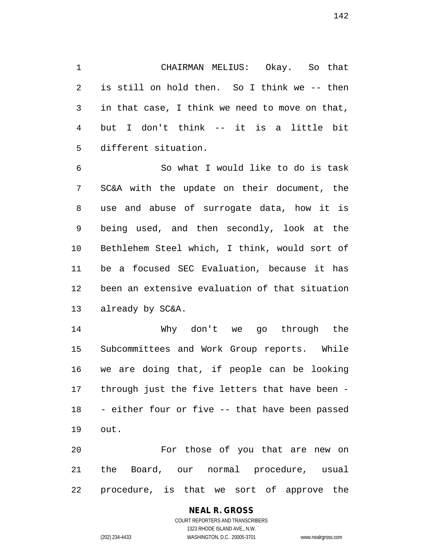CHAIRMAN MELIUS: Okay. So that is still on hold then. So I think we -- then in that case, I think we need to move on that, but I don't think -- it is a little bit different situation.

 So what I would like to do is task SC&A with the update on their document, the use and abuse of surrogate data, how it is being used, and then secondly, look at the Bethlehem Steel which, I think, would sort of be a focused SEC Evaluation, because it has been an extensive evaluation of that situation already by SC&A.

 Why don't we go through the Subcommittees and Work Group reports. While we are doing that, if people can be looking through just the five letters that have been - - either four or five -- that have been passed out.

 For those of you that are new on the Board, our normal procedure, usual procedure, is that we sort of approve the

# **NEAL R. GROSS**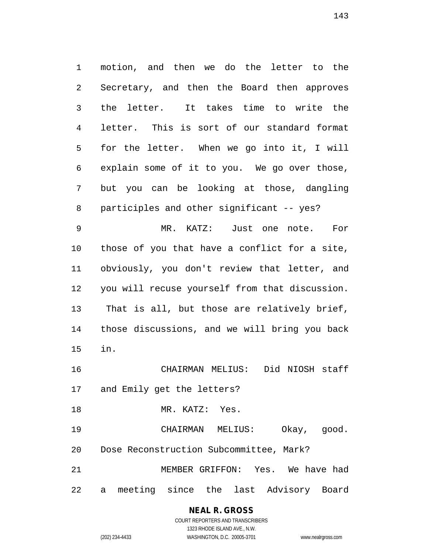motion, and then we do the letter to the Secretary, and then the Board then approves the letter. It takes time to write the letter. This is sort of our standard format for the letter. When we go into it, I will explain some of it to you. We go over those, but you can be looking at those, dangling 8 participles and other significant -- yes? MR. KATZ: Just one note. For those of you that have a conflict for a site, obviously, you don't review that letter, and you will recuse yourself from that discussion. That is all, but those are relatively brief, those discussions, and we will bring you back in. CHAIRMAN MELIUS: Did NIOSH staff and Emily get the letters? MR. KATZ: Yes.

 CHAIRMAN MELIUS: Okay, good. Dose Reconstruction Subcommittee, Mark? MEMBER GRIFFON: Yes. We have had a meeting since the last Advisory Board

> **NEAL R. GROSS** COURT REPORTERS AND TRANSCRIBERS 1323 RHODE ISLAND AVE., N.W. (202) 234-4433 WASHINGTON, D.C. 20005-3701 www.nealrgross.com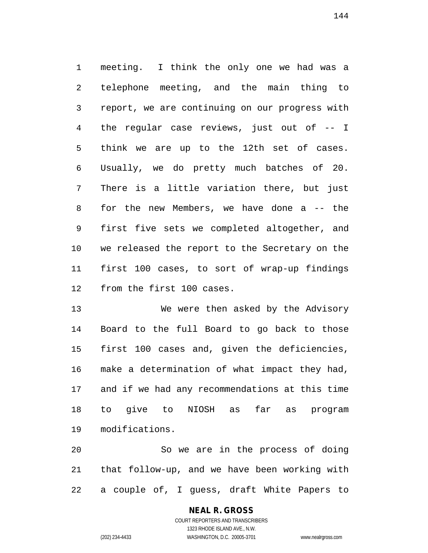meeting. I think the only one we had was a telephone meeting, and the main thing to report, we are continuing on our progress with the regular case reviews, just out of -- I think we are up to the 12th set of cases. Usually, we do pretty much batches of 20. There is a little variation there, but just for the new Members, we have done a -- the first five sets we completed altogether, and we released the report to the Secretary on the first 100 cases, to sort of wrap-up findings from the first 100 cases.

 We were then asked by the Advisory Board to the full Board to go back to those first 100 cases and, given the deficiencies, make a determination of what impact they had, and if we had any recommendations at this time to give to NIOSH as far as program modifications.

 So we are in the process of doing that follow-up, and we have been working with a couple of, I guess, draft White Papers to

# **NEAL R. GROSS**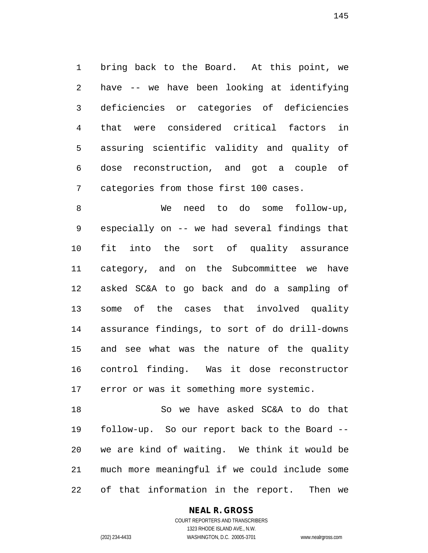bring back to the Board. At this point, we have -- we have been looking at identifying deficiencies or categories of deficiencies that were considered critical factors in assuring scientific validity and quality of dose reconstruction, and got a couple of categories from those first 100 cases.

 We need to do some follow-up, especially on -- we had several findings that fit into the sort of quality assurance category, and on the Subcommittee we have asked SC&A to go back and do a sampling of some of the cases that involved quality assurance findings, to sort of do drill-downs and see what was the nature of the quality control finding. Was it dose reconstructor error or was it something more systemic.

 So we have asked SC&A to do that follow-up. So our report back to the Board -- we are kind of waiting. We think it would be much more meaningful if we could include some of that information in the report. Then we

### **NEAL R. GROSS**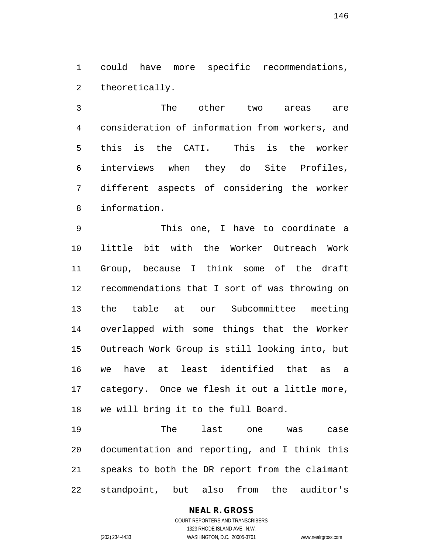could have more specific recommendations, theoretically.

 The other two areas are consideration of information from workers, and this is the CATI. This is the worker interviews when they do Site Profiles, different aspects of considering the worker information.

 This one, I have to coordinate a little bit with the Worker Outreach Work Group, because I think some of the draft recommendations that I sort of was throwing on the table at our Subcommittee meeting overlapped with some things that the Worker Outreach Work Group is still looking into, but we have at least identified that as a category. Once we flesh it out a little more, we will bring it to the full Board.

 The last one was case documentation and reporting, and I think this speaks to both the DR report from the claimant standpoint, but also from the auditor's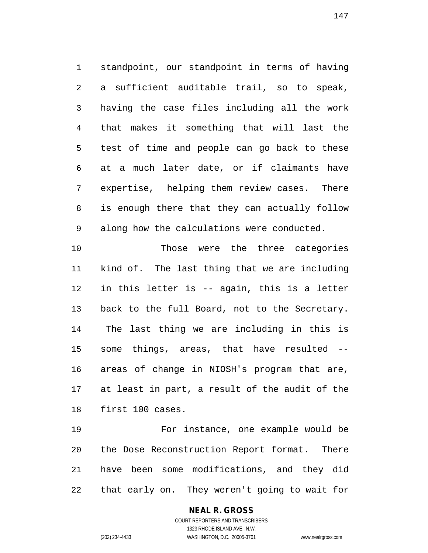standpoint, our standpoint in terms of having a sufficient auditable trail, so to speak, having the case files including all the work that makes it something that will last the test of time and people can go back to these at a much later date, or if claimants have expertise, helping them review cases. There is enough there that they can actually follow along how the calculations were conducted.

 Those were the three categories kind of. The last thing that we are including in this letter is -- again, this is a letter back to the full Board, not to the Secretary. The last thing we are including in this is some things, areas, that have resulted -- areas of change in NIOSH's program that are, at least in part, a result of the audit of the first 100 cases.

 For instance, one example would be the Dose Reconstruction Report format. There have been some modifications, and they did that early on. They weren't going to wait for

### **NEAL R. GROSS**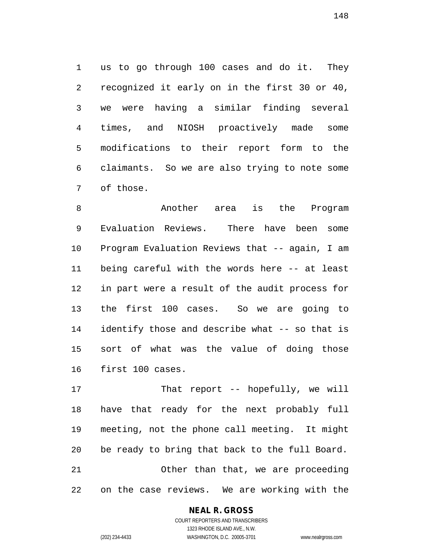us to go through 100 cases and do it. They recognized it early on in the first 30 or 40, we were having a similar finding several times, and NIOSH proactively made some modifications to their report form to the claimants. So we are also trying to note some of those.

 Another area is the Program Evaluation Reviews. There have been some Program Evaluation Reviews that -- again, I am being careful with the words here -- at least in part were a result of the audit process for the first 100 cases. So we are going to identify those and describe what -- so that is sort of what was the value of doing those first 100 cases.

 That report -- hopefully, we will have that ready for the next probably full meeting, not the phone call meeting. It might be ready to bring that back to the full Board. Other than that, we are proceeding on the case reviews. We are working with the

#### **NEAL R. GROSS**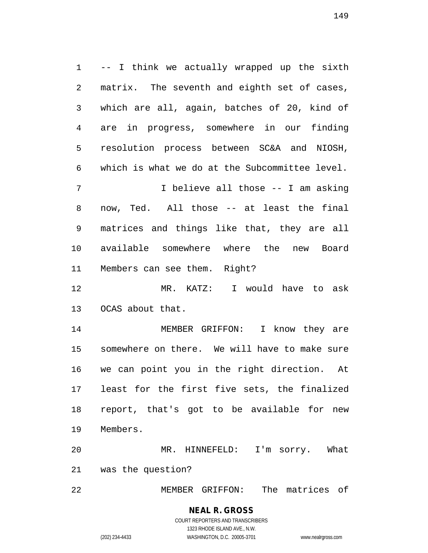-- I think we actually wrapped up the sixth matrix. The seventh and eighth set of cases, which are all, again, batches of 20, kind of are in progress, somewhere in our finding resolution process between SC&A and NIOSH, which is what we do at the Subcommittee level. 7 I believe all those -- I am asking now, Ted. All those -- at least the final matrices and things like that, they are all available somewhere where the new Board Members can see them. Right? MR. KATZ: I would have to ask OCAS about that. MEMBER GRIFFON: I know they are somewhere on there. We will have to make sure we can point you in the right direction. At least for the first five sets, the finalized report, that's got to be available for new Members. MR. HINNEFELD: I'm sorry. What

was the question?

MEMBER GRIFFON: The matrices of

#### **NEAL R. GROSS** COURT REPORTERS AND TRANSCRIBERS

1323 RHODE ISLAND AVE., N.W. (202) 234-4433 WASHINGTON, D.C. 20005-3701 www.nealrgross.com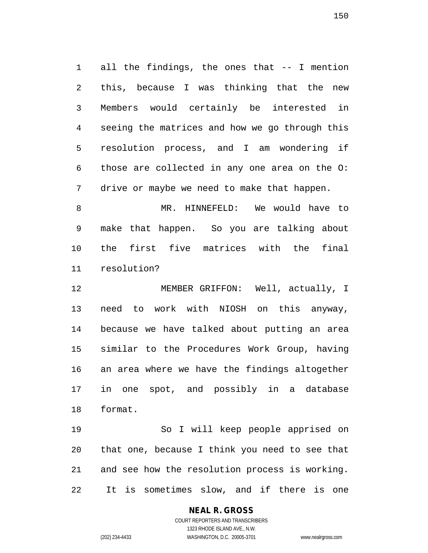all the findings, the ones that -- I mention this, because I was thinking that the new Members would certainly be interested in seeing the matrices and how we go through this resolution process, and I am wondering if those are collected in any one area on the O: drive or maybe we need to make that happen.

 MR. HINNEFELD: We would have to make that happen. So you are talking about the first five matrices with the final resolution?

 MEMBER GRIFFON: Well, actually, I need to work with NIOSH on this anyway, because we have talked about putting an area similar to the Procedures Work Group, having an area where we have the findings altogether in one spot, and possibly in a database format.

 So I will keep people apprised on that one, because I think you need to see that and see how the resolution process is working. It is sometimes slow, and if there is one

### **NEAL R. GROSS**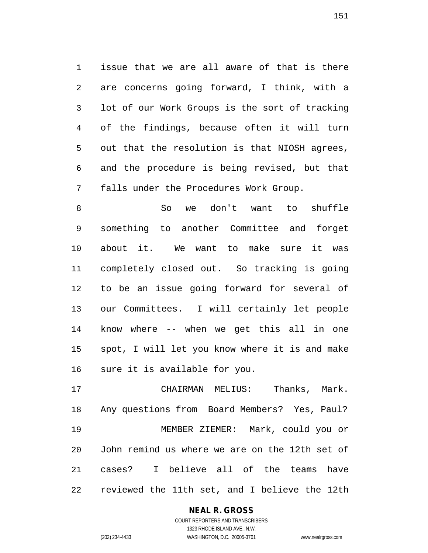issue that we are all aware of that is there are concerns going forward, I think, with a lot of our Work Groups is the sort of tracking of the findings, because often it will turn out that the resolution is that NIOSH agrees, and the procedure is being revised, but that falls under the Procedures Work Group.

 So we don't want to shuffle something to another Committee and forget about it. We want to make sure it was completely closed out. So tracking is going to be an issue going forward for several of our Committees. I will certainly let people know where -- when we get this all in one spot, I will let you know where it is and make sure it is available for you.

 CHAIRMAN MELIUS: Thanks, Mark. Any questions from Board Members? Yes, Paul? MEMBER ZIEMER: Mark, could you or John remind us where we are on the 12th set of cases? I believe all of the teams have reviewed the 11th set, and I believe the 12th

### **NEAL R. GROSS**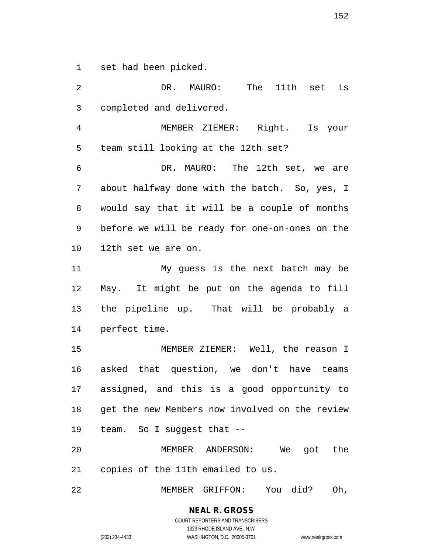set had been picked.

 DR. MAURO: The 11th set is completed and delivered. MEMBER ZIEMER: Right. Is your team still looking at the 12th set? DR. MAURO: The 12th set, we are about halfway done with the batch. So, yes, I would say that it will be a couple of months before we will be ready for one-on-ones on the 12th set we are on. My guess is the next batch may be May. It might be put on the agenda to fill the pipeline up. That will be probably a perfect time. MEMBER ZIEMER: Well, the reason I asked that question, we don't have teams assigned, and this is a good opportunity to get the new Members now involved on the review team. So I suggest that -- MEMBER ANDERSON: We got the copies of the 11th emailed to us. MEMBER GRIFFON: You did? Oh,

> **NEAL R. GROSS** COURT REPORTERS AND TRANSCRIBERS

1323 RHODE ISLAND AVE., N.W. (202) 234-4433 WASHINGTON, D.C. 20005-3701 www.nealrgross.com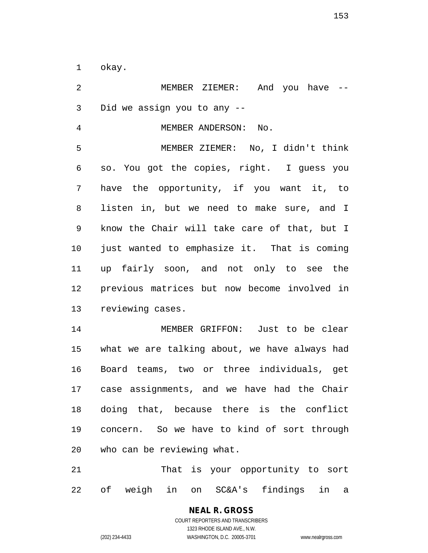okay.

 MEMBER ZIEMER: And you have -- Did we assign you to any -- MEMBER ANDERSON: No. MEMBER ZIEMER: No, I didn't think so. You got the copies, right. I guess you have the opportunity, if you want it, to listen in, but we need to make sure, and I know the Chair will take care of that, but I just wanted to emphasize it. That is coming up fairly soon, and not only to see the previous matrices but now become involved in reviewing cases. MEMBER GRIFFON: Just to be clear what we are talking about, we have always had Board teams, two or three individuals, get case assignments, and we have had the Chair doing that, because there is the conflict concern. So we have to kind of sort through who can be reviewing what. That is your opportunity to sort

of weigh in on SC&A's findings in a

**NEAL R. GROSS** COURT REPORTERS AND TRANSCRIBERS 1323 RHODE ISLAND AVE., N.W.

(202) 234-4433 WASHINGTON, D.C. 20005-3701 www.nealrgross.com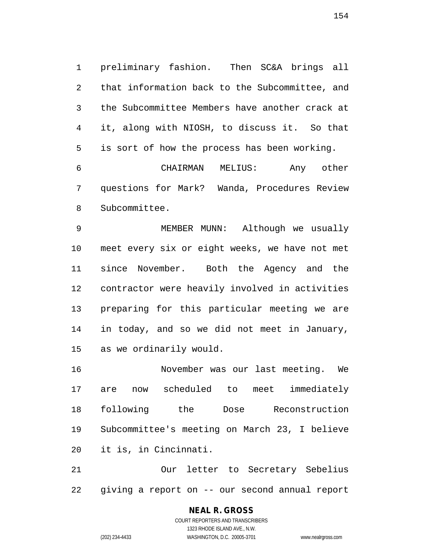preliminary fashion. Then SC&A brings all that information back to the Subcommittee, and the Subcommittee Members have another crack at it, along with NIOSH, to discuss it. So that is sort of how the process has been working.

 CHAIRMAN MELIUS: Any other questions for Mark? Wanda, Procedures Review Subcommittee.

 MEMBER MUNN: Although we usually meet every six or eight weeks, we have not met since November. Both the Agency and the contractor were heavily involved in activities preparing for this particular meeting we are in today, and so we did not meet in January, as we ordinarily would.

 November was our last meeting. We are now scheduled to meet immediately following the Dose Reconstruction Subcommittee's meeting on March 23, I believe it is, in Cincinnati.

 Our letter to Secretary Sebelius giving a report on -- our second annual report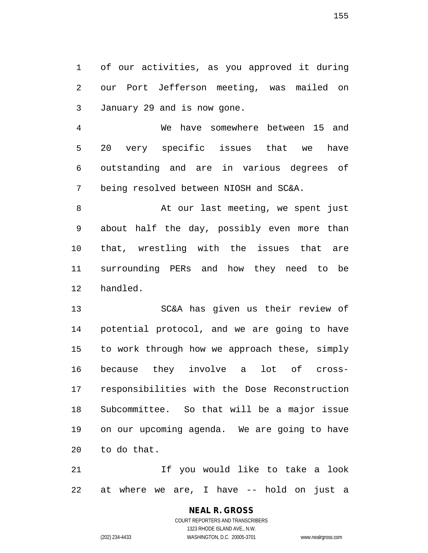of our activities, as you approved it during our Port Jefferson meeting, was mailed on January 29 and is now gone.

 We have somewhere between 15 and 20 very specific issues that we have outstanding and are in various degrees of being resolved between NIOSH and SC&A.

8 At our last meeting, we spent just about half the day, possibly even more than that, wrestling with the issues that are surrounding PERs and how they need to be handled.

 SC&A has given us their review of potential protocol, and we are going to have to work through how we approach these, simply because they involve a lot of cross- responsibilities with the Dose Reconstruction Subcommittee. So that will be a major issue on our upcoming agenda. We are going to have to do that.

 If you would like to take a look at where we are, I have -- hold on just a

> **NEAL R. GROSS** COURT REPORTERS AND TRANSCRIBERS 1323 RHODE ISLAND AVE., N.W. (202) 234-4433 WASHINGTON, D.C. 20005-3701 www.nealrgross.com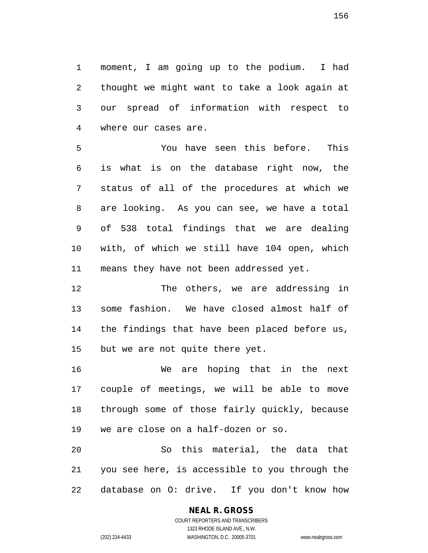moment, I am going up to the podium. I had thought we might want to take a look again at our spread of information with respect to where our cases are.

 You have seen this before. This is what is on the database right now, the status of all of the procedures at which we are looking. As you can see, we have a total of 538 total findings that we are dealing with, of which we still have 104 open, which means they have not been addressed yet.

 The others, we are addressing in some fashion. We have closed almost half of the findings that have been placed before us, but we are not quite there yet.

 We are hoping that in the next couple of meetings, we will be able to move through some of those fairly quickly, because we are close on a half-dozen or so.

 So this material, the data that you see here, is accessible to you through the database on O: drive. If you don't know how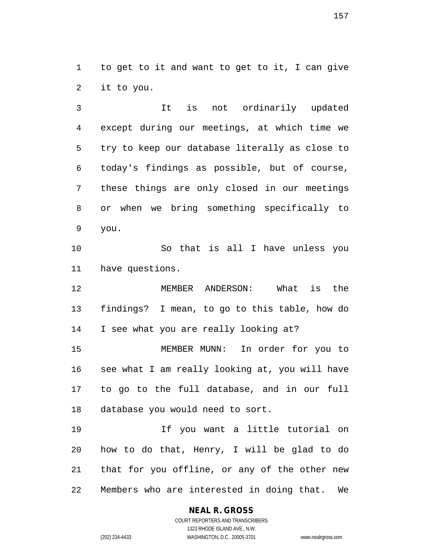to get to it and want to get to it, I can give it to you.

 It is not ordinarily updated except during our meetings, at which time we try to keep our database literally as close to today's findings as possible, but of course, these things are only closed in our meetings or when we bring something specifically to you.

 So that is all I have unless you have questions.

 MEMBER ANDERSON: What is the findings? I mean, to go to this table, how do I see what you are really looking at?

 MEMBER MUNN: In order for you to see what I am really looking at, you will have to go to the full database, and in our full database you would need to sort.

 If you want a little tutorial on how to do that, Henry, I will be glad to do that for you offline, or any of the other new Members who are interested in doing that. We

### **NEAL R. GROSS**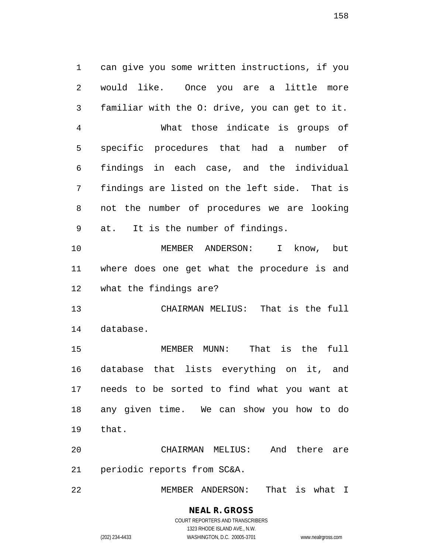can give you some written instructions, if you would like. Once you are a little more familiar with the O: drive, you can get to it. What those indicate is groups of specific procedures that had a number of findings in each case, and the individual findings are listed on the left side. That is not the number of procedures we are looking at. It is the number of findings. MEMBER ANDERSON: I know, but where does one get what the procedure is and what the findings are? CHAIRMAN MELIUS: That is the full database. MEMBER MUNN: That is the full database that lists everything on it, and needs to be sorted to find what you want at any given time. We can show you how to do that.

 CHAIRMAN MELIUS: And there are periodic reports from SC&A.

MEMBER ANDERSON: That is what I

**NEAL R. GROSS** COURT REPORTERS AND TRANSCRIBERS

1323 RHODE ISLAND AVE., N.W.

(202) 234-4433 WASHINGTON, D.C. 20005-3701 www.nealrgross.com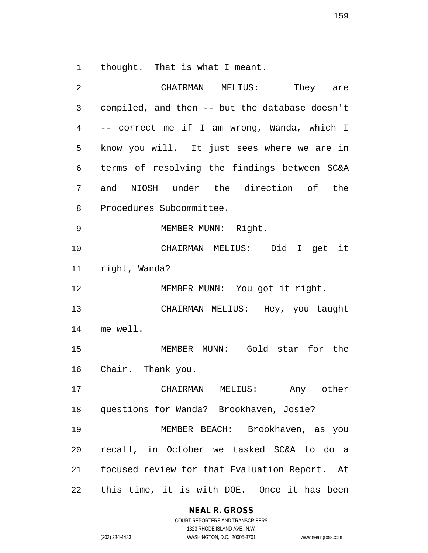thought. That is what I meant.

| 2              | CHAIRMAN MELIUS:<br>They are                   |
|----------------|------------------------------------------------|
| $\mathfrak{Z}$ | compiled, and then -- but the database doesn't |
| 4              | -- correct me if I am wrong, Wanda, which I    |
| 5              | know you will. It just sees where we are in    |
| 6              | terms of resolving the findings between SC&A   |
| 7              | and NIOSH under the direction of the           |
| 8              | Procedures Subcommittee.                       |
| 9              | MEMBER MUNN: Right.                            |
| 10             | CHAIRMAN MELIUS: Did I get it                  |
| 11             | right, Wanda?                                  |
| 12             | MEMBER MUNN: You got it right.                 |
| 13             | CHAIRMAN MELIUS: Hey, you taught               |
| 14             | me well.                                       |
| 15             | MEMBER MUNN: Gold star for the                 |
| 16             | Chair. Thank you.                              |
| 17             | CHAIRMAN MELIUS: Any other                     |
|                | 18 questions for Wanda? Brookhaven, Josie?     |
| 19             | MEMBER BEACH: Brookhaven, as you               |
| 20             | recall, in October we tasked SC&A to do a      |
| 21             | focused review for that Evaluation Report. At  |
| 22             | this time, it is with DOE. Once it has been    |

**NEAL R. GROSS**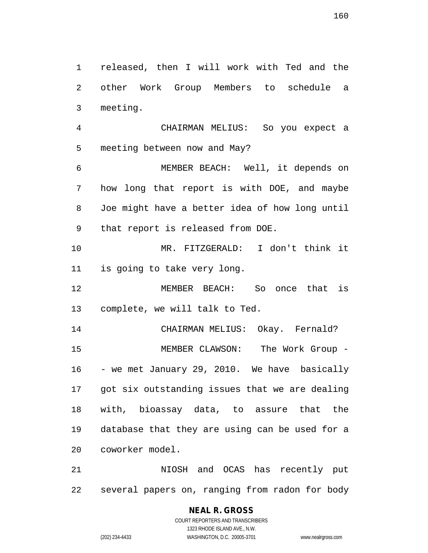released, then I will work with Ted and the other Work Group Members to schedule a

 CHAIRMAN MELIUS: So you expect a meeting between now and May?

 MEMBER BEACH: Well, it depends on how long that report is with DOE, and maybe Joe might have a better idea of how long until that report is released from DOE.

 MR. FITZGERALD: I don't think it is going to take very long.

 MEMBER BEACH: So once that is complete, we will talk to Ted.

 CHAIRMAN MELIUS: Okay. Fernald? MEMBER CLAWSON: The Work Group - - we met January 29, 2010. We have basically got six outstanding issues that we are dealing with, bioassay data, to assure that the database that they are using can be used for a coworker model.

 NIOSH and OCAS has recently put several papers on, ranging from radon for body

## **NEAL R. GROSS**

meeting.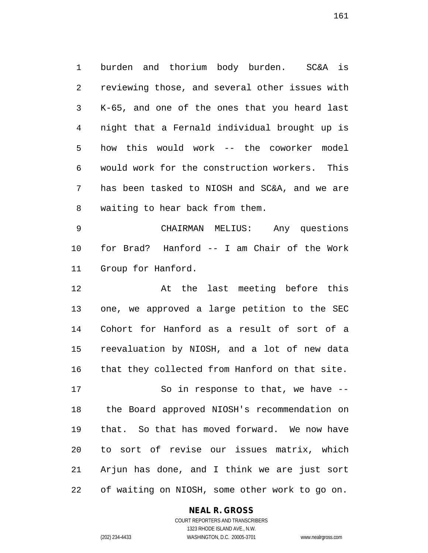burden and thorium body burden. SC&A is reviewing those, and several other issues with K-65, and one of the ones that you heard last night that a Fernald individual brought up is how this would work -- the coworker model would work for the construction workers. This has been tasked to NIOSH and SC&A, and we are waiting to hear back from them.

 CHAIRMAN MELIUS: Any questions for Brad? Hanford -- I am Chair of the Work Group for Hanford.

 At the last meeting before this one, we approved a large petition to the SEC Cohort for Hanford as a result of sort of a reevaluation by NIOSH, and a lot of new data that they collected from Hanford on that site.

 So in response to that, we have -- the Board approved NIOSH's recommendation on that. So that has moved forward. We now have to sort of revise our issues matrix, which Arjun has done, and I think we are just sort of waiting on NIOSH, some other work to go on.

#### **NEAL R. GROSS**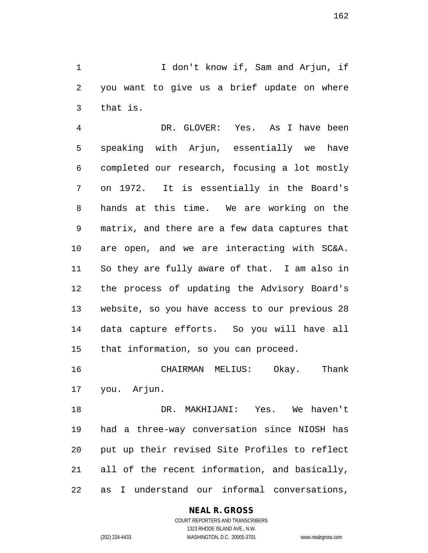I don't know if, Sam and Arjun, if you want to give us a brief update on where that is.

 DR. GLOVER: Yes. As I have been speaking with Arjun, essentially we have completed our research, focusing a lot mostly on 1972. It is essentially in the Board's hands at this time. We are working on the matrix, and there are a few data captures that are open, and we are interacting with SC&A. So they are fully aware of that. I am also in the process of updating the Advisory Board's website, so you have access to our previous 28 data capture efforts. So you will have all that information, so you can proceed.

 CHAIRMAN MELIUS: Okay. Thank you. Arjun.

 DR. MAKHIJANI: Yes. We haven't had a three-way conversation since NIOSH has put up their revised Site Profiles to reflect all of the recent information, and basically, as I understand our informal conversations,

### **NEAL R. GROSS**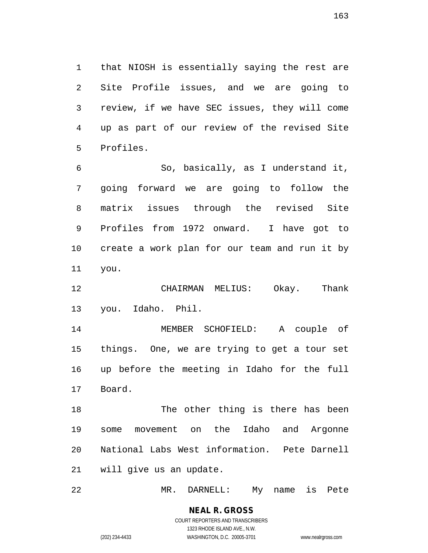that NIOSH is essentially saying the rest are Site Profile issues, and we are going to review, if we have SEC issues, they will come up as part of our review of the revised Site Profiles.

 So, basically, as I understand it, going forward we are going to follow the matrix issues through the revised Site Profiles from 1972 onward. I have got to create a work plan for our team and run it by you.

 CHAIRMAN MELIUS: Okay. Thank you. Idaho. Phil.

 MEMBER SCHOFIELD: A couple of things. One, we are trying to get a tour set up before the meeting in Idaho for the full Board.

 The other thing is there has been some movement on the Idaho and Argonne National Labs West information. Pete Darnell will give us an update.

MR. DARNELL: My name is Pete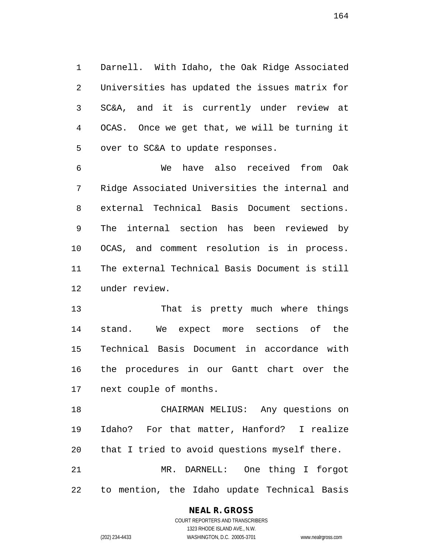Darnell. With Idaho, the Oak Ridge Associated Universities has updated the issues matrix for SC&A, and it is currently under review at OCAS. Once we get that, we will be turning it over to SC&A to update responses.

 We have also received from Oak Ridge Associated Universities the internal and external Technical Basis Document sections. The internal section has been reviewed by OCAS, and comment resolution is in process. The external Technical Basis Document is still under review.

 That is pretty much where things stand. We expect more sections of the Technical Basis Document in accordance with the procedures in our Gantt chart over the next couple of months.

 CHAIRMAN MELIUS: Any questions on Idaho? For that matter, Hanford? I realize that I tried to avoid questions myself there. MR. DARNELL: One thing I forgot to mention, the Idaho update Technical Basis

## **NEAL R. GROSS**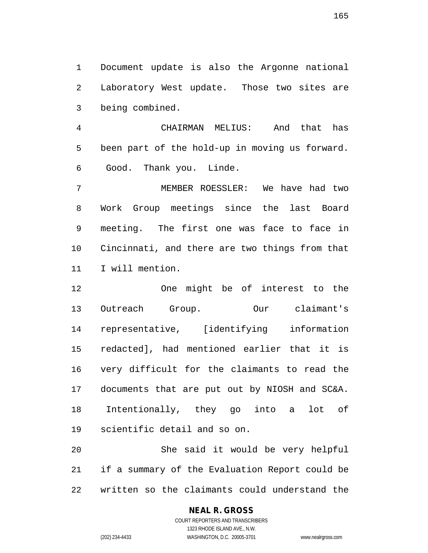Document update is also the Argonne national Laboratory West update. Those two sites are being combined.

 CHAIRMAN MELIUS: And that has been part of the hold-up in moving us forward. Good. Thank you. Linde.

 MEMBER ROESSLER: We have had two Work Group meetings since the last Board meeting. The first one was face to face in Cincinnati, and there are two things from that I will mention.

 One might be of interest to the Outreach Group. Our claimant's representative, [identifying information redacted], had mentioned earlier that it is very difficult for the claimants to read the documents that are put out by NIOSH and SC&A. Intentionally, they go into a lot of scientific detail and so on.

 She said it would be very helpful if a summary of the Evaluation Report could be written so the claimants could understand the

## **NEAL R. GROSS**

COURT REPORTERS AND TRANSCRIBERS 1323 RHODE ISLAND AVE., N.W. (202) 234-4433 WASHINGTON, D.C. 20005-3701 www.nealrgross.com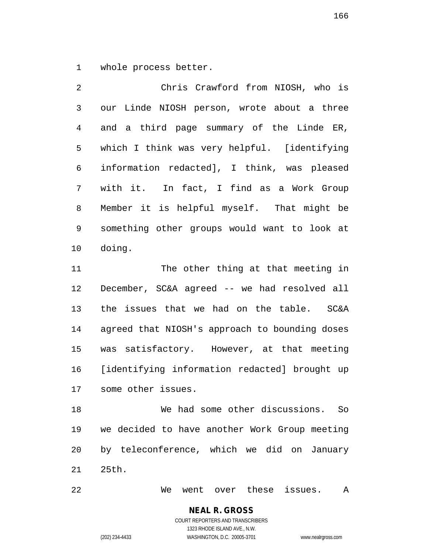whole process better.

 Chris Crawford from NIOSH, who is our Linde NIOSH person, wrote about a three and a third page summary of the Linde ER, which I think was very helpful. [identifying information redacted], I think, was pleased with it. In fact, I find as a Work Group Member it is helpful myself. That might be something other groups would want to look at doing.

11 The other thing at that meeting in December, SC&A agreed -- we had resolved all the issues that we had on the table. SC&A agreed that NIOSH's approach to bounding doses was satisfactory. However, at that meeting [identifying information redacted] brought up some other issues.

 We had some other discussions. So we decided to have another Work Group meeting by teleconference, which we did on January 25th.

We went over these issues. A

## **NEAL R. GROSS** COURT REPORTERS AND TRANSCRIBERS

1323 RHODE ISLAND AVE., N.W. (202) 234-4433 WASHINGTON, D.C. 20005-3701 www.nealrgross.com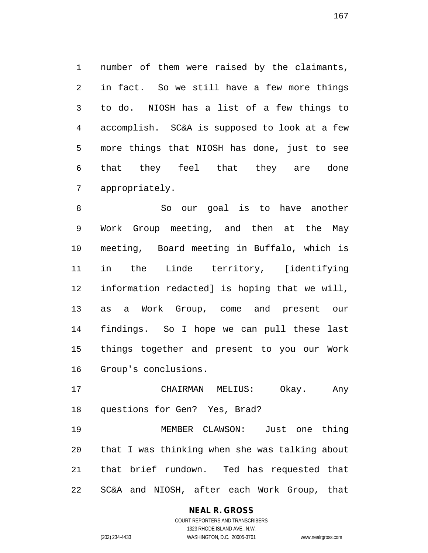number of them were raised by the claimants, in fact. So we still have a few more things to do. NIOSH has a list of a few things to accomplish. SC&A is supposed to look at a few more things that NIOSH has done, just to see that they feel that they are done appropriately.

 So our goal is to have another Work Group meeting, and then at the May meeting, Board meeting in Buffalo, which is in the Linde territory, [identifying information redacted] is hoping that we will, as a Work Group, come and present our findings. So I hope we can pull these last things together and present to you our Work Group's conclusions.

 CHAIRMAN MELIUS: Okay. Any questions for Gen? Yes, Brad?

 MEMBER CLAWSON: Just one thing that I was thinking when she was talking about that brief rundown. Ted has requested that SC&A and NIOSH, after each Work Group, that

### **NEAL R. GROSS**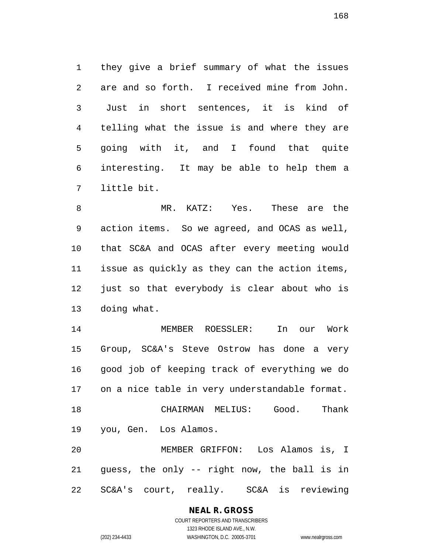they give a brief summary of what the issues are and so forth. I received mine from John. Just in short sentences, it is kind of telling what the issue is and where they are going with it, and I found that quite interesting. It may be able to help them a little bit.

 MR. KATZ: Yes. These are the action items. So we agreed, and OCAS as well, that SC&A and OCAS after every meeting would issue as quickly as they can the action items, just so that everybody is clear about who is doing what.

 MEMBER ROESSLER: In our Work Group, SC&A's Steve Ostrow has done a very good job of keeping track of everything we do on a nice table in very understandable format. CHAIRMAN MELIUS: Good. Thank you, Gen. Los Alamos. MEMBER GRIFFON: Los Alamos is, I guess, the only -- right now, the ball is in SC&A's court, really. SC&A is reviewing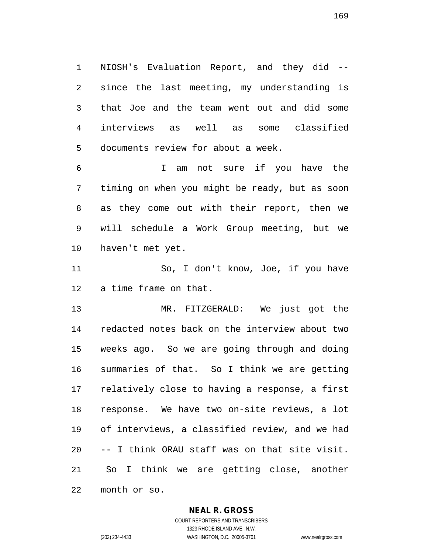NIOSH's Evaluation Report, and they did -- since the last meeting, my understanding is that Joe and the team went out and did some interviews as well as some classified documents review for about a week.

 I am not sure if you have the timing on when you might be ready, but as soon as they come out with their report, then we will schedule a Work Group meeting, but we haven't met yet.

 So, I don't know, Joe, if you have a time frame on that.

 MR. FITZGERALD: We just got the redacted notes back on the interview about two weeks ago. So we are going through and doing summaries of that. So I think we are getting relatively close to having a response, a first response. We have two on-site reviews, a lot of interviews, a classified review, and we had -- I think ORAU staff was on that site visit. So I think we are getting close, another month or so.

### **NEAL R. GROSS**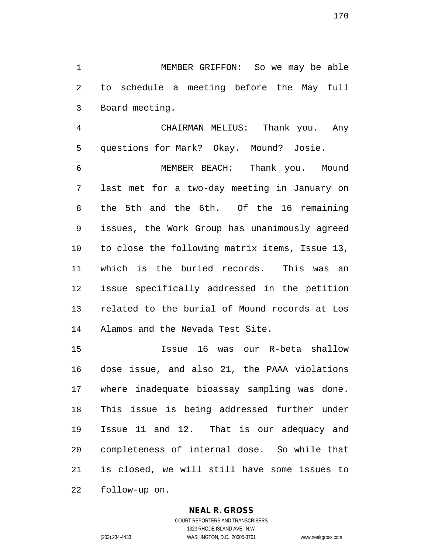MEMBER GRIFFON: So we may be able to schedule a meeting before the May full Board meeting.

 CHAIRMAN MELIUS: Thank you. Any questions for Mark? Okay. Mound? Josie.

 MEMBER BEACH: Thank you. Mound last met for a two-day meeting in January on the 5th and the 6th. Of the 16 remaining issues, the Work Group has unanimously agreed to close the following matrix items, Issue 13, which is the buried records. This was an issue specifically addressed in the petition related to the burial of Mound records at Los Alamos and the Nevada Test Site.

 Issue 16 was our R-beta shallow dose issue, and also 21, the PAAA violations where inadequate bioassay sampling was done. This issue is being addressed further under Issue 11 and 12. That is our adequacy and completeness of internal dose. So while that is closed, we will still have some issues to follow-up on.

#### **NEAL R. GROSS**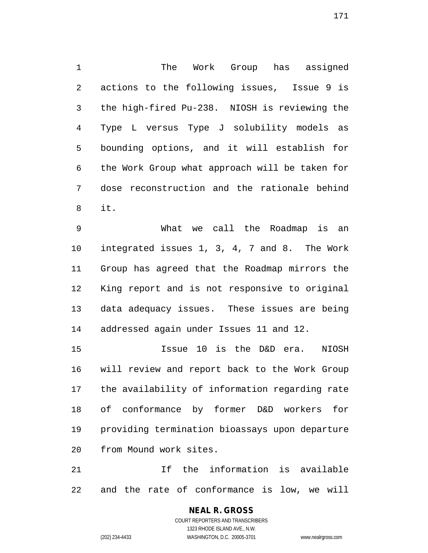The Work Group has assigned actions to the following issues, Issue 9 is the high-fired Pu-238. NIOSH is reviewing the Type L versus Type J solubility models as bounding options, and it will establish for the Work Group what approach will be taken for dose reconstruction and the rationale behind it.

 What we call the Roadmap is an integrated issues 1, 3, 4, 7 and 8. The Work Group has agreed that the Roadmap mirrors the King report and is not responsive to original data adequacy issues. These issues are being addressed again under Issues 11 and 12.

 Issue 10 is the D&D era. NIOSH will review and report back to the Work Group the availability of information regarding rate of conformance by former D&D workers for providing termination bioassays upon departure from Mound work sites.

 If the information is available and the rate of conformance is low, we will

# **NEAL R. GROSS**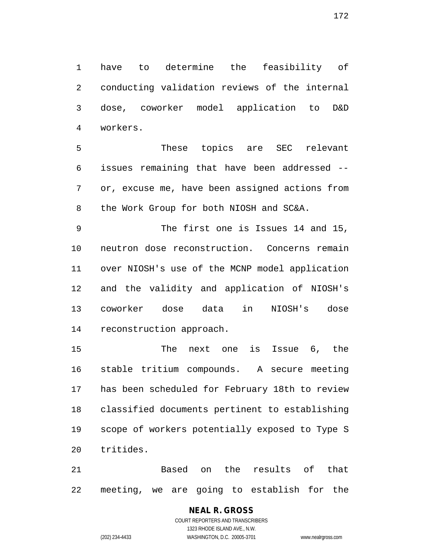have to determine the feasibility of conducting validation reviews of the internal dose, coworker model application to D&D workers.

 These topics are SEC relevant issues remaining that have been addressed -- or, excuse me, have been assigned actions from the Work Group for both NIOSH and SC&A.

 The first one is Issues 14 and 15, neutron dose reconstruction. Concerns remain over NIOSH's use of the MCNP model application and the validity and application of NIOSH's coworker dose data in NIOSH's dose reconstruction approach.

 The next one is Issue 6, the stable tritium compounds. A secure meeting has been scheduled for February 18th to review classified documents pertinent to establishing scope of workers potentially exposed to Type S tritides.

 Based on the results of that meeting, we are going to establish for the

# **NEAL R. GROSS**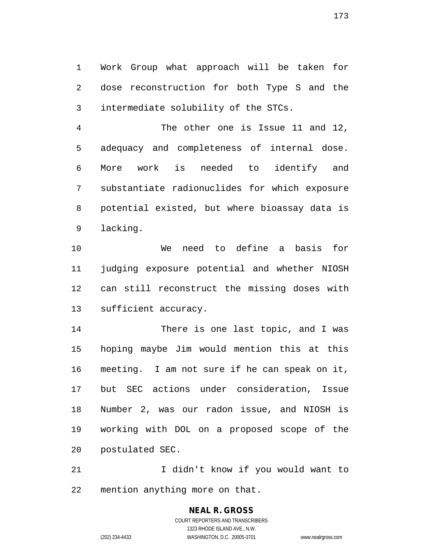Work Group what approach will be taken for dose reconstruction for both Type S and the intermediate solubility of the STCs.

 The other one is Issue 11 and 12, adequacy and completeness of internal dose. More work is needed to identify and substantiate radionuclides for which exposure potential existed, but where bioassay data is lacking.

 We need to define a basis for judging exposure potential and whether NIOSH can still reconstruct the missing doses with sufficient accuracy.

 There is one last topic, and I was hoping maybe Jim would mention this at this meeting. I am not sure if he can speak on it, but SEC actions under consideration, Issue Number 2, was our radon issue, and NIOSH is working with DOL on a proposed scope of the postulated SEC.

 I didn't know if you would want to mention anything more on that.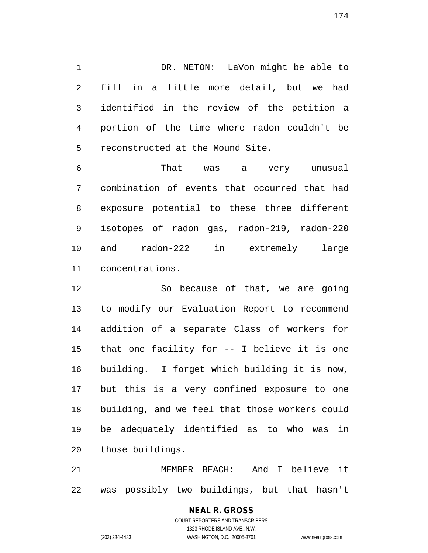DR. NETON: LaVon might be able to fill in a little more detail, but we had identified in the review of the petition a portion of the time where radon couldn't be reconstructed at the Mound Site.

 That was a very unusual combination of events that occurred that had exposure potential to these three different isotopes of radon gas, radon-219, radon-220 and radon-222 in extremely large concentrations.

 So because of that, we are going to modify our Evaluation Report to recommend addition of a separate Class of workers for that one facility for -- I believe it is one building. I forget which building it is now, but this is a very confined exposure to one building, and we feel that those workers could be adequately identified as to who was in those buildings.

 MEMBER BEACH: And I believe it was possibly two buildings, but that hasn't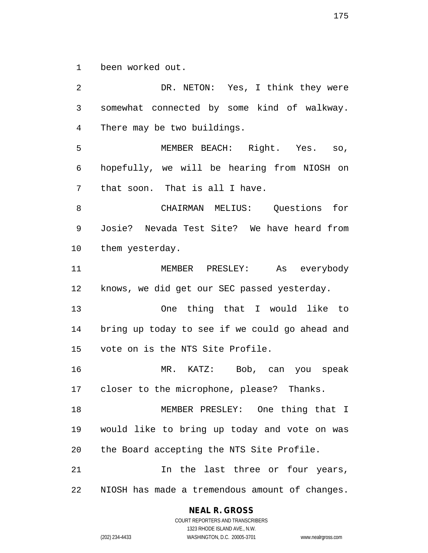been worked out.

 DR. NETON: Yes, I think they were somewhat connected by some kind of walkway. There may be two buildings. MEMBER BEACH: Right. Yes. so, hopefully, we will be hearing from NIOSH on that soon. That is all I have. CHAIRMAN MELIUS: Questions for Josie? Nevada Test Site? We have heard from them yesterday. MEMBER PRESLEY: As everybody knows, we did get our SEC passed yesterday. One thing that I would like to bring up today to see if we could go ahead and vote on is the NTS Site Profile. MR. KATZ: Bob, can you speak closer to the microphone, please? Thanks. MEMBER PRESLEY: One thing that I would like to bring up today and vote on was the Board accepting the NTS Site Profile. 21 11 In the last three or four years, NIOSH has made a tremendous amount of changes.

#### **NEAL R. GROSS**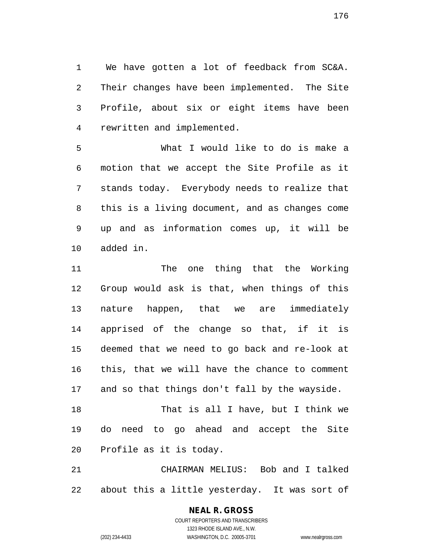We have gotten a lot of feedback from SC&A. Their changes have been implemented. The Site Profile, about six or eight items have been rewritten and implemented.

 What I would like to do is make a motion that we accept the Site Profile as it stands today. Everybody needs to realize that this is a living document, and as changes come up and as information comes up, it will be added in.

 The one thing that the Working Group would ask is that, when things of this nature happen, that we are immediately apprised of the change so that, if it is deemed that we need to go back and re-look at this, that we will have the chance to comment and so that things don't fall by the wayside.

 That is all I have, but I think we do need to go ahead and accept the Site Profile as it is today.

 CHAIRMAN MELIUS: Bob and I talked about this a little yesterday. It was sort of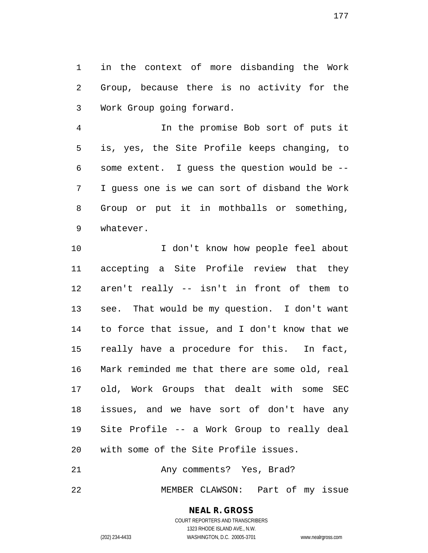in the context of more disbanding the Work Group, because there is no activity for the Work Group going forward.

 In the promise Bob sort of puts it is, yes, the Site Profile keeps changing, to some extent. I guess the question would be -- I guess one is we can sort of disband the Work Group or put it in mothballs or something, whatever.

10 I don't know how people feel about accepting a Site Profile review that they aren't really -- isn't in front of them to see. That would be my question. I don't want to force that issue, and I don't know that we really have a procedure for this. In fact, Mark reminded me that there are some old, real old, Work Groups that dealt with some SEC issues, and we have sort of don't have any Site Profile -- a Work Group to really deal with some of the Site Profile issues.

21 Any comments? Yes, Brad?

MEMBER CLAWSON: Part of my issue

# **NEAL R. GROSS**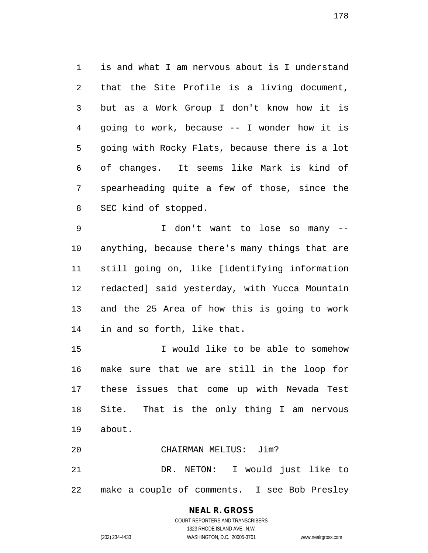is and what I am nervous about is I understand that the Site Profile is a living document, but as a Work Group I don't know how it is going to work, because -- I wonder how it is going with Rocky Flats, because there is a lot of changes. It seems like Mark is kind of spearheading quite a few of those, since the SEC kind of stopped.

 I don't want to lose so many -- anything, because there's many things that are still going on, like [identifying information redacted] said yesterday, with Yucca Mountain and the 25 Area of how this is going to work in and so forth, like that.

 I would like to be able to somehow make sure that we are still in the loop for these issues that come up with Nevada Test Site. That is the only thing I am nervous about.

 CHAIRMAN MELIUS: Jim? DR. NETON: I would just like to make a couple of comments. I see Bob Presley

# **NEAL R. GROSS**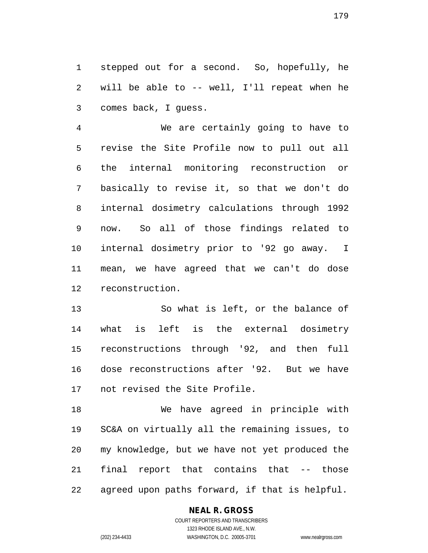stepped out for a second. So, hopefully, he will be able to -- well, I'll repeat when he comes back, I guess.

 We are certainly going to have to revise the Site Profile now to pull out all the internal monitoring reconstruction or basically to revise it, so that we don't do internal dosimetry calculations through 1992 now. So all of those findings related to internal dosimetry prior to '92 go away. I mean, we have agreed that we can't do dose reconstruction.

 So what is left, or the balance of what is left is the external dosimetry reconstructions through '92, and then full dose reconstructions after '92. But we have not revised the Site Profile.

 We have agreed in principle with SC&A on virtually all the remaining issues, to my knowledge, but we have not yet produced the final report that contains that -- those agreed upon paths forward, if that is helpful.

### **NEAL R. GROSS**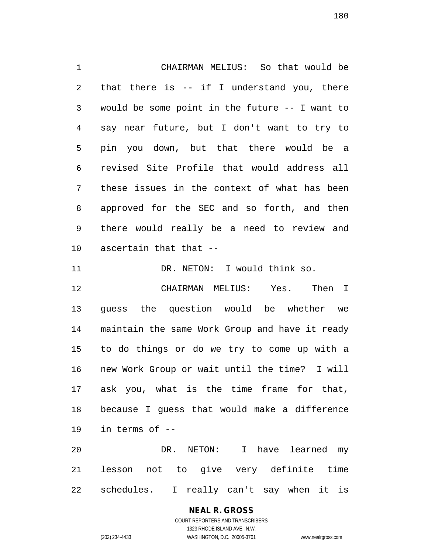CHAIRMAN MELIUS: So that would be that there is -- if I understand you, there would be some point in the future -- I want to say near future, but I don't want to try to pin you down, but that there would be a revised Site Profile that would address all these issues in the context of what has been approved for the SEC and so forth, and then there would really be a need to review and ascertain that that --

11 DR. NETON: I would think so.

 CHAIRMAN MELIUS: Yes. Then I guess the question would be whether we maintain the same Work Group and have it ready to do things or do we try to come up with a new Work Group or wait until the time? I will ask you, what is the time frame for that, because I guess that would make a difference in terms of --

 DR. NETON: I have learned my lesson not to give very definite time schedules. I really can't say when it is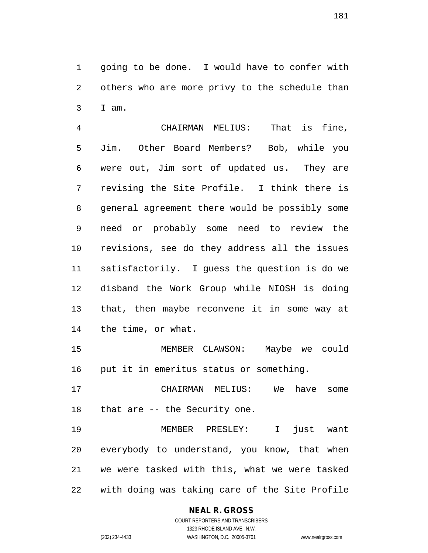going to be done. I would have to confer with others who are more privy to the schedule than I am.

 CHAIRMAN MELIUS: That is fine, Jim. Other Board Members? Bob, while you were out, Jim sort of updated us. They are revising the Site Profile. I think there is general agreement there would be possibly some need or probably some need to review the revisions, see do they address all the issues satisfactorily. I guess the question is do we disband the Work Group while NIOSH is doing that, then maybe reconvene it in some way at the time, or what.

 MEMBER CLAWSON: Maybe we could put it in emeritus status or something.

 CHAIRMAN MELIUS: We have some that are -- the Security one.

 MEMBER PRESLEY: I just want everybody to understand, you know, that when we were tasked with this, what we were tasked with doing was taking care of the Site Profile

# **NEAL R. GROSS**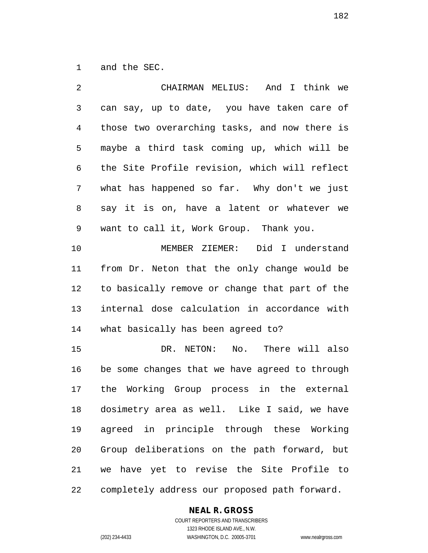and the SEC.

| $\overline{2}$ | CHAIRMAN MELIUS: And I think we                |
|----------------|------------------------------------------------|
| $\mathfrak{Z}$ | can say, up to date, you have taken care of    |
| $\overline{4}$ | those two overarching tasks, and now there is  |
| 5              | maybe a third task coming up, which will be    |
| 6              | the Site Profile revision, which will reflect  |
| 7              | what has happened so far. Why don't we just    |
| 8              | say it is on, have a latent or whatever we     |
| 9              | want to call it, Work Group. Thank you.        |
| 10             | MEMBER ZIEMER: Did I understand                |
| 11             | from Dr. Neton that the only change would be   |
| 12             | to basically remove or change that part of the |
| 13             | internal dose calculation in accordance with   |
| 14             | what basically has been agreed to?             |
| 15             | DR. NETON: No. There will also                 |
| 16             | be some changes that we have agreed to through |
| 17             | the Working Group process in the external      |
| 18             | dosimetry area as well. Like I said, we have   |
| 19             | agreed in principle through these Working      |
| 20             | Group deliberations on the path forward, but   |
| 21             | we have yet to revise the Site Profile to      |
| 22             | completely address our proposed path forward.  |

#### **NEAL R. GROSS**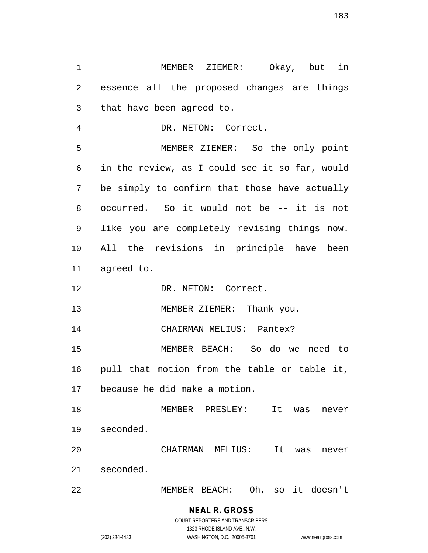MEMBER ZIEMER: Okay, but in essence all the proposed changes are things that have been agreed to. DR. NETON: Correct. MEMBER ZIEMER: So the only point in the review, as I could see it so far, would be simply to confirm that those have actually occurred. So it would not be -- it is not like you are completely revising things now. All the revisions in principle have been agreed to. 12 DR. NETON: Correct. 13 MEMBER ZIEMER: Thank you. 14 CHAIRMAN MELIUS: Pantex? MEMBER BEACH: So do we need to pull that motion from the table or table it, because he did make a motion. MEMBER PRESLEY: It was never seconded. CHAIRMAN MELIUS: It was never seconded. MEMBER BEACH: Oh, so it doesn't

# **NEAL R. GROSS**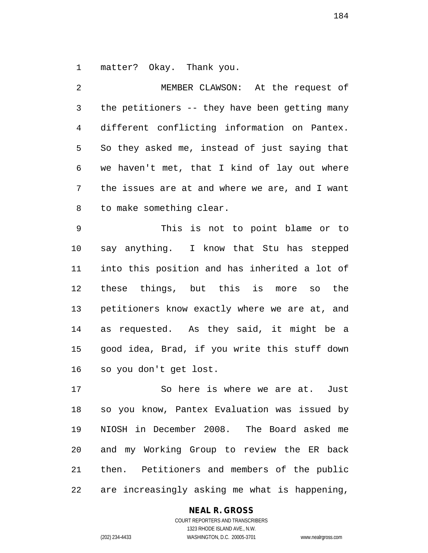matter? Okay. Thank you.

 MEMBER CLAWSON: At the request of the petitioners -- they have been getting many different conflicting information on Pantex. So they asked me, instead of just saying that we haven't met, that I kind of lay out where the issues are at and where we are, and I want to make something clear.

 This is not to point blame or to say anything. I know that Stu has stepped into this position and has inherited a lot of these things, but this is more so the petitioners know exactly where we are at, and as requested. As they said, it might be a good idea, Brad, if you write this stuff down so you don't get lost.

 So here is where we are at. Just so you know, Pantex Evaluation was issued by NIOSH in December 2008. The Board asked me and my Working Group to review the ER back then. Petitioners and members of the public are increasingly asking me what is happening,

#### **NEAL R. GROSS**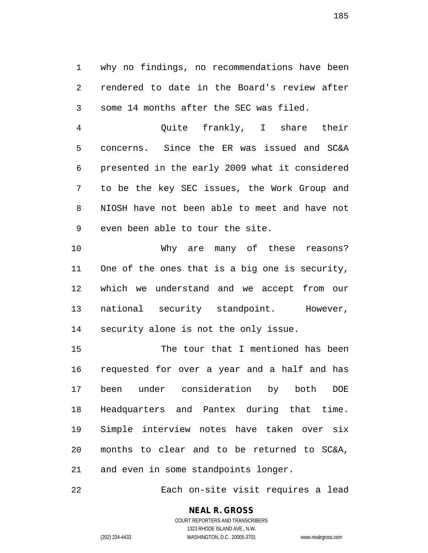why no findings, no recommendations have been rendered to date in the Board's review after some 14 months after the SEC was filed.

 Quite frankly, I share their concerns. Since the ER was issued and SC&A presented in the early 2009 what it considered to be the key SEC issues, the Work Group and NIOSH have not been able to meet and have not even been able to tour the site.

 Why are many of these reasons? One of the ones that is a big one is security, which we understand and we accept from our national security standpoint. However, security alone is not the only issue.

 The tour that I mentioned has been requested for over a year and a half and has been under consideration by both DOE Headquarters and Pantex during that time. Simple interview notes have taken over six months to clear and to be returned to SC&A, and even in some standpoints longer.

Each on-site visit requires a lead

#### **NEAL R. GROSS** COURT REPORTERS AND TRANSCRIBERS

1323 RHODE ISLAND AVE., N.W. (202) 234-4433 WASHINGTON, D.C. 20005-3701 www.nealrgross.com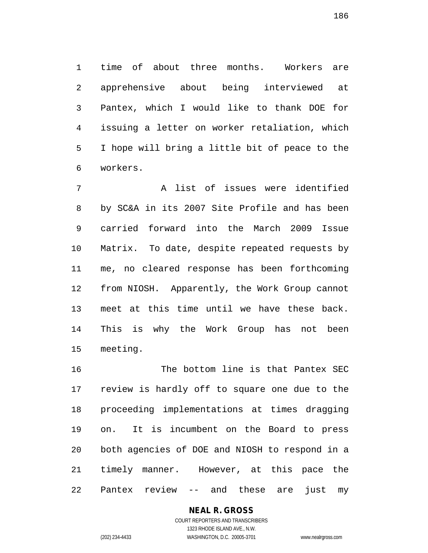time of about three months. Workers are apprehensive about being interviewed at Pantex, which I would like to thank DOE for issuing a letter on worker retaliation, which I hope will bring a little bit of peace to the workers.

 A list of issues were identified by SC&A in its 2007 Site Profile and has been carried forward into the March 2009 Issue Matrix. To date, despite repeated requests by me, no cleared response has been forthcoming from NIOSH. Apparently, the Work Group cannot meet at this time until we have these back. This is why the Work Group has not been meeting.

 The bottom line is that Pantex SEC review is hardly off to square one due to the proceeding implementations at times dragging on. It is incumbent on the Board to press both agencies of DOE and NIOSH to respond in a timely manner. However, at this pace the Pantex review -- and these are just my

#### **NEAL R. GROSS** COURT REPORTERS AND TRANSCRIBERS

1323 RHODE ISLAND AVE., N.W. (202) 234-4433 WASHINGTON, D.C. 20005-3701 www.nealrgross.com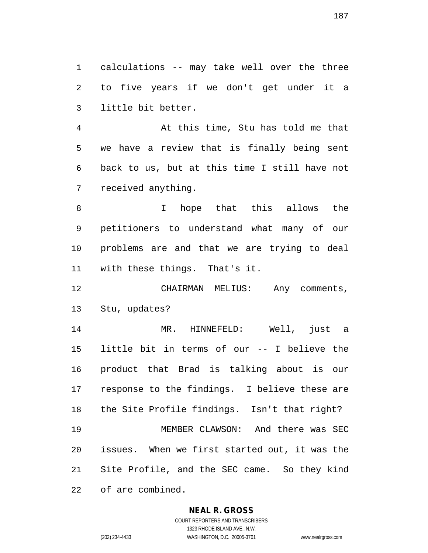calculations -- may take well over the three to five years if we don't get under it a little bit better.

 At this time, Stu has told me that we have a review that is finally being sent back to us, but at this time I still have not received anything.

 I hope that this allows the petitioners to understand what many of our problems are and that we are trying to deal with these things. That's it.

 CHAIRMAN MELIUS: Any comments, Stu, updates?

 MR. HINNEFELD: Well, just a little bit in terms of our -- I believe the product that Brad is talking about is our response to the findings. I believe these are the Site Profile findings. Isn't that right? MEMBER CLAWSON: And there was SEC issues. When we first started out, it was the Site Profile, and the SEC came. So they kind of are combined.

#### **NEAL R. GROSS**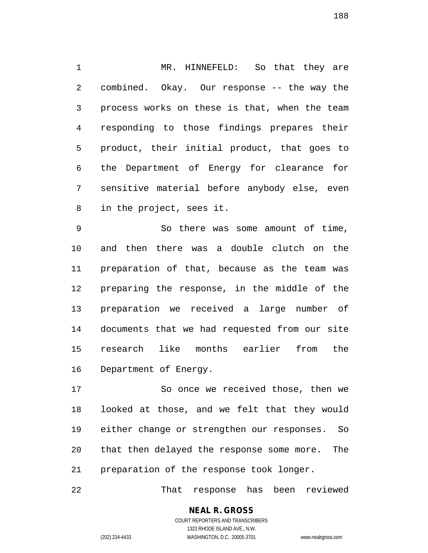MR. HINNEFELD: So that they are combined. Okay. Our response -- the way the process works on these is that, when the team responding to those findings prepares their product, their initial product, that goes to the Department of Energy for clearance for sensitive material before anybody else, even in the project, sees it.

 So there was some amount of time, and then there was a double clutch on the preparation of that, because as the team was preparing the response, in the middle of the preparation we received a large number of documents that we had requested from our site research like months earlier from the Department of Energy.

 So once we received those, then we looked at those, and we felt that they would either change or strengthen our responses. So that then delayed the response some more. The preparation of the response took longer.

That response has been reviewed

#### **NEAL R. GROSS** COURT REPORTERS AND TRANSCRIBERS

1323 RHODE ISLAND AVE., N.W. (202) 234-4433 WASHINGTON, D.C. 20005-3701 www.nealrgross.com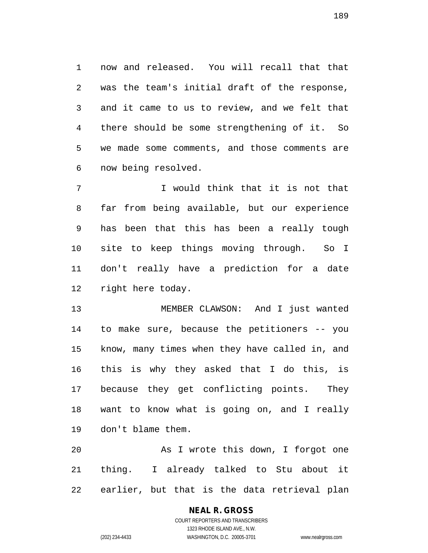now and released. You will recall that that was the team's initial draft of the response, and it came to us to review, and we felt that there should be some strengthening of it. So we made some comments, and those comments are now being resolved.

 I would think that it is not that far from being available, but our experience has been that this has been a really tough site to keep things moving through. So I don't really have a prediction for a date right here today.

 MEMBER CLAWSON: And I just wanted to make sure, because the petitioners -- you know, many times when they have called in, and this is why they asked that I do this, is because they get conflicting points. They want to know what is going on, and I really don't blame them.

 As I wrote this down, I forgot one thing. I already talked to Stu about it earlier, but that is the data retrieval plan

#### **NEAL R. GROSS**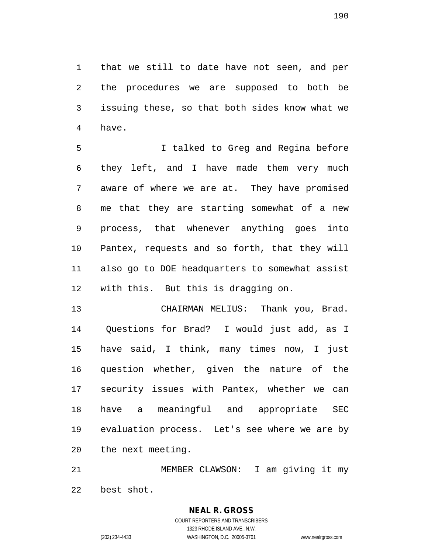that we still to date have not seen, and per the procedures we are supposed to both be issuing these, so that both sides know what we have.

 I talked to Greg and Regina before they left, and I have made them very much aware of where we are at. They have promised me that they are starting somewhat of a new process, that whenever anything goes into Pantex, requests and so forth, that they will also go to DOE headquarters to somewhat assist with this. But this is dragging on.

 CHAIRMAN MELIUS: Thank you, Brad. Questions for Brad? I would just add, as I have said, I think, many times now, I just question whether, given the nature of the security issues with Pantex, whether we can have a meaningful and appropriate SEC evaluation process. Let's see where we are by the next meeting.

 MEMBER CLAWSON: I am giving it my best shot.

> COURT REPORTERS AND TRANSCRIBERS 1323 RHODE ISLAND AVE., N.W. (202) 234-4433 WASHINGTON, D.C. 20005-3701 www.nealrgross.com

**NEAL R. GROSS**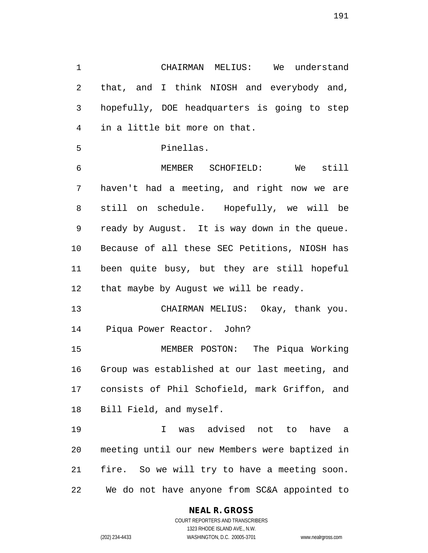CHAIRMAN MELIUS: We understand that, and I think NIOSH and everybody and, hopefully, DOE headquarters is going to step in a little bit more on that.

```
5 Pinellas.
```
 MEMBER SCHOFIELD: We still haven't had a meeting, and right now we are still on schedule. Hopefully, we will be ready by August. It is way down in the queue. Because of all these SEC Petitions, NIOSH has been quite busy, but they are still hopeful 12 that maybe by August we will be ready.

 CHAIRMAN MELIUS: Okay, thank you. Piqua Power Reactor. John?

 MEMBER POSTON: The Piqua Working Group was established at our last meeting, and consists of Phil Schofield, mark Griffon, and Bill Field, and myself.

 I was advised not to have a meeting until our new Members were baptized in fire. So we will try to have a meeting soon. We do not have anyone from SC&A appointed to

# **NEAL R. GROSS**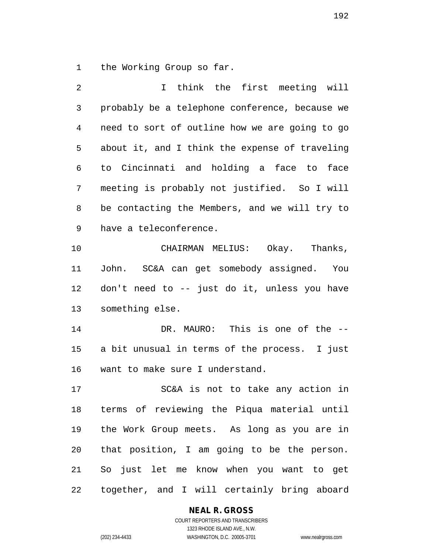the Working Group so far.

| 2  | think the first meeting will<br>I              |
|----|------------------------------------------------|
| 3  | probably be a telephone conference, because we |
| 4  | need to sort of outline how we are going to go |
| 5  | about it, and I think the expense of traveling |
| 6  | to Cincinnati and holding a face to face       |
| 7  | meeting is probably not justified. So I will   |
| 8  | be contacting the Members, and we will try to  |
| 9  | have a teleconference.                         |
| 10 | CHAIRMAN MELIUS: Okay. Thanks,                 |
| 11 | John. SC&A can get somebody assigned. You      |
| 12 | don't need to -- just do it, unless you have   |
| 13 | something else.                                |
| 14 | DR. MAURO: This is one of the --               |
| 15 | a bit unusual in terms of the process. I just  |
| 16 | want to make sure I understand.                |
| 17 | SC&A is not to take any action in              |
| 18 | terms of reviewing the Piqua material until    |
| 19 | the Work Group meets. As long as you are in    |
| 20 | that position, I am going to be the person.    |
| 21 | So just let me know when you want to get       |
| 22 | together, and I will certainly bring aboard    |

# **NEAL R. GROSS** COURT REPORTERS AND TRANSCRIBERS

1323 RHODE ISLAND AVE., N.W.

(202) 234-4433 WASHINGTON, D.C. 20005-3701 www.nealrgross.com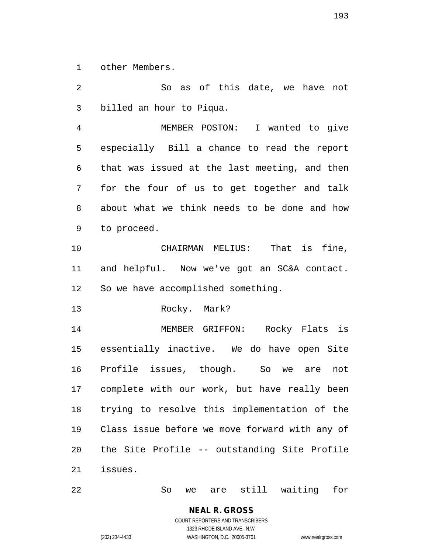other Members.

 So as of this date, we have not billed an hour to Piqua. MEMBER POSTON: I wanted to give especially Bill a chance to read the report that was issued at the last meeting, and then for the four of us to get together and talk about what we think needs to be done and how to proceed. CHAIRMAN MELIUS: That is fine, and helpful. Now we've got an SC&A contact. So we have accomplished something. Rocky. Mark? MEMBER GRIFFON: Rocky Flats is essentially inactive. We do have open Site Profile issues, though. So we are not complete with our work, but have really been trying to resolve this implementation of the Class issue before we move forward with any of the Site Profile -- outstanding Site Profile issues.

So we are still waiting for

**NEAL R. GROSS** COURT REPORTERS AND TRANSCRIBERS

1323 RHODE ISLAND AVE., N.W.

(202) 234-4433 WASHINGTON, D.C. 20005-3701 www.nealrgross.com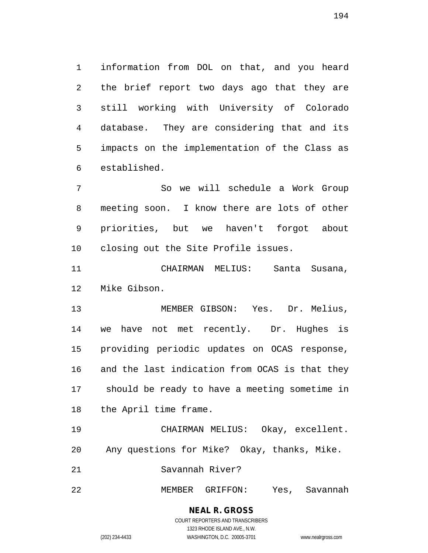information from DOL on that, and you heard the brief report two days ago that they are still working with University of Colorado database. They are considering that and its impacts on the implementation of the Class as established.

 So we will schedule a Work Group meeting soon. I know there are lots of other priorities, but we haven't forgot about closing out the Site Profile issues.

 CHAIRMAN MELIUS: Santa Susana, Mike Gibson.

 MEMBER GIBSON: Yes. Dr. Melius, we have not met recently. Dr. Hughes is providing periodic updates on OCAS response, and the last indication from OCAS is that they should be ready to have a meeting sometime in the April time frame.

 CHAIRMAN MELIUS: Okay, excellent. Any questions for Mike? Okay, thanks, Mike.

Savannah River?

MEMBER GRIFFON: Yes, Savannah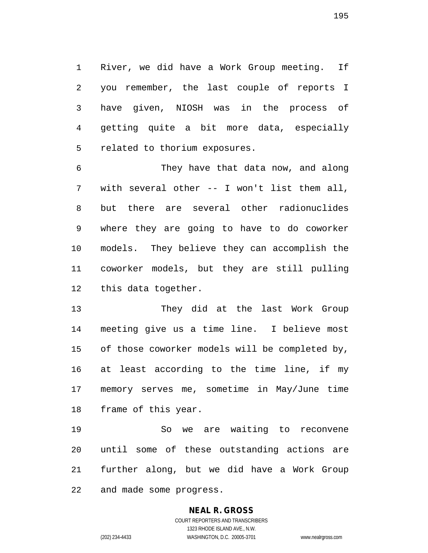River, we did have a Work Group meeting. If you remember, the last couple of reports I have given, NIOSH was in the process of getting quite a bit more data, especially related to thorium exposures.

 They have that data now, and along with several other -- I won't list them all, but there are several other radionuclides where they are going to have to do coworker models. They believe they can accomplish the coworker models, but they are still pulling this data together.

 They did at the last Work Group meeting give us a time line. I believe most of those coworker models will be completed by, at least according to the time line, if my memory serves me, sometime in May/June time frame of this year.

 So we are waiting to reconvene until some of these outstanding actions are further along, but we did have a Work Group and made some progress.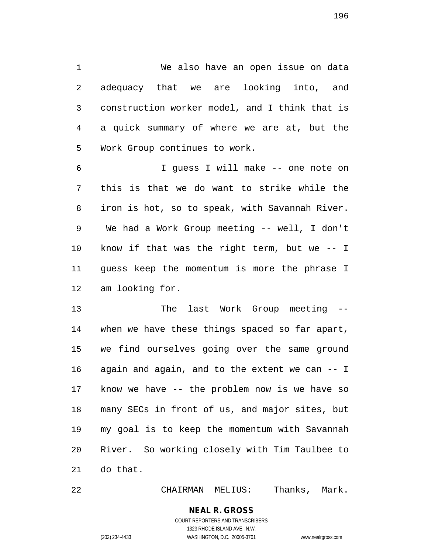We also have an open issue on data adequacy that we are looking into, and construction worker model, and I think that is a quick summary of where we are at, but the Work Group continues to work.

 I guess I will make -- one note on this is that we do want to strike while the iron is hot, so to speak, with Savannah River. We had a Work Group meeting -- well, I don't know if that was the right term, but we -- I guess keep the momentum is more the phrase I am looking for.

 The last Work Group meeting -- when we have these things spaced so far apart, we find ourselves going over the same ground again and again, and to the extent we can -- I know we have -- the problem now is we have so many SECs in front of us, and major sites, but my goal is to keep the momentum with Savannah River. So working closely with Tim Taulbee to do that.

CHAIRMAN MELIUS: Thanks, Mark.

**NEAL R. GROSS** COURT REPORTERS AND TRANSCRIBERS

1323 RHODE ISLAND AVE., N.W.

(202) 234-4433 WASHINGTON, D.C. 20005-3701 www.nealrgross.com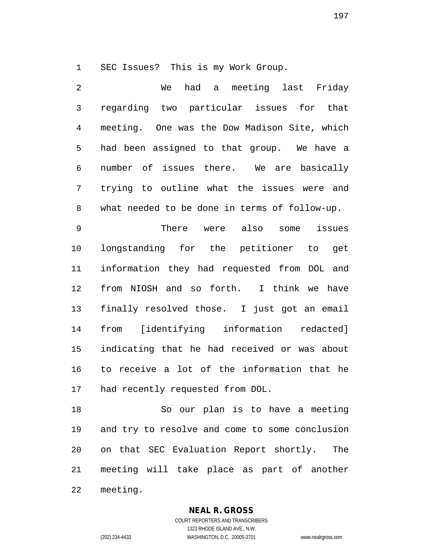SEC Issues? This is my Work Group.

 We had a meeting last Friday regarding two particular issues for that meeting. One was the Dow Madison Site, which had been assigned to that group. We have a number of issues there. We are basically trying to outline what the issues were and what needed to be done in terms of follow-up. There were also some issues

 longstanding for the petitioner to get information they had requested from DOL and from NIOSH and so forth. I think we have finally resolved those. I just got an email from [identifying information redacted] indicating that he had received or was about to receive a lot of the information that he had recently requested from DOL.

 So our plan is to have a meeting and try to resolve and come to some conclusion on that SEC Evaluation Report shortly. The meeting will take place as part of another meeting.

**NEAL R. GROSS**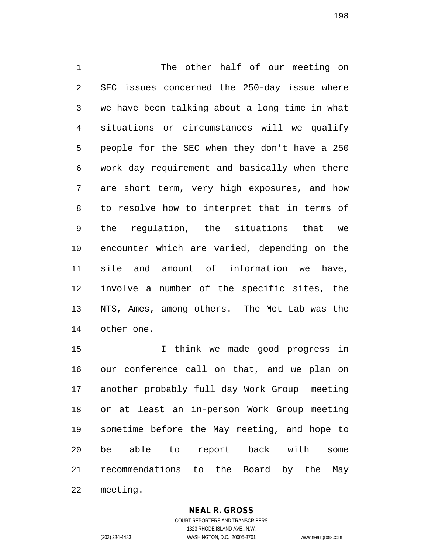The other half of our meeting on SEC issues concerned the 250-day issue where we have been talking about a long time in what situations or circumstances will we qualify people for the SEC when they don't have a 250 work day requirement and basically when there are short term, very high exposures, and how to resolve how to interpret that in terms of the regulation, the situations that we encounter which are varied, depending on the site and amount of information we have, involve a number of the specific sites, the NTS, Ames, among others. The Met Lab was the other one.

 I think we made good progress in our conference call on that, and we plan on another probably full day Work Group meeting or at least an in-person Work Group meeting sometime before the May meeting, and hope to be able to report back with some recommendations to the Board by the May

meeting.

#### **NEAL R. GROSS**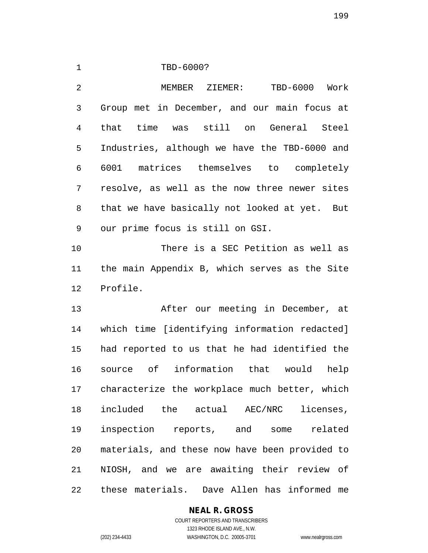TBD-6000?

 MEMBER ZIEMER: TBD-6000 Work Group met in December, and our main focus at that time was still on General Steel Industries, although we have the TBD-6000 and 6001 matrices themselves to completely resolve, as well as the now three newer sites that we have basically not looked at yet. But our prime focus is still on GSI.

 There is a SEC Petition as well as the main Appendix B, which serves as the Site Profile.

 After our meeting in December, at which time [identifying information redacted] had reported to us that he had identified the source of information that would help characterize the workplace much better, which included the actual AEC/NRC licenses, inspection reports, and some related materials, and these now have been provided to NIOSH, and we are awaiting their review of these materials. Dave Allen has informed me

# **NEAL R. GROSS**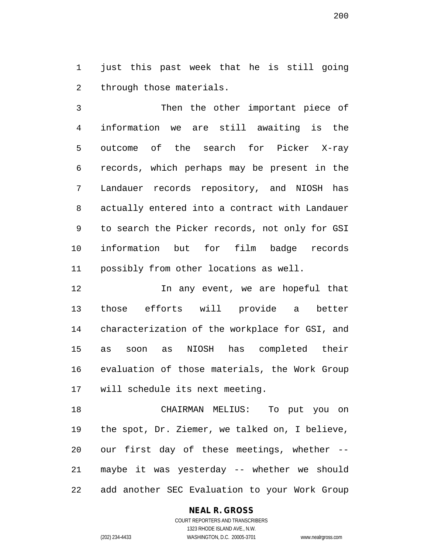just this past week that he is still going through those materials.

 Then the other important piece of information we are still awaiting is the outcome of the search for Picker X-ray records, which perhaps may be present in the Landauer records repository, and NIOSH has actually entered into a contract with Landauer to search the Picker records, not only for GSI information but for film badge records possibly from other locations as well.

12 12 In any event, we are hopeful that those efforts will provide a better characterization of the workplace for GSI, and as soon as NIOSH has completed their evaluation of those materials, the Work Group will schedule its next meeting.

 CHAIRMAN MELIUS: To put you on the spot, Dr. Ziemer, we talked on, I believe, our first day of these meetings, whether -- maybe it was yesterday -- whether we should add another SEC Evaluation to your Work Group

#### **NEAL R. GROSS**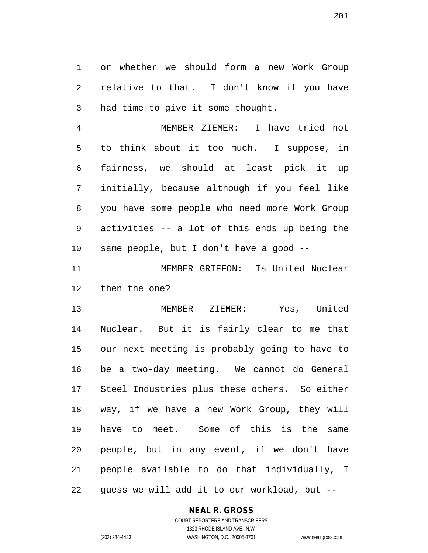or whether we should form a new Work Group relative to that. I don't know if you have had time to give it some thought.

 MEMBER ZIEMER: I have tried not to think about it too much. I suppose, in fairness, we should at least pick it up initially, because although if you feel like you have some people who need more Work Group activities -- a lot of this ends up being the same people, but I don't have a good --

 MEMBER GRIFFON: Is United Nuclear then the one?

 MEMBER ZIEMER: Yes, United Nuclear. But it is fairly clear to me that our next meeting is probably going to have to be a two-day meeting. We cannot do General Steel Industries plus these others. So either way, if we have a new Work Group, they will have to meet. Some of this is the same people, but in any event, if we don't have people available to do that individually, I guess we will add it to our workload, but --

#### **NEAL R. GROSS** COURT REPORTERS AND TRANSCRIBERS

1323 RHODE ISLAND AVE., N.W. (202) 234-4433 WASHINGTON, D.C. 20005-3701 www.nealrgross.com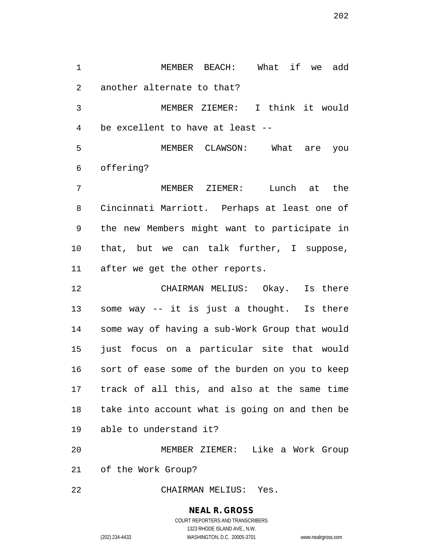MEMBER BEACH: What if we add another alternate to that?

 MEMBER ZIEMER: I think it would be excellent to have at least --

 MEMBER CLAWSON: What are you offering?

 MEMBER ZIEMER: Lunch at the Cincinnati Marriott. Perhaps at least one of the new Members might want to participate in that, but we can talk further, I suppose, after we get the other reports.

 CHAIRMAN MELIUS: Okay. Is there some way -- it is just a thought. Is there some way of having a sub-Work Group that would just focus on a particular site that would sort of ease some of the burden on you to keep track of all this, and also at the same time take into account what is going on and then be able to understand it?

 MEMBER ZIEMER: Like a Work Group of the Work Group?

CHAIRMAN MELIUS: Yes.

#### **NEAL R. GROSS**

COURT REPORTERS AND TRANSCRIBERS 1323 RHODE ISLAND AVE., N.W. (202) 234-4433 WASHINGTON, D.C. 20005-3701 www.nealrgross.com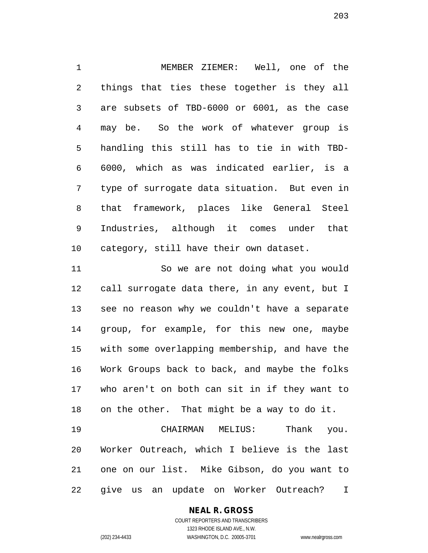MEMBER ZIEMER: Well, one of the things that ties these together is they all are subsets of TBD-6000 or 6001, as the case may be. So the work of whatever group is handling this still has to tie in with TBD- 6000, which as was indicated earlier, is a type of surrogate data situation. But even in that framework, places like General Steel Industries, although it comes under that category, still have their own dataset.

 So we are not doing what you would call surrogate data there, in any event, but I see no reason why we couldn't have a separate group, for example, for this new one, maybe with some overlapping membership, and have the Work Groups back to back, and maybe the folks who aren't on both can sit in if they want to on the other. That might be a way to do it. CHAIRMAN MELIUS: Thank you.

 Worker Outreach, which I believe is the last one on our list. Mike Gibson, do you want to give us an update on Worker Outreach? I

> **NEAL R. GROSS** COURT REPORTERS AND TRANSCRIBERS

> > 1323 RHODE ISLAND AVE., N.W.

(202) 234-4433 WASHINGTON, D.C. 20005-3701 www.nealrgross.com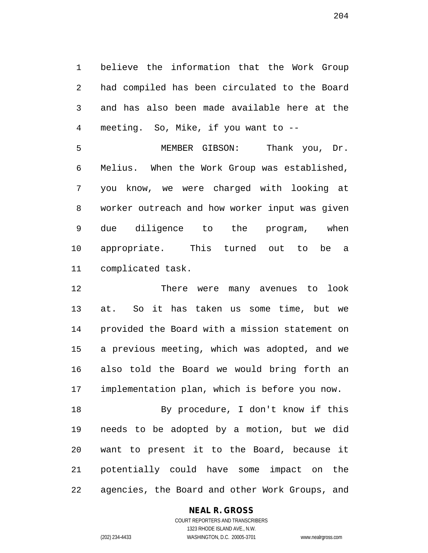believe the information that the Work Group had compiled has been circulated to the Board and has also been made available here at the meeting. So, Mike, if you want to --

 MEMBER GIBSON: Thank you, Dr. Melius. When the Work Group was established, you know, we were charged with looking at worker outreach and how worker input was given due diligence to the program, when appropriate. This turned out to be a complicated task.

 There were many avenues to look at. So it has taken us some time, but we provided the Board with a mission statement on a previous meeting, which was adopted, and we also told the Board we would bring forth an implementation plan, which is before you now.

 By procedure, I don't know if this needs to be adopted by a motion, but we did want to present it to the Board, because it potentially could have some impact on the agencies, the Board and other Work Groups, and

#### **NEAL R. GROSS**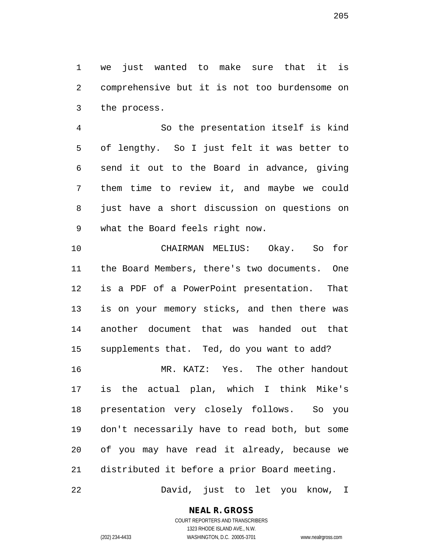we just wanted to make sure that it is comprehensive but it is not too burdensome on the process.

 So the presentation itself is kind of lengthy. So I just felt it was better to send it out to the Board in advance, giving them time to review it, and maybe we could just have a short discussion on questions on what the Board feels right now.

 CHAIRMAN MELIUS: Okay. So for the Board Members, there's two documents. One is a PDF of a PowerPoint presentation. That is on your memory sticks, and then there was another document that was handed out that supplements that. Ted, do you want to add? MR. KATZ: Yes. The other handout

 is the actual plan, which I think Mike's presentation very closely follows. So you don't necessarily have to read both, but some of you may have read it already, because we distributed it before a prior Board meeting.

David, just to let you know, I

1323 RHODE ISLAND AVE., N.W. (202) 234-4433 WASHINGTON, D.C. 20005-3701 www.nealrgross.com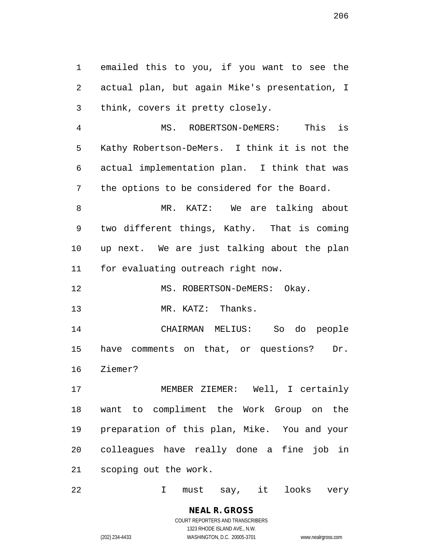emailed this to you, if you want to see the actual plan, but again Mike's presentation, I think, covers it pretty closely.

 MS. ROBERTSON-DeMERS: This is Kathy Robertson-DeMers. I think it is not the actual implementation plan. I think that was the options to be considered for the Board.

 MR. KATZ: We are talking about two different things, Kathy. That is coming up next. We are just talking about the plan for evaluating outreach right now.

12 MS. ROBERTSON-DeMERS: Okay.

13 MR. KATZ: Thanks.

 CHAIRMAN MELIUS: So do people have comments on that, or questions? Dr. Ziemer?

 MEMBER ZIEMER: Well, I certainly want to compliment the Work Group on the preparation of this plan, Mike. You and your colleagues have really done a fine job in scoping out the work.

I must say, it looks very

**NEAL R. GROSS** COURT REPORTERS AND TRANSCRIBERS 1323 RHODE ISLAND AVE., N.W.

(202) 234-4433 WASHINGTON, D.C. 20005-3701 www.nealrgross.com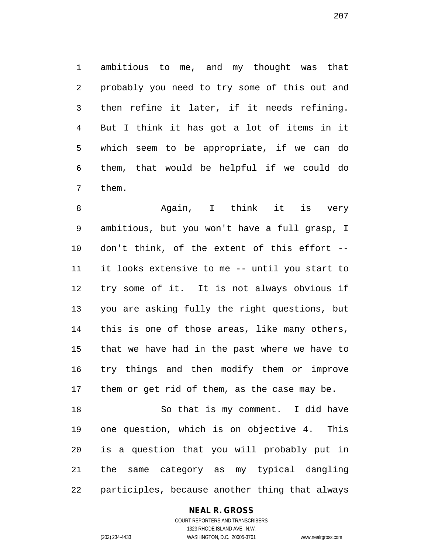ambitious to me, and my thought was that probably you need to try some of this out and then refine it later, if it needs refining. But I think it has got a lot of items in it which seem to be appropriate, if we can do them, that would be helpful if we could do them.

 Again, I think it is very ambitious, but you won't have a full grasp, I don't think, of the extent of this effort -- it looks extensive to me -- until you start to try some of it. It is not always obvious if you are asking fully the right questions, but this is one of those areas, like many others, that we have had in the past where we have to try things and then modify them or improve them or get rid of them, as the case may be.

 So that is my comment. I did have one question, which is on objective 4. This is a question that you will probably put in the same category as my typical dangling participles, because another thing that always

**NEAL R. GROSS**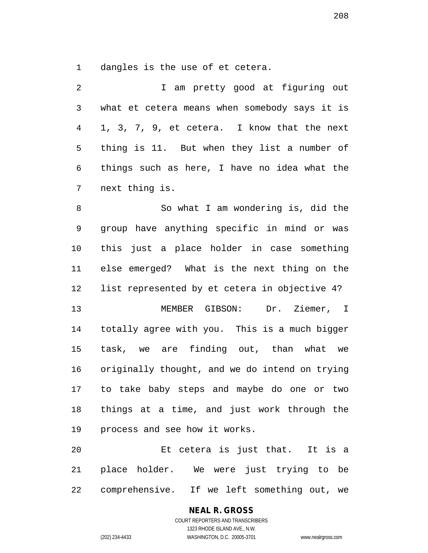dangles is the use of et cetera.

| $\mathcal{L}$  | I am pretty good at figuring out               |
|----------------|------------------------------------------------|
| 3 <sup>7</sup> | what et cetera means when somebody says it is  |
| $4 \quad$      | 1, 3, 7, 9, et cetera. I know that the next    |
|                | 5 thing is 11. But when they list a number of  |
|                | 6 things such as here, I have no idea what the |
|                | 7 next thing is.                               |

 So what I am wondering is, did the group have anything specific in mind or was this just a place holder in case something else emerged? What is the next thing on the list represented by et cetera in objective 4? MEMBER GIBSON: Dr. Ziemer, I

 task, we are finding out, than what we originally thought, and we do intend on trying to take baby steps and maybe do one or two things at a time, and just work through the process and see how it works.

totally agree with you. This is a much bigger

 Et cetera is just that. It is a place holder. We were just trying to be comprehensive. If we left something out, we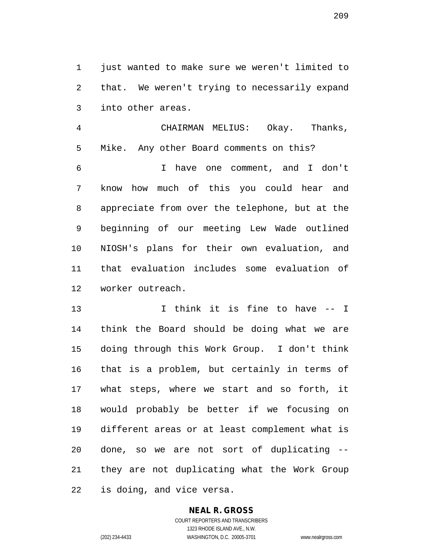1 just wanted to make sure we weren't limited to that. We weren't trying to necessarily expand into other areas.

 CHAIRMAN MELIUS: Okay. Thanks, Mike. Any other Board comments on this? I have one comment, and I don't know how much of this you could hear and

 appreciate from over the telephone, but at the beginning of our meeting Lew Wade outlined NIOSH's plans for their own evaluation, and that evaluation includes some evaluation of worker outreach.

 I think it is fine to have -- I think the Board should be doing what we are doing through this Work Group. I don't think that is a problem, but certainly in terms of what steps, where we start and so forth, it would probably be better if we focusing on different areas or at least complement what is done, so we are not sort of duplicating -- they are not duplicating what the Work Group is doing, and vice versa.

# **NEAL R. GROSS**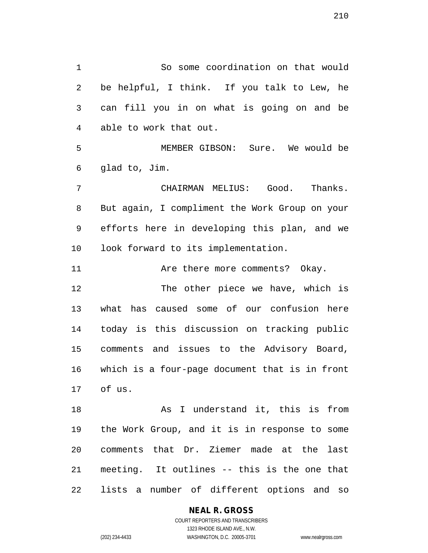So some coordination on that would be helpful, I think. If you talk to Lew, he can fill you in on what is going on and be able to work that out. MEMBER GIBSON: Sure. We would be glad to, Jim. CHAIRMAN MELIUS: Good. Thanks. But again, I compliment the Work Group on your efforts here in developing this plan, and we look forward to its implementation. 11 Are there more comments? Okay. The other piece we have, which is what has caused some of our confusion here today is this discussion on tracking public comments and issues to the Advisory Board, which is a four-page document that is in front of us. 18 As I understand it, this is from the Work Group, and it is in response to some comments that Dr. Ziemer made at the last

lists a number of different options and so

meeting. It outlines -- this is the one that

#### **NEAL R. GROSS**

COURT REPORTERS AND TRANSCRIBERS 1323 RHODE ISLAND AVE., N.W. (202) 234-4433 WASHINGTON, D.C. 20005-3701 www.nealrgross.com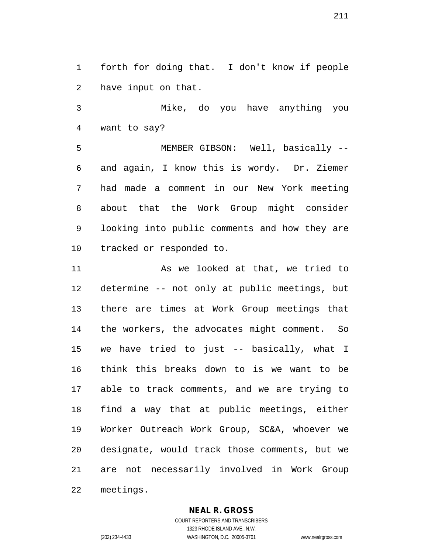forth for doing that. I don't know if people have input on that.

 Mike, do you have anything you want to say?

 MEMBER GIBSON: Well, basically -- and again, I know this is wordy. Dr. Ziemer had made a comment in our New York meeting about that the Work Group might consider looking into public comments and how they are tracked or responded to.

 As we looked at that, we tried to determine -- not only at public meetings, but there are times at Work Group meetings that the workers, the advocates might comment. So we have tried to just -- basically, what I think this breaks down to is we want to be able to track comments, and we are trying to find a way that at public meetings, either Worker Outreach Work Group, SC&A, whoever we designate, would track those comments, but we are not necessarily involved in Work Group meetings.

#### **NEAL R. GROSS**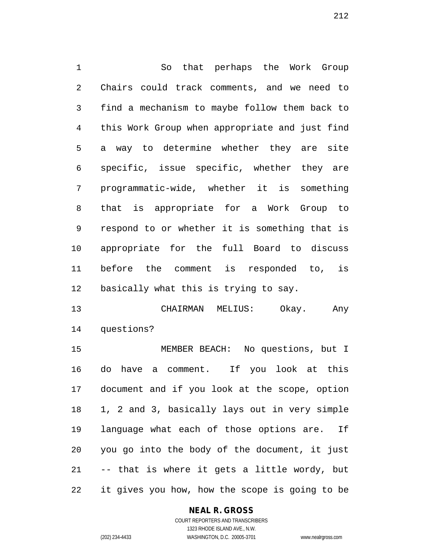So that perhaps the Work Group Chairs could track comments, and we need to find a mechanism to maybe follow them back to this Work Group when appropriate and just find a way to determine whether they are site specific, issue specific, whether they are programmatic-wide, whether it is something that is appropriate for a Work Group to respond to or whether it is something that is appropriate for the full Board to discuss before the comment is responded to, is basically what this is trying to say.

 CHAIRMAN MELIUS: Okay. Any questions?

 MEMBER BEACH: No questions, but I do have a comment. If you look at this document and if you look at the scope, option 1, 2 and 3, basically lays out in very simple language what each of those options are. If you go into the body of the document, it just -- that is where it gets a little wordy, but it gives you how, how the scope is going to be

#### **NEAL R. GROSS**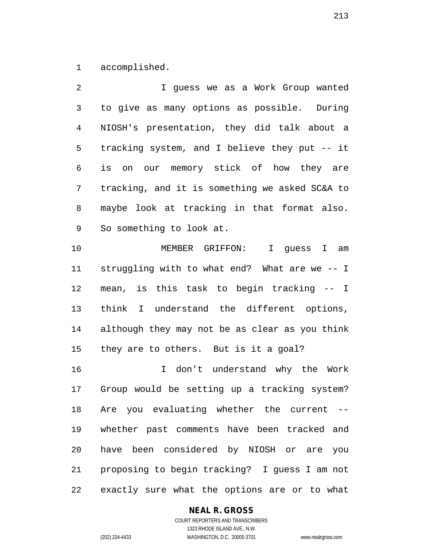accomplished.

 I guess we as a Work Group wanted to give as many options as possible. During NIOSH's presentation, they did talk about a tracking system, and I believe they put -- it is on our memory stick of how they are tracking, and it is something we asked SC&A to maybe look at tracking in that format also. So something to look at.

 MEMBER GRIFFON: I guess I am struggling with to what end? What are we -- I mean, is this task to begin tracking -- I think I understand the different options, although they may not be as clear as you think they are to others. But is it a goal?

 I don't understand why the Work Group would be setting up a tracking system? Are you evaluating whether the current -- whether past comments have been tracked and have been considered by NIOSH or are you proposing to begin tracking? I guess I am not exactly sure what the options are or to what

#### **NEAL R. GROSS**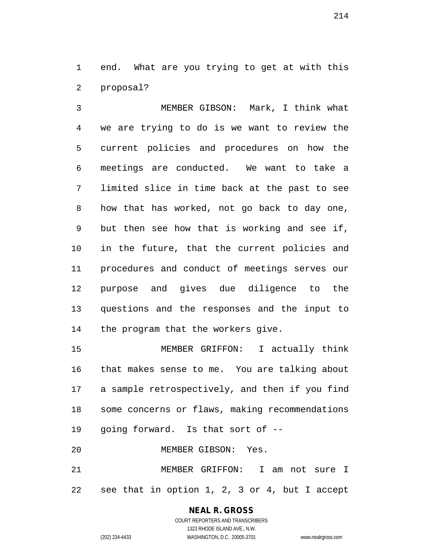end. What are you trying to get at with this proposal?

 MEMBER GIBSON: Mark, I think what we are trying to do is we want to review the current policies and procedures on how the meetings are conducted. We want to take a limited slice in time back at the past to see how that has worked, not go back to day one, but then see how that is working and see if, in the future, that the current policies and procedures and conduct of meetings serves our purpose and gives due diligence to the questions and the responses and the input to the program that the workers give.

 MEMBER GRIFFON: I actually think that makes sense to me. You are talking about a sample retrospectively, and then if you find some concerns or flaws, making recommendations going forward. Is that sort of --

MEMBER GIBSON: Yes.

 MEMBER GRIFFON: I am not sure I see that in option 1, 2, 3 or 4, but I accept

# **NEAL R. GROSS**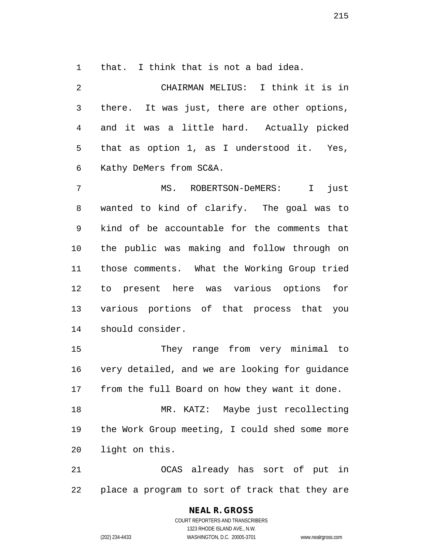that. I think that is not a bad idea.

 CHAIRMAN MELIUS: I think it is in there. It was just, there are other options, and it was a little hard. Actually picked that as option 1, as I understood it. Yes, Kathy DeMers from SC&A. MS. ROBERTSON-DeMERS: I just wanted to kind of clarify. The goal was to kind of be accountable for the comments that the public was making and follow through on

 those comments. What the Working Group tried to present here was various options for various portions of that process that you should consider.

 They range from very minimal to very detailed, and we are looking for guidance from the full Board on how they want it done.

 MR. KATZ: Maybe just recollecting the Work Group meeting, I could shed some more light on this.

 OCAS already has sort of put in place a program to sort of track that they are

# **NEAL R. GROSS**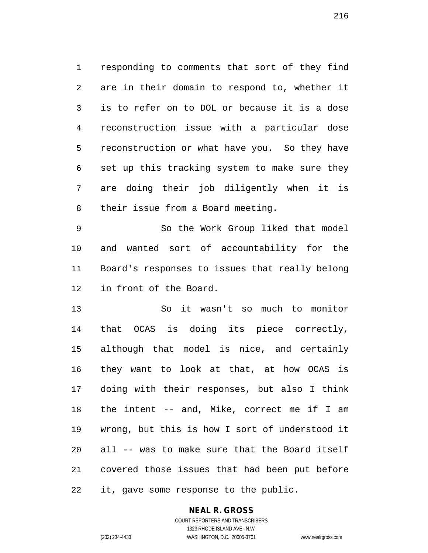responding to comments that sort of they find are in their domain to respond to, whether it is to refer on to DOL or because it is a dose reconstruction issue with a particular dose reconstruction or what have you. So they have set up this tracking system to make sure they are doing their job diligently when it is their issue from a Board meeting.

 So the Work Group liked that model and wanted sort of accountability for the Board's responses to issues that really belong in front of the Board.

 So it wasn't so much to monitor that OCAS is doing its piece correctly, although that model is nice, and certainly they want to look at that, at how OCAS is doing with their responses, but also I think the intent -- and, Mike, correct me if I am wrong, but this is how I sort of understood it all -- was to make sure that the Board itself covered those issues that had been put before it, gave some response to the public.

# **NEAL R. GROSS**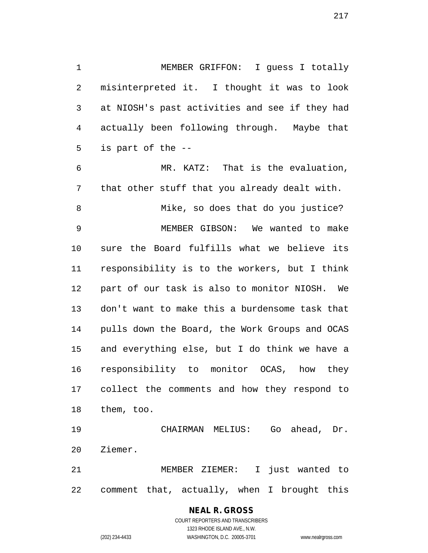MEMBER GRIFFON: I guess I totally misinterpreted it. I thought it was to look at NIOSH's past activities and see if they had actually been following through. Maybe that is part of the --

 MR. KATZ: That is the evaluation, that other stuff that you already dealt with. Mike, so does that do you justice? MEMBER GIBSON: We wanted to make sure the Board fulfills what we believe its responsibility is to the workers, but I think part of our task is also to monitor NIOSH. We don't want to make this a burdensome task that pulls down the Board, the Work Groups and OCAS and everything else, but I do think we have a responsibility to monitor OCAS, how they collect the comments and how they respond to them, too.

 CHAIRMAN MELIUS: Go ahead, Dr. Ziemer.

 MEMBER ZIEMER: I just wanted to comment that, actually, when I brought this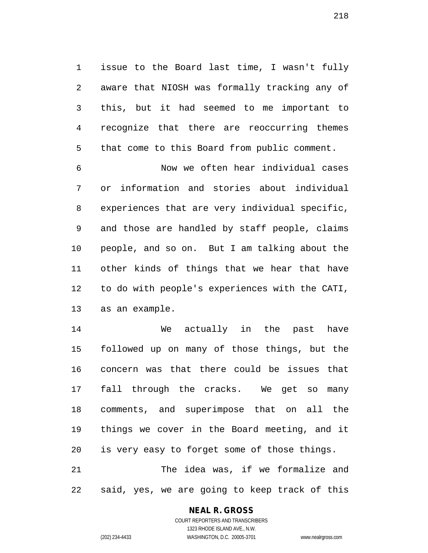issue to the Board last time, I wasn't fully aware that NIOSH was formally tracking any of this, but it had seemed to me important to recognize that there are reoccurring themes that come to this Board from public comment.

 Now we often hear individual cases or information and stories about individual experiences that are very individual specific, and those are handled by staff people, claims people, and so on. But I am talking about the other kinds of things that we hear that have to do with people's experiences with the CATI, as an example.

 We actually in the past have followed up on many of those things, but the concern was that there could be issues that fall through the cracks. We get so many comments, and superimpose that on all the things we cover in the Board meeting, and it is very easy to forget some of those things. The idea was, if we formalize and

said, yes, we are going to keep track of this

### **NEAL R. GROSS**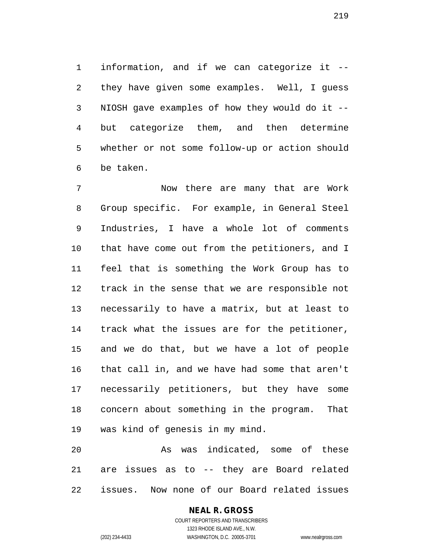information, and if we can categorize it -- they have given some examples. Well, I guess NIOSH gave examples of how they would do it -- but categorize them, and then determine whether or not some follow-up or action should be taken.

 Now there are many that are Work Group specific. For example, in General Steel Industries, I have a whole lot of comments that have come out from the petitioners, and I feel that is something the Work Group has to track in the sense that we are responsible not necessarily to have a matrix, but at least to track what the issues are for the petitioner, and we do that, but we have a lot of people that call in, and we have had some that aren't necessarily petitioners, but they have some concern about something in the program. That was kind of genesis in my mind.

 As was indicated, some of these are issues as to -- they are Board related issues. Now none of our Board related issues

# **NEAL R. GROSS**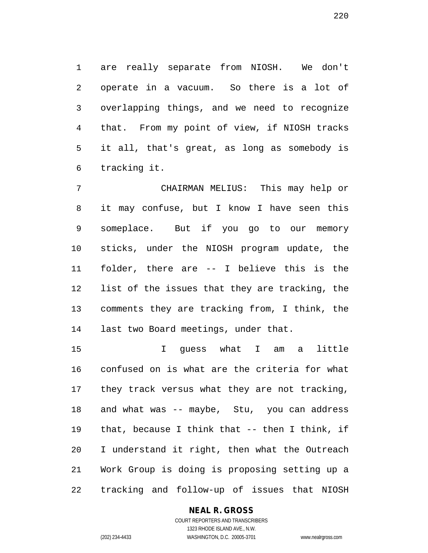are really separate from NIOSH. We don't operate in a vacuum. So there is a lot of overlapping things, and we need to recognize that. From my point of view, if NIOSH tracks it all, that's great, as long as somebody is tracking it.

 CHAIRMAN MELIUS: This may help or it may confuse, but I know I have seen this someplace. But if you go to our memory sticks, under the NIOSH program update, the folder, there are -- I believe this is the list of the issues that they are tracking, the comments they are tracking from, I think, the last two Board meetings, under that.

 I guess what I am a little confused on is what are the criteria for what they track versus what they are not tracking, and what was -- maybe, Stu, you can address that, because I think that -- then I think, if I understand it right, then what the Outreach Work Group is doing is proposing setting up a tracking and follow-up of issues that NIOSH

### **NEAL R. GROSS** COURT REPORTERS AND TRANSCRIBERS

1323 RHODE ISLAND AVE., N.W. (202) 234-4433 WASHINGTON, D.C. 20005-3701 www.nealrgross.com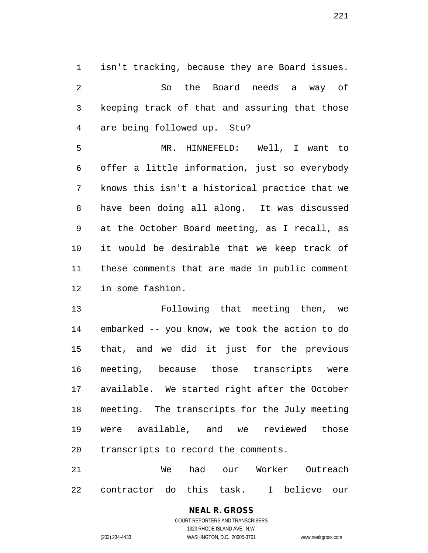isn't tracking, because they are Board issues. So the Board needs a way of keeping track of that and assuring that those are being followed up. Stu?

 MR. HINNEFELD: Well, I want to offer a little information, just so everybody knows this isn't a historical practice that we have been doing all along. It was discussed at the October Board meeting, as I recall, as it would be desirable that we keep track of these comments that are made in public comment in some fashion.

 Following that meeting then, we embarked -- you know, we took the action to do that, and we did it just for the previous meeting, because those transcripts were available. We started right after the October meeting. The transcripts for the July meeting were available, and we reviewed those transcripts to record the comments.

 We had our Worker Outreach contractor do this task. I believe our

# **NEAL R. GROSS**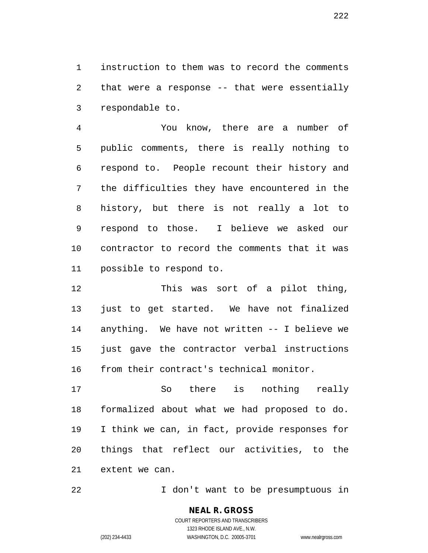instruction to them was to record the comments that were a response -- that were essentially respondable to.

 You know, there are a number of public comments, there is really nothing to respond to. People recount their history and the difficulties they have encountered in the history, but there is not really a lot to respond to those. I believe we asked our contractor to record the comments that it was possible to respond to.

 This was sort of a pilot thing, just to get started. We have not finalized anything. We have not written -- I believe we just gave the contractor verbal instructions 16 from their contract's technical monitor.

 So there is nothing really formalized about what we had proposed to do. I think we can, in fact, provide responses for things that reflect our activities, to the extent we can.

I don't want to be presumptuous in

**NEAL R. GROSS** COURT REPORTERS AND TRANSCRIBERS

1323 RHODE ISLAND AVE., N.W.

(202) 234-4433 WASHINGTON, D.C. 20005-3701 www.nealrgross.com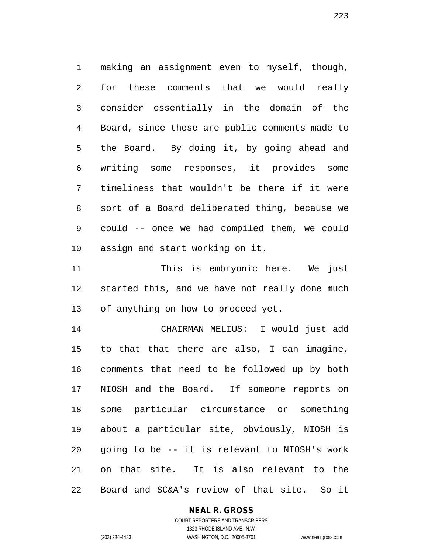making an assignment even to myself, though, for these comments that we would really consider essentially in the domain of the Board, since these are public comments made to the Board. By doing it, by going ahead and writing some responses, it provides some timeliness that wouldn't be there if it were sort of a Board deliberated thing, because we could -- once we had compiled them, we could assign and start working on it.

 This is embryonic here. We just started this, and we have not really done much of anything on how to proceed yet.

 CHAIRMAN MELIUS: I would just add to that that there are also, I can imagine, comments that need to be followed up by both NIOSH and the Board. If someone reports on some particular circumstance or something about a particular site, obviously, NIOSH is going to be -- it is relevant to NIOSH's work on that site. It is also relevant to the Board and SC&A's review of that site. So it

### **NEAL R. GROSS**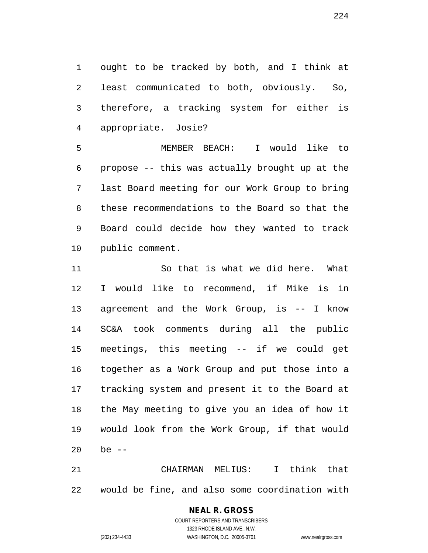ought to be tracked by both, and I think at least communicated to both, obviously. So, therefore, a tracking system for either is appropriate. Josie?

 MEMBER BEACH: I would like to propose -- this was actually brought up at the last Board meeting for our Work Group to bring these recommendations to the Board so that the Board could decide how they wanted to track public comment.

 So that is what we did here. What I would like to recommend, if Mike is in agreement and the Work Group, is -- I know SC&A took comments during all the public meetings, this meeting -- if we could get together as a Work Group and put those into a tracking system and present it to the Board at the May meeting to give you an idea of how it would look from the Work Group, if that would be --

 CHAIRMAN MELIUS: I think that would be fine, and also some coordination with

# **NEAL R. GROSS**

COURT REPORTERS AND TRANSCRIBERS 1323 RHODE ISLAND AVE., N.W. (202) 234-4433 WASHINGTON, D.C. 20005-3701 www.nealrgross.com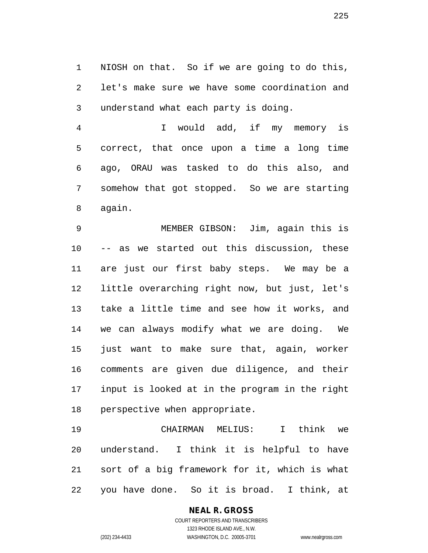NIOSH on that. So if we are going to do this, let's make sure we have some coordination and understand what each party is doing.

 I would add, if my memory is correct, that once upon a time a long time ago, ORAU was tasked to do this also, and somehow that got stopped. So we are starting again.

 MEMBER GIBSON: Jim, again this is -- as we started out this discussion, these are just our first baby steps. We may be a little overarching right now, but just, let's take a little time and see how it works, and we can always modify what we are doing. We just want to make sure that, again, worker comments are given due diligence, and their input is looked at in the program in the right perspective when appropriate.

 CHAIRMAN MELIUS: I think we understand. I think it is helpful to have sort of a big framework for it, which is what you have done. So it is broad. I think, at

> **NEAL R. GROSS** COURT REPORTERS AND TRANSCRIBERS

1323 RHODE ISLAND AVE., N.W. (202) 234-4433 WASHINGTON, D.C. 20005-3701 www.nealrgross.com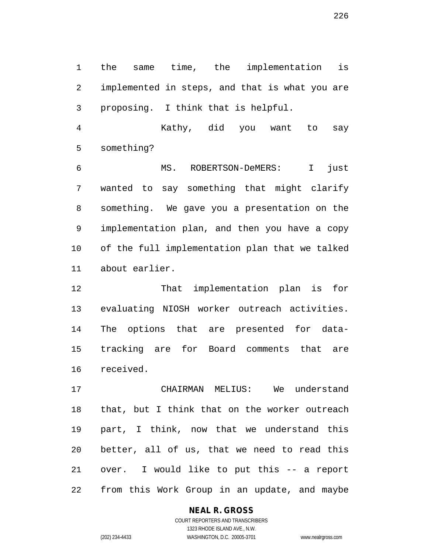the same time, the implementation is implemented in steps, and that is what you are proposing. I think that is helpful.

 Kathy, did you want to say something?

 MS. ROBERTSON-DeMERS: I just wanted to say something that might clarify something. We gave you a presentation on the implementation plan, and then you have a copy of the full implementation plan that we talked about earlier.

 That implementation plan is for evaluating NIOSH worker outreach activities. The options that are presented for data- tracking are for Board comments that are received.

 CHAIRMAN MELIUS: We understand that, but I think that on the worker outreach part, I think, now that we understand this better, all of us, that we need to read this over. I would like to put this -- a report from this Work Group in an update, and maybe

### **NEAL R. GROSS** COURT REPORTERS AND TRANSCRIBERS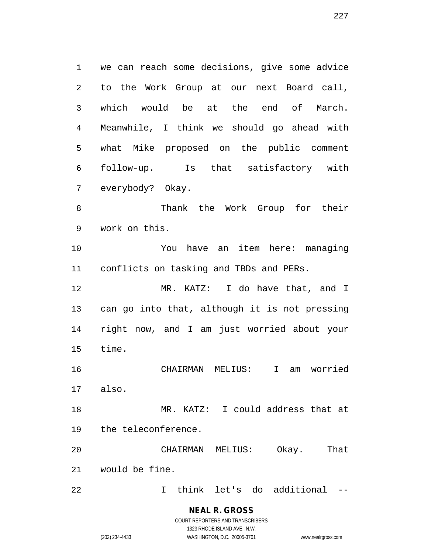we can reach some decisions, give some advice to the Work Group at our next Board call, which would be at the end of March. Meanwhile, I think we should go ahead with what Mike proposed on the public comment follow-up. Is that satisfactory with everybody? Okay. Thank the Work Group for their

work on this.

 You have an item here: managing conflicts on tasking and TBDs and PERs.

 MR. KATZ: I do have that, and I can go into that, although it is not pressing right now, and I am just worried about your time.

 CHAIRMAN MELIUS: I am worried also.

 MR. KATZ: I could address that at the teleconference.

 CHAIRMAN MELIUS: Okay. That would be fine.

I think let's do additional --

**NEAL R. GROSS** COURT REPORTERS AND TRANSCRIBERS

1323 RHODE ISLAND AVE., N.W.

(202) 234-4433 WASHINGTON, D.C. 20005-3701 www.nealrgross.com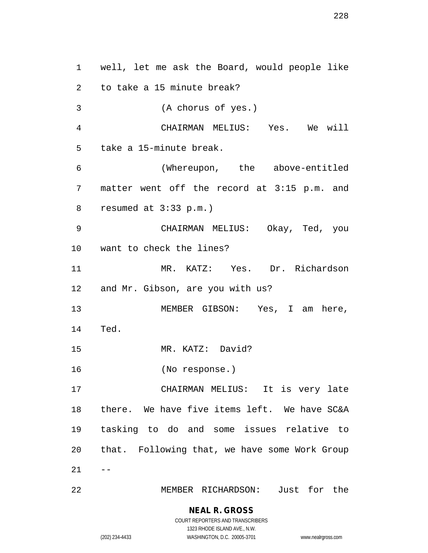well, let me ask the Board, would people like to take a 15 minute break? (A chorus of yes.) CHAIRMAN MELIUS: Yes. We will take a 15-minute break. (Whereupon, the above-entitled matter went off the record at 3:15 p.m. and resumed at 3:33 p.m.) CHAIRMAN MELIUS: Okay, Ted, you want to check the lines? MR. KATZ: Yes. Dr. Richardson and Mr. Gibson, are you with us? MEMBER GIBSON: Yes, I am here, Ted. MR. KATZ: David? (No response.) CHAIRMAN MELIUS: It is very late there. We have five items left. We have SC&A tasking to do and some issues relative to that. Following that, we have some Work Group  $21 - -$ MEMBER RICHARDSON: Just for the

> **NEAL R. GROSS** COURT REPORTERS AND TRANSCRIBERS

> > 1323 RHODE ISLAND AVE., N.W.

(202) 234-4433 WASHINGTON, D.C. 20005-3701 www.nealrgross.com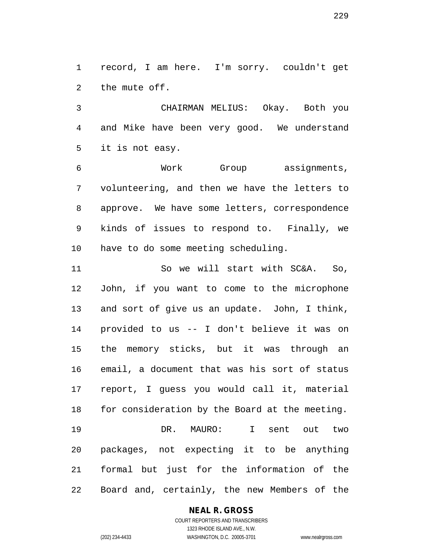record, I am here. I'm sorry. couldn't get the mute off.

 CHAIRMAN MELIUS: Okay. Both you and Mike have been very good. We understand it is not easy.

 Work Group assignments, volunteering, and then we have the letters to approve. We have some letters, correspondence kinds of issues to respond to. Finally, we have to do some meeting scheduling.

 So we will start with SC&A. So, John, if you want to come to the microphone and sort of give us an update. John, I think, provided to us -- I don't believe it was on the memory sticks, but it was through an email, a document that was his sort of status report, I guess you would call it, material for consideration by the Board at the meeting. DR. MAURO: I sent out two packages, not expecting it to be anything formal but just for the information of the Board and, certainly, the new Members of the

### **NEAL R. GROSS**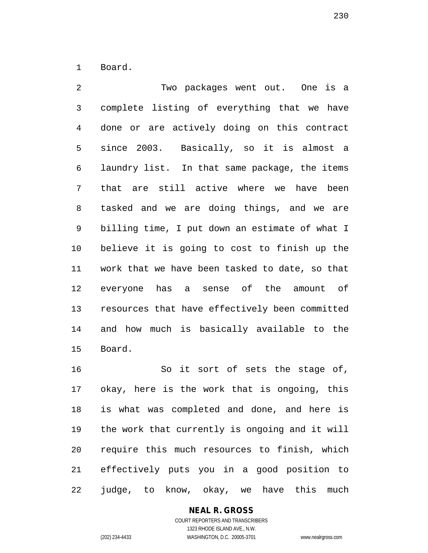Board.

 Two packages went out. One is a complete listing of everything that we have done or are actively doing on this contract since 2003. Basically, so it is almost a laundry list. In that same package, the items that are still active where we have been tasked and we are doing things, and we are billing time, I put down an estimate of what I believe it is going to cost to finish up the work that we have been tasked to date, so that everyone has a sense of the amount of resources that have effectively been committed and how much is basically available to the Board.

 So it sort of sets the stage of, okay, here is the work that is ongoing, this is what was completed and done, and here is the work that currently is ongoing and it will require this much resources to finish, which effectively puts you in a good position to judge, to know, okay, we have this much

# **NEAL R. GROSS**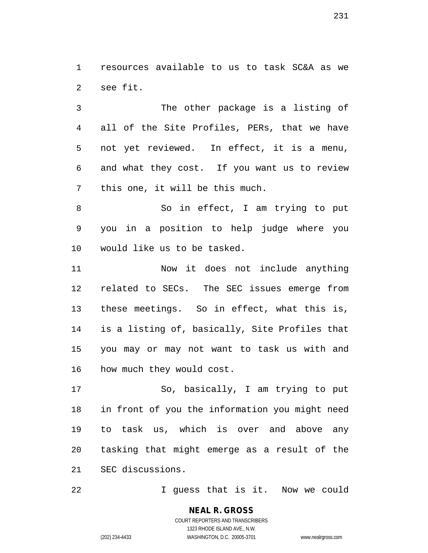resources available to us to task SC&A as we see fit.

 The other package is a listing of all of the Site Profiles, PERs, that we have not yet reviewed. In effect, it is a menu, and what they cost. If you want us to review this one, it will be this much.

8 So in effect, I am trying to put you in a position to help judge where you would like us to be tasked.

 Now it does not include anything related to SECs. The SEC issues emerge from these meetings. So in effect, what this is, is a listing of, basically, Site Profiles that you may or may not want to task us with and how much they would cost.

 So, basically, I am trying to put in front of you the information you might need to task us, which is over and above any tasking that might emerge as a result of the SEC discussions.

I guess that is it. Now we could

**NEAL R. GROSS**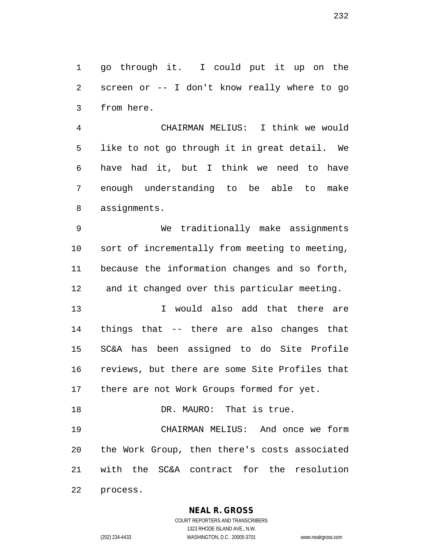go through it. I could put it up on the screen or -- I don't know really where to go from here.

 CHAIRMAN MELIUS: I think we would like to not go through it in great detail. We have had it, but I think we need to have enough understanding to be able to make assignments.

 We traditionally make assignments sort of incrementally from meeting to meeting, because the information changes and so forth, and it changed over this particular meeting.

 I would also add that there are things that -- there are also changes that SC&A has been assigned to do Site Profile reviews, but there are some Site Profiles that 17 there are not Work Groups formed for yet.

18 DR. MAURO: That is true.

 CHAIRMAN MELIUS: And once we form the Work Group, then there's costs associated with the SC&A contract for the resolution

process.

# **NEAL R. GROSS**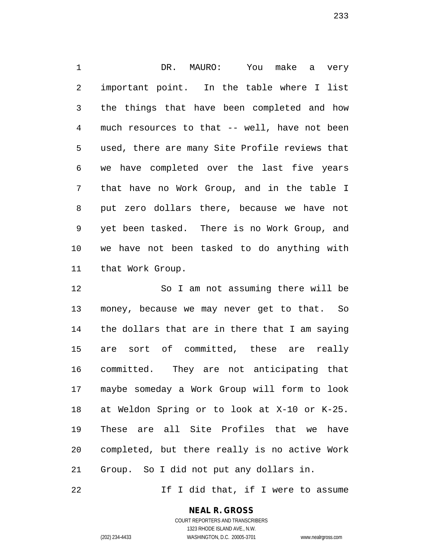DR. MAURO: You make a very important point. In the table where I list the things that have been completed and how much resources to that -- well, have not been used, there are many Site Profile reviews that we have completed over the last five years that have no Work Group, and in the table I put zero dollars there, because we have not yet been tasked. There is no Work Group, and we have not been tasked to do anything with that Work Group.

 So I am not assuming there will be money, because we may never get to that. So the dollars that are in there that I am saying are sort of committed, these are really committed. They are not anticipating that maybe someday a Work Group will form to look at Weldon Spring or to look at X-10 or K-25. These are all Site Profiles that we have completed, but there really is no active Work Group. So I did not put any dollars in.

22 1f I did that, if I were to assume

## **NEAL R. GROSS**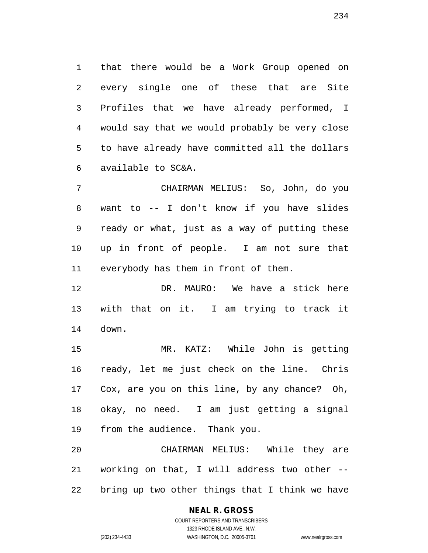that there would be a Work Group opened on every single one of these that are Site Profiles that we have already performed, I would say that we would probably be very close to have already have committed all the dollars available to SC&A.

 CHAIRMAN MELIUS: So, John, do you want to -- I don't know if you have slides ready or what, just as a way of putting these up in front of people. I am not sure that everybody has them in front of them.

 DR. MAURO: We have a stick here with that on it. I am trying to track it down.

 MR. KATZ: While John is getting ready, let me just check on the line. Chris Cox, are you on this line, by any chance? Oh, okay, no need. I am just getting a signal from the audience. Thank you.

 CHAIRMAN MELIUS: While they are working on that, I will address two other -- bring up two other things that I think we have

### **NEAL R. GROSS** COURT REPORTERS AND TRANSCRIBERS

1323 RHODE ISLAND AVE., N.W. (202) 234-4433 WASHINGTON, D.C. 20005-3701 www.nealrgross.com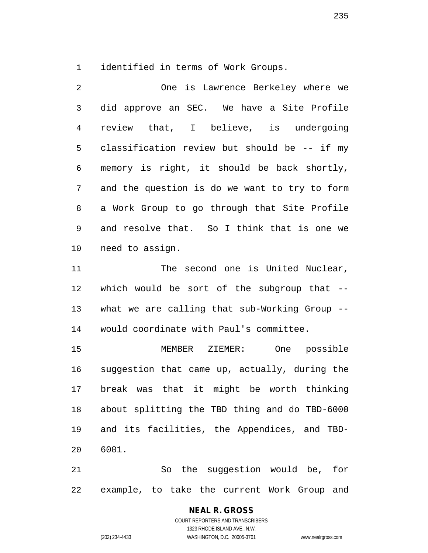identified in terms of Work Groups.

 One is Lawrence Berkeley where we did approve an SEC. We have a Site Profile review that, I believe, is undergoing classification review but should be -- if my memory is right, it should be back shortly, and the question is do we want to try to form a Work Group to go through that Site Profile and resolve that. So I think that is one we need to assign.

11 The second one is United Nuclear, which would be sort of the subgroup that -- what we are calling that sub-Working Group -- would coordinate with Paul's committee.

 MEMBER ZIEMER: One possible suggestion that came up, actually, during the break was that it might be worth thinking about splitting the TBD thing and do TBD-6000 and its facilities, the Appendices, and TBD-6001.

 So the suggestion would be, for example, to take the current Work Group and

> **NEAL R. GROSS** COURT REPORTERS AND TRANSCRIBERS 1323 RHODE ISLAND AVE., N.W. (202) 234-4433 WASHINGTON, D.C. 20005-3701 www.nealrgross.com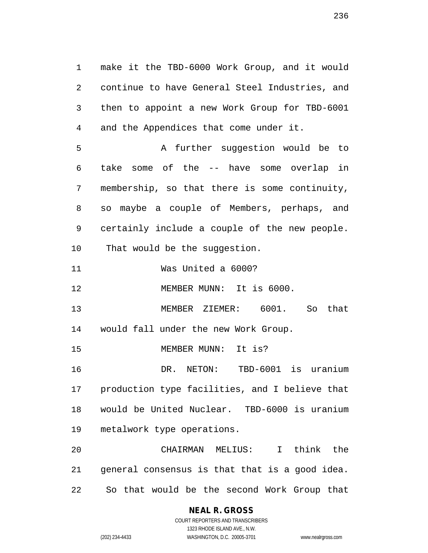make it the TBD-6000 Work Group, and it would continue to have General Steel Industries, and then to appoint a new Work Group for TBD-6001 and the Appendices that come under it. A further suggestion would be to take some of the -- have some overlap in membership, so that there is some continuity, so maybe a couple of Members, perhaps, and certainly include a couple of the new people. That would be the suggestion. Was United a 6000? MEMBER MUNN: It is 6000. MEMBER ZIEMER: 6001. So that would fall under the new Work Group. MEMBER MUNN: It is? DR. NETON: TBD-6001 is uranium production type facilities, and I believe that

 would be United Nuclear. TBD-6000 is uranium metalwork type operations.

 CHAIRMAN MELIUS: I think the general consensus is that that is a good idea. So that would be the second Work Group that

# **NEAL R. GROSS**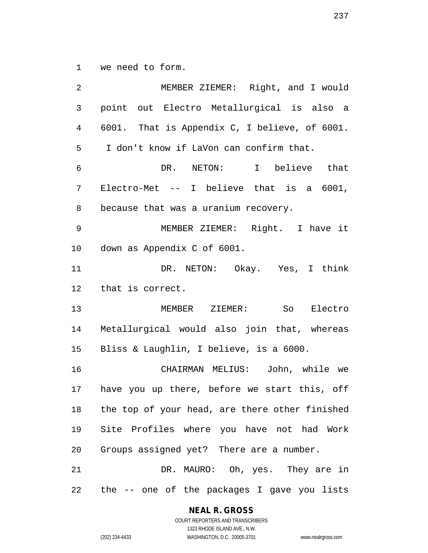we need to form.

 MEMBER ZIEMER: Right, and I would point out Electro Metallurgical is also a 6001. That is Appendix C, I believe, of 6001. I don't know if LaVon can confirm that. DR. NETON: I believe that Electro-Met -- I believe that is a 6001, because that was a uranium recovery. MEMBER ZIEMER: Right. I have it down as Appendix C of 6001. DR. NETON: Okay. Yes, I think that is correct. MEMBER ZIEMER: So Electro Metallurgical would also join that, whereas Bliss & Laughlin, I believe, is a 6000. CHAIRMAN MELIUS: John, while we have you up there, before we start this, off the top of your head, are there other finished Site Profiles where you have not had Work Groups assigned yet? There are a number. DR. MAURO: Oh, yes. They are in the -- one of the packages I gave you lists

#### **NEAL R. GROSS**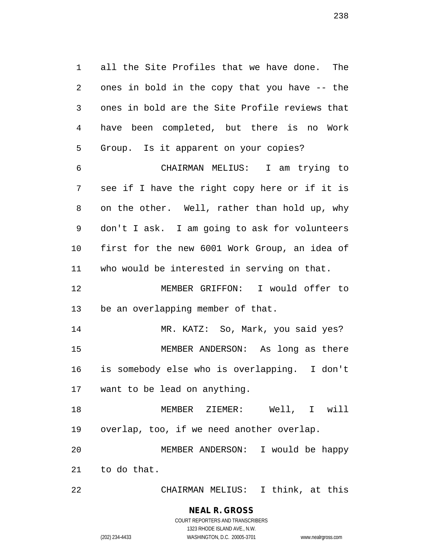all the Site Profiles that we have done. The ones in bold in the copy that you have -- the ones in bold are the Site Profile reviews that have been completed, but there is no Work Group. Is it apparent on your copies?

 CHAIRMAN MELIUS: I am trying to see if I have the right copy here or if it is on the other. Well, rather than hold up, why don't I ask. I am going to ask for volunteers first for the new 6001 Work Group, an idea of who would be interested in serving on that.

 MEMBER GRIFFON: I would offer to be an overlapping member of that.

 MR. KATZ: So, Mark, you said yes? MEMBER ANDERSON: As long as there is somebody else who is overlapping. I don't want to be lead on anything.

 MEMBER ZIEMER: Well, I will overlap, too, if we need another overlap.

 MEMBER ANDERSON: I would be happy to do that.

CHAIRMAN MELIUS: I think, at this

### **NEAL R. GROSS** COURT REPORTERS AND TRANSCRIBERS

1323 RHODE ISLAND AVE., N.W. (202) 234-4433 WASHINGTON, D.C. 20005-3701 www.nealrgross.com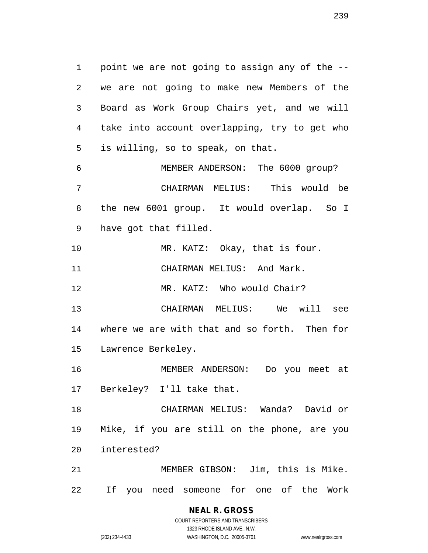point we are not going to assign any of the -- we are not going to make new Members of the Board as Work Group Chairs yet, and we will take into account overlapping, try to get who is willing, so to speak, on that. MEMBER ANDERSON: The 6000 group? CHAIRMAN MELIUS: This would be

 the new 6001 group. It would overlap. So I have got that filled.

10 MR. KATZ: Okay, that is four. 11 CHAIRMAN MELIUS: And Mark.

12 MR. KATZ: Who would Chair?

 CHAIRMAN MELIUS: We will see where we are with that and so forth. Then for Lawrence Berkeley.

 MEMBER ANDERSON: Do you meet at Berkeley? I'll take that.

 CHAIRMAN MELIUS: Wanda? David or Mike, if you are still on the phone, are you interested?

 MEMBER GIBSON: Jim, this is Mike. If you need someone for one of the Work

> **NEAL R. GROSS** COURT REPORTERS AND TRANSCRIBERS

1323 RHODE ISLAND AVE., N.W. (202) 234-4433 WASHINGTON, D.C. 20005-3701 www.nealrgross.com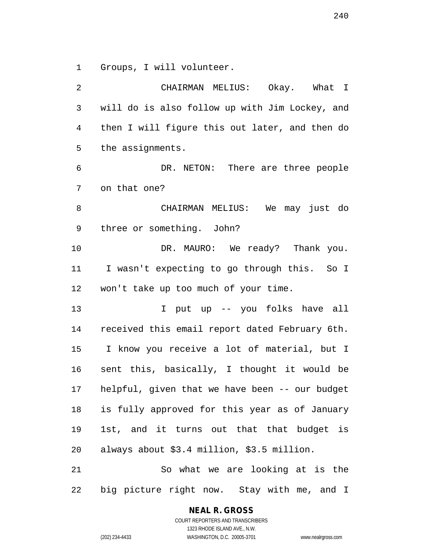Groups, I will volunteer.

 CHAIRMAN MELIUS: Okay. What I will do is also follow up with Jim Lockey, and then I will figure this out later, and then do the assignments. DR. NETON: There are three people on that one? CHAIRMAN MELIUS: We may just do three or something. John? DR. MAURO: We ready? Thank you. I wasn't expecting to go through this. So I won't take up too much of your time. I put up -- you folks have all received this email report dated February 6th. I know you receive a lot of material, but I sent this, basically, I thought it would be helpful, given that we have been -- our budget is fully approved for this year as of January 1st, and it turns out that that budget is always about \$3.4 million, \$3.5 million. So what we are looking at is the big picture right now. Stay with me, and I

# **NEAL R. GROSS**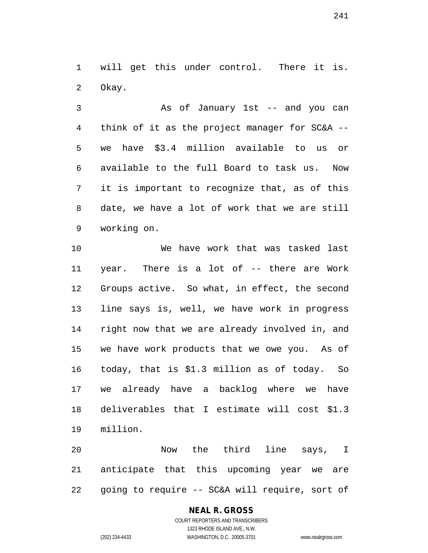will get this under control. There it is. Okay.

 As of January 1st -- and you can think of it as the project manager for SC&A -- we have \$3.4 million available to us or available to the full Board to task us. Now it is important to recognize that, as of this date, we have a lot of work that we are still working on.

 We have work that was tasked last year. There is a lot of -- there are Work Groups active. So what, in effect, the second line says is, well, we have work in progress right now that we are already involved in, and we have work products that we owe you. As of today, that is \$1.3 million as of today. So we already have a backlog where we have deliverables that I estimate will cost \$1.3 million.

 Now the third line says, I anticipate that this upcoming year we are going to require -- SC&A will require, sort of

### **NEAL R. GROSS** COURT REPORTERS AND TRANSCRIBERS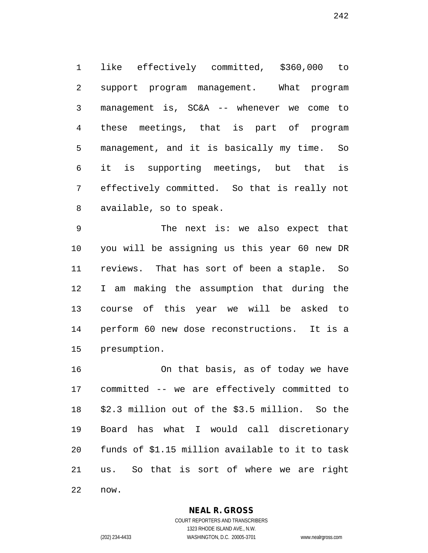like effectively committed, \$360,000 to support program management. What program management is, SC&A -- whenever we come to these meetings, that is part of program management, and it is basically my time. So it is supporting meetings, but that is effectively committed. So that is really not available, so to speak.

 The next is: we also expect that you will be assigning us this year 60 new DR reviews. That has sort of been a staple. So I am making the assumption that during the course of this year we will be asked to perform 60 new dose reconstructions. It is a presumption.

 On that basis, as of today we have committed -- we are effectively committed to \$2.3 million out of the \$3.5 million. So the Board has what I would call discretionary funds of \$1.15 million available to it to task us. So that is sort of where we are right now.

> **NEAL R. GROSS** COURT REPORTERS AND TRANSCRIBERS

1323 RHODE ISLAND AVE., N.W. (202) 234-4433 WASHINGTON, D.C. 20005-3701 www.nealrgross.com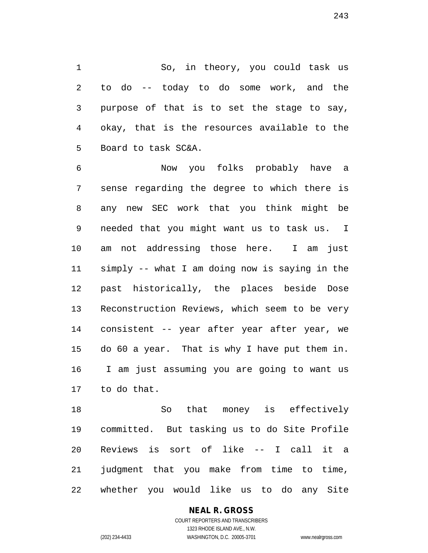So, in theory, you could task us to do -- today to do some work, and the purpose of that is to set the stage to say, okay, that is the resources available to the Board to task SC&A.

 Now you folks probably have a sense regarding the degree to which there is any new SEC work that you think might be needed that you might want us to task us. I am not addressing those here. I am just simply -- what I am doing now is saying in the past historically, the places beside Dose Reconstruction Reviews, which seem to be very consistent -- year after year after year, we do 60 a year. That is why I have put them in. I am just assuming you are going to want us to do that.

 So that money is effectively committed. But tasking us to do Site Profile Reviews is sort of like -- I call it a judgment that you make from time to time, whether you would like us to do any Site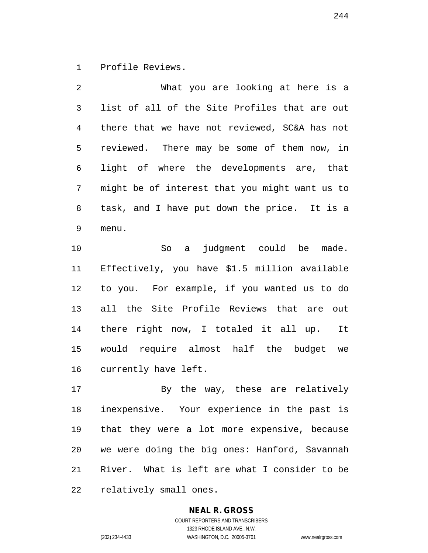Profile Reviews.

| 2            | What you are looking at here is a              |
|--------------|------------------------------------------------|
| $\mathsf{3}$ | list of all of the Site Profiles that are out  |
| 4            | there that we have not reviewed, SC&A has not  |
| 5            | reviewed. There may be some of them now, in    |
| 6            | light of where the developments are, that      |
| 7            | might be of interest that you might want us to |
| 8            | task, and I have put down the price. It is a   |
| 9            | menu.                                          |

 So a judgment could be made. Effectively, you have \$1.5 million available to you. For example, if you wanted us to do all the Site Profile Reviews that are out there right now, I totaled it all up. It would require almost half the budget we currently have left.

 By the way, these are relatively inexpensive. Your experience in the past is that they were a lot more expensive, because we were doing the big ones: Hanford, Savannah River. What is left are what I consider to be relatively small ones.

## **NEAL R. GROSS**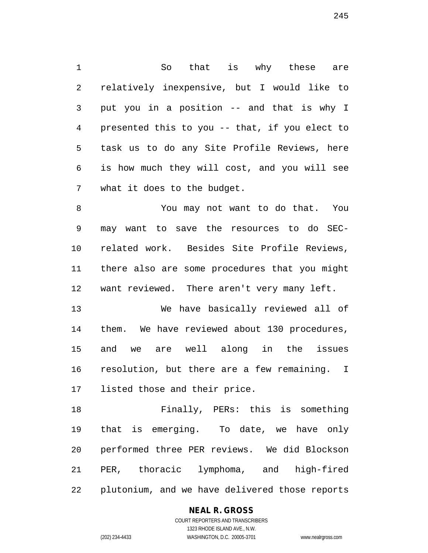So that is why these are relatively inexpensive, but I would like to put you in a position -- and that is why I presented this to you -- that, if you elect to task us to do any Site Profile Reviews, here is how much they will cost, and you will see what it does to the budget.

 You may not want to do that. You may want to save the resources to do SEC- related work. Besides Site Profile Reviews, there also are some procedures that you might want reviewed. There aren't very many left.

 We have basically reviewed all of them. We have reviewed about 130 procedures, and we are well along in the issues resolution, but there are a few remaining. I listed those and their price.

 Finally, PERs: this is something that is emerging. To date, we have only performed three PER reviews. We did Blockson PER, thoracic lymphoma, and high-fired plutonium, and we have delivered those reports

### **NEAL R. GROSS**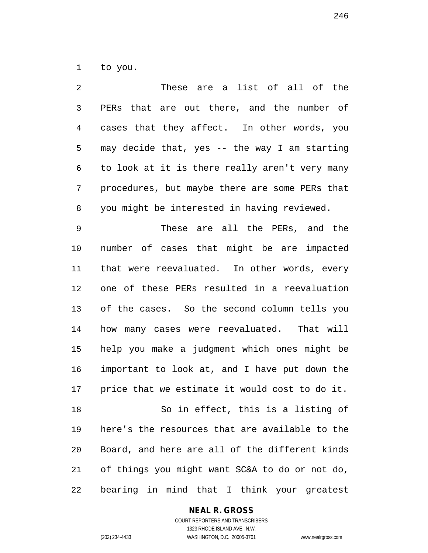to you.

| 2  | These are a list of all of the                 |
|----|------------------------------------------------|
| 3  | PERs that are out there, and the number of     |
| 4  | cases that they affect. In other words, you    |
| 5  | may decide that, yes -- the way I am starting  |
| 6  | to look at it is there really aren't very many |
| 7  | procedures, but maybe there are some PERs that |
| 8  | you might be interested in having reviewed.    |
| 9  | These are all the PERs, and the                |
| 10 | number of cases that might be are impacted     |
| 11 | that were reevaluated. In other words, every   |
| 12 | one of these PERs resulted in a reevaluation   |
| 13 | of the cases. So the second column tells you   |
| 14 | how many cases were reevaluated. That will     |
| 15 | help you make a judgment which ones might be   |
| 16 | important to look at, and I have put down the  |
| 17 | price that we estimate it would cost to do it. |
| 18 | So in effect, this is a listing of             |
| 19 | here's the resources that are available to the |
| 20 | Board, and here are all of the different kinds |
| 21 | of things you might want SC&A to do or not do, |
| 22 | bearing in mind that I think your greatest     |

**NEAL R. GROSS**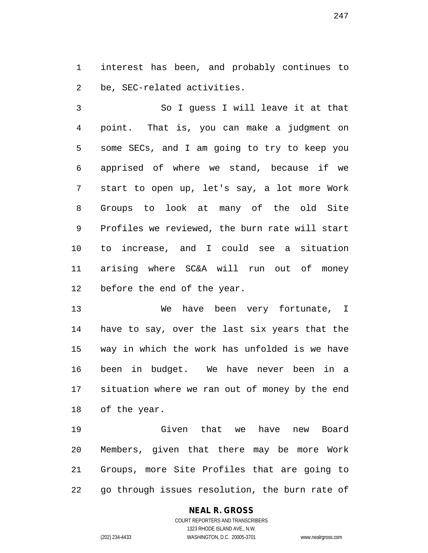interest has been, and probably continues to be, SEC-related activities.

 So I guess I will leave it at that point. That is, you can make a judgment on some SECs, and I am going to try to keep you apprised of where we stand, because if we start to open up, let's say, a lot more Work Groups to look at many of the old Site Profiles we reviewed, the burn rate will start to increase, and I could see a situation arising where SC&A will run out of money before the end of the year.

 We have been very fortunate, I have to say, over the last six years that the way in which the work has unfolded is we have been in budget. We have never been in a situation where we ran out of money by the end of the year.

 Given that we have new Board Members, given that there may be more Work Groups, more Site Profiles that are going to go through issues resolution, the burn rate of

## **NEAL R. GROSS**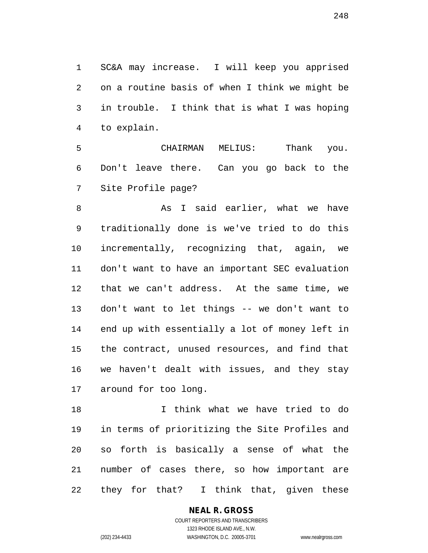SC&A may increase. I will keep you apprised on a routine basis of when I think we might be in trouble. I think that is what I was hoping to explain.

 CHAIRMAN MELIUS: Thank you. Don't leave there. Can you go back to the Site Profile page?

8 As I said earlier, what we have traditionally done is we've tried to do this incrementally, recognizing that, again, we don't want to have an important SEC evaluation that we can't address. At the same time, we don't want to let things -- we don't want to end up with essentially a lot of money left in the contract, unused resources, and find that we haven't dealt with issues, and they stay around for too long.

 I think what we have tried to do in terms of prioritizing the Site Profiles and so forth is basically a sense of what the number of cases there, so how important are they for that? I think that, given these

> COURT REPORTERS AND TRANSCRIBERS 1323 RHODE ISLAND AVE., N.W. (202) 234-4433 WASHINGTON, D.C. 20005-3701 www.nealrgross.com

**NEAL R. GROSS**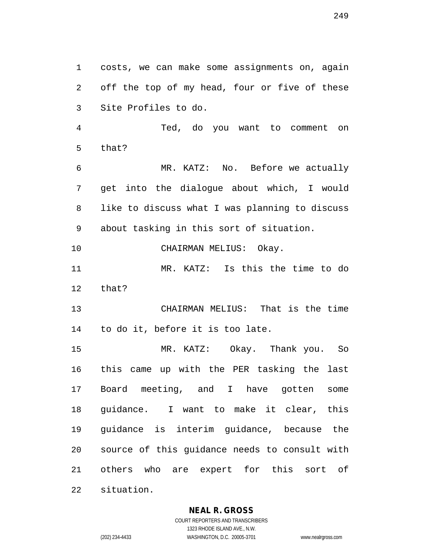costs, we can make some assignments on, again off the top of my head, four or five of these Site Profiles to do.

 Ted, do you want to comment on that?

 MR. KATZ: No. Before we actually get into the dialogue about which, I would like to discuss what I was planning to discuss about tasking in this sort of situation.

CHAIRMAN MELIUS: Okay.

 MR. KATZ: Is this the time to do that?

 CHAIRMAN MELIUS: That is the time to do it, before it is too late.

 MR. KATZ: Okay. Thank you. So this came up with the PER tasking the last Board meeting, and I have gotten some guidance. I want to make it clear, this guidance is interim guidance, because the source of this guidance needs to consult with others who are expert for this sort of situation.

**NEAL R. GROSS**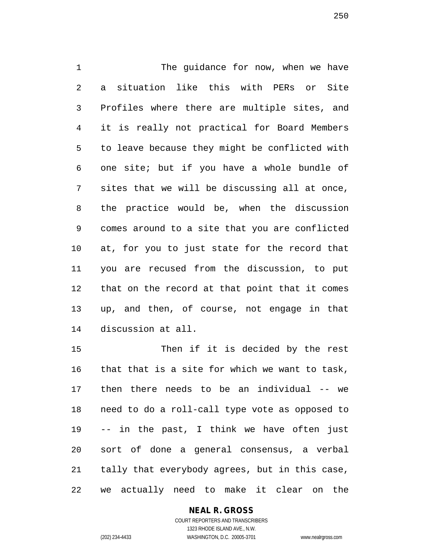The guidance for now, when we have a situation like this with PERs or Site Profiles where there are multiple sites, and it is really not practical for Board Members to leave because they might be conflicted with one site; but if you have a whole bundle of sites that we will be discussing all at once, the practice would be, when the discussion comes around to a site that you are conflicted at, for you to just state for the record that you are recused from the discussion, to put that on the record at that point that it comes up, and then, of course, not engage in that discussion at all.

 Then if it is decided by the rest that that is a site for which we want to task, then there needs to be an individual -- we need to do a roll-call type vote as opposed to -- in the past, I think we have often just sort of done a general consensus, a verbal tally that everybody agrees, but in this case, we actually need to make it clear on the

### **NEAL R. GROSS**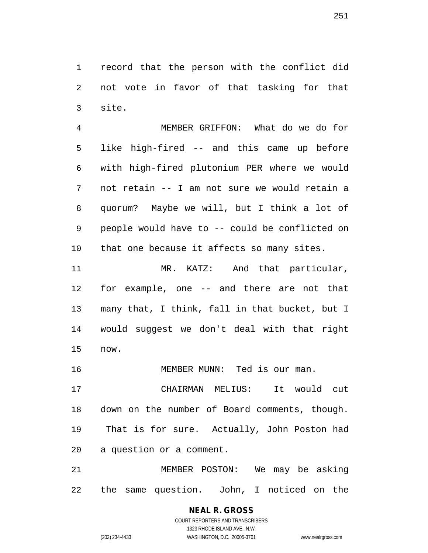record that the person with the conflict did not vote in favor of that tasking for that site.

 MEMBER GRIFFON: What do we do for like high-fired -- and this came up before with high-fired plutonium PER where we would not retain -- I am not sure we would retain a quorum? Maybe we will, but I think a lot of people would have to -- could be conflicted on that one because it affects so many sites.

11 MR. KATZ: And that particular, for example, one -- and there are not that many that, I think, fall in that bucket, but I would suggest we don't deal with that right now.

16 MEMBER MUNN: Ted is our man.

 CHAIRMAN MELIUS: It would cut down on the number of Board comments, though. That is for sure. Actually, John Poston had a question or a comment.

 MEMBER POSTON: We may be asking the same question. John, I noticed on the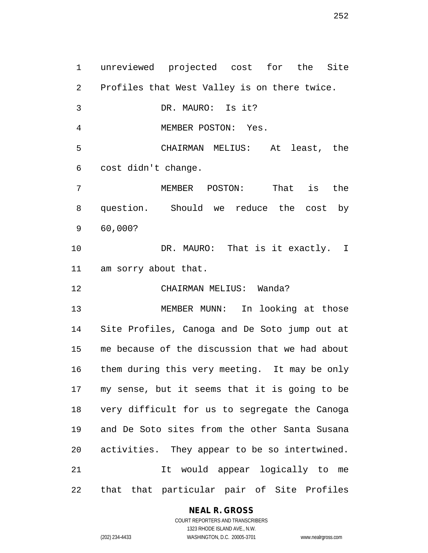unreviewed projected cost for the Site Profiles that West Valley is on there twice. DR. MAURO: Is it? MEMBER POSTON: Yes. CHAIRMAN MELIUS: At least, the cost didn't change. MEMBER POSTON: That is the question. Should we reduce the cost by 60,000? DR. MAURO: That is it exactly. I am sorry about that. CHAIRMAN MELIUS: Wanda? MEMBER MUNN: In looking at those Site Profiles, Canoga and De Soto jump out at me because of the discussion that we had about them during this very meeting. It may be only my sense, but it seems that it is going to be very difficult for us to segregate the Canoga and De Soto sites from the other Santa Susana activities. They appear to be so intertwined. It would appear logically to me that that particular pair of Site Profiles

### **NEAL R. GROSS**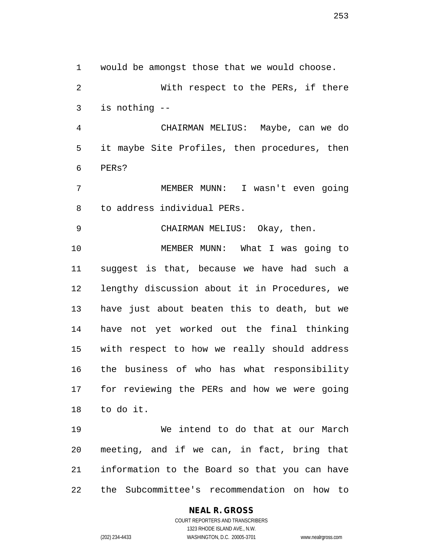would be amongst those that we would choose.

 With respect to the PERs, if there is nothing --

 CHAIRMAN MELIUS: Maybe, can we do it maybe Site Profiles, then procedures, then PERs?

 MEMBER MUNN: I wasn't even going to address individual PERs.

CHAIRMAN MELIUS: Okay, then.

 MEMBER MUNN: What I was going to suggest is that, because we have had such a lengthy discussion about it in Procedures, we have just about beaten this to death, but we have not yet worked out the final thinking with respect to how we really should address the business of who has what responsibility for reviewing the PERs and how we were going to do it.

 We intend to do that at our March meeting, and if we can, in fact, bring that information to the Board so that you can have the Subcommittee's recommendation on how to

## **NEAL R. GROSS**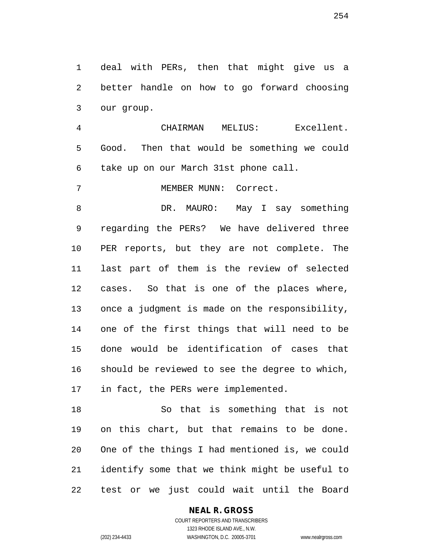deal with PERs, then that might give us a better handle on how to go forward choosing our group.

 CHAIRMAN MELIUS: Excellent. Good. Then that would be something we could take up on our March 31st phone call.

7 MEMBER MUNN: Correct.

 DR. MAURO: May I say something regarding the PERs? We have delivered three PER reports, but they are not complete. The last part of them is the review of selected cases. So that is one of the places where, once a judgment is made on the responsibility, one of the first things that will need to be done would be identification of cases that should be reviewed to see the degree to which, in fact, the PERs were implemented.

 So that is something that is not on this chart, but that remains to be done. One of the things I had mentioned is, we could identify some that we think might be useful to test or we just could wait until the Board

#### **NEAL R. GROSS**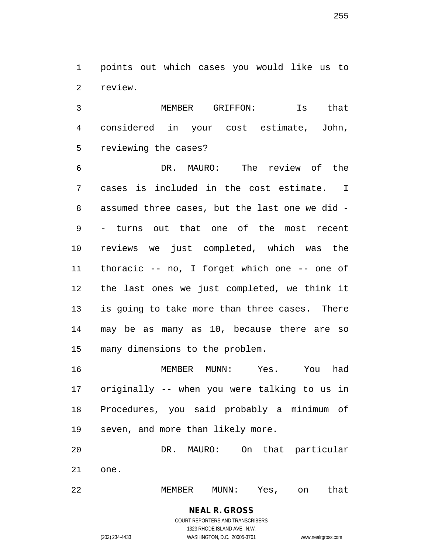points out which cases you would like us to review.

 MEMBER GRIFFON: Is that considered in your cost estimate, John, reviewing the cases?

 DR. MAURO: The review of the cases is included in the cost estimate. I assumed three cases, but the last one we did - - turns out that one of the most recent reviews we just completed, which was the thoracic -- no, I forget which one -- one of the last ones we just completed, we think it is going to take more than three cases. There may be as many as 10, because there are so many dimensions to the problem.

 MEMBER MUNN: Yes. You had originally -- when you were talking to us in Procedures, you said probably a minimum of seven, and more than likely more.

 DR. MAURO: On that particular one.

MEMBER MUNN: Yes, on that

COURT REPORTERS AND TRANSCRIBERS 1323 RHODE ISLAND AVE., N.W. (202) 234-4433 WASHINGTON, D.C. 20005-3701 www.nealrgross.com

**NEAL R. GROSS**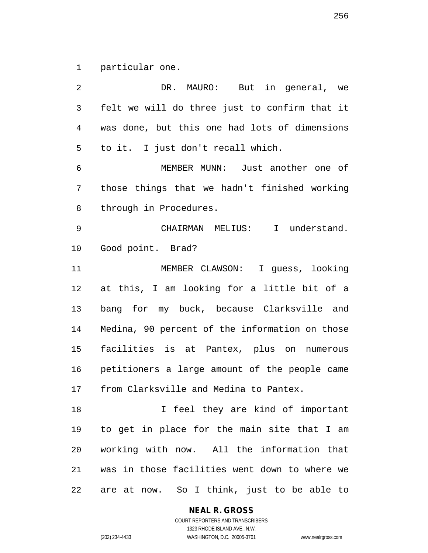particular one.

 DR. MAURO: But in general, we felt we will do three just to confirm that it was done, but this one had lots of dimensions to it. I just don't recall which. MEMBER MUNN: Just another one of those things that we hadn't finished working through in Procedures. CHAIRMAN MELIUS: I understand. Good point. Brad? MEMBER CLAWSON: I guess, looking at this, I am looking for a little bit of a bang for my buck, because Clarksville and Medina, 90 percent of the information on those facilities is at Pantex, plus on numerous petitioners a large amount of the people came from Clarksville and Medina to Pantex. 18 I feel they are kind of important to get in place for the main site that I am working with now. All the information that was in those facilities went down to where we are at now. So I think, just to be able to

**NEAL R. GROSS**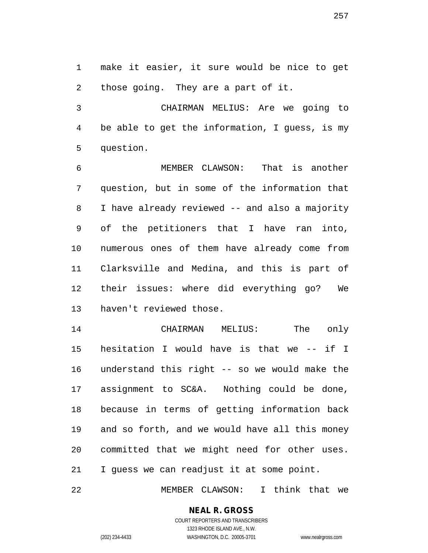make it easier, it sure would be nice to get those going. They are a part of it.

 CHAIRMAN MELIUS: Are we going to be able to get the information, I guess, is my question.

 MEMBER CLAWSON: That is another question, but in some of the information that I have already reviewed -- and also a majority of the petitioners that I have ran into, numerous ones of them have already come from Clarksville and Medina, and this is part of their issues: where did everything go? We haven't reviewed those.

 CHAIRMAN MELIUS: The only hesitation I would have is that we -- if I understand this right -- so we would make the assignment to SC&A. Nothing could be done, because in terms of getting information back and so forth, and we would have all this money committed that we might need for other uses. I guess we can readjust it at some point.

MEMBER CLAWSON: I think that we

## **NEAL R. GROSS**

COURT REPORTERS AND TRANSCRIBERS 1323 RHODE ISLAND AVE., N.W. (202) 234-4433 WASHINGTON, D.C. 20005-3701 www.nealrgross.com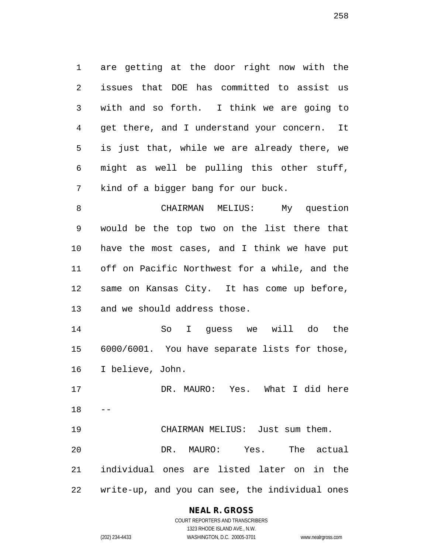are getting at the door right now with the issues that DOE has committed to assist us with and so forth. I think we are going to get there, and I understand your concern. It is just that, while we are already there, we might as well be pulling this other stuff, kind of a bigger bang for our buck.

 CHAIRMAN MELIUS: My question would be the top two on the list there that have the most cases, and I think we have put off on Pacific Northwest for a while, and the same on Kansas City. It has come up before, and we should address those.

 So I guess we will do the 6000/6001. You have separate lists for those, I believe, John.

 DR. MAURO: Yes. What I did here 

 CHAIRMAN MELIUS: Just sum them. DR. MAURO: Yes. The actual individual ones are listed later on in the write-up, and you can see, the individual ones

## **NEAL R. GROSS**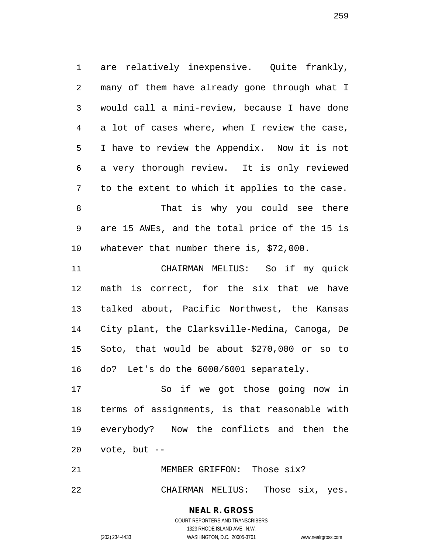are relatively inexpensive. Quite frankly, many of them have already gone through what I would call a mini-review, because I have done a lot of cases where, when I review the case, I have to review the Appendix. Now it is not a very thorough review. It is only reviewed to the extent to which it applies to the case. That is why you could see there are 15 AWEs, and the total price of the 15 is whatever that number there is, \$72,000. CHAIRMAN MELIUS: So if my quick math is correct, for the six that we have talked about, Pacific Northwest, the Kansas City plant, the Clarksville-Medina, Canoga, De Soto, that would be about \$270,000 or so to

do? Let's do the 6000/6001 separately.

 So if we got those going now in terms of assignments, is that reasonable with everybody? Now the conflicts and then the vote, but --

 MEMBER GRIFFON: Those six? CHAIRMAN MELIUS: Those six, yes.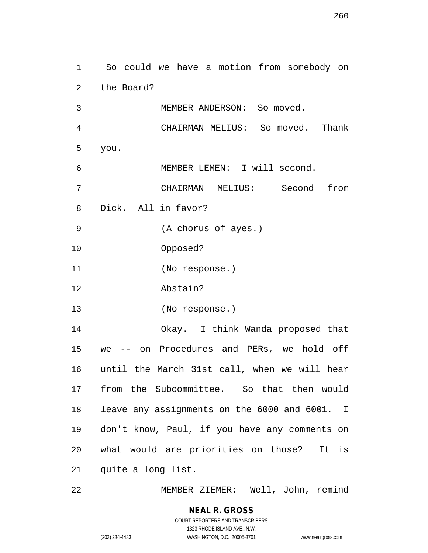| 1  | So could we have a motion from somebody on    |
|----|-----------------------------------------------|
| 2  | the Board?                                    |
| 3  | MEMBER ANDERSON: So moved.                    |
| 4  | CHAIRMAN MELIUS: So moved. Thank              |
| 5  | you.                                          |
| 6  | MEMBER LEMEN: I will second.                  |
| 7  | CHAIRMAN MELIUS: Second<br>from               |
| 8  | Dick. All in favor?                           |
| 9  | (A chorus of ayes.)                           |
| 10 | Opposed?                                      |
| 11 | (No response.)                                |
| 12 | Abstain?                                      |
| 13 | (No response.)                                |
| 14 | Okay. I think Wanda proposed that             |
| 15 | -- on Procedures and PERs, we hold off<br>we  |
| 16 | until the March 31st call, when we will hear  |
| 17 | from the Subcommittee. So that then would     |
| 18 | leave any assignments on the 6000 and 6001. I |
| 19 | don't know, Paul, if you have any comments on |
| 20 | what would are priorities on those? It is     |
| 21 | quite a long list.                            |
|    |                                               |

MEMBER ZIEMER: Well, John, remind

## **NEAL R. GROSS** COURT REPORTERS AND TRANSCRIBERS 1323 RHODE ISLAND AVE., N.W.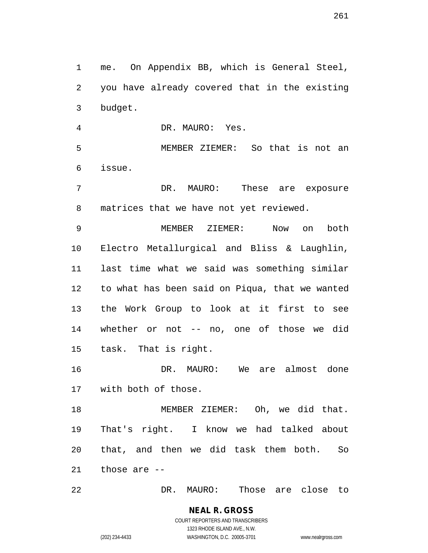me. On Appendix BB, which is General Steel, you have already covered that in the existing budget.

DR. MAURO: Yes.

 MEMBER ZIEMER: So that is not an issue.

7 DR. MAURO: These are exposure matrices that we have not yet reviewed.

 MEMBER ZIEMER: Now on both Electro Metallurgical and Bliss & Laughlin, last time what we said was something similar to what has been said on Piqua, that we wanted the Work Group to look at it first to see whether or not -- no, one of those we did task. That is right.

 DR. MAURO: We are almost done with both of those.

 MEMBER ZIEMER: Oh, we did that. That's right. I know we had talked about that, and then we did task them both. So those are --

DR. MAURO: Those are close to

COURT REPORTERS AND TRANSCRIBERS 1323 RHODE ISLAND AVE., N.W. (202) 234-4433 WASHINGTON, D.C. 20005-3701 www.nealrgross.com

**NEAL R. GROSS**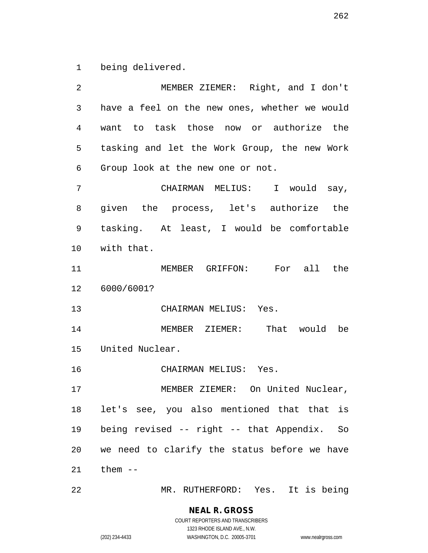being delivered.

| 2  | MEMBER ZIEMER: Right, and I don't             |
|----|-----------------------------------------------|
| 3  | have a feel on the new ones, whether we would |
| 4  | want to task those now or authorize the       |
| 5  | tasking and let the Work Group, the new Work  |
| 6  | Group look at the new one or not.             |
| 7  | CHAIRMAN MELIUS: I would say,                 |
| 8  | given the process, let's authorize the        |
| 9  | tasking. At least, I would be comfortable     |
| 10 | with that.                                    |
| 11 | MEMBER GRIFFON: For all the                   |
| 12 | 6000/6001?                                    |
| 13 | CHAIRMAN MELIUS: Yes.                         |
| 14 | MEMBER ZIEMER: That would be                  |
| 15 | United Nuclear.                               |
| 16 | CHAIRMAN MELIUS: Yes.                         |
| 17 | MEMBER ZIEMER: On United Nuclear,             |
| 18 | let's see, you also mentioned that that is    |
| 19 | being revised -- right -- that Appendix. So   |
| 20 | we need to clarify the status before we have  |
| 21 | them $--$                                     |
| 22 | MR. RUTHERFORD: Yes. It is being              |

1323 RHODE ISLAND AVE., N.W.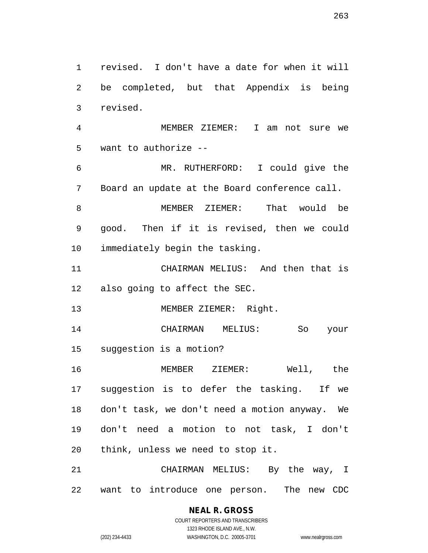revised. I don't have a date for when it will be completed, but that Appendix is being revised. MEMBER ZIEMER: I am not sure we want to authorize -- MR. RUTHERFORD: I could give the Board an update at the Board conference call. MEMBER ZIEMER: That would be good. Then if it is revised, then we could immediately begin the tasking. CHAIRMAN MELIUS: And then that is also going to affect the SEC. 13 MEMBER ZIEMER: Right. CHAIRMAN MELIUS: So your suggestion is a motion? MEMBER ZIEMER: Well, the suggestion is to defer the tasking. If we don't task, we don't need a motion anyway. We don't need a motion to not task, I don't think, unless we need to stop it. CHAIRMAN MELIUS: By the way, I want to introduce one person. The new CDC

> **NEAL R. GROSS** COURT REPORTERS AND TRANSCRIBERS 1323 RHODE ISLAND AVE., N.W.

(202) 234-4433 WASHINGTON, D.C. 20005-3701 www.nealrgross.com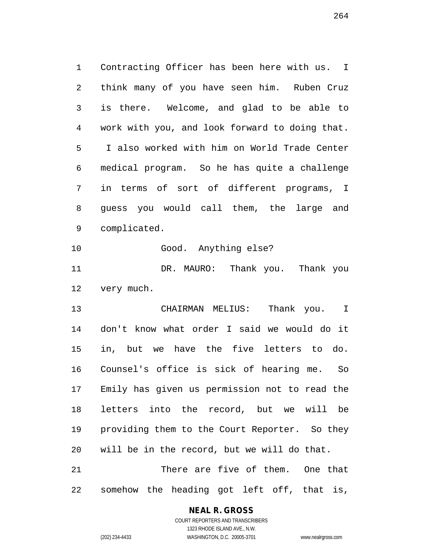Contracting Officer has been here with us. I think many of you have seen him. Ruben Cruz is there. Welcome, and glad to be able to work with you, and look forward to doing that. I also worked with him on World Trade Center medical program. So he has quite a challenge in terms of sort of different programs, I guess you would call them, the large and complicated.

Good. Anything else?

 DR. MAURO: Thank you. Thank you very much.

 CHAIRMAN MELIUS: Thank you. I don't know what order I said we would do it in, but we have the five letters to do. Counsel's office is sick of hearing me. So Emily has given us permission not to read the letters into the record, but we will be providing them to the Court Reporter. So they will be in the record, but we will do that. There are five of them. One that

somehow the heading got left off, that is,

#### **NEAL R. GROSS**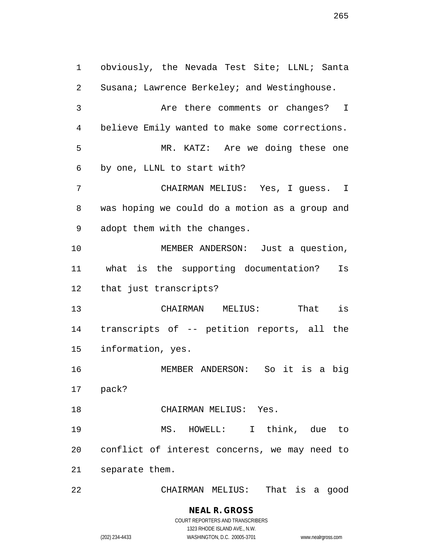obviously, the Nevada Test Site; LLNL; Santa Susana; Lawrence Berkeley; and Westinghouse. Are there comments or changes? I believe Emily wanted to make some corrections. MR. KATZ: Are we doing these one by one, LLNL to start with? CHAIRMAN MELIUS: Yes, I guess. I was hoping we could do a motion as a group and adopt them with the changes. MEMBER ANDERSON: Just a question, what is the supporting documentation? Is that just transcripts? CHAIRMAN MELIUS: That is transcripts of -- petition reports, all the information, yes. MEMBER ANDERSON: So it is a big pack? CHAIRMAN MELIUS: Yes. MS. HOWELL: I think, due to conflict of interest concerns, we may need to separate them. CHAIRMAN MELIUS: That is a good

(202) 234-4433 WASHINGTON, D.C. 20005-3701 www.nealrgross.com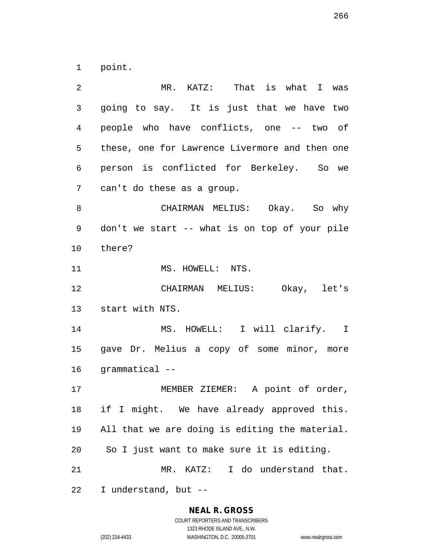point.

 MR. KATZ: That is what I was going to say. It is just that we have two people who have conflicts, one -- two of these, one for Lawrence Livermore and then one person is conflicted for Berkeley. So we can't do these as a group. CHAIRMAN MELIUS: Okay. So why don't we start -- what is on top of your pile there? 11 MS. HOWELL: NTS. CHAIRMAN MELIUS: Okay, let's start with NTS. MS. HOWELL: I will clarify. I gave Dr. Melius a copy of some minor, more grammatical -- MEMBER ZIEMER: A point of order, if I might. We have already approved this. All that we are doing is editing the material. So I just want to make sure it is editing. MR. KATZ: I do understand that. I understand, but --

#### **NEAL R. GROSS**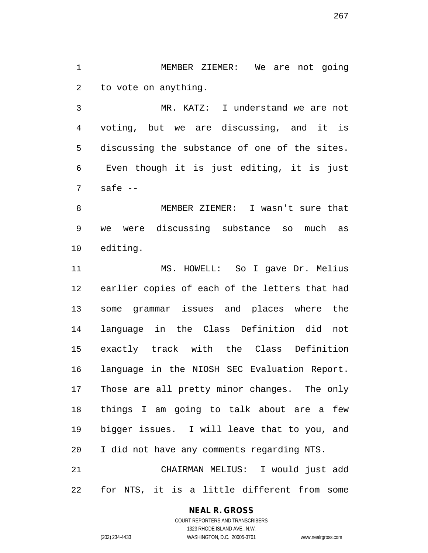MEMBER ZIEMER: We are not going to vote on anything.

 MR. KATZ: I understand we are not voting, but we are discussing, and it is discussing the substance of one of the sites. Even though it is just editing, it is just safe  $-$ 

 MEMBER ZIEMER: I wasn't sure that we were discussing substance so much as editing.

 MS. HOWELL: So I gave Dr. Melius earlier copies of each of the letters that had some grammar issues and places where the language in the Class Definition did not exactly track with the Class Definition language in the NIOSH SEC Evaluation Report. Those are all pretty minor changes. The only things I am going to talk about are a few bigger issues. I will leave that to you, and I did not have any comments regarding NTS. CHAIRMAN MELIUS: I would just add

for NTS, it is a little different from some

#### **NEAL R. GROSS**

COURT REPORTERS AND TRANSCRIBERS 1323 RHODE ISLAND AVE., N.W. (202) 234-4433 WASHINGTON, D.C. 20005-3701 www.nealrgross.com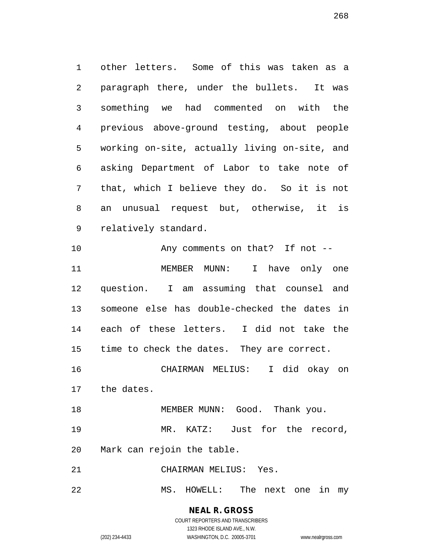other letters. Some of this was taken as a paragraph there, under the bullets. It was something we had commented on with the previous above-ground testing, about people working on-site, actually living on-site, and asking Department of Labor to take note of that, which I believe they do. So it is not an unusual request but, otherwise, it is relatively standard.

 Any comments on that? If not -- MEMBER MUNN: I have only one question. I am assuming that counsel and someone else has double-checked the dates in each of these letters. I did not take the time to check the dates. They are correct. CHAIRMAN MELIUS: I did okay on the dates.

18 MEMBER MUNN: Good. Thank you.

 MR. KATZ: Just for the record, Mark can rejoin the table.

CHAIRMAN MELIUS: Yes.

MS. HOWELL: The next one in my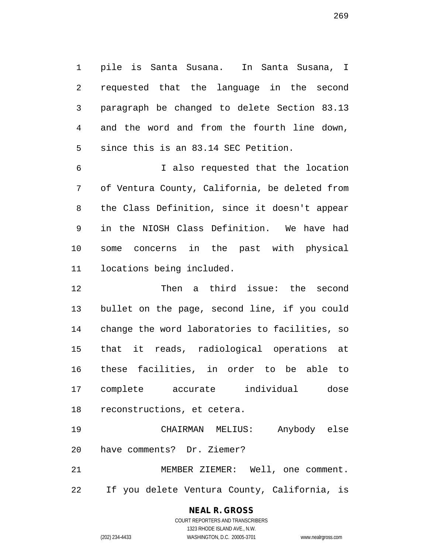pile is Santa Susana. In Santa Susana, I requested that the language in the second paragraph be changed to delete Section 83.13 and the word and from the fourth line down, since this is an 83.14 SEC Petition.

 I also requested that the location of Ventura County, California, be deleted from the Class Definition, since it doesn't appear in the NIOSH Class Definition. We have had some concerns in the past with physical locations being included.

 Then a third issue: the second bullet on the page, second line, if you could change the word laboratories to facilities, so that it reads, radiological operations at these facilities, in order to be able to complete accurate individual dose reconstructions, et cetera.

 CHAIRMAN MELIUS: Anybody else have comments? Dr. Ziemer? MEMBER ZIEMER: Well, one comment.

If you delete Ventura County, California, is

# **NEAL R. GROSS**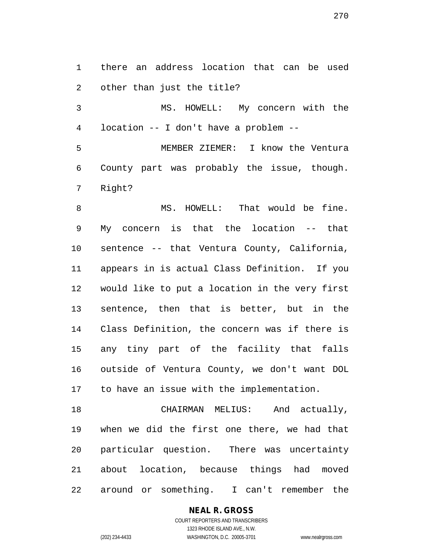there an address location that can be used other than just the title?

 MS. HOWELL: My concern with the location -- I don't have a problem --

 MEMBER ZIEMER: I know the Ventura County part was probably the issue, though. Right?

8 MS. HOWELL: That would be fine. My concern is that the location -- that sentence -- that Ventura County, California, appears in is actual Class Definition. If you would like to put a location in the very first sentence, then that is better, but in the Class Definition, the concern was if there is any tiny part of the facility that falls outside of Ventura County, we don't want DOL to have an issue with the implementation.

 CHAIRMAN MELIUS: And actually, when we did the first one there, we had that particular question. There was uncertainty about location, because things had moved around or something. I can't remember the

## **NEAL R. GROSS**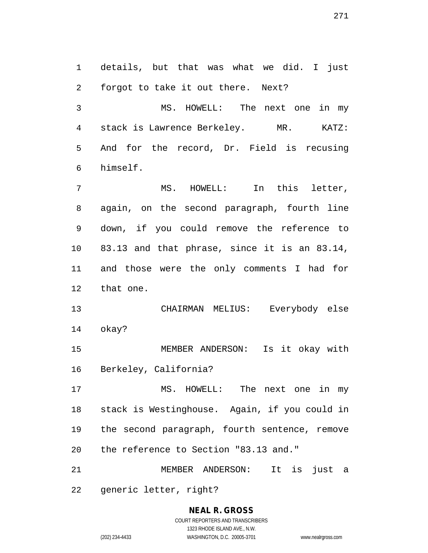details, but that was what we did. I just forgot to take it out there. Next?

 MS. HOWELL: The next one in my stack is Lawrence Berkeley. MR. KATZ: And for the record, Dr. Field is recusing himself.

 MS. HOWELL: In this letter, again, on the second paragraph, fourth line down, if you could remove the reference to 83.13 and that phrase, since it is an 83.14, and those were the only comments I had for that one.

 CHAIRMAN MELIUS: Everybody else okay?

 MEMBER ANDERSON: Is it okay with Berkeley, California?

 MS. HOWELL: The next one in my stack is Westinghouse. Again, if you could in the second paragraph, fourth sentence, remove the reference to Section "83.13 and."

MEMBER ANDERSON: It is just a

generic letter, right?

#### **NEAL R. GROSS** COURT REPORTERS AND TRANSCRIBERS 1323 RHODE ISLAND AVE., N.W. (202) 234-4433 WASHINGTON, D.C. 20005-3701 www.nealrgross.com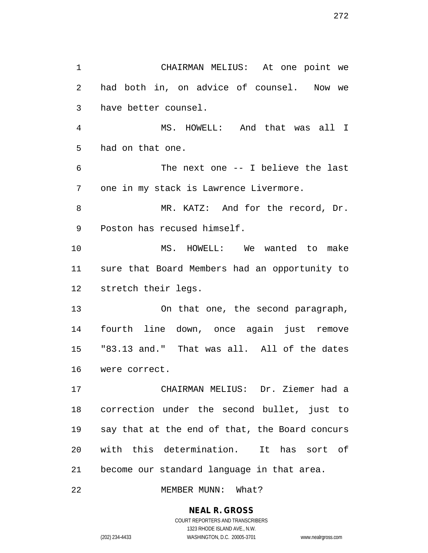CHAIRMAN MELIUS: At one point we had both in, on advice of counsel. Now we have better counsel. MS. HOWELL: And that was all I had on that one. The next one -- I believe the last one in my stack is Lawrence Livermore. MR. KATZ: And for the record, Dr. Poston has recused himself. MS. HOWELL: We wanted to make sure that Board Members had an opportunity to stretch their legs. On that one, the second paragraph, fourth line down, once again just remove "83.13 and." That was all. All of the dates were correct. CHAIRMAN MELIUS: Dr. Ziemer had a correction under the second bullet, just to say that at the end of that, the Board concurs with this determination. It has sort of become our standard language in that area. 22 MEMBER MUNN: What?

> **NEAL R. GROSS** COURT REPORTERS AND TRANSCRIBERS

1323 RHODE ISLAND AVE., N.W. (202) 234-4433 WASHINGTON, D.C. 20005-3701 www.nealrgross.com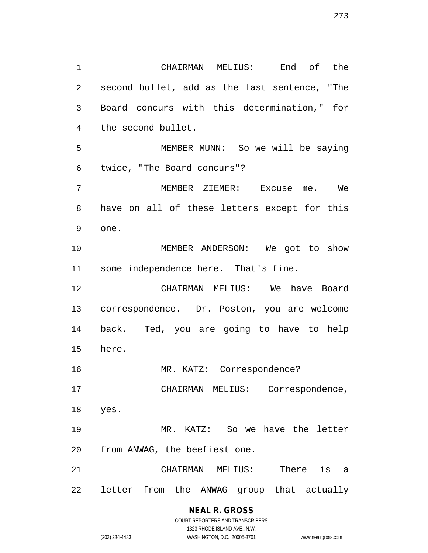CHAIRMAN MELIUS: End of the second bullet, add as the last sentence, "The Board concurs with this determination," for the second bullet. MEMBER MUNN: So we will be saying twice, "The Board concurs"? MEMBER ZIEMER: Excuse me. We have on all of these letters except for this one. MEMBER ANDERSON: We got to show some independence here. That's fine. CHAIRMAN MELIUS: We have Board correspondence. Dr. Poston, you are welcome back. Ted, you are going to have to help here. 16 MR. KATZ: Correspondence? CHAIRMAN MELIUS: Correspondence, yes. MR. KATZ: So we have the letter from ANWAG, the beefiest one. CHAIRMAN MELIUS: There is a letter from the ANWAG group that actually

#### **NEAL R. GROSS** COURT REPORTERS AND TRANSCRIBERS

1323 RHODE ISLAND AVE., N.W. (202) 234-4433 WASHINGTON, D.C. 20005-3701 www.nealrgross.com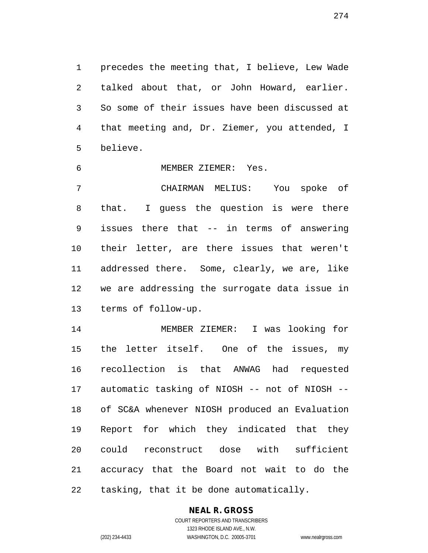precedes the meeting that, I believe, Lew Wade talked about that, or John Howard, earlier. So some of their issues have been discussed at that meeting and, Dr. Ziemer, you attended, I believe.

MEMBER ZIEMER: Yes.

 CHAIRMAN MELIUS: You spoke of that. I guess the question is were there issues there that -- in terms of answering their letter, are there issues that weren't addressed there. Some, clearly, we are, like we are addressing the surrogate data issue in terms of follow-up.

 MEMBER ZIEMER: I was looking for 15 the letter itself. One of the issues, my recollection is that ANWAG had requested automatic tasking of NIOSH -- not of NIOSH -- of SC&A whenever NIOSH produced an Evaluation Report for which they indicated that they could reconstruct dose with sufficient accuracy that the Board not wait to do the tasking, that it be done automatically.

## **NEAL R. GROSS**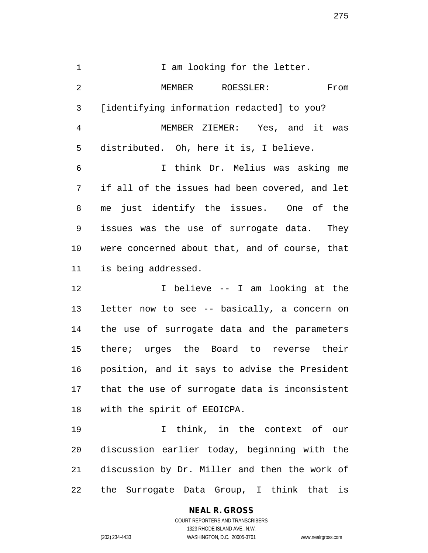1 1 I am looking for the letter. MEMBER ROESSLER: From [identifying information redacted] to you? MEMBER ZIEMER: Yes, and it was distributed. Oh, here it is, I believe. I think Dr. Melius was asking me if all of the issues had been covered, and let me just identify the issues. One of the issues was the use of surrogate data. They were concerned about that, and of course, that is being addressed. I believe -- I am looking at the

 letter now to see -- basically, a concern on the use of surrogate data and the parameters there; urges the Board to reverse their position, and it says to advise the President that the use of surrogate data is inconsistent with the spirit of EEOICPA.

 I think, in the context of our discussion earlier today, beginning with the discussion by Dr. Miller and then the work of the Surrogate Data Group, I think that is

## **NEAL R. GROSS**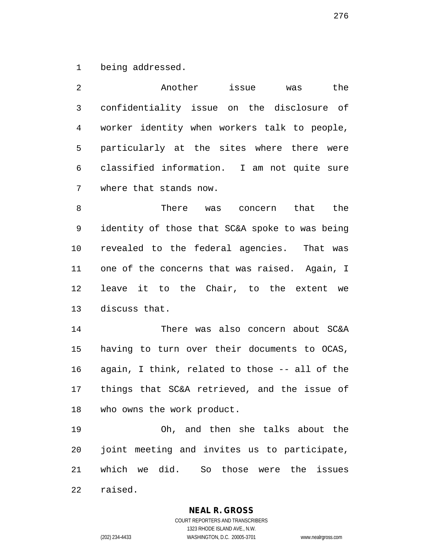being addressed.

| 2              | Another<br>the<br>issue<br>was                 |
|----------------|------------------------------------------------|
| $\mathfrak{Z}$ | confidentiality issue on the disclosure of     |
| 4              | worker identity when workers talk to people,   |
| 5              | particularly at the sites where there were     |
| 6              | classified information. I am not quite sure    |
| 7              | where that stands now.                         |
| 8              | There was concern that the                     |
| 9              | identity of those that SC&A spoke to was being |
| 10             | revealed to the federal agencies. That was     |
| 11             | one of the concerns that was raised. Again, I  |
| 12             | leave it to the Chair, to the extent we        |
| 13             | discuss that.                                  |
| 14             | There was also concern about SC&A              |
| 15             | having to turn over their documents to OCAS,   |
| 16             | again, I think, related to those -- all of the |
| 17             | things that SC&A retrieved, and the issue of   |
| 18             | who owns the work product.                     |
| 19             | Oh, and then she talks about the               |
| 20             | joint meeting and invites us to participate,   |
| 21             | which we did. So those were the<br>issues      |
| 22             | raised.                                        |

**NEAL R. GROSS**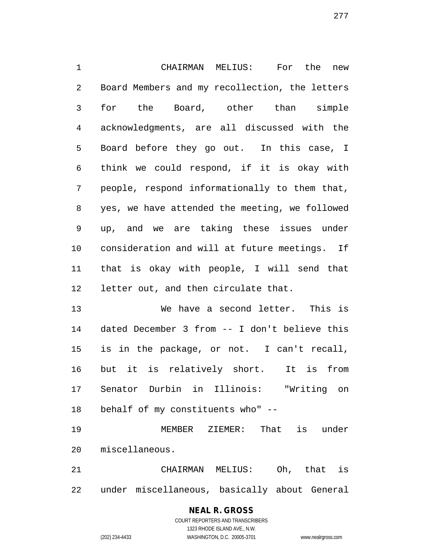CHAIRMAN MELIUS: For the new Board Members and my recollection, the letters for the Board, other than simple acknowledgments, are all discussed with the Board before they go out. In this case, I think we could respond, if it is okay with people, respond informationally to them that, yes, we have attended the meeting, we followed up, and we are taking these issues under consideration and will at future meetings. If that is okay with people, I will send that letter out, and then circulate that.

 We have a second letter. This is dated December 3 from -- I don't believe this is in the package, or not. I can't recall, but it is relatively short. It is from Senator Durbin in Illinois: "Writing on behalf of my constituents who" --

 MEMBER ZIEMER: That is under miscellaneous.

 CHAIRMAN MELIUS: Oh, that is under miscellaneous, basically about General

## **NEAL R. GROSS** COURT REPORTERS AND TRANSCRIBERS 1323 RHODE ISLAND AVE., N.W.

(202) 234-4433 WASHINGTON, D.C. 20005-3701 www.nealrgross.com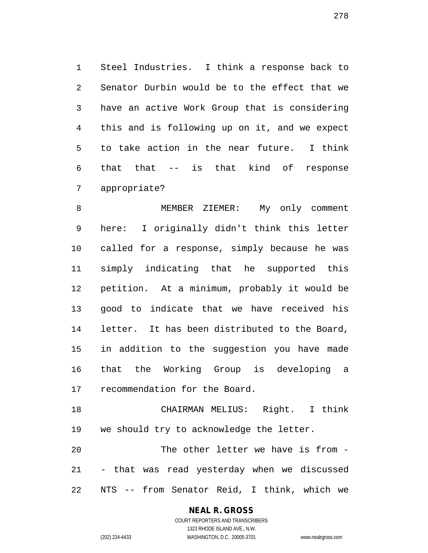Steel Industries. I think a response back to Senator Durbin would be to the effect that we have an active Work Group that is considering this and is following up on it, and we expect to take action in the near future. I think that that -- is that kind of response appropriate?

8 MEMBER ZIEMER: My only comment here: I originally didn't think this letter called for a response, simply because he was simply indicating that he supported this petition. At a minimum, probably it would be good to indicate that we have received his letter. It has been distributed to the Board, in addition to the suggestion you have made that the Working Group is developing a recommendation for the Board.

 CHAIRMAN MELIUS: Right. I think we should try to acknowledge the letter.

 The other letter we have is from - - that was read yesterday when we discussed NTS -- from Senator Reid, I think, which we

#### **NEAL R. GROSS**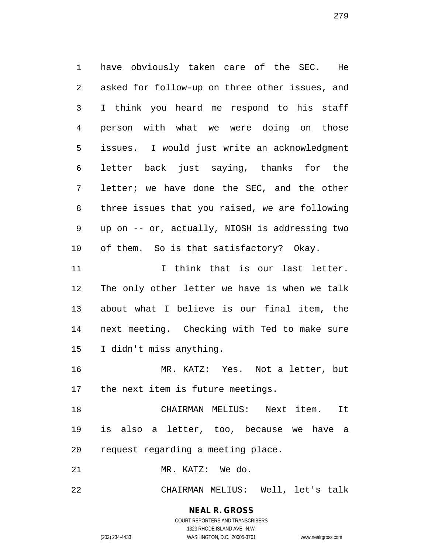have obviously taken care of the SEC. He asked for follow-up on three other issues, and I think you heard me respond to his staff person with what we were doing on those issues. I would just write an acknowledgment letter back just saying, thanks for the letter; we have done the SEC, and the other three issues that you raised, we are following up on -- or, actually, NIOSH is addressing two of them. So is that satisfactory? Okay.

11 Think that is our last letter. The only other letter we have is when we talk about what I believe is our final item, the next meeting. Checking with Ted to make sure I didn't miss anything.

 MR. KATZ: Yes. Not a letter, but the next item is future meetings.

 CHAIRMAN MELIUS: Next item. It is also a letter, too, because we have a request regarding a meeting place.

MR. KATZ: We do.

CHAIRMAN MELIUS: Well, let's talk

# **NEAL R. GROSS**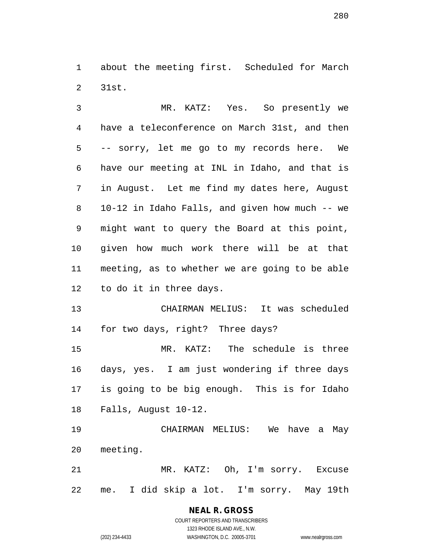about the meeting first. Scheduled for March 31st.

 MR. KATZ: Yes. So presently we have a teleconference on March 31st, and then -- sorry, let me go to my records here. We have our meeting at INL in Idaho, and that is in August. Let me find my dates here, August 10-12 in Idaho Falls, and given how much -- we might want to query the Board at this point, given how much work there will be at that meeting, as to whether we are going to be able to do it in three days.

 CHAIRMAN MELIUS: It was scheduled for two days, right? Three days?

 MR. KATZ: The schedule is three days, yes. I am just wondering if three days is going to be big enough. This is for Idaho Falls, August 10-12.

 CHAIRMAN MELIUS: We have a May meeting.

 MR. KATZ: Oh, I'm sorry. Excuse me. I did skip a lot. I'm sorry. May 19th

## **NEAL R. GROSS**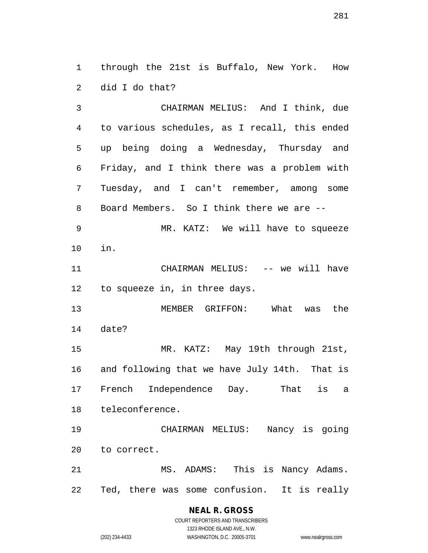through the 21st is Buffalo, New York. How did I do that?

 CHAIRMAN MELIUS: And I think, due to various schedules, as I recall, this ended up being doing a Wednesday, Thursday and Friday, and I think there was a problem with Tuesday, and I can't remember, among some Board Members. So I think there we are -- MR. KATZ: We will have to squeeze in. 11 CHAIRMAN MELIUS: -- we will have to squeeze in, in three days. MEMBER GRIFFON: What was the date? MR. KATZ: May 19th through 21st, and following that we have July 14th. That is French Independence Day. That is a teleconference. CHAIRMAN MELIUS: Nancy is going to correct. 21 MS. ADAMS: This is Nancy Adams.

Ted, there was some confusion. It is really

**NEAL R. GROSS** COURT REPORTERS AND TRANSCRIBERS

1323 RHODE ISLAND AVE., N.W. (202) 234-4433 WASHINGTON, D.C. 20005-3701 www.nealrgross.com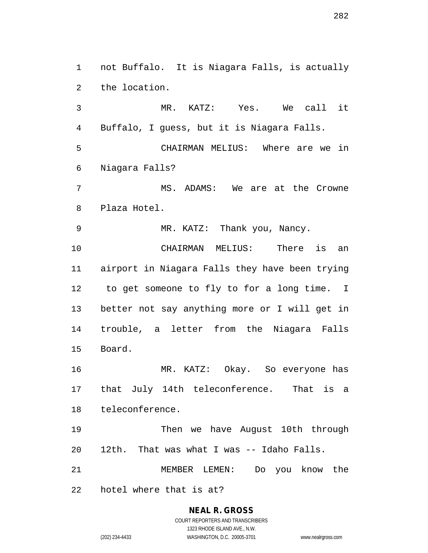not Buffalo. It is Niagara Falls, is actually the location.

 MR. KATZ: Yes. We call it Buffalo, I guess, but it is Niagara Falls. CHAIRMAN MELIUS: Where are we in Niagara Falls? MS. ADAMS: We are at the Crowne Plaza Hotel. MR. KATZ: Thank you, Nancy.

 CHAIRMAN MELIUS: There is an airport in Niagara Falls they have been trying to get someone to fly to for a long time. I better not say anything more or I will get in trouble, a letter from the Niagara Falls Board.

 MR. KATZ: Okay. So everyone has that July 14th teleconference. That is a teleconference.

 Then we have August 10th through 12th. That was what I was -- Idaho Falls.

MEMBER LEMEN: Do you know the

hotel where that is at?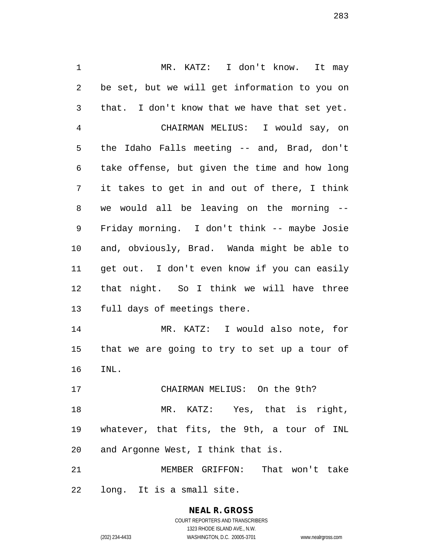MR. KATZ: I don't know. It may be set, but we will get information to you on that. I don't know that we have that set yet. CHAIRMAN MELIUS: I would say, on the Idaho Falls meeting -- and, Brad, don't take offense, but given the time and how long it takes to get in and out of there, I think we would all be leaving on the morning -- Friday morning. I don't think -- maybe Josie and, obviously, Brad. Wanda might be able to get out. I don't even know if you can easily that night. So I think we will have three full days of meetings there. MR. KATZ: I would also note, for that we are going to try to set up a tour of INL. CHAIRMAN MELIUS: On the 9th? MR. KATZ: Yes, that is right, whatever, that fits, the 9th, a tour of INL

and Argonne West, I think that is.

 MEMBER GRIFFON: That won't take long. It is a small site.

> **NEAL R. GROSS** COURT REPORTERS AND TRANSCRIBERS 1323 RHODE ISLAND AVE., N.W.

(202) 234-4433 WASHINGTON, D.C. 20005-3701 www.nealrgross.com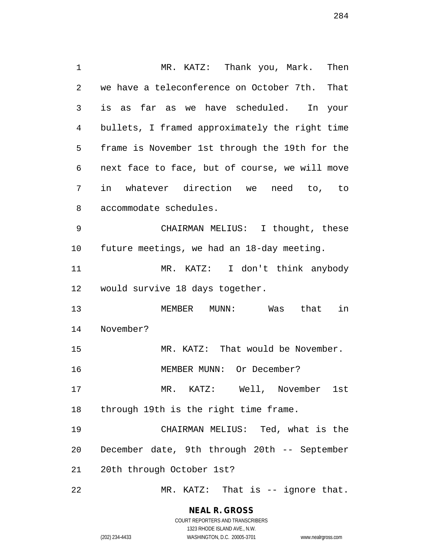MR. KATZ: Thank you, Mark. Then we have a teleconference on October 7th. That is as far as we have scheduled. In your bullets, I framed approximately the right time frame is November 1st through the 19th for the next face to face, but of course, we will move in whatever direction we need to, to accommodate schedules. CHAIRMAN MELIUS: I thought, these future meetings, we had an 18-day meeting. MR. KATZ: I don't think anybody would survive 18 days together. MEMBER MUNN: Was that in November? MR. KATZ: That would be November. MEMBER MUNN: Or December? MR. KATZ: Well, November 1st through 19th is the right time frame. CHAIRMAN MELIUS: Ted, what is the December date, 9th through 20th -- September 20th through October 1st? MR. KATZ: That is -- ignore that.

> **NEAL R. GROSS** COURT REPORTERS AND TRANSCRIBERS

> > 1323 RHODE ISLAND AVE., N.W.

(202) 234-4433 WASHINGTON, D.C. 20005-3701 www.nealrgross.com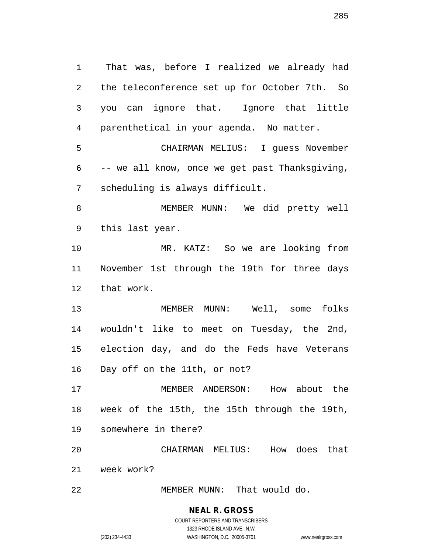That was, before I realized we already had the teleconference set up for October 7th. So you can ignore that. Ignore that little parenthetical in your agenda. No matter. CHAIRMAN MELIUS: I guess November -- we all know, once we get past Thanksgiving, scheduling is always difficult. MEMBER MUNN: We did pretty well this last year. MR. KATZ: So we are looking from November 1st through the 19th for three days that work. MEMBER MUNN: Well, some folks wouldn't like to meet on Tuesday, the 2nd, election day, and do the Feds have Veterans Day off on the 11th, or not? MEMBER ANDERSON: How about the week of the 15th, the 15th through the 19th, somewhere in there? CHAIRMAN MELIUS: How does that week work? MEMBER MUNN: That would do.

COURT REPORTERS AND TRANSCRIBERS 1323 RHODE ISLAND AVE., N.W. (202) 234-4433 WASHINGTON, D.C. 20005-3701 www.nealrgross.com

**NEAL R. GROSS**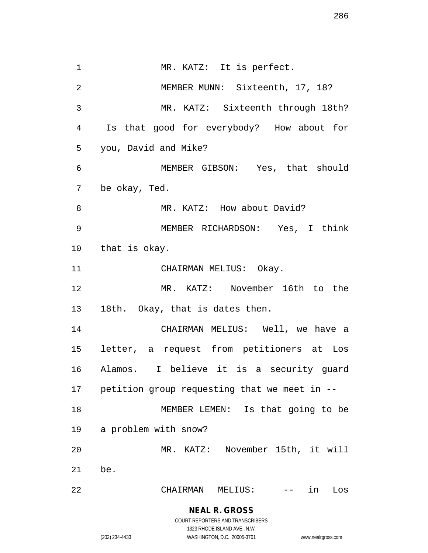1 MR. KATZ: It is perfect. MEMBER MUNN: Sixteenth, 17, 18? MR. KATZ: Sixteenth through 18th? Is that good for everybody? How about for you, David and Mike? MEMBER GIBSON: Yes, that should be okay, Ted. 8 MR. KATZ: How about David? MEMBER RICHARDSON: Yes, I think that is okay. 11 CHAIRMAN MELIUS: Okay. MR. KATZ: November 16th to the 18th. Okay, that is dates then. CHAIRMAN MELIUS: Well, we have a letter, a request from petitioners at Los Alamos. I believe it is a security guard petition group requesting that we meet in -- MEMBER LEMEN: Is that going to be a problem with snow? MR. KATZ: November 15th, it will be. CHAIRMAN MELIUS: -- in Los

#### **NEAL R. GROSS** COURT REPORTERS AND TRANSCRIBERS

1323 RHODE ISLAND AVE., N.W.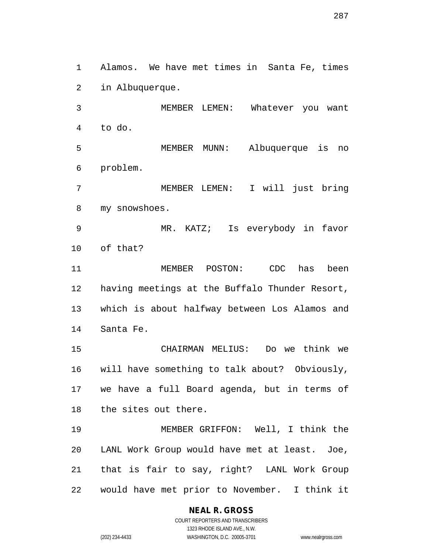Alamos. We have met times in Santa Fe, times in Albuquerque.

 MEMBER LEMEN: Whatever you want to do.

 MEMBER MUNN: Albuquerque is no problem.

 MEMBER LEMEN: I will just bring my snowshoes.

 MR. KATZ; Is everybody in favor of that?

 MEMBER POSTON: CDC has been having meetings at the Buffalo Thunder Resort, which is about halfway between Los Alamos and Santa Fe.

 CHAIRMAN MELIUS: Do we think we will have something to talk about? Obviously, we have a full Board agenda, but in terms of the sites out there.

 MEMBER GRIFFON: Well, I think the LANL Work Group would have met at least. Joe, that is fair to say, right? LANL Work Group would have met prior to November. I think it

#### **NEAL R. GROSS** COURT REPORTERS AND TRANSCRIBERS

1323 RHODE ISLAND AVE., N.W. (202) 234-4433 WASHINGTON, D.C. 20005-3701 www.nealrgross.com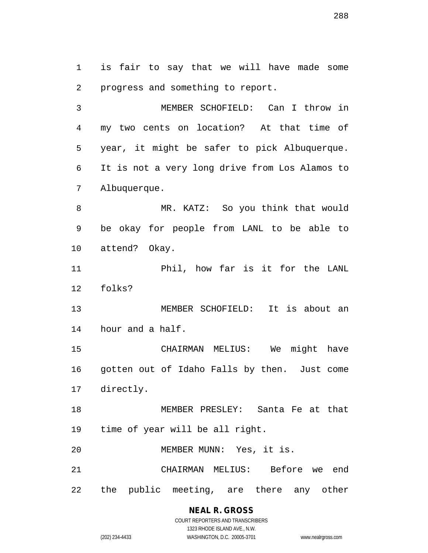is fair to say that we will have made some progress and something to report.

 MEMBER SCHOFIELD: Can I throw in my two cents on location? At that time of year, it might be safer to pick Albuquerque. It is not a very long drive from Los Alamos to Albuquerque.

 MR. KATZ: So you think that would be okay for people from LANL to be able to attend? Okay.

 Phil, how far is it for the LANL folks?

 MEMBER SCHOFIELD: It is about an hour and a half.

 CHAIRMAN MELIUS: We might have gotten out of Idaho Falls by then. Just come directly.

 MEMBER PRESLEY: Santa Fe at that time of year will be all right.

MEMBER MUNN: Yes, it is.

 CHAIRMAN MELIUS: Before we end the public meeting, are there any other

# **NEAL R. GROSS**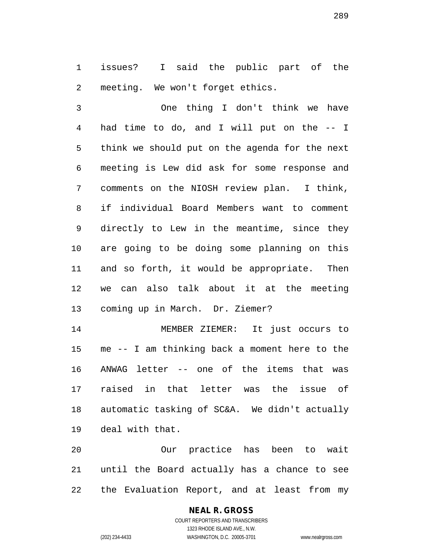issues? I said the public part of the meeting. We won't forget ethics.

 One thing I don't think we have had time to do, and I will put on the -- I think we should put on the agenda for the next meeting is Lew did ask for some response and comments on the NIOSH review plan. I think, if individual Board Members want to comment directly to Lew in the meantime, since they are going to be doing some planning on this and so forth, it would be appropriate. Then we can also talk about it at the meeting coming up in March. Dr. Ziemer?

 MEMBER ZIEMER: It just occurs to me -- I am thinking back a moment here to the ANWAG letter -- one of the items that was raised in that letter was the issue of automatic tasking of SC&A. We didn't actually deal with that.

 Our practice has been to wait until the Board actually has a chance to see the Evaluation Report, and at least from my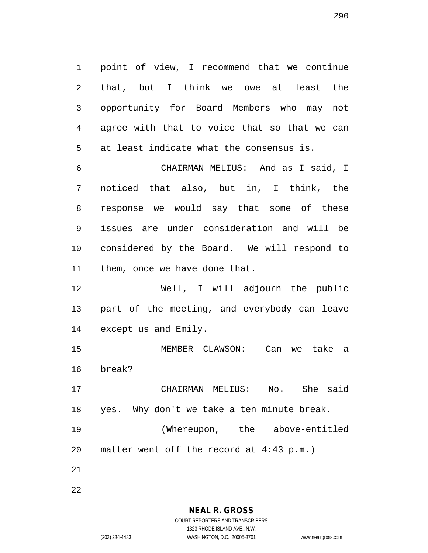point of view, I recommend that we continue that, but I think we owe at least the opportunity for Board Members who may not agree with that to voice that so that we can at least indicate what the consensus is.

 CHAIRMAN MELIUS: And as I said, I noticed that also, but in, I think, the response we would say that some of these issues are under consideration and will be considered by the Board. We will respond to them, once we have done that.

 Well, I will adjourn the public part of the meeting, and everybody can leave except us and Emily.

 MEMBER CLAWSON: Can we take a break?

 CHAIRMAN MELIUS: No. She said yes. Why don't we take a ten minute break.

 (Whereupon, the above-entitled matter went off the record at 4:43 p.m.)

**NEAL R. GROSS** COURT REPORTERS AND TRANSCRIBERS